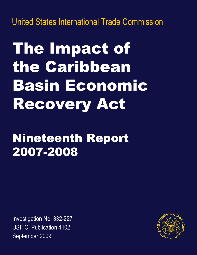United States International Trade Commission

# The Impact of the Caribbean Basin Economic Recovery Act

## Nineteenth Report 2007-2008

Investigation No. 332-227 USITC Publication 4102 September 2009

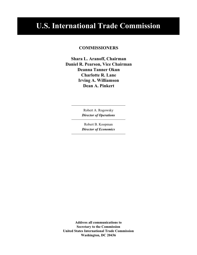### **U.S. International Trade Commission**

#### **COMMISSIONERS**

**Shara L. Aranoff, Chairman Daniel R. Pearson, Vice Chairman Deanna Tanner Okun Charlotte R. Lane Irving A. Williamson Dean A. Pinkert**

**Director of Operations** 

**Director of Economics** 

**Address all communications to Secretary to the Commission United States International Trade Commission Washington, DC 20436**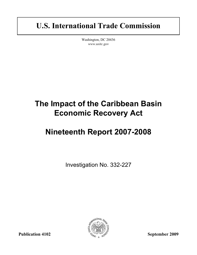### **U.S. International Trade Commission**

 $W$  is  $\frac{1}{2}$   $\frac{1}{2}$   $\frac{1}{2}$   $\frac{1}{2}$   $\frac{1}{2}$   $\frac{1}{2}$   $\frac{1}{2}$   $\frac{1}{2}$   $\frac{1}{2}$   $\frac{1}{2}$   $\frac{1}{2}$   $\frac{1}{2}$   $\frac{1}{2}$   $\frac{1}{2}$   $\frac{1}{2}$   $\frac{1}{2}$   $\frac{1}{2}$   $\frac{1}{2}$   $\frac{1}{2}$   $\frac{1}{2}$   $\frac{1}{2}$   $\frac{$ *www.usitc.gov*

### **The Impact of the Caribbean Basin Economic Recovery Act**

### **Nineteenth Report 2007-2008**

Investigation No. 332-227



**Publication 4102 September 2009**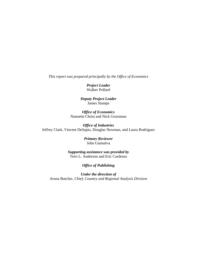*This report was prepared principally by the Office of Economics* 

*Project Leader*  Walker Pollard

*Deputy Project Leader*  James Stamps

*Office of Economics*  Nannette Christ and Nick Grossman

*Office of Industries* Jeffrey Clark, Vincent DeSapio, Douglas Newman, and Laura Rodriguez

> *Primary Reviewer*  John Giamalva

*Supporting assistance was provided by*  Terri L. Anderson and Eric Cardenas

#### *Office of Publishing*

*Under the direction of*  Arona Butcher, *Chief*, *Country and Regional Analysis Division*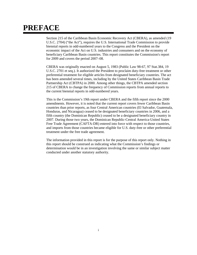### **PREFACE**

Section 215 of the Caribbean Basin Economic Recovery Act (CBERA), as amended (19 U.S.C. 2704) ("the Act"), requires the U.S. International Trade Commission to provide biennial reports in odd-numbered years to the Congress and the President on the economic impact of the Act on U.S. industries and consumers and on the economy of beneficiary Caribbean Basin countries. This report constitutes the Commission's report for 2009 and covers the period 2007–08.

CBERA was originally enacted on August 5, 1983 (Public Law 98-67, 97 Stat.384, 19 U.S.C. 2701 et seq.). It authorized the President to proclaim duty-free treatment or other preferential treatment for eligible articles from designated beneficiary countries. The act has been amended several times, including by the United States Caribbean Basin Trade Partnership Act (CBTPA) in 2000. Among other things, the CBTPA amended section 215 of CBERA to change the frequency of Commission reports from annual reports to the current biennial reports in odd-numbered years.

This is the Commission's 19th report under CBERA and the fifth report since the 2000 amendments. However, it is noted that the current report covers fewer Caribbean Basin countries than prior reports, as four Central American countries (El Salvador, Guatemala, Honduras, and Nicaragua) ceased to be designated beneficiary countries in 2006, and a fifth country (the Dominican Republic) ceased to be a designated beneficiary country in 2007. During those two years, the Dominican Republic-Central America-United States Free Trade Agreement (CAFTA-DR) entered into force with respect to those countries, and imports from those countries became eligible for U.S. duty-free or other preferential treatment under the free trade agreement.

The information provided in this report is for the purpose of this report only. Nothing in this report should be construed as indicating what the Commission's findings or determination would be in an investigation involving the same or similar subject matter conducted under another statutory authority.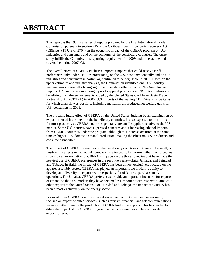### **ABSTRACT**

This report is the 19th in a series of reports prepared by the U.S. International Trade Commission pursuant to section 215 of the Caribbean Basin Economic Recovery Act (CBERA) (19 U.S.C. 2704) on the economic impact of the CBERA program on U.S. industries and consumers and on the economy of the beneficiary countries. The current study fulfills the Commission's reporting requirement for 2009 under the statute and covers the period 2007–08.

The overall effect of CBERA-exclusive imports (imports that could receive tariff preferences only under CBERA provisions), on the U.S. economy generally and on U.S. industries and consumers in particular, continued to be negligible in 2008. Based on the upper estimates and industry analysis, the Commission identified one U.S. industry methanol—as potentially facing significant negative effects from CBERA-exclusive imports. U.S. industries supplying inputs to apparel producers in CBERA countries are benefiting from the enhancements added by the United States Caribbean Basin Trade Partnership Act (CBTPA) in 2000. U.S. imports of the leading CBERA-exclusive items for which analysis was possible, including methanol, all produced net welfare gains for U.S. consumers in 2008.

The probable future effect of CBERA on the United States, judging by an examination of export-oriented investment in the beneficiary countries, is also expected to be minimal for most products, as CBERA countries generally are small suppliers relative to the U.S. market. Some U.S. sources have expressed concerns about increasing ethanol imports from CBERA countries under the program, although this increase occurred at the same time as higher U.S. domestic ethanol production, making the effect on U.S. producers and consumers uncertain.

The impact of CBERA preferences on the beneficiary countries continues to be small, but positive. Its effects in individual countries have tended to be narrow rather than broad, as shown by an examination of CBERA's impacts on the three countries that have made the heaviest use of CBERA preferences in the past two years—Haiti, Jamaica, and Trinidad and Tobago. In Haiti, the impact of CBERA has been almost exclusively focused on the apparel assembly sector. CBERA has played an important role in Haiti's ability to develop and diversify its export sector, especially for offshore apparel assembly operations. For Jamaica, CBERA preferences provide an important incentive for exports of ethanol to the U.S. market; they have become less important with respect to Jamaica's other exports to the United States. For Trinidad and Tobago, the impact of CBERA has been almost exclusively on the energy sector.

For most other CBERA countries, recent investment activity has been increasingly focused on export-oriented services, such as tourism, financial, and telecommunications services, rather than on the production of CBERA-eligible exports. This has tended to dilute the impact of the CBERA program, since its preferences apply exclusively to exports of goods.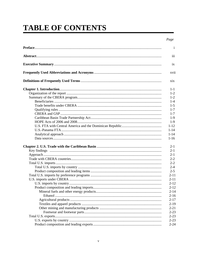### **TABLE OF CONTENTS**

#### Page

| $\mathbf{i}$ |
|--------------|
| iii          |
| ix           |
| xvii         |
| X1X          |
| $1 - 1$      |
| $1 - 2$      |
| $1 - 2$      |
| $1 - 4$      |
| $1-5$        |
| $1 - 7$      |
| $1 - 7$      |
| $1-9$        |
| $1-9$        |
| $1 - 12$     |
| $1 - 14$     |
| $1 - 14$     |
| $1 - 16$     |
|              |
| $2 - 1$      |
| $2 - 1$      |
| $2 - 1$      |
| $2 - 2$      |
| $2 - 2$      |
| $2 - 4$      |
| $2 - 5$      |
| $2 - 11$     |
| $2 - 11$     |
| $2 - 12$     |
| $2 - 12$     |
| $2 - 14$     |
| $2 - 16$     |
| $2 - 17$     |
| $2 - 19$     |
| $2 - 21$     |
| $2 - 23$     |
| $2 - 23$     |
| $2 - 23$     |
| $2 - 24$     |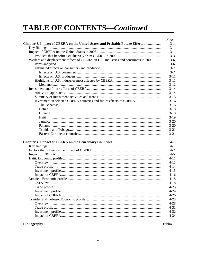### **TABLE OF CONTENTS-Continued**

| Welfare and displacement effects of CBERA on U.S. industries and consumers in 2008 |  |
|------------------------------------------------------------------------------------|--|
|                                                                                    |  |
|                                                                                    |  |
|                                                                                    |  |
|                                                                                    |  |
|                                                                                    |  |
|                                                                                    |  |
|                                                                                    |  |
|                                                                                    |  |
|                                                                                    |  |
|                                                                                    |  |
| Investment in selected CBERA countries and future effects of CBERA                 |  |
|                                                                                    |  |
|                                                                                    |  |
|                                                                                    |  |
|                                                                                    |  |
|                                                                                    |  |
|                                                                                    |  |
|                                                                                    |  |
|                                                                                    |  |
|                                                                                    |  |
| Key findings                                                                       |  |
|                                                                                    |  |
|                                                                                    |  |
|                                                                                    |  |
|                                                                                    |  |
|                                                                                    |  |
|                                                                                    |  |
|                                                                                    |  |
|                                                                                    |  |
|                                                                                    |  |
|                                                                                    |  |
| Trade profile                                                                      |  |
|                                                                                    |  |
|                                                                                    |  |
|                                                                                    |  |
|                                                                                    |  |
|                                                                                    |  |
|                                                                                    |  |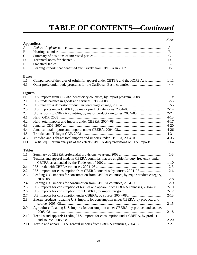### **TABLE OF CONTENTS—***Continued*

#### *Page*

| <b>Appendices</b> |                                                                                          |              |
|-------------------|------------------------------------------------------------------------------------------|--------------|
| A.                |                                                                                          | $A-1$        |
| <b>B.</b>         |                                                                                          | $B-1$        |
| C.                |                                                                                          | $C-1$        |
| D.                |                                                                                          | $D-1$        |
| Ε.                |                                                                                          | $E-1$        |
| F.                |                                                                                          | $F-1$        |
| <b>Boxes</b>      |                                                                                          |              |
| 1.1               | Comparison of the rules of origin for apparel under CBTPA and the HOPE Acts              | $1 - 11$     |
| 4.1               |                                                                                          | $4 - 4$      |
| <b>Figures</b>    |                                                                                          |              |
| ES.1              | U.S. imports from CBERA beneficiary countries, by import program, 2008                   | $\mathbf{X}$ |
| 2.1               |                                                                                          | $2 - 3$      |
| 2.2               |                                                                                          | $2 - 5$      |
| 2.3               |                                                                                          | $2 - 14$     |
| 2.4               |                                                                                          | $2 - 24$     |
| 4.1               |                                                                                          | $4 - 13$     |
| 4.2               |                                                                                          | $4 - 17$     |
| 4.3               |                                                                                          | $4 - 20$     |
| 4.4               |                                                                                          | $4 - 26$     |
| 4.5               |                                                                                          | $4 - 31$     |
| 4.6               | Trinidad and Tobago: total imports and imports under CBERA, 2004-08                      | $4 - 35$     |
| D.1               | Partial equilibrium analysis of the effects CBERA duty provisions on U.S. imports        | $D-4$        |
| <b>Tables</b>     |                                                                                          |              |
| 1.1               |                                                                                          | $1 - 3$      |
| 1.2               | Textiles and apparel made in CBERA countries that are eligible for duty-free entry under |              |
|                   |                                                                                          | $1 - 10$     |
| 2.1               |                                                                                          | $2 - 3$      |
| 2.2               | U.S. imports for consumption from CBERA countries, by source, 2004–08                    | $2 - 6$      |
| 2.3               | Leading U.S. imports for consumption from CBERA countries, by major product category,    | $2 - 8$      |
| 2.4               |                                                                                          | $2-9$        |
| 2.5               | U.S. imports for consumption of textiles and apparel from CBERA countries, 2004–08       | $2 - 10$     |
| 2.6               |                                                                                          | $2 - 12$     |
| 2.7               |                                                                                          | $2 - 13$     |
| 2.8               | Energy products: Leading U.S. imports for consumption under CBERA, by products and       | $2 - 15$     |
| 2.9               | Agriculture: Leading U.S. imports for consumption under CBERA, by product and source,    | $2 - 18$     |
| 2.10              | Textiles and apparel: Leading U.S. imports for consumption under CBERA, by product       | $2 - 20$     |
| 2.11              | Textile and apparel: U.S. general imports from CBERA countries, 2004–08                  | $2 - 21$     |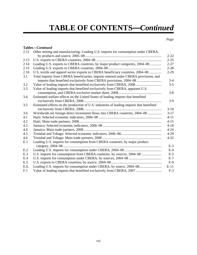### **TABLE OF CONTENTS—***Continued*

#### *Page*

|      | Tables-Continued                                                                         |          |
|------|------------------------------------------------------------------------------------------|----------|
| 2.12 | Other mining and manufacturing: Leading U.S. imports for consumption under CBERA,        |          |
|      |                                                                                          | $2 - 22$ |
| 2.13 |                                                                                          | $2 - 25$ |
| 2.14 | Leading U.S. exports to CBERA countries, by major product categories, 2004–08            | $2 - 27$ |
| 2.15 |                                                                                          | $2 - 28$ |
| 2.16 | U.S. textile and apparel sector exports to CBERA beneficiary countries, 2004–08          | $2-29$   |
| 3.1  | Total imports from CBERA beneficiaries, imports entered under CBERA provisions, and      |          |
|      | imports that benefited exclusively from CBERA provisions, 2004–08                        | $3 - 4$  |
| 3.2  | Value of leading imports that benefited exclusively from CBERA, 2008                     | $3 - 5$  |
| 3.3  | Value of leading imports that benefited exclusively from CBERA, apparent U.S.            |          |
|      |                                                                                          | $3 - 8$  |
| 3.4  | Estimated welfare effects on the United States of leading imports that benefited         | $3-9$    |
| 3.5  |                                                                                          |          |
|      | Estimated effects on the production of U.S. industries of leading imports that benefited | $3-10$   |
| 3.6  | Worldwide net foreign direct investment flows into CBERA countries, 2004-08              | $3 - 17$ |
| 4.1  |                                                                                          | $4 - 11$ |
| 4.2  |                                                                                          | $4 - 15$ |
| 4.3  |                                                                                          | $4 - 18$ |
| 4.4  |                                                                                          | $4 - 24$ |
| 4.5  |                                                                                          | $4 - 29$ |
| 4.6  |                                                                                          | $4 - 32$ |
| E.1  | Leading U.S. imports for consumption from CBERA countries, by major product              |          |
|      |                                                                                          | $E-3$    |
| E.2  |                                                                                          | $E-4$    |
| E.3  |                                                                                          | $E-5$    |
| E.4  |                                                                                          | $E-7$    |
| E.5  |                                                                                          | $E-9$    |
| E.6. | Leading U.S. imports for consumption under CBERA, by source, 2004–08                     | $E-11$   |
| F.1  | Value of leading imports that benefited exclusively from CBERA, 2007                     | $F-3$    |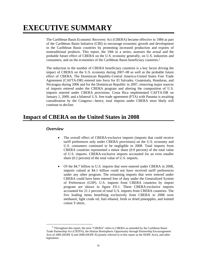### **EXECUTIVE SUMMARY**

The Caribbean Basin Economic Recovery Act (CBERA) became effective in 1984 as part of the Caribbean Basin Initiative (CBI) to encourage economic growth and development in the Caribbean Basin countries by promoting increased production and exports of nontraditional products. This report, the 19th in a series, assesses the actual and the probable future effect of CBERA on the U.S. economy generally, on U.S. industries and consumers, and on the economies of the Caribbean Basin beneficiary countries.1

The reduction in the number of CBERA beneficiary countries is a key factor driving the impact of CBERA on the U.S. economy during 2007–08 as well as the probable future effect of CBERA. The Dominican Republic-Central America-United States Free Trade Agreement (CAFTA-DR) entered into force for El Salvador, Guatemala, Honduras, and Nicaragua during 2006 and for the Dominican Republic in 2007, removing major sources of imports entered under the CBERA program and altering the composition of U.S. imports entered under CBERA provisions. Costa Rica implemented CAFTA-DR on January 1, 2009, and a bilateral U.S. free trade agreement (FTA) with Panama is awaiting consideration by the Congress—hence, total imports under CBERA most likely will continue to decline.

#### **Impact of CBERA on the United States in 2008**

#### *Overview*

- The overall effect of CBERA-exclusive imports (imports that could receive tariff preferences only under CBERA provisions) on the U.S. economy and U.S. consumers continued to be negligible in 2008. Total imports from CBERA countries represented a minor share (0.9 percent) of the total value of U.S. imports. CBERA-exclusive imports accounted for an even smaller share (0.2 percent) of the total value of U.S. imports.
- Of the \$4.7 billion in U.S. imports that were entered under CBERA in 2008, imports valued at \$4.1 billion could not have received tariff preferences under any other program. The remaining imports that were entered under CBERA could have been entered free of duty under the Generalized System of Preferences (GSP). U.S. imports from CBERA countries by import program are shown in figure ES.1. These CBERA-exclusive imports accounted for 21.1 percent of total U.S. imports from CBERA countries. The five leading items benefiting exclusively from CBERA in 2008 were methanol, light crude oil, fuel ethanol, fresh or dried pineapples, and knitted cotton T-shirts.

<sup>&</sup>lt;sup>1</sup> Throughout this report, the term "CBERA" refers to CBERA as amended by the Caribbean Basin Trade Partnership Act (CBTPA), the Haitian Hemispheric Opportunity through Partnership Encouragement Acts of 2006 (HOPE I) and 2008 (HOPE II) (jointly referred to in this report as the HOPE Acts), and other legislation.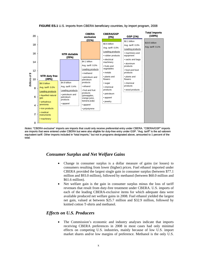

**FIGURE ES.1** U.S. imports from CBERA beneficiary countries, by import program, 2008

*Notes*: "CBERA exclusive" imports are imports that could only receive preferential entry under CBERA. "CBERA/GSP" imports are imports that were entered under CBERA but were also eligible for duty-free entry under GSP. "Avg. tariff" is the ad valorem equivalent tariff. Other imports included in "total imports," but not in programs designated above, amounted to 1 percent of the total.

#### *Consumer Surplus and Net Welfare Gains*

- Change in consumer surplus is a dollar measure of gains (or losses) to consumers resulting from lower (higher) prices. Fuel ethanol imported under CBERA provided the largest single gain in consumer surplus (between \$77.1 million and \$93.0 million), followed by methanol (between \$60.0 million and \$61.6 million).
- Net welfare gain is the gain in consumer surplus minus the loss of tariff revenues that result from duty-free treatment under CBERA. U.S. imports of each of the leading CBERA-exclusive items for which adequate data were available produced net welfare gains in 2008. Fuel ethanol yielded the largest net gain, valued at between \$25.7 million and \$32.9 million, followed by knitted cotton T-shirts and methanol.

#### *Effects on U.S. Producers*

The Commission's economic and industry analyses indicate that imports receiving CBERA preferences in 2008 in most cases had only minimal effects on competing U.S. industries, mainly because of low U.S. import market shares and/or low margins of preference. Methanol is the only U.S.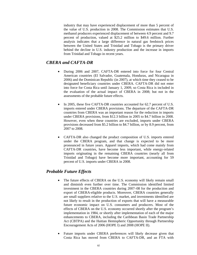industry that may have experienced displacement of more than 5 percent of the value of U.S. production in 2008. The Commission estimates that U.S. methanol producers experienced displacement of between 4.9 percent and 9.7 percent of production, valued at \$25.2 million to \$49.6 million. Further analysis indicates that a large difference in natural gas feedstock prices between the United States and Trinidad and Tobago is the primary driver behind the decline in U.S. industry production and the increase in imports from Trinidad and Tobago in recent years.

#### *CBERA and CAFTA-DR*

- During 2006 and 2007, CAFTA-DR entered into force for four Central American countries (El Salvador, Guatemala, Honduras, and Nicaragua in 2006) and the Dominican Republic (in 2007), at which time they ceased to be designated beneficiary countries under CBERA. CAFTA-DR did not enter into force for Costa Rica until January 1, 2009, so Costa Rica is included in the evaluation of the actual impact of CBERA in 2008; but not in the assessments of the probable future effects.
- In 2005, these five CAFTA-DR countries accounted for 62.7 percent of U.S. imports entered under CBERA provisions. The departure of the CAFTA-DR countries from CBERA was an important reason for the reduction in imports under CBERA provisions, from \$12.3 billion in 2005 to \$4.7 billion in 2008. However, even when these countries are excluded, imports under CBERA provisions decreased from \$5.2 billion to \$4.7 billion, or by 8.9 percent, from 2007 to 2008.
- CAFTA-DR also changed the product composition of U.S. imports entered under the CBERA program, and that change is expected to be more pronounced in future years. Apparel imports, which had come mainly from CAFTA-DR countries, have become less important, while energy-related imports originating in the remaining CBERA countries (nearly all from Trinidad and Tobago) have become more important, accounting for 59 percent of U.S. imports under CBERA in 2008.

#### *Probable Future Effects*

- The future effects of CBERA on the U.S. economy will likely remain small and diminish even further over time. The Commission identified limited investment in the CBERA countries during 2007–08 for the production and export of CBERA-eligible products. Moreover, CBERA countries generally are small suppliers relative to the U.S. market, and investments identified are not likely to result in the production of exports that will have a measurable future economic impact on U.S. consumers and producers. Most of the effects of CBERA on the U.S. economy occurred shortly after the program's implementation in 1984, or shortly after implementation of each of the major enhancements to CBERA, including the Caribbean Basin Trade Partnership Act (CBTPA) and the Haitian Hemispheric Opportunity through Partnership Encouragement Acts of 2006 (HOPE I) and 2008 (HOPE II).
- Future imports under CBERA preferences will likely decrease given that Costa Rica has moved from CBERA to CAFTA-DR, and an FTA with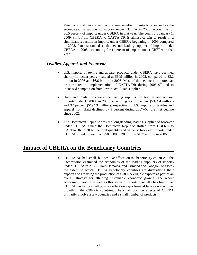Panama would have a similar but smaller effect. Costa Rica ranked as the second-leading supplier of imports under CBERA in 2008, accounting for 26.5 percent of imports under CBERA in that year. The country's January 1, 2009, shift from CBERA to CAFTA-DR is almost certain to result in a significant reduction in imports under CBERA beginning in 2009 compared to 2008. Panama ranked as the seventh-leading supplier of imports under CBERA in 2008, accounting for 1 percent of imports under CBERA in that year.

#### *Textiles, Apparel, and Footwear*

- U.S. imports of textile and apparel products under CBERA have declined sharply in recent years—valued at \$609 million in 2008, compared to \$3.2 billion in 2006 and \$6.6 billion in 2005. Most of the decline in imports can be attributed to implementation of CAFTA-DR during 2006–07 and to increased competition from lower-cost Asian suppliers.
- Haiti and Costa Rica were the leading suppliers of textiles and apparel imports under CBERA in 2008, accounting for 65 percent (\$394.4 million) and 32 percent (\$194.3 million), respectively. U.S. imports of textiles and apparel from Haiti declined by 9 percent during 2007–08, the first decline since 2002.
- The Dominican Republic was the longstanding leading supplier of footwear under CBERA. Since the Dominican Republic shifted from CBERA to CAFTA-DR in 2007, the total quantity and value of footwear imports under CBERA shrank to less than \$500,000 in 2008 from \$107 million in 2006.

#### **Impact of CBERA on the Beneficiary Countries**

• CBERA has had small, but positive effects on the beneficiary countries. The Commission examined the economies of the leading suppliers of imports under CBERA in 2008—Haiti, Jamaica, and Trinidad and Tobago—to assess the extent to which CBERA beneficiary countries are diversifying their exports and are using the production of CBERA-eligible exports as part of an overall strategy for attaining sustainable economic growth. The recent economic literature as well as this series of reports generally has found that CBERA has had a small positive effect on exports—and hence on economic growth in the CBERA countries. The small positive effects of CBERA primarily involve a few countries and a small number of products.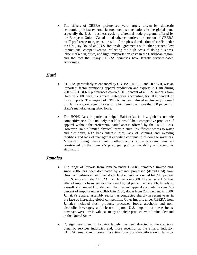• The effects of CBERA preferences were largely driven by: domestic economic policies; external factors such as fluctuations in the global—and especially the U.S.—business cycle; preferential trade programs offered by the European Union, Canada, and other countries; the erosion of CBERA tariff preference margins as a result of the phased reduction of tariffs under the Uruguay Round and U.S. free trade agreements with other partners; low international competitiveness, reflecting the high costs of doing business, labor market rigidities, and high transportation costs in the Caribbean region; and the fact that many CBERA countries have largely services-based economies.

#### *Haiti*

- CBERA, particularly as enhanced by CBTPA, HOPE I, and HOPE II, was an important factor promoting apparel production and exports in Haiti during 2007–08. CBERA preferences covered 90.1 percent of all U.S. imports from Haiti in 2008, with six apparel categories accounting for 91.6 percent of those imports. The impact of CBERA has been almost exclusively focused on Haiti's apparel assembly sector, which employs more than 30 percent of Haiti's manufacturing labor force.
- The HOPE Acts in particular helped Haiti offset its low global economic competitiveness. It is unlikely that Haiti would be a competitive producer of apparel without the preferential tariff access offered by the HOPE Acts. However, Haiti's limited physical infrastructure, insufficient access to water and electricity, high bank interest rates, lack of spinning and weaving facilities, and lack of managerial expertise continue to discourage investors. Moreover, foreign investment in other sectors of the economy remained constrained by the country's prolonged political instability and economic stagnation.

#### *Jamaica*

- The range of imports from Jamaica under CBERA remained limited and, since 2006, has been dominated by ethanol processed (dehydrated) from Brazilian hydrous ethanol feedstock. Fuel ethanol accounted for 79.3 percent of U.S. imports under CBERA from Jamaica in 2008. The value of U.S. fuel ethanol imports from Jamaica increased by 54 percent since 2006, largely as a result of increased U.S. demand. Textiles and apparel accounted for just 5.3 percent of imports under CBERA in 2008, down from 20.0 percent in 2006. Jamaica's apparel assembly sector has contracted sharply in recent years in the face of increasing global competition. Other imports under CBERA from Jamaica included fresh produce, processed foods, alcoholic and nonalcoholic beverages, and electrical parts; U.S. imports of these items, however, were low in value as many are niche products with limited demand in the United States.
- Foreign investment in Jamaica largely has been directed at the country's dynamic services industries and, more recently, at the ethanol industry. CBERA remains an important incentive for export diversification in Jamaica.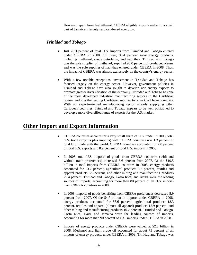However, apart from fuel ethanol, CBERA-eligible exports make up a small part of Jamaica's largely services-based economy.

#### *Trinidad and Tobago*

- Just 26.3 percent of total U.S. imports from Trinidad and Tobago entered under CBERA in 2008. Of these, 98.4 percent were energy products, including methanol, crude petroleum, and naphthas. Trinidad and Tobago was the sole supplier of methanol, supplied 90.0 percent of crude petroleum, and was the sole supplier of naphthas entered under CBERA in 2008. Thus, the impact of CBERA was almost exclusively on the country's energy sector.
- With a few notable exceptions, investment in Trinidad and Tobago has focused largely on the energy sector. However, government policies in Trinidad and Tobago have also sought to develop non-energy exports to promote greater diversification of the economy. Trinidad and Tobago has one of the most developed industrial manufacturing sectors in the Caribbean region, and it is the leading Caribbean supplier to other Caribbean countries. With an export-oriented manufacturing sector already supplying other Caribbean countries, Trinidad and Tobago appears to be well positioned to develop a more diversified range of exports for the U.S. market.

#### **Other Import and Export Information**

- CBERA countries account for a very small share of U.S. trade. In 2008, total U.S. trade (exports plus imports) with CBERA countries was 1.3 percent of total U.S. trade with the world. CBERA countries accounted for 2.0 percent of total U.S. exports and 0.9 percent of total U.S. imports in 2008.
- In 2008, total U.S. imports of goods from CBERA countries (with and without trade preferences) increased 5.6 percent from 2007. Of the \$19.5 billion in total imports from CBERA countries in 2008, energy products accounted for 53.2 percent, agricultural products 9.3 percent, textiles and apparel products 3.9 percent, and other mining and manufacturing products 29.4 percent. Trinidad and Tobago, Costa Rica, and Aruba were the leading sources of imports, accounting for more than 80 percent of all U.S. imports from CBERA countries in 2008.
- In 2008, imports of goods benefiting from CBERA preferences decreased 8.9 percent from 2007. Of the \$4.7 billion in imports under CBERA in 2008, energy products accounted for 58.6 percent, agricultural products 18.3 percent, textiles and apparel (almost all apparel) products 12.9 percent, and other mining and manufacturing products 10.2 percent. Trinidad and Tobago, Costa Rica, Haiti, and Jamaica were the leading sources of imports, accounting for more than 90 percent of U.S. imports under CBERA in 2008.
- Imports of energy products under CBERA were valued at \$2.8 billion in 2008. Methanol and light crude oil accounted for about 75 percent of all imports of energy products under CBERA in 2008. Trinidad and Tobago was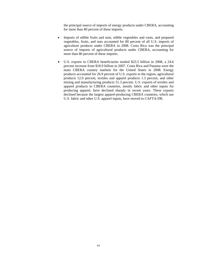the principal source of imports of energy products under CBERA, accounting for more than 80 percent of these imports.

- Imports of edible fruits and nuts, edible vegetables and roots, and prepared vegetables, fruits, and nuts accounted for 80 percent of all U.S. imports of agriculture products under CBERA in 2008. Costa Rica was the principal source of imports of agricultural products under CBERA, accounting for more than 80 percent of these imports.
- U.S. exports to CBERA beneficiaries totaled \$23.5 billion in 2008, a 24.6 percent increase from \$18.9 billion in 2007. Costa Rica and Panama were the main CBERA country markets for the United States in 2008. Energy products accounted for 26.9 percent of U.S. exports to the region, agricultural products 12.0 percent, textiles and apparel products 1.3 percent, and other mining and manufacturing products 51.3 percent. U.S. exports of textiles and apparel products to CBERA countries, mostly fabric and other inputs for producing apparel, have declined sharply in recent years. These exports declined because the largest apparel-producing CBERA countries, which use U.S. fabric and other U.S. apparel inputs, have moved to CAFTA-DR.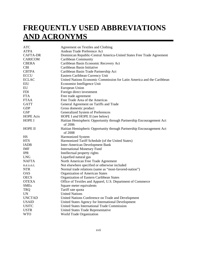### **FREQUENTLY USED ABBREVIATIONS AND ACRONYMS**

| <b>ATC</b>       | Agreement on Textiles and Clothing                                               |
|------------------|----------------------------------------------------------------------------------|
| <b>ATPA</b>      | Andean Trade Preference Act                                                      |
| <b>CAFTA-DR</b>  | Dominican Republic-Central America-United States Free Trade Agreement            |
| <b>CARICOM</b>   | <b>Caribbean Community</b>                                                       |
| <b>CBERA</b>     | Caribbean Basin Economic Recovery Act                                            |
| <b>CBI</b>       | Caribbean Basin Initiative                                                       |
| <b>CBTPA</b>     | Caribbean Basin Trade Partnership Act                                            |
| <b>ECCU</b>      | Eastern Caribbean Currency Unit                                                  |
| <b>ECLAC</b>     | United Nations Economic Commission for Latin America and the Caribbean           |
| EIU              | Economist Intelligence Unit                                                      |
| EU               | European Union                                                                   |
| <b>FDI</b>       | Foreign direct investment                                                        |
| <b>FTA</b>       | Free trade agreement                                                             |
| <b>FTAA</b>      | Free Trade Area of the Americas                                                  |
| <b>GATT</b>      | General Agreement on Tariffs and Trade                                           |
| <b>GDP</b>       | Gross domestic product                                                           |
| <b>GSP</b>       | Generalized System of Preferences                                                |
| <b>HOPE Acts</b> | HOPE I and HOPE II (see below)                                                   |
| <b>HOPE I</b>    | Haitian Hemispheric Opportunity through Partnership Encouragement Act<br>of 2006 |
| HOPE II          | Haitian Hemispheric Opportunity through Partnership Encouragement Act<br>of 2008 |
| HS               | Harmonized System                                                                |
| <b>HTS</b>       | Harmonized Tariff Schedule (of the United States)                                |
| <b>IADB</b>      | <b>Inter-American Development Bank</b>                                           |
| <b>IMF</b>       | <b>International Monetary Fund</b>                                               |
| <b>IPR</b>       | Intellectual property rights                                                     |
| <b>LNG</b>       | Liquefied natural gas                                                            |
| <b>NAFTA</b>     | North American Free Trade Agreement                                              |
| $n.e.s.$ $o.i.$  | Not elsewhere specified or otherwise included                                    |
| <b>NTR</b>       | Normal trade relations (same as "most-favored-nation")                           |
| <b>OAS</b>       | Organization of American States                                                  |
| <b>OECS</b>      | Organization of Eastern Caribbean States                                         |
| <b>OTEXA</b>     | Office of Textiles and Apparel, U.S. Department of Commerce                      |
| <b>SMEs</b>      | Square meter equivalents                                                         |
| <b>TRQ</b>       | Tariff rate quota                                                                |
| UN               | <b>United Nations</b>                                                            |
| <b>UNCTAD</b>    | United Nations Conference on Trade and Development                               |
| <b>USAID</b>     | United States Agency for International Development                               |
| <b>USITC</b>     | United States International Trade Commission                                     |
| <b>USTR</b>      | United States Trade Representative                                               |
| <b>WTO</b>       | World Trade Organization                                                         |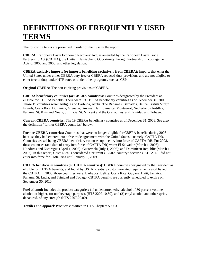### **DEFINITIONS OF FREQUENTLY USED TERMS**

The following terms are presented in order of their use in the report:

**CBERA:** Caribbean Basin Economic Recovery Act, as amended by the Caribbean Basin Trade Partnership Act (CBTPA); the Haitian Hemispheric Opportunity through Partnership Encouragement Acts of 2006 and 2008, and other legislation.

**CBERA-exclusive imports (or imports benefiting exclusively from CBERA):** Imports that enter the United States under either CBERA duty-free or CBERA reduced-duty provisions and are not eligible to enter free of duty under NTR rates or under other programs, such as GSP.

**Original CBERA:** The non-expiring provisions of CBERA.

**CBERA beneficiary countries (or CBERA countries):** Countries designated by the President as eligible for CBERA benefits. There were 19 CBERA beneficiary countries as of December 31, 2008. Those 19 countries were: Antigua and Barbuda, Aruba, The Bahamas, Barbados, Belize, British Virgin Islands, Costa Rica, Dominica, Grenada, Guyana, Haiti, Jamaica, Montserrat, Netherlands Antilles, Panama, St. Kitts and Nevis, St. Lucia, St. Vincent and the Grenadines, and Trinidad and Tobago.

**Current CBERA countries:** The 19 CBERA beneficiary countries as of December 31, 2008. See also the definition "former CBERA countries" below.

**Former CBERA countries:** Countries that were no longer eligible for CBERA benefits during 2008 because they had entered into a free trade agreement with the United States—namely, CAFTA-DR. Countries ceased being CBERA beneficiary countries upon entry into force of CAFTA-DR. For 2008, these countries (and date of entry into force of CAFTA-DR) were: El Salvador (March 1, 2006); Honduras and Nicaragua (April 1, 2006); Guatemala (July 1, 2006); and Dominican Republic (March 1, 2007). In this report, Costa Rica is considered a "current CBERA country" because CAFTA-DR did not enter into force for Costa Rica until January 1, 2009.

**CBTPA beneficiary countries (or CBTPA countries):** CBERA countries designated by the President as eligible for CBTPA benefits, and found by USTR to satisfy customs-related requirements established in the CBTPA. In 2008, those countries were: Barbados, Belize, Costa Rica, Guyana, Haiti, Jamaica, Panama, St. Lucia, and Trinidad and Tobago. CBTPA benefits are currently scheduled to expire on September 30, 2010.

**Fuel ethanol:** Includes the product categories: (1) undenatured ethyl alcohol of 80 percent volume alcohol or higher, for nonbeverage purposes (HTS 2207.10.60), and (2) ethyl alcohol and other sprits, denatured, of any strength (HTS 2207.20.00).

**Textiles and apparel**: Products classified in HTS Chapters 50–63.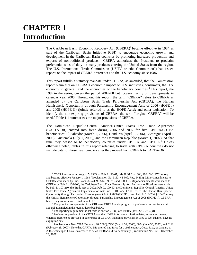### **CHAPTER 1 Introduction**

The Caribbean Basin Economic Recovery Act (CBERA)<sup>1</sup> became effective in 1984 as part of the Caribbean Basin Initiative (CBI) to encourage economic growth and development in the Caribbean Basin countries by promoting increased production and exports of nontraditional products.<sup>2</sup> CBERA authorizes the President to proclaim preferential rates of duty on many products entering the United States from the region. The U.S. International Trade Commission (USITC or "the Commission") has issued reports on the impact of CBERA preferences on the U.S. economy since 1986.

This report fulfills a statutory mandate under CBERA, as amended, that the Commission report biennially on CBERA's economic impact on U.S. industries, consumers, the U.S. economy in general, and the economies of the beneficiary countries.<sup>3</sup> This report, the 19th in the series, covers the period 2007–08 but focuses mainly on developments in calendar year 2008. Throughout this report, the term "CBERA" refers to CBERA as amended by the Caribbean Basin Trade Partnership Act (CBTPA); the Haitian Hemispheric Opportunity through Partnership Encouragement Acts of 2006 (HOPE I) and 2008 (HOPE II) (jointly referred to as the HOPE Acts); and other legislation. To identify the non-expiring provisions of CBERA, the term "original CBERA" will be used.<sup>4</sup> Table 1.1 summarizes the major provisions of CBERA.

The Dominican Republic-Central America-United States Free Trade Agreement (CAFTA-DR) entered into force during 2006 and 2007 for five CBERA/CBTPA beneficiaries: El Salvador (March 1, 2006), Honduras (April 1, 2006), Nicaragua (April 1, 2006), Guatemala (July 1, 2006), and the Dominican Republic (March 1, 2007). At that time they ceased to be beneficiary countries under CBERA and CBTPA.<sup>5</sup> Unless otherwise noted, tables in this report referring to trade with CBERA countries do not include data for these five countries after they moved from CBERA to CAFTA-DR.

 $\frac{1}{1}$ <sup>1</sup> CBERA was enacted August 5, 1983, as Pub. L. 98-67, title II, 97 Stat. 384, 19 U.S.C. 2701 et seq., and became effective January 1, 1984 (Proclamation No. 5133, 48 Fed. Reg. 54453). Minor amendments to CBERA were made by Pub. Laws 98-573, 99-514, 99-570, and 100-418. Major amendments were made to CBERA by Pub. L. 106-200, the Caribbean Basin Trade Partnership Act. Further modifications were made by Pub. L. 107-210, the Trade Act of 2002; Pub. L. 109-53, the Dominican Republic-Central America-United States Free Trade Agreement Implementation Act; Pub. L. 109-432, § 5001 et seq., the Haitian Hemispheric Opportunity through Partnership Encouragement Act of 2006 (HOPE I); and Pub. L. 110-234, § 15401 et seq., the Haitian Hemispheric Opportunity through Partnership Encouragement Act of 2008 (HOPE II). CBERA beneficiary countries are listed in table 1.1. 2

 $2$ <sup>2</sup> The principal components of the CBI were CBERA and a program of preferential access for certain apparel assembled in the region, described below.

The reporting requirement is set forth in section 215(a) of CBERA (19 U.S.C. 2704(a)).

<sup>&</sup>lt;sup>4</sup> Preferences provided in the CBTPA and the HOPE Acts have expiration dates, as detailed below, whereas preferences provided in other parts of CBERA, including provisions related to fuel ethanol, have no expiration date.

 $5$  Proclamations Nos. 7987 (February 28, 2006), 7996 (March 31, 2006), 8034 (June 30, 2006), and 8111 (February 28, 2007). Note that CAFTA-DR entered into force for a sixth country, Costa Rica, on January 1, 2009, whereupon Costa Rica ceased to be a CBERA/CBTPA beneficiary (Proclamation No. 8331, December 23, 2008).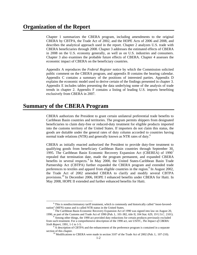Chapter 1 summarizes the CBERA program, including amendments to the original CBERA by CBTPA, the Trade Act of 2002, and the HOPE Acts of 2006 and 2008, and describes the analytical approach used in the report. Chapter 2 analyzes U.S. trade with CBERA beneficiaries through 2008. Chapter 3 addresses the estimated effects of CBERA in 2008 on the U.S. economy generally, as well as on U.S. industries and consumers. Chapter 3 also examines the probable future effects of CBERA. Chapter 4 assesses the economic impact of CBERA on the beneficiary countries.

Appendix A reproduces the *Federal Register* notice by which the Commission solicited public comment on the CBERA program, and appendix B contains the hearing calendar. Appendix C contains a summary of the positions of interested parties. Appendix D explains the economic model used to derive certain of the findings presented in chapter 3. Appendix E includes tables presenting the data underlying some of the analysis of trade trends in chapter 2. Appendix F contains a listing of leading U.S. imports benefiting exclusively from CBERA in 2007.

#### **Summary of the CBERA Program**

CBERA authorizes the President to grant certain unilateral preferential trade benefits to Caribbean Basin countries and territories. The program permits shippers from designated beneficiaries to claim duty-free or reduced-duty treatment for eligible products imported into the customs territory of the United States. If importers do not claim this status, the goods are dutiable under the general rates of duty column accorded to countries having normal trade relations (NTR) and generally known as NTR rates of duty.<sup>6</sup>

CBERA as initially enacted authorized the President to provide duty-free treatment to qualifying goods from beneficiary Caribbean Basin countries through September 30, 1995. The Caribbean Basin Economic Recovery Expansion Act (CBEREA) of  $1990^7$ repealed that termination date, made the program permanent, and expanded CBERA benefits in several respects.<sup>8</sup> In May 2000, the United States-Caribbean Basin Trade Partnership Act (CBTPA) further expanded the CBERA program and extended trade preferences to textiles and apparel from eligible countries in the region.<sup>9</sup> In August 2002, the Trade Act of 2002 amended CBERA to clarify and modify several CBTPA provisions.10 In December 2006, HOPE I enhanced benefits under CBERA for Haiti. In May 2008, HOPE II extended and further enhanced benefits for Haiti.

 <sup>6</sup> This is nondiscriminatory tariff treatment, which is commonly and historically called "most-favorednation" (MFN) status and is called NTR status in the United States. 7

The Caribbean Basin Economic Recovery Expansion Act of 1990 was signed into law on August 20, 1990, as part of the Customs and Trade Act of 1990 (Pub. L. 101-382, title II, 104 Stat. 629, 19 U.S.C. 2101).

Among other things, the 1990 act provided duty reductions for certain products previously excluded from such treatment. For a comprehensive description of the 1990 act, see USITC, *The Impact of CBERA: Sixth Report*, 1991, 1-1 to 1-5.

<sup>&</sup>lt;sup>9</sup> A description of CBTPA and the enhancement of the preference program is contained in a separate section of this chapter.<br><sup>10</sup> Modifications to CBERA were made in section 3107 of the Trade Act of 2002 (Pub. L. 107-210).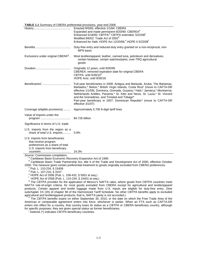|                                                                                                                             | Enacted 8/5/83, effective 1/1/84: CBERA<br>Expanded and made permanent 8/20/90: CBEREA <sup>a</sup><br>Enhanced 5/18/00: CBTPA, <sup>b</sup> CBTPA extended, 5/22/08 <sup>c</sup><br>Modified 8/6/02: Trade Act of 2002 <sup>d</sup><br>Enhanced for Haiti: HOPE Act 12/20/06, <sup>e</sup> .HOPE II 5/22/08 <sup>t</sup>                                                                                                                                          |
|-----------------------------------------------------------------------------------------------------------------------------|--------------------------------------------------------------------------------------------------------------------------------------------------------------------------------------------------------------------------------------------------------------------------------------------------------------------------------------------------------------------------------------------------------------------------------------------------------------------|
|                                                                                                                             | Duty-free entry and reduced-duty entry granted on a non-reciprocal, non-<br><b>MFN</b> basis                                                                                                                                                                                                                                                                                                                                                                       |
| Exclusions under original CBERA <sup>9</sup>                                                                                | Most textiles/apparel, leather, canned tuna, petroleum and derivatives,<br>certain footwear, certain watches/parts; over-TRQ agricultural<br>goods                                                                                                                                                                                                                                                                                                                 |
|                                                                                                                             | Originally 12 years, until 9/30/95<br>CBEREA: removed expiration date for original CBERA<br>CBTPA: until 9/30/10 <sup>h</sup><br>HOPE Acts: until 9/30/18                                                                                                                                                                                                                                                                                                          |
|                                                                                                                             | Full-year beneficiaries in 2008: Antigua and Barbuda, Aruba, The Bahamas,<br>Barbados,* Belize,* British Virgin Islands, Costa Rica* (move to CAFTA-DR<br>effective 1/1/09), Dominica, Grenada, Guyana,* Haiti,* Jamaica,* Montserrat,<br>Netherlands Antilles, Panama,* St. Kitts and Nevis, St. Lucia,* St. Vincent<br>and the Grenadines, and Trinidad and Tobago*<br>Part-year beneficiary in 2007: Dominican Republic* (move to CAFTA-DR<br>effective 3/1/07) |
| Coverage (eligible provisions)                                                                                              | Approximately 5,700 8-digit tariff lines                                                                                                                                                                                                                                                                                                                                                                                                                           |
| Value of imports under the                                                                                                  |                                                                                                                                                                                                                                                                                                                                                                                                                                                                    |
| Significance in terms of U.S. trade:                                                                                        |                                                                                                                                                                                                                                                                                                                                                                                                                                                                    |
| U.S. imports from the region as a<br>share of total U.S. imports                                                            | 0.9%                                                                                                                                                                                                                                                                                                                                                                                                                                                               |
| U.S. imports from beneficiaries<br>that receive program<br>preferences as a share of total<br>U.S. imports from beneficiary |                                                                                                                                                                                                                                                                                                                                                                                                                                                                    |

**TABLE 1.1** Summary of CBERA preferential provisions, year-end 2008

*Source*: Commission compilation.

<sup>a</sup> Caribbean Basin Economic Recovery Expansion Act of 1990.

<sup>b</sup> Caribbean Basin Trade Partnership Act, title II of the Trade and Development Act of 2000, effective October 2000. The measure gives certain preferential treatment to goods originally excluded from CBERA preferences.

 $\degree$  Pub. L. 110-234, § 15408.

<sup>d</sup> Pub. L. 107-210, § 3107.

<sup>i</sup>

<sup>e</sup> HOPE Act of 2006 (Pub. L. 109-432, § 5001 et seq.)

 $\frac{1}{2}$  HOPE Act of 2008 (Pub. L. 110-234, § 15401 et seq.)

<sup>9</sup> The CBTPA provides for the application of Mexico's NAFTA rates, where goods from CBTPA countries meet NAFTA rule-of-origin criteria, for most goods excluded from CBERA except for agricultural and textile/apparel products. Certain apparel and textile luggage made from U.S. inputs are eligible for duty-free entry. (See subchapter XX (20) of chapter 98 of the Harmonized Tariff Schedule. No other CBTPA benefits apply to excluded agricultural and textile/apparel products; that is, NAFTA parity is not accorded.)

 $h$ <sup>h</sup> The CBTPA benefits expire on either September 30, 2010, or the date on which the Free Trade Area of the Americas or comparable agreement enters into force, whichever is earlier. When an FTA such as CAFTA-DR enters into effect for a country, that country loses its status as a CBTPA or CBERA beneficiary country, although for specific purposes, they are given special status as former beneficiaries.

Asterisk (\*) indicates CBTPA beneficiary countries.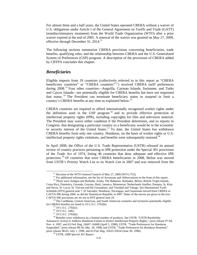For almost three and a half years, the United States operated CBERA without a waiver of U.S. obligations under Article I of the General Agreement on Tariffs and Trade (GATT) (nondiscriminatory treatment) from the World Trade Organization (WTO) after a prior waiver expired at the end of 2005. A renewal of the waiver was granted on May 27, 2009, effective through December 31,  $2014$ <sup>11</sup>

The following sections summarize CBERA provisions concerning beneficiaries, trade benefits, qualifying rules, and the relationship between CBERA and the U.S. Generalized System of Preferences (GSP) program. A description of the provisions of CBERA added by CBTPA concludes this chapter.

#### *Beneficiaries*

Eligible imports from 19 countries (collectively referred to in this report as "CBERA beneficiary countries" or "CBERA countries"<sup>12</sup>) received CBERA tariff preferences during 2008.<sup>13</sup> Four other countries—Anguilla, Cayman Islands, Suriname, and Turks and Caicos Islands—are potentially eligible for CBERA benefits but have not requested that status. 14 The President can terminate beneficiary status or suspend or limit a country's CBERA benefits at any time as explained below.15

CBERA countries are required to afford internationally recognized worker rights under the definition used in the GSP program<sup>16</sup> and to provide effective protection of intellectual property rights (IPR), including copyrights for film and television material. The President may waive either condition if the President determines, and so reports to Congress, that designating a particular country as a beneficiary would be in the economic or security interest of the United States.17 To date, the United States has withdrawn CBERA benefits from only one country, Honduras, on the basis of worker rights or U.S. intellectual property rights violations, and benefits were subsequently restored.<sup>18</sup>

In April 2008, the Office of the U.S. Trade Representative (USTR) released its annual review of country practices pertaining to IPR protection under the Special 301 provisions of the Trade Act of 1974, listing 46 countries that deny adequate and effective IPR protection.19 Of countries that were CBERA beneficiaries in 2008, Belize was moved from USTR's Priority Watch List to its Watch List in 2007 and was removed from the

<sup>&</sup>lt;sup>11</sup> Decision of the WTO General Council of May 27, 2009 (WT/L/753).<br><sup>12</sup> For additional information, see the list of Acronyms and Abbreviations in the front of this report. <sup>13</sup> Those were Antigua and Barbuda, Aruba, The Bahamas, Barbados, Belize, British Virgin Islands, Costa Rica, Dominica, Grenada, Guyana, Haiti, Jamaica, Montserrat, Netherlands Antilles, Panama, St. Kitts and Nevis, St. Lucia, St. Vincent and the Grenadines, and Trinidad and Tobago. See Harmonized Tariff Schedule (HTS) general note 7. El Salvador, Honduras, Nicaragua, and Guatemala moved from CBERA to CAFTA-DR during 2006, as did the Dominican Republic in 2007. Dates of the moves are given in the text.

CAFTA-DR provisions are set out in HTS general note 29.<br><sup>14</sup> The Caribbean, Central American, and South American countries and territories potentially eligible for CBERA benefits are listed in 19 U.S.C. 2702(b).<br><sup>15</sup> 19 U.S.C. 2702(e).

<sup>&</sup>lt;sup>16</sup> 19 U.S.C. 2462.

<sup>&</sup>lt;sup>17</sup> 19 U.S.C. 2702(b).

<sup>&</sup>lt;sup>18</sup> Benefits were withdrawn on a limited number of products. See USTR, "USTR Barshefsky Announces Action to Address Honduran Failure to Protect Intellectual Property Rights," press release 97-94, Nov. 4, 1997, and 63 Fed. Reg. 16607–16608 (April 3, 1998); USTR, "Trade Preferences for Honduras Suspended," press release 98-36, Mar. 30, 1998; and USTR, "Trade Preferences for Honduras Restored," press release 98-65, July 1, 1998, and 63 Fed. Reg. 35633-35634 (June 30, 1998). 19 USTR, *2008 Special 301 Report*.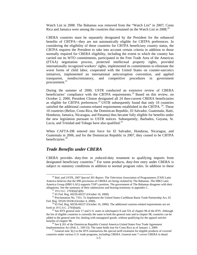Watch List in 2008. The Bahamas was removed from the "Watch List" in 2007; Costa Rica and Jamaica were among the countries that remained on the Watch List in 2008.<sup>20</sup>

CBERA countries must be separately designated by the President for the enhanced benefits of CBTPA—they are not automatically eligible for CBTPA preferences. In considering the eligibility of these countries for CBTPA beneficiary country status, the CBTPA requires the President to take into account certain criteria in addition to those normally required for CBERA eligibility, including the extent to which the country has carried out its WTO commitments, participated in the Free Trade Area of the Americas (FTAA) negotiation process, protected intellectual property rights, provided internationally recognized workers' rights, implemented its commitments to eliminate the worst forms of child labor, cooperated with the United States on counter-narcotics initiatives, implemented an international anticorruption convention, and applied transparent, nondiscriminatory, and competitive procedures in government procurement.<sup>21</sup>

During the summer of 2000, USTR conducted an extensive review of CBERA beneficiaries' compliance with the CBTPA requirements.<sup>22</sup> Based on this review, on October 2, 2000, President Clinton designated all 24 then-current CBERA beneficiaries as eligible for CBTPA preferences.<sup>23</sup> USTR subsequently found that only 10 countries satisfied the additional customs-related requirements established in the CBTPA.<sup>24</sup>. These 10 countries (Belize, Costa Rica, the Dominican Republic, El Salvador, Guatemala, Haiti, Honduras, Jamaica, Nicaragua, and Panama) thus became fully eligible for benefits under the new legislation pursuant to USTR notices. Subsequently, Barbados, Guyana, St. Lucia, and Trinidad and Tobago have also qualified.<sup>25</sup>

When CAFTA-DR entered into force for El Salvador, Honduras, Nicaragua, and Guatemala in 2006, and for the Dominican Republic in 2007, they ceased to be CBTPA beneficiaries.<sup>26</sup>

#### *Trade Benefits under CBERA*

CBERA provides duty-free or reduced-duty treatment to qualifying imports from designated beneficiary countries.<sup>27</sup> For some products, duty-free entry under CBERA is subject to statutory conditions in addition to normal program rules. In addition to these

 <sup>20</sup> Ibid. and USTR, *2007 Special 301 Report*. The Television Association of Programmers (TAP) Latin America believes that the IPR provisions of CBERA are being violated by The Bahamas. The HBO Latin America Group (HBO LAG) supports TAP's position. The government of The Bahamas disagrees with their allegations. See the summary of their submissions and hearing testimony in appendix C.  $^{21}$  19 U.S.C. 2703(b)(5)(B).

 $^{22}$  65 Fed. Reg. 60236-60237 (October 10, 2000).

<sup>&</sup>lt;sup>23</sup> Proclamation No. 7351, To Implement the United States-Caribbean Basin Trade Partnership Act, 65<br>Fed. Reg. 59329-59338 (October 4, 2000).

<sup>&</sup>lt;sup>24</sup>  $\overline{65}$  Fed. Reg. 60236-60237 (October 10, 2000). The additional customs-related requirements are set forth in 19 U.S.C. 2703(b)(4).

<sup>&</sup>lt;sup>25</sup> See HTS general note 17 and U.S. notes in subchapters II and XX of chapter 98 of the HTS. Although the list of eligible countries is currently the same in both the general note and in chapter 98, countries can be added to the general note list, dealing with nonapparel goods, without qualifying for the apparel articles benefits of chapter 98.<br><sup>26</sup> See § 201 of the Dominican Republic-Central America-United States Free Trade Agreement

Implementation Act (Pub. L. 109-53). The same holds true for Costa Rica as of January 1, 2009.<br><sup>27</sup> General note 3(c) to the HTS summarizes the special tariff treatment for eligible products of covered

countries under various U.S. trade programs, including CBERA. General note 7 covers CBERA in detail.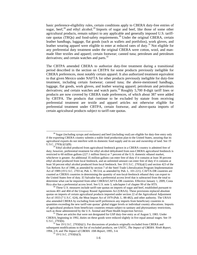basic preference-eligibility rules, certain conditions apply to CBERA duty-free entries of sugar, beef, $28$  and ethyl alcohol.<sup>29</sup> Imports of sugar and beef, like those of some other agricultural products, remain subject to any applicable and generally imposed U.S. tariffrate quotas (TRQs) and food-safety requirements.<sup>30</sup> Under the original CBERA, certain leather handbags, luggage, flat goods (such as wallets and portfolios), work gloves, and leather wearing apparel were eligible to enter at reduced rates of duty.<sup>31</sup> Not eligible for any preferential duty treatment under the original CBERA were cotton, wool, and manmade fiber textiles and apparel; certain footwear; canned tuna; petroleum and petroleum derivatives; and certain watches and parts.<sup>32</sup>

The CBTPA amended CBERA to authorize duty-free treatment during a transitional period described in the section on CBTPA for some products previously ineligible for CBERA preferences, most notably certain apparel. It also authorized treatment equivalent to that given Mexico under NAFTA for other products previously ineligible for duty-free treatment, including certain footwear; canned tuna; the above-mentioned handbags, luggage, flat goods, work gloves, and leather wearing apparel; petroleum and petroleum derivatives; and certain watches and watch parts.<sup>33</sup> Roughly 5,700 8-digit tariff lines or products are now covered by CBERA trade preferences, of which about 387 were added by CBTPA. The products that continue to be excluded by statute from receiving preferential treatment are textile and apparel articles not otherwise eligible for preferential treatment under CBTPA, certain footwear, and above-quota imports of certain agricultural products subject to tariff-rate quotas.

<sup>&</sup>lt;sup>28</sup> Sugar (including syrups and molasses) and beef (including yeal) are eligible for duty-free entry only if the exporting CBERA country submits a stable food production plan to the United States, assuring that its agricultural exports do not interfere with its domestic food supply and its use and ownership of land. See 19 U.S.C. 2703(c)(1)(B).

 $29$  Ethyl alcohol produced from agricultural feedstock grown in a CBERA country is admitted free of duty; however, preferential treatment for ethyl alcohol dehydrated from non-CBERA agricultural feedstock is restricted to 60 million gallons (227.1 million liters) or 7 percent of the U.S. domestic ethanol market, whichever is greater. An additional 35 million gallons can enter free of duty if it contains at least 30 percent ethyl alcohol produced from local feedstock, and an unlimited amount can enter free of duty if it contains at least 50 percent ethyl alcohol produced from local feedstock. See 19 U.S.C. 2703(a)(1) and section 423 of the Tax Reform Act of 1986, as amended by section 7 of the Steel Trade Liberalization Program Implementation Act of 1989 (19 U.S.C. 2703 nt; Pub. L. 99-514, as amended by Pub. L. 101-221). CAFTA-DR countries are counted as CBERA countries in determining the quantity of non-local-feedstock ethanol they can export to the United States free of duty. El Salvador has a preferential access level that is subtracted from the total to determine what can be imported from other CBERA/CAFTA-DR countries. Effective January 1, 2009, Costa

Rica also has a preferential access level. See U.S. note 3, subchapter I of chapter 99 of the HTS.<br><sup>30</sup> These U.S. measures include tariff-rate quotas on imports of sugar and beef, established pursuant to sections 401 and 404 of the Uruguay Round Agreements Act (URAA). These provisions replaced absolute quotas on imports of certain agricultural products imported under section 22 of the Agricultural Adjustment Act of 1933 (7 U.S.C. 624), the Meat Import Act of 1979 (Pub. L. 88-482), and other authority. The URAA also amended CBERA by excluding from tariff preferences any imports from beneficiary countries in quantities exceeding the new tariff-rate quotas' global trigger levels or individual country allocations. Imports of agricultural products from beneficiary countries remain subject to sanitary and phytosanitary restrictions, such as those administered by the U.S. Animal and Plant Health Inspection Service.<br><sup>31</sup> These are articles that were not designated for GSP duty-free entry as of August 5, 1983. Under

CBERA, beginning in 1992, duties on these goods were reduced slightly in five equal annual stages. See 19 U.S.C. 2703(h). 32 See 19 U.S.C. 2703(b)(1). For discussions of products originally excluded from CBERA and

subsequent modifications to the list of excluded products, see USITC, *The Impact of CBERA: Ninth Report*, 1994, 2-9, and *The Impact of CBERA: 10th Report*, 1995, 3-4. 33 19 U.S.C. 2703(b)(3).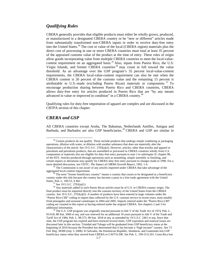#### *Qualifying Rules*

CBERA generally provides that eligible products must either be wholly grown, produced, or manufactured in a designated CBERA country or be "new or different" articles made from substantially transformed non-CBERA inputs in order to receive duty-free entry into the United States.<sup>34</sup> The cost or value of the local (CBERA region) materials plus the direct cost of processing in one or more CBERA countries must total at least 35 percent of the appraised customs value of the product at the time of entry. These rules of origin allow goods incorporating value from multiple CBERA countries to meet the local-valuecontent requirement on an aggregated basis.<sup>35</sup> Also, inputs from Puerto Rico, the U.S. Virgin Islands, and former CBERA countries<sup>36</sup> may count in full toward the value threshold. As an advantage over the GSP program's 35 percent local-value-content requirements, the CBERA local-value-content requirement can also be met when the CBERA content is 20 percent of the customs value and the remaining 15 percent is attributable to U.S.-made (excluding Puerto Rican) materials or components. 37 To encourage production sharing between Puerto Rico and CBERA countries, CBERA allows duty-free entry for articles produced in Puerto Rico that are "by any means advanced in value or improved in condition" in a CBERA country.<sup>38</sup>

Qualifying rules for duty-free importation of apparel are complex and are discussed in the CBTPA section of this chapter.

#### *CBERA and GSP*

All CBERA countries except Aruba, The Bahamas, Netherlands Antilles, Antigua and Barbuda, and Barbados are also GSP beneficiaries.<sup>39</sup> CBERA and GSP are similar in

<sup>&</sup>lt;sup>34</sup> Certain products do not qualify. These include products that undergo simple combining or packaging operations, dilution with water, or dilution with another substance that does not materially alter the characteristics of the article. See 19 U.S.C. 2703(a)(2). However, articles, other than textiles and apparel or petroleum and petroleum products, that are assembled or processed in CBERA countries wholly from U.S. components or materials also are eligible for duty-free entry pursuant to note 2 to subchapter II, chapter 98, of the HTS. Articles produced through operations such as enameling, simple assembly or finishing, and certain repairs or alterations may qualify for CBERA duty-free entry pursuant to changes made in 1990. For a more detailed discussion, see USITC, The Impact of CBERA Seventh Report, 1992, 1-4.

<sup>&</sup>lt;sup>35</sup> The Commission is not aware of any articles imported under CBERA that take advantage of the aggregated local-content requirement.

 $36$  The term "former beneficiary country" means a country that ceases to be designated as a beneficiary country under this title because the country has become a party to a free trade agreement with the United States. Pub. L. 109-53, § 402.<br><sup>37</sup> See 19 U.S.C. 2703(a)(1).

<sup>&</sup>lt;sup>38</sup> Any materials added to such Puerto Rican articles must be of U.S. or CBERA-country origin. The final product must be imported directly into the customs territory of the United States from the CBERA country. See 19 U.S.C. 2703(a)(5). A number of products have been entered in large volumes under the "Puerto Rico-CBI" coding in import data collected by the U.S. customs service in recent years, most notably fresh pineapples and seasonal cantaloupes in 2004 and 2005. Imports entered under the "Puerto Rico-CBI" coding are counted in this report as having entered under the original CBERA. See chapters 2 and 3 for additional information.<br><sup>39</sup> The U.S. GSP program was originally enacted pursuant to title V of the Trade Act of 1974, Pub. L.

<sup>93-618, 88</sup> Stat. 2066 et seq. and was renewed for an additional 10 years pursuant to title V of the Trade and Tariff Act of 1984, Pub. L. 98-573, 98 Stat. 3018 et seq. as amended by 19 U.S.C. 2461 et seq. Since that time, the GSP program has expired and been renewed several times. GSP expiration and renewal issues are discussed later in this section. Trinidad and Tobago will be graduated from GSP beneficiary status at the beginning of 2010 because the President has determined that it has become a "high income" country. See 73 Fed. Reg. 38300 (July 3, 2008). El Salvador, the Dominican Republic, Honduras, and Guatemala lost GSP beneficiary status when they moved from CBERA to CAFTA-DR. See Pub. L. 109-53 § 201. Costa Rica lost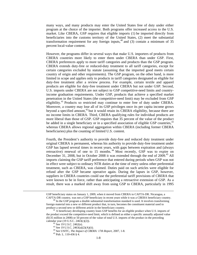many ways, and many products may enter the United States free of duty under either program at the choice of the importer. Both programs offer increased access to the U.S. market. Like CBERA, GSP requires that eligible imports (1) be imported directly from beneficiaries into the customs territory of the United States, (2) meet the substantial transformation requirement for any foreign inputs,  $40$  and (3) contain a minimum of 35 percent local-value content.

However, the programs differ in several ways that make U.S. importers of products from CBERA countries more likely to enter them under CBERA than under GSP. First, CBERA preferences apply to more tariff categories and products than the GSP program. CBERA extends duty-free or reduced-duty treatment to all tariff categories, except for certain categories excluded by statute (assuming that the imported good meets certain country of origin and other requirements). The GSP program, on the other hand, is more limited in scope and applies only to products in tariff categories designated as eligible for duty-free treatment after a review process. For example, certain textile and apparel products are eligible for duty-free treatment under CBERA but not under GSP. Second, U.S. imports under CBERA are not subject to GSP competitive-need limits and countryincome graduation requirements. Under GSP, products that achieve a specified market penetration in the United States (the competitive-need limit) may be excluded from GSP eligibility.41 Products so restricted may continue to enter free of duty under CBERA. Moreover, a country may lose all of its GSP privileges once its per capita income grows beyond a specified amount,<sup>42</sup> but it would retain its CBERA eligibility, because there are no income limits in CBERA. Third, CBERA qualifying rules for individual products are more liberal than those of GSP. GSP requires that 35 percent of the value of the product be added in a single beneficiary or in a specified association of eligible GSP countries,<sup>43</sup> whereas CBERA allows regional aggregation within CBERA (including former CBERA beneficiaries) plus the counting of limited U.S. content.

Fourth, the President's authority to provide duty-free and reduced duty treatment under original CBERA is permanent, whereas his authority to provide duty-free treatment under GSP has lapsed several times in recent years, with gaps between expiration and (always retroactive) renewal of one to 15 months.<sup>44</sup> Most recently, GSP was to expire on December 31, 2008, but in October 2008 it was extended through the end of 2009.<sup>45</sup> All imports claiming the GSP tariff preference that entered during periods when GSP was not in effect were subject to ordinary NTR duties at the time of entry unless other preferential treatment, such as CBERA, was claimed. Duties paid on such articles were eligible for refund after the GSP became operative again. During the lapses in GSP, however, suppliers in CBERA countries could use the preferential tariff provisions of CBERA that were known to be in force, rather than anticipating a retroactive extension of GSP. As a result, there was a marked shift away from using GSP to CBERA, particularly in 1995

GSP beneficiary status on January 1, 2009, when it moved from CBERA to CAFTA-DR. Nicaragua, a

CAFTA-DR country, was not a GSP beneficiary in recent years while it was a CBERA beneficiary country. 40 In the GSP program a double substantial transformation standard is used. It involves transforming foreign material into a new or different product that, in turn, becomes the constituent material used to

A beneficiary developing country loses GSP benefits for an eligible product when U.S. imports of the product exceed the competitive-need limit, which is defined as either a specific annually adjusted value (\$135 million in 2008) or 50 percent of the value of total U.S. imports of the product in the preceding calendar year (19 U.S.C. 2463(c)(2)).<br><sup>42</sup> See 19 U.S.C. 2462(e).

<sup>43</sup> See 19 U.S.C. 2463(a)(2)(A)(ii).

<sup>44</sup> See USITC, *The Impact of CBERA: 17th Report*, 2007, 1-8. 45 Pub. L. 110-436 § 4.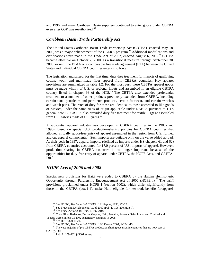and 1996, and many Caribbean Basin suppliers continued to enter goods under CBERA even after GSP was reauthorized.<sup>46</sup>

#### *Caribbean Basin Trade Partnership Act*

The United States-Caribbean Basin Trade Partnership Act (CBTPA), enacted May 18, 2000, was a major enhancement of the CBERA program.<sup>47</sup> Additional modifications and clarifications were made in the Trade Act of 2002, enacted August 6, 2002.<sup>48</sup> CBTPA became effective on October 2, 2000, as a transitional measure through September 30, 2008, or until the FTAA or a comparable free trade agreement (FTA) between the United States and individual CBERA countries enters into force.

The legislation authorized, for the first time, duty-free treatment for imports of qualifying cotton, wool, and man-made fiber apparel from CBERA countries. Key apparel provisions are summarized in table 1.2. For the most part, these CBTPA apparel goods must be made wholly of U.S. or regional inputs and assembled in an eligible CBTPA country listed in chapter 98 of the HTS.<sup>49</sup> The CBTPA also extended preferential treatment to a number of other products previously excluded from CBERA, including certain tuna, petroleum and petroleum products, certain footwear, and certain watches and watch parts. The rates of duty for these are identical to those accorded to like goods of Mexico, under the same rules of origin applicable under NAFTA pursuant to HTS general note 12. CBTPA also provided duty-free treatment for textile luggage assembled from U.S. fabrics made of U.S. yarns.<sup>50</sup>

A substantial apparel industry was developed in CBERA countries in the 1980s and 1990s, based on special U.S. production-sharing policies for CBERA countries that allowed virtually quota-free entry of apparel assembled in the region from U.S. formed and cut apparel components.<sup>51</sup> Such imports are dutiable only on the value added abroad. At their peak in 1997, apparel imports (defined as imports under HS chapters 61 and 62) from CBERA countries accounted for 17.0 percent of U.S. imports of apparel. However, production sharing in CBERA countries is no longer important because of the opportunities for duty-free entry of apparel under CBTPA, the HOPE Acts, and CAFTA- $\overline{DR}$ <sup>52</sup>

#### *HOPE Acts of 2006 and 2008*

Special new provisions for Haiti were added to CBERA by the Haitian Hemispheric Opportunity through Partnership Encouragement Act of 2006 (HOPE I).<sup>53</sup> The tariff provisions proclaimed under HOPE I (section 5002), which differ significantly from those in the CBTPA (box 1.1), make Haiti eligible for new trade benefits for apparel

<sup>&</sup>lt;sup>46</sup> See USITC, *The Impact of CBERA:*  $13^{th}$  *Report*, 1998, 22–23.<br><sup>47</sup> See Trade and Development Act of 2000 (Pub. L. 106-200, title II).<br><sup>48</sup> See Trade Act of 2002 (Pub. L. 107-210).

<sup>49</sup> Costa Rica, Barbados, Belize, Guyana, Haiti, Jamaica, Panama, Saint Lucia, and Trinidad and Tobago were eligible CBTPA beneficiary countries in 2008.<br><sup>50</sup> See HTS 9820.11.21.<br><sup>51</sup> See USITC, *The Impact of CBERA: 18th Report*, 2007, 1-12–1-13.

<sup>&</sup>lt;sup>52</sup> The vast majority of pre-CBTPA production sharing occurred in countries that are now part of CAFTA-DR.<br><sup>53</sup> Pub. L. 109-432, § 5001 et seq.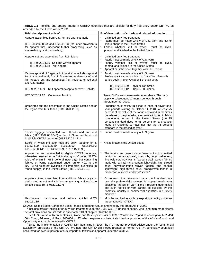**TABLE 1.2** Textiles and apparel made in CBERA countries that are eligible for duty-free entry under CBTPA, as amended by the Trade Act of 2002

| Brief description of article <sup>a</sup>                                                                                                                                                                                                                                                                                                                | Brief description of criteria and related information                                                                                                                                                                                                                                                                                                                                                                                      |
|----------------------------------------------------------------------------------------------------------------------------------------------------------------------------------------------------------------------------------------------------------------------------------------------------------------------------------------------------------|--------------------------------------------------------------------------------------------------------------------------------------------------------------------------------------------------------------------------------------------------------------------------------------------------------------------------------------------------------------------------------------------------------------------------------------------|
| Apparel assembled from U.S.-formed and -cut fabric<br>HTS 9802.00.8044 and 9820.11.03 (the latter provision is<br>for apparel that underwent further processing, such as<br>embroidering or stone-washing)                                                                                                                                               | Unlimited duty-free treatment<br>$\star$<br>Fabric must be made wholly of U.S. yarn and cut or<br>knit-to-shape in the United States<br>$\star$<br>Fabric, whether knit or woven, must be dyed,<br>printed, and finished in the United States                                                                                                                                                                                              |
| Apparel cut and assembled from U.S. fabric<br>HTS 9820.11.06 Knit and woven apparel<br>HTS 9820.11.18 Knit apparel                                                                                                                                                                                                                                       | $\star$<br>Unlimited duty-free treatment<br>$\ast$<br>Fabric must be made wholly of U.S. yarn<br>$\star$<br>Fabric, whether knit or woven, must be dyed,<br>printed, and finished in the United States<br>$\star$<br>Apparel must be sewn together with U.S. thread                                                                                                                                                                        |
| Certain apparel of "regional knit fabrics" - includes apparel<br>knit to shape directly from U.S. yarn (other than socks) and<br>knit apparel cut and assembled from regional or regional<br>and U.S. fabrics                                                                                                                                            | $\star$<br>Fabric must be made wholly of U.S. yarn<br>Preferential treatment subject to "caps" for 12-month<br>period beginning on October 1 of each year:<br>HTS 9820.11.09<br>970 million SMEs                                                                                                                                                                                                                                           |
| HTS 9820.11.09<br>Knit apparel except outerwear T-shirts                                                                                                                                                                                                                                                                                                 | HTS 9820.11.12<br>12,000,000 dozen                                                                                                                                                                                                                                                                                                                                                                                                         |
| HTS 9820.11.12<br><b>Outerwear T-shirts</b>                                                                                                                                                                                                                                                                                                              | Note: SMEs are square meter equivalents. The caps<br>apply to subsequent 12-month periods through<br>September 30, 2010.                                                                                                                                                                                                                                                                                                                   |
| Brassieres cut and assembled in the United States and/or<br>the region from U.S. fabric (HTS 9820.11.15)                                                                                                                                                                                                                                                 | Producer must satisfy rule that, in each of seven one-<br>year periods starting on October 1, 2001, at least 75<br>percent of the value of the fabric contained in the firm's<br>brassieres in the preceding year was attributed to fabric<br>components formed in the United States (the 75<br>percent standard rises to 85 percent for a producer<br>found by Customs to have not met the 75 percent<br>standard in the preceding year). |
| Textile luggage assembled from U.S.-formed and -cut<br>fabric (HTS 9802.00.8046) or from U.S.-formed fabric cut<br>in eligible CBTPA countries (HTS 9820.11.21)                                                                                                                                                                                          | $\star$<br>Fabric must be made wholly of U.S. yarn                                                                                                                                                                                                                                                                                                                                                                                         |
| Socks in which the sock toes are sewn together (HTS<br>6115.95.60;<br>6115.95.90;<br>6115.96.60;<br>6115.94.00;<br>6115.96.90; 6115.99.14; 6115.99.19; 6115.99.90)                                                                                                                                                                                       | Knit to shape in the United States                                                                                                                                                                                                                                                                                                                                                                                                         |
| Apparel cut and assembled in eligible CBTPA countries,<br>otherwise deemed to be "originating goods" under NAFTA<br>rules of origin in HTS general note 12(t) but containing<br>fabrics or yarns determined under annex 401 to the<br>NAFTA as being not available in commercial quantities (in<br>"short supply") in the United States (HTS 9820.11.24) | The fabrics and yarn include fine-count cotton knitted<br>fabrics for certain apparel; linen; silk; cotton velveteen;<br>fine wale corduroy; Harris Tweed; certain woven fabrics<br>made with animal hairs; certain lightweight, high thread<br>count polyester/cotton woven fabrics; and certain<br>lightweight, high thread count broadwoven fabrics in<br>production of men's and boys' shirts. <sup>b</sup>                            |
| Apparel cut and assembled from additional fabrics or yarns<br>designated as not available in commercial quantities in the<br>United States (HTS 9820.11.27)                                                                                                                                                                                              | On request of an interested party, the President may<br>proclaim preferential treatment for apparel made from<br>additional fabrics or yarn if the President determines<br>that such fabrics or yarn cannot be supplied by the<br>domestic industry in commercial quantities in a timely<br>manner. <sup>c</sup>                                                                                                                           |
| Handloomed,<br>handmade,<br>and folklore articles<br>(HTS<br>9820.11.30)                                                                                                                                                                                                                                                                                 | Must be certified as such by exporting country under an<br>agreement with OTEXA                                                                                                                                                                                                                                                                                                                                                            |

Source: United States-Caribbean Basin Trade Partnership Act, as amended by the Trade Act of 2002.<br><sup>a</sup> Includes articles ineligible for duty-free treatment under the 1983 CBERA (those of cotton, wool, and man-made fibers).<br>

<sup>b</sup> See U.S. House of Representatives, Trade and Development Act of 2000: Conference Report to Accompany H.R. 434, 106th Cong., 2d sess., H. Rept. 106-606, p. 77, which explains a substantially identical provision of the African Growth and Opportunity Act that is contained in CBTPA.

<sup>c</sup> Since the implementation of CAFTA-DR beginning in 2006, the ITC has not provided advice under the "commercial availability" provisions of the CBTPA. We note that CAFTA-DR parties (treated as "former CBTPA beneficiary countries") accounted for over 90 percent of U.S. imports of textiles and apparel under the CBTPA.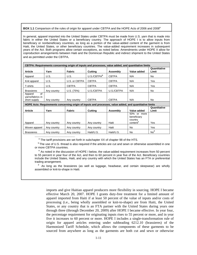#### **BOX 1.1** Comparison of the rules of origin for apparel under CBTPA and the HOPE Acts of 2006 and 2008<sup>a</sup>

In general, apparel imported into the United States under CBTPA must be made from U.S. yarn that is made into fabric in either the United States or a beneficiary country. The approach of HOPE I is to allow inputs from beneficiary or nonbeneficiary countries, as long as a portion of the value-added content of the garment is from Haiti, the United States, or other beneficiary countries. The value-added requirement increases in subsequent years of the Act. Both programs allow certain exceptions, as noted below. Amendments under HOPE II allow for coproduction arrangements between Haiti and the Dominican Republic and indirect shipment to the United States and as permitted under the CBTPA.

| CBTPA: Requirements concerning origin of inputs and processes, value added, and quantitative limits     |             |               |                         |              |                                                               |                       |
|---------------------------------------------------------------------------------------------------------|-------------|---------------|-------------------------|--------------|---------------------------------------------------------------|-----------------------|
| <b>Article</b>                                                                                          | Yarn        | <b>Fabric</b> | Cutting                 | Assembly     | Value added                                                   | Quantitative<br>Limit |
| Apparel                                                                                                 | U.S.        | U.S.          | U.S./CBTPA <sup>b</sup> | <b>CBTPA</b> | N/A                                                           | <b>No</b>             |
| Knit apparel                                                                                            | U.S.        | U.S. or CBTPA | <b>CBTPA</b>            | <b>CBTPA</b> | N/A                                                           | Yes                   |
| T-shirts                                                                                                | U.S.        | <b>CBTPA</b>  | <b>CBTPA</b>            | <b>CBTPA</b> | N/A                                                           | Yes                   |
| <b>Brassieres</b>                                                                                       | Any country | U.S. (75%)    | U.S./CBTPA              | U.S./CBTPA   | N/A                                                           | No.                   |
| of<br>Apparel<br>yarns/fabrics in<br>short supply                                                       | Any country | Any country   | <b>CBTPA</b>            | <b>CBTPA</b> | N/A                                                           | No.                   |
| HOPE Acts: Requirements concerning origin of inputs and processes, value added, and quantitative limits |             |               |                         |              |                                                               |                       |
| <b>Article</b>                                                                                          | Yarn        | <b>Fabric</b> | Cutting                 | Assembly     | Value added                                                   | Quantitative<br>Limit |
| Apparel                                                                                                 | Any country | Any country   | Any country             | Haiti        | 50% or more<br>beneficiary<br>country<br>content <sup>c</sup> | Yes                   |
| Woven apparel                                                                                           | Any country | Any country   | Any country             | Haiti        | <b>No</b>                                                     | Yes                   |

<sup>a</sup> The tariff provisions are set forth in subchapter XX of chapter 98 of the HTS.

Brassieres Any country Any country Haiti/U.S. Haiti/U.S. No No<sup>d</sup>

**\_\_\_\_\_\_\_\_\_\_\_\_\_\_\_\_\_\_\_\_\_\_\_\_\_** 

<sup>b</sup> The use of U.S. thread is also required if the articles are cut and sewn or otherwise assembled in one or more CBTPA countries.

**<sup>c</sup>** As noted in the discussion of HOPE I below, the value-added requirement increases from 50 percent to 55 percent in year four of the Act, and then to 60 percent in year five of the Act. Beneficiary countries include the United States, Haiti, and any country with which the United States has an FTA or preferential trading arrangement.

<sup>d</sup> As long as the brassieres (as well as luggage, headwear, and certain sleepwear) are wholly assembled or knit-to-shape in Haiti.

imports and give Haitian apparel producers more flexibility in sourcing. HOPE I became effective March 20, 2007. HOPE I grants duty-free treatment for a limited amount of apparel imported from Haiti if at least 50 percent of the value of inputs and/or costs of processing (i.e., being wholly assembled or knit-to-shape) are from Haiti, the United States, or any country that is an FTA partner with the United States during years one through three (through December 20, 2009) after HOPE I became effective. In year four, the percentage requirement for originating inputs rises to 55 percent or more, and in year five it increases to 60 percent or more. HOPE I includes a single-transformation rule of origin for apparel articles entering under subheading 6212.10 (brassieres) of the Harmonized Tariff Schedule, which allows the components of these garments to be sourced from anywhere as long as the garments are both cut and sewn or otherwise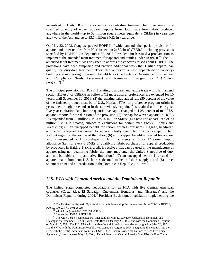assembled in Haiti. HOPE I also authorizes duty-free treatment for three years for a specified quantity of woven apparel imports from Haiti made from fabric produced anywhere in the world—up to 50 million square meter equivalents (SMEs) in years one and two of the Act, and up to 33.5 million SMEs in year three.

On May 22, 2008, Congress passed HOPE  $II<sub>1</sub><sup>54</sup>$  which amends the special provisions for apparel and other textiles from Haiti in section 213A(b) of CBERA, including provisions specified by HOPE I. On September 30, 2008, President Bush issued a proclamation to implement the amended tariff treatment for apparel and textiles under HOPE II.<sup>55</sup> The amended tariff treatment was designed to address the concerns raised about HOPE I. The provisions have been simplified and provide additional ways that Haitian apparel can qualify for duty-free treatment. They also authorize a new apparel-sector capacitybuilding and monitoring program to benefit labor (the Technical Assistance Improvement and Compliance Needs Assessment and Remediation Program or "TAICNAR program"). $56$ 

The principal provisions in HOPE II relating to apparel and textile trade with Haiti amend section 213A(b) of CBERA as follows: (1) most apparel preferences are extended for 10 years, until September 30, 2018; (2) the existing value-added rule (50 percent of the value of the finished product must be of U.S., Haitian, FTA, or preference program origin in years one through three and so forth as previously explained) is retained until the original five-year expiration date, but the quantitative cap is changed to 1.25 percent of total U.S. apparel imports for the duration of the provision; (3) the cap for woven apparel in HOPE I is expanded from 50 million SMEs to 70 million SMEs; (4) a new knit apparel cap of 70 million SMEs is created, subject to exclusions for certain men's/boys' T-shirts and sweatshirts; (5) an uncapped benefit for certain articles (brassieres, luggage, headwear, and certain sleepwear) is created for apparel wholly assembled or knit-to-shape in Haiti without regard to the source of the fabric; (6) an uncapped benefit is created for apparel wholly assembled or knit-to-shape in Haiti that meets a "3 for 1" earned import allowance (i.e., for every 3 SMEs of qualifying fabric purchased for apparel production by producers in Haiti, a 1-SME credit is received that can be used in the manufacture of apparel using non-qualifying fabric; the latter may enter the United States free of duty and not be subject to quantitative limitations); (7) an uncapped benefit is created for apparel made from non-U.S. fabrics deemed to be in "short supply"; and (8) direct shipment from and co-production in the Dominican Republic is allowed.

#### *U.S. FTA with Central America and the Dominican Republic*

The United States completed negotiations for an FTA with five Central American countries (Costa Rica, El Salvador, Guatemala, Honduras, and Nicaragua) and the Dominican Republic during  $2004$ <sup>57</sup> President Bush signed legislation implementing the

<sup>&</sup>lt;sup>54</sup> The Haitian Hemispheric Opportunity through Partnership Encouragement Act of 2008 or HOPE I,.<br>Pub. L. 110-234 § 15401 et seq.

<sup>73</sup> Fed. Reg. 57475 (October 3, 2008).

 $56$  See section 15403 of HOPE II.

<sup>57</sup> The United States completed FTA negotiations with El Salvador, Guatemala, Honduras, and Nicaragua on December 17, 2003; with Costa Rica on January 25, 2004; and with the Dominican Republic on March 15, 2004. The U.S. FTA with the five Central American countries was signed on May 28, 2004, and the FTA with the Dominican Republic was signed on August 5, 2004, integrating that country into the FTA with the Central American countries. USTR, "U.S., Central American Nations to Sign Free Trade Agreement," press release, May 13, 2004; "United States and Central America Sign Historic Free Trade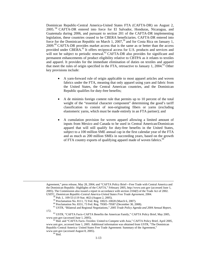Dominican Republic-Central America-United States FTA (CAFTA-DR) on August 2, 2005. 58 CAFTA-DR entered into force for El Salvador, Honduras, Nicaragua, and Guatemala during 2006, and pursuant to section 201 of the CAFTA-DR implementing legislation, these countries ceased to be CBERA beneficiaries. CAFTA-DR entered into force for the Dominican Republic on March 1, 2007,<sup>59</sup> and for Costa Rica on January 1, 2009.<sup>60</sup> CAFTA-DR provides market access that is the same as or better than the access provided under CBERA.<sup>61</sup> It offers reciprocal access for U.S. products and services and will not be subject to periodic renewal.<sup>62</sup> CAFTA-DR also provides for significant and permanent enhancements of product eligibility relative to CBTPA as it relates to textiles and apparel. It provides for the immediate elimination of duties on textiles and apparel that meet the rules of origin specified in the FTA, retroactive to January 1, 2004.<sup>63</sup> Other key provisions include:

- A yarn-forward rule of origin applicable to most apparel articles and woven fabrics under the FTA, meaning that only apparel using yarn and fabric from the United States, the Central American countries, and the Dominican Republic qualifies for duty-free benefits;
- A de minimis foreign content rule that permits up to 10 percent of the total weight of the "essential character component" determining the good's tariff classification to consist of non-originating fibers or yarns (excluding elastomeric yarns, which must be made entirely in an FTA partner); and
- A cumulation provision for woven apparel allowing a limited amount of inputs from Mexico and Canada to be used in Central American/Dominican apparel that will still qualify for duty-free benefits in the United States, subject to a 100 million SME annual cap in the first calendar year of the FTA and as much as 200 million SMEs in succeeding years, based on the growth of FTA country exports of qualifying apparel made of woven fabrics.<sup>64</sup>

Agreement," press release, May 28, 2004; and "CAFTA Policy Brief—Free Trade with Central America and the Dominican Republic: Highlights of the CAFTA," February 2005, http://www.ustr.gov (accessed June 1, 2005). The Commission also issued a report in accordance with section 2104(f) of the Trade Act of 2002. USITC, *Dominican Republic-Central America-United States Free Trade Agreement*, 2004. 58 Pub. L. 109-53 (119 Stat. 462) (August 2, 2005).

<sup>59</sup> Proclamation No. 8111, 72 Fed. Reg. 10023–10028 (March 6, 2007).

<sup>60</sup> Proclamation No. 8331, 73 Fed. Reg. 79585–79587 (December 30, 2008).

<sup>61</sup> USTR, "Bilateral and Regional Negotiations," *2005 Trade Policy Agenda and 2004 Annual Report*,

<sup>&</sup>lt;sup>62</sup> USTR, "CAFTA Facts–CAFTA Benefits the American Family," CAFTA Policy Brief, May 2005, www.ustr.gov (accessed June 1, 2005).

 $^{63}$  Ibid. and "CAFTA Facts–Textiles: United to Compete with Asia," CAFTA Policy Brief, April 2005, www.ustr.gov, accessed June 1, 2005. Additional information was obtained from USTR, "The Dominican Republic-Central America- United States Free Trade Agreement: Summary of the Agreement," www.ustr.gov (accessed August 8, 2005). 64 Ibid.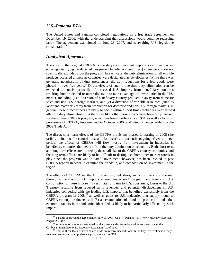#### *U.S.-Panama FTA*

The United States and Panama completed negotiations on a free trade agreement on December 19, 2006, with the understanding that discussions would continue regarding labor. The agreement was signed on June 28, 2007, and is awaiting U.S. legislative consideration.<sup>65</sup>

#### *Analytical Approach*

The core of the original CBERA is the duty-free treatment importers can claim when entering qualifying products of designated beneficiary countries (where goods are not specifically excluded from the program). In each case, the duty elimination for all eligible products occurred at once as countries were designated as beneficiaries. While there was generally no phase-in of duty preferences, the duty reductions for a few goods were phased in over five years.<sup>66</sup> Direct effects of such a one-time duty elimination can be expected to consist primarily of increased U.S. imports from beneficiary countries resulting from trade and resource diversion to take advantage of lower duties in the U.S. market, including (1) a diversion of beneficiary-country production away from domestic sales and non-U.S. foreign markets, and (2) a diversion of variable resources (such as labor and materials) away from production for domestic and non-U.S. foreign markets. In general, these direct effects are likely to occur within a short time (probably a year or two) after the duty elimination. It is therefore likely that these effects have been fully realized for the original CBERA program, which has been in effect since 1984, as well as for most provisions of CBTPA, implemented in October 2000, and minor changes added by the 2002 Trade Act.

The direct, short-term effects of the CBTPA provisions phased in starting in 2008 (the tariff elimination for canned tuna and footwear) are currently ongoing. Over a longer period, the effects of CBERA will flow mostly from investment in industries in beneficiary countries that benefit from the duty elimination or reduction. Both short-term and long-term effects are limited by the small size of the CBERA country economies, and the long-term effects are likely to be difficult to distinguish from other market forces in play since the program was initiated. Investment, however, has been tracked in past CBERA reports in order to examine the trends in, and composition of, investment in the region.

The effects of CBERA on the U.S. economy, industries, and consumers are assessed through an analysis of (1) imports entered under each program and trends in U.S. consumption of those imports; (2) estimates of gains to U.S. consumers, losses to the U.S. Treasury resulting from reduced tariff revenues, and potential displacement in U.S. industries competing with the leading U.S. imports that benefited exclusively from the CBERA program in  $2008$ ,  $67$  as well as gains to U.S. industries that supply inputs to CBERA-country producers; and (3) an examination of trends in production and other economic factors in the industries identified as likely to be particularly affected by such imports.

<sup>&</sup>lt;sup>65</sup> Panama approved the agreement on July 11, 2007. USTR, "Panama TPA," www.ustr.gov (accessed August 20, 2009).<br><sup>66</sup> A number of previously excluded products were added for reduced-duty treatment under the

Caribbean Basin Economic Recovery Expansion Act of 1990.<br><sup>67</sup> That is, those that are not excluded or do not receive unconditional NTR duty-free treatment or duty-

free treatment under other preference programs such as GSP.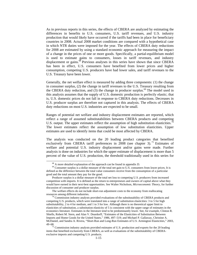As in previous reports in this series, the effects of CBERA are analyzed by estimating the differences in benefits to U.S. consumers, U.S. tariff revenues, and U.S. industry production that would likely have occurred if the tariffs had been in place for beneficiary countries in 2008. Actual 2008 market conditions are compared with a hypothetical case in which NTR duties were imposed for the year. The effects of CBERA duty reductions for 2008 are estimated by using a standard economic approach for measuring the impact of a change in the prices of one or more goods. Specifically, a partial-equilibrium model is used to estimate gains to consumers, losses in tariff revenues, and industry displacement or gains.<sup>68</sup> Previous analyses in this series have shown that since CBERA has been in effect, U.S. consumers have benefited from lower prices and higher consumption, competing U.S. producers have had lower sales, and tariff revenues to the U.S. Treasury have been lower.

Generally, the net welfare effect is measured by adding three components: (1) the change in consumer surplus, (2) the change in tariff revenues to the U.S. Treasury resulting from the CBERA duty reduction, and  $(3)$  the change in producer surplus.<sup>69</sup> The model used in this analysis assumes that the supply of U.S. domestic production is perfectly elastic; that is, U.S. domestic prices do not fall in response to CBERA duty reductions. Decreases in U.S. producer surplus are therefore not captured in this analysis. The effects of CBERA duty reductions on most U.S. industries are expected to be small.

Ranges of potential net welfare and industry displacement estimates are reported, which reflect a range of assumed substitutabilities between CBERA products and competing U.S. output. The upper estimates reflect the assumption of high substitution elasticities.<sup>70</sup> The lower estimates reflect the assumption of low substitution elasticities. Upper estimates are used to identify items that could be most affected by CBERA.

The analysis was conducted on the 20 leading product categories that benefited exclusively from CBERA tariff preferences in  $2008$  (see chapter 3).<sup>71</sup> Estimates of welfare and potential U.S. industry displacement and/or gains were made. Further analysis is done on industries for which the upper estimate of displacement is more than 5 percent of the value of U.S. production, the threshold traditionally used in this series for

<sup>&</sup>lt;sup>68</sup> A more detailed explanation of the approach can be found in appendix D.<br><sup>69</sup> Consumer surplus is a dollar measure of the total net gain to U.S. consumers from lower prices. It is defined as the difference between the total value consumers receive from the consumption of a particular good and the total amount they pay for the good.

Producer surplus is a dollar measure of the total net loss to competing U.S. producers from increased competition with imports. It is defined as the return to entrepreneurs and owners of capital above what they would have earned in their next-best opportunities. See Walter Nicholson, *Microeconomic Theory*, for further discussion of consumer and producer surplus.

The welfare effects do not include short-run adjustment costs to the economy from reallocating resources among different industries.<br><sup>70</sup> Commission industry analysts provided evaluations of the substitutability of CBERA products and

competing U.S. products, which were translated into a range of substitution elasticities: 3 to 5 for high substitutability, 2 to 4 for medium, and 1 to 3 for low. Although there is no theoretical upper limit to elasticities of substitution, a substitution elasticity of 5 is consistent with the upper range of estimates in the economics literature. Estimates in the literature tend to be predominantly lower. See, for example, Clinton R. Shiells, Robert M. Stern, and Alan V. Deardorff, "Estimates of the Elasticities of Substitution Between Imports and Home Goods for the United States," 1986, 497–519; and Michael P. Gallaway, Christine A. McDaniel, and Sandra A. Rivera, "Short-Run and Long-Run Estimates of U.S. Armington Elasticities," 2003, 49–68. <sup>71</sup> Commission industry analysts provided estimates of U.S. production and exports for the 20 leading

items that benefited exclusively from CBERA, as well as evaluations of the substitutability of CBERAexclusive imports and competing U.S. products.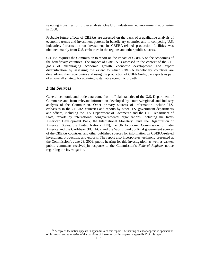selecting industries for further analysis. One U.S. industry—methanol—met that criterion in 2008.

Probable future effects of CBERA are assessed on the basis of a qualitative analysis of economic trends and investment patterns in beneficiary countries and in competing U.S. industries. Information on investment in CBERA-related production facilities was obtained mainly from U.S. embassies in the regions and other public sources.

CBTPA requires the Commission to report on the impact of CBERA on the economies of the beneficiary countries. The impact of CBERA is assessed in the context of the CBI goals of encouraging economic growth, economic development, and export diversification by assessing the extent to which CBERA beneficiary countries are diversifying their economies and using the production of CBERA-eligible exports as part of an overall strategy for attaining sustainable economic growth.

### *Data Sources*

General economic and trade data come from official statistics of the U.S. Department of Commerce and from relevant information developed by country/regional and industry analysts of the Commission. Other primary sources of information include U.S. embassies in the CBERA countries and reports by other U.S. government departments and offices, including the U.S. Department of Commerce and the U.S. Department of State; reports by international nongovernmental organizations, including the Inter-American Development Bank, the International Monetary Fund, the Organization of American States, the United Nations (UN), the UN Economic Commission for Latin America and the Caribbean (ECLAC), and the World Bank; official government sources of the CBERA countries; and other published sources for information on CBERA-related investment, production, and exports. The report also incorporates testimony presented at the Commission's June 23, 2009, public hearing for this investigation, as well as written public comments received in response to the Commission's *Federal Register* notice regarding the investigation.<sup>72</sup>

 $72$  A copy of the notice appears in appendix A of this report. The hearing calendar appears in appendix B of this report and summaries of the positions of interested parties appear in appendix C of this report.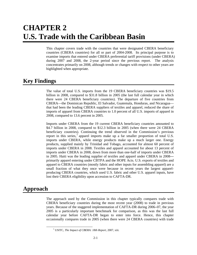# **CHAPTER 2 U.S. Trade with the Caribbean Basin**

This chapter covers trade with the countries that were designated CBERA beneficiary countries (CBERA countries) for all or part of 2004-2008. Its principal purpose is to examine imports that entered under CBERA preferential tariff provisions (under CBERA) during 2007 and 2008, the 2-year period since the previous report. The analysis concentrates primarily on 2008, although trends or changes with respect to other years are highlighted when appropriate.

## **Key Findings**

The value of total U.S. imports from the 19 CBERA beneficiary countries was \$19.5 billion in 2008, compared to \$31.8 billion in 2005 (the last full calendar year in which there were 24 CBERA beneficiary countries). The departure of five countries from CBERA—the Dominican Republic, El Salvador, Guatemala, Honduras, and Nicaragua that had been the leading CBERA suppliers of textiles and apparel, reduced the share of imports of apparel from CBERA countries to 1.0 percent of all U.S. imports of apparel in 2008, compared to 13.6 percent in 2005.

Imports under CBERA from the 19 current CBERA beneficiary countries amounted to \$4.7 billion in 2008, compared to \$12.3 billion in 2005 (when there were 24 CBERA beneficiary countries). Continuing the trend observed in the Commission's previous report in this series, $<sup>1</sup>$  apparel imports make up a far smaller proportion of total U.S.</sup> imports under CBERA, while energy products make up a much larger one. Energy products, supplied mainly by Trinidad and Tobago, accounted for almost 60 percent of imports under CBERA in 2008. Textiles and apparel accounted for about 13 percent of imports under CBERA in 2008, down from more than one-half of imports under CBERA in 2005. Haiti was the leading supplier of textiles and apparel under CBERA in 2008 primarily apparel entering under CBTPA and the HOPE Acts. U.S. exports of textiles and apparel to CBERA countries (mostly fabric and other inputs for assembling apparel) are a small fraction of what they once were because in recent years the largest apparelproducing CBERA countries, which used U.S. fabric and other U.S. apparel inputs, have lost their CBERA eligibility upon accession to CAFTA-DR.

## **Approach**

The approach used by the Commission in this chapter typically compares trade with CBERA beneficiary countries during the most recent year (2008) to trade in previous years. Because of the staggered implementation of CAFTA-DR during 2006–07, the year 2005 is a particularly important benchmark for comparison, as this was the last full calendar year before CAFTA-DR began to enter into force. Hence, this chapter occasionally compares trade in 2005 (when there were 24 CBERA countries) with trade

<sup>&</sup>lt;sup>1</sup> USITC, *The Impact of CBERA: 18th Report*, 2007, xiii.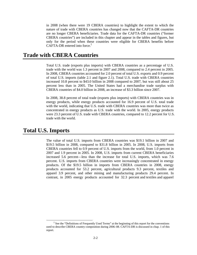in 2008 (when there were 19 CBERA countries) to highlight the extent to which the nature of trade with CBERA countries has changed now that the CAFTA-DR countries are no longer CBERA beneficiaries. Trade data for the CAFTA-DR countries ("former CBERA countries") are included in this chapter and appear in the tables and figures, but only for the period when these countries were eligible for CBERA benefits before CAFTA-DR entered into force. $2$ 

## **Trade with CBERA Countries**

Total U.S. trade (exports plus imports) with CBERA countries as a percentage of U.S. trade with the world was 1.3 percent in 2007 and 2008, compared to 2.4 percent in 2005. In 2008, CBERA countries accounted for 2.0 percent of total U.S. exports and 0.9 percent of total U.S. imports (table 2.1 and figure 2.1). Total U.S. trade with CBERA countries increased 10.8 percent to \$43.0 billion in 2008 compared to 2007, but was still about 25 percent less than in 2005. The United States had a merchandise trade surplus with CBERA countries of \$4.0 billion in 2008, an increase of \$3.3 billion since 2007.

In 2008, 38.8 percent of total trade (exports plus imports) with CBERA countries was in energy products, while energy products accounted for 16.9 percent of U.S. total trade with the world, indicating that U.S. trade with CBERA countries was more than twice as concentrated in energy products as U.S. trade with the world. In 2005, energy products were 23.3 percent of U.S. trade with CBERA countries, compared to 12.2 percent for U.S. trade with the world.

### **Total U.S. Imports**

The value of total U.S. imports from CBERA countries was \$19.1 billion in 2007 and \$19.5 billion in 2008, compared to \$31.8 billion in 2005. In 2008, U.S. imports from CBERA countries fell to 0.9 percent of U.S. imports from the world, from 1.0 percent in 2007 and 1.9 percent in 2005. In 2008, U.S. imports from current CBERA beneficiaries increased 5.6 percent—less than the increase for total U.S. imports, which was 7.6 percent. U.S. imports from CBERA countries were increasingly concentrated in energy products. Of the \$19.5 billion in imports from CBERA countries in 2008, energy products accounted for 53.2 percent, agricultural products 9.3 percent, textiles and apparel 3.9 percent, and other mining and manufacturing products 29.4 percent. In contrast, in 2005 energy products accounted for 32.3 percent and textiles and apparel

 <sup>2</sup> <sup>2</sup> See the "Definitions of Frequently Used Terms" at the beginning of this report for the conventions used to describe CBERA country composition during 2006–08. CAFTA-DR is discussed in chap. 1 of this report.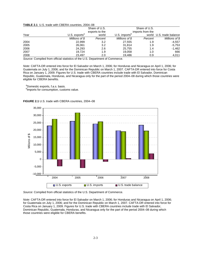|      |                                          | Share of U.S.  |                         | Share of U.S.    |                          |
|------|------------------------------------------|----------------|-------------------------|------------------|--------------------------|
|      |                                          | exports to the |                         | imports from the |                          |
| Year | $U.S.$ exports <sup><math>a</math></sup> | world          | U.S. imports $^{\rm b}$ |                  | world U.S. trade balance |
|      | Millions of \$                           | Percent        | Millions of \$          | Percent          | Millions of \$           |
| 2004 | 22,999                                   | 3.2            | 27,555                  | 1.9              | $-4,557$                 |
| 2005 | 26.061                                   | 3.2            | 31.814                  | 1.9              | $-5,753$                 |
| 2006 | 24.293                                   | 2.6            | 25,755                  | 1.4              | $-1,462$                 |
| 2007 | 19.724                                   | 1.9            | 19.058                  | 1.0              | 666                      |
| 2008 | 23.497                                   | 2.0            | 19.486                  | 0.9              | 4,011                    |

|--|

*Note*: CAFTA-DR entered into force for El Salvador on March 1, 2006; for Honduras and Nicaragua on April 1, 2006; for Guatemala on July 1, 2006; and for the Dominican Republic on March 1, 2007. CAFTA-DR entered into force for Costa Rica on January 1, 2009. Figures for U.S. trade with CBERA countries include trade with El Salvador, Dominican Republic, Guatemala, Honduras, and Nicaragua only for the part of the period 2004–08 during which those countries were eligible for CBERA benefits.

<sup>a</sup>Domestic exports, f.a.s. basis.<br><sup>b</sup>Imports for consumption, customs value.



**FIGURE 2.1** U.S. trade with CBERA countries, 2004–08

*Source*: Compiled from official statistics of the U.S. Department of Commerce.

*Note*: CAFTA-DR entered into force for El Salvador on March 1, 2006; for Honduras and Nicaragua on April 1, 2006; for Guatemala on July 1, 2006; and for the Dominican Republic on March 1, 2007. CAFTA-DR entered into force for Costa Rica on January 1, 2009. Figures for U.S. trade with CBERA countries include trade with El Salvador, Dominican Republic, Guatemala, Honduras, and Nicaragua only for the part of the period 2004–08 during which those countries were eligible for CBERA benefits.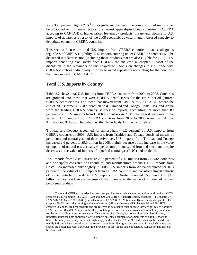were 30.8 percent (figure 2.2).<sup>3</sup> This significant change in the composition of imports can be attributed to four main factors: the largest apparel-producing countries in CBERA acceding to CAFTA-DR; higher prices for energy products; the general decline in U.S. imports of apparel as a result of the 2008 economic downturn; and increased capacity to dehydrate ethanol in CBERA countries.

This section focuses on total U.S. imports from CBERA countries—that is, all goods regardless of CBERA eligibility. U.S. imports entering under CBERA preferences will be discussed in a later section (including those products that are also eligible for GSP). U.S. imports benefiting exclusively from CBERA are analyzed in chapter 3. Most of the discussion in the remainder of this chapter will focus on changes in U.S. trade with CBERA countries individually in order to avoid repeatedly accounting for the countries that have moved to CAFTA-DR.

### *Total U.S. Imports by Country*

Table 2.2 shows total U.S. imports from CBERA countries from 2004 to 2008. Countries are grouped into those that were CBERA beneficiaries for the entire period (current CBERA beneficiaries), and those that moved from CBERA to CAFTA-DR before the end of 2008 (former CBERA beneficiaries). Trinidad and Tobago, Costa Rica, and Aruba were the leading CBERA country sources of imports, accounting for more than 80 percent of all U.S. imports from CBERA countries in 2008. The largest increases in the value of U.S. imports from CBERA countries from 2007 to 2008 were from Aruba, Trinidad and Tobago, The Bahamas, the Netherlands Antilles, and Belize.

Trinidad and Tobago accounted for almost half (46.2 percent) of U.S. imports from CBERA countries in 2008. U.S. imports from Trinidad and Tobago consisted mostly of petroleum and natural gas and their derivatives. U.S. imports from Trinidad and Tobago increased 2.6 percent to \$9.0 billion in 2008, mainly because of the increase in the value of imports of natural gas derivatives, petroleum products, and iron and steel, and despite decreases in the value of imports of liquefied natural gas (LNG) and crude oil.

U.S. imports from Costa Rica were 20.2 percent of U.S. imports from CBERA countries and principally consisted of agricultural and manufactured products. U.S. imports from Costa Rica increased only slightly in 2008. U.S. imports from Aruba accounted for 16.3 percent of the value of U.S. imports from CBERA countries and consisted almost entirely of refined petroleum products. U.S. imports from Aruba increased 15.9 percent to \$3.2 billion, almost exclusively because of the increase in the value of imports of refined petroleum products.

 <sup>3</sup> <sup>3</sup> Trade with CBERA countries has been grouped into four main categories: agricultural products (HTS chapters 1-24, excluding HTS 2207.10.60 and 2207.20.00 (fuel ethanol)); energy products (HTS chapter 27, HTS 2207.10.60 and 2207.20.00 (fuel ethanol) and HTS 2905.11.20 (methanol)); textiles and apparel (HTS chapters 50-63); and other mining and manufacturing (all others except HTS chapters 98 and 99). HTS chapters 98 and 99 are kept separate and are referred to as other/special because they are not easily classified. HTS chapters 98 and 99 (unique to the HTS) contain provisions that may provide additional duty treatment for the goods falling in the permanent tariff categories cited above, but do not alter their classification; importers must use both applicable tariff numbers on entry documents for shipments of eligible goods to benefit from any lower duty rates that might apply under chapters 98 or 99. Trade data as published do not readily indicate which special provision from chapter 98 or 99 might have been used for each shipment, and entries are designated with particular "rate provision codes" in the data collected by Census so that they can be identified.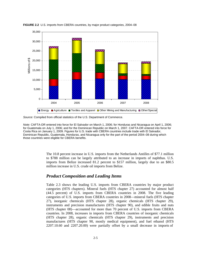

**FIGURE 2.2** U.S. imports from CBERA countries, by major product categories, 2004–08

*Note*: CAFTA-DR entered into force for El Salvador on March 1, 2006; for Honduras and Nicaragua on April 1, 2006; for Guatemala on July 1, 2006; and for the Dominican Republic on March 1, 2007. CAFTA-DR entered into force for Costa Rica on January 1, 2009. Figures for U.S. trade with CBERA countries include trade with El Salvador, Dominican Republic, Guatemala, Honduras, and Nicaragua only for the part of the period 2004–08 during which those countries were eligible for CBERA benefits.

> The 10.8 percent increase in U.S. imports from the Netherlands Antilles of \$77.1 million to \$788 million can be largely attributed to an increase in imports of naphthas. U.S. imports from Belize increased 81.2 percent to \$157 million, largely due to an \$80.5 million increase in U.S. crude oil imports from Belize.

### *Product Composition and Leading Items*

Table 2.3 shows the leading U.S. imports from CBERA countries by major product categories (HTS chapters). Mineral fuels (HTS chapter 27) accounted for almost half (44.5 percent) of U.S. imports from CBERA countries in 2008. The five leading categories of U.S. imports from CBERA countries in 2008—mineral fuels (HTS chapter 27), inorganic chemicals (HTS chapter 28), organic chemicals (HTS chapter 29), instruments and precision manufactures (HTS chapter 90), and edible fruits and nuts (HTS chapter 08)—accounted for more than 70 percent of U.S. imports from CBERA countries. In 2008, increases in imports from CBERA countries of inorganic chemicals (HTS chapter 28), organic chemicals (HTS chapter 29), instruments and precision manufactures (HTS chapter 90, mostly medical equipment), and fuel ethanol (HTS 2207.10.60 and 2207.20.00) were partially offset by a small decrease in imports of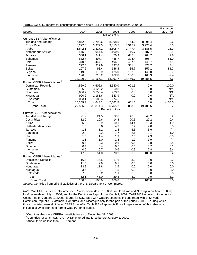|                                           |          |          |                  |                  |          | $\overline{\%}$ change, |
|-------------------------------------------|----------|----------|------------------|------------------|----------|-------------------------|
| Source                                    | 2004     | 2005     | 2006             | 2007             | 2008     | 2007-08                 |
|                                           |          |          | Millions of \$   |                  |          |                         |
| Current CBERA beneficiaries: <sup>a</sup> |          |          |                  |                  |          |                         |
| Trinidad and Tobago                       | 5,842.3  | 7,792.6  | 8,398.5          | 8,764.2          | 8,996.4  | 2.6                     |
| Costa Rica                                | 3,297.3  | 3,377.3  | 3,813.5          | 3,915.7          | 3,926.4  | 0.3                     |
| Aruba                                     | 1,642.1  | 2,817.2  | 2,605.7          | 2,747.4          | 3,185.5  | 15.9                    |
| <b>Netherlands Antilles</b>               | 445.8    | 944.5    | 1,100.6          | 710.7            | 787.7    | 10.8                    |
| Jamaica                                   | 308.1    | 341.4    | 470.9            | 685.4            | 704.2    | 2.8                     |
| <b>Bahamas</b>                            | 632.7    | 697.7    | 435.7            | 394.4            | 595.7    | 51.0                    |
| Haiti                                     | 370.5    | 447.1    | 496.1            | 487.6            | 449.7    | $-7.8$                  |
| Panama                                    | 297.5    | 319.9    | 337.6            | 361.4            | 373.7    | 3.4                     |
| <b>Belize</b>                             | 107.2    | 98.4     | 146.4            | 86.7             | 157.1    | 81.2                    |
| Guyana                                    | 119.9    | 119.9    | 125.0            | 122.9            | 145.8    | 18.6                    |
| All other                                 | 126.8    | 210.2    | 162.8            | 180.3            | 163.3    | $-9.4$                  |
| Total                                     | 13,190.2 | 17,166.1 | 18,092.7         | 18,456.7         | 19,485.5 | $\overline{5.6}$        |
| Former CBERA beneficiaries: <sup>b</sup>  |          |          |                  |                  |          |                         |
| Dominican Republic                        | 4,529.0  | 4,602.6  | 4,540.0          | 601.5            | 0.0      | $-100.0$                |
| Guatemala                                 | 3,156.2  | 3,123.2  | 1,560.8          | 0.0              | 0.0      | N/A                     |
| Honduras                                  | 3,636.7  | 3,758.4  | 903.3            | 0.0              | 0.0      | N/A                     |
| Nicaragua                                 | 990.2    | 1,181.6  | 383.9            | 0.0              | 0.0      | N/A                     |
| El Salvador                               | 2,053.1  | 1,982.4  | 274.5            | 0.0              | 0.0      | N/A                     |
| Total                                     | 14,365.3 | 14,648.2 | 7,662.5          | 601.5            | 0.0      | $-100.0$                |
| <b>Grand Total</b>                        | 27,555.5 | 31,814.3 | 25,755.2         | 19,058.2         | 19,485.5 | 2.2                     |
|                                           |          |          | Percent of total |                  |          |                         |
| Current CBERA beneficiaries: <sup>a</sup> |          |          |                  |                  |          |                         |
| <b>Trinidad and Tobago</b>                | 21.2     | 24.5     | 32.6             | 46.0             | 46.2     | 0.2                     |
| Costa Rica                                | 12.0     | 10.6     | 14.8             | 20.5             | 20.2     | $-0.4$                  |
| Aruba                                     | 6.0      | 8.9      | 10.1             | 14.4             | 16.3     | 1.9                     |
| <b>Netherlands Antilles</b>               | 1.6      | 3.0      | 4.3              | 3.7              | 4.0      | 0.3                     |
| Jamaica                                   | 1.1      | 1.1      | 1.8              | 3.6              | 3.6      | $\binom{c}{ }$          |
| <b>Bahamas</b>                            | 2.3      | 2.2      | 1.7              | 2.1              | 3.1      | 1.0                     |
| Haiti                                     | 1.3      | 1.4      | 1.9              | 2.6              | 2.3      | $-0.3$                  |
| Panama                                    | 1.1      | 1.0      | 1.3              | 1.9              | 1.9      | $(^\circ)$              |
| <b>Belize</b>                             | 0.4      | 0.3      | 0.6              | 0.5              | 0.8      | 0.4                     |
| Guyana                                    | 0.4      | 0.4      | 0.5              | 0.6              | 0.7      | 0.1                     |
| All other                                 | 0.5      | 0.7      | 0.6              | 0.9              | 0.8      | $-9.4$                  |
| Total                                     | 47.9     | 54.0     | 70.2             | 96.8             | 100.0    | $\overline{3.2}$        |
| Former CBERA beneficiaries: <sup>b</sup>  |          |          |                  |                  |          |                         |
| Dominican Republic                        | 16.4     | 14.5     | 17.6             | 3.2              | 0.0      | $-3.2$                  |
| Guatemala                                 | 11.5     | 9.8      | 6.1              | 0.0              | 0.0      | 0.0                     |
| Honduras                                  | 13.2     | 11.8     | 3.5              | 0.0              | 0.0      | 0.0                     |
| Nicaragua                                 | 3.6      | 3.7      | 1.5              | 0.0              | 0.0      | 0.0                     |
| El Salvador                               | 7.5      | 6.2      | 1.1              | 0.0              | 0.0      | 0.0                     |
| Total                                     | 52.1     | 46.0     | 29.8             | $\overline{3.2}$ | 0.0      | $-3.2$                  |
| <b>Grand Total</b>                        | 100.0    | 100.0    | 100.0            | 100.0            | 100.0    | $\overline{0.0}$        |
|                                           |          |          |                  |                  |          |                         |

*Note*: CAFTA-DR entered into force for El Salvador on March 1, 2006; for Honduras and Nicaragua on April 1, 2006; for Guatemala on July 1, 2006; and for the Dominican Republic on March 1, 2007. CAFTA-DR entered into force for Costa Rica on January 1, 2009. Figures for U.S. trade with CBERA countries include trade with El Salvador, Dominican Republic, Guatemala, Honduras, and Nicaragua only for the part of the period 2004–08 during which those countries were eligible for CBERA benefits. Table E.3 of appendix E is a longer version of this table which includes all 24 current and former CBERA beneficiaries.

 $a^a$  Countries that were CBERA beneficiaries as of December 31, 2008.

<sup>b</sup> Countries for which U.S.-CAFTA-DR entered into force before January 1, 2009.

 $\textdegree$  Absolute value less than 0.05 percent.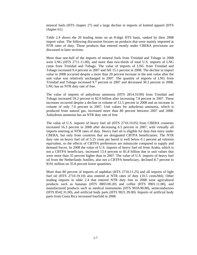mineral fuels (HTS chapter 27) and a large decline in imports of knitted apparel (HTS chapter 61).

Table 2.4 shows the 20 leading items on an 8-digit HTS basis, ranked by their 2008 import value. The following discussion focuses on products that were mainly imported at NTR rates of duty. Those products that entered mostly under CBERA provisions are discussed in later sections.

More than one-half of the imports of mineral fuels from Trinidad and Tobago in 2008 were LNG (HTS 2711.11.00), and more than two-thirds of total U.S. imports of LNG came from Trinidad and Tobago. The value of imports of LNG from Trinidad and Tobago increased 9.4 percent in 2007 and fell 15.5 percent in 2008. The decline in import value in 2008 occurred despite a more than 20 percent increase in the unit value after the unit value was relatively unchanged in 2007. The quantity of imports of LNG from Trinidad and Tobago increased 9.7 percent in 2007 and decreased 30.3 percent in 2008. LNG has an NTR duty rate of free.

The value of imports of anhydrous ammonia (HTS 2814.10.00) from Trinidad and Tobago increased 59.2 percent to \$2.0 billion after increasing 7.8 percent in 2007. These increases occurred despite a decline in volume of 12.5 percent in 2008 and an increase in volume of only 7.0 percent in 2007. Unit values for anhydrous ammonia, which is produced from natural gas, increased more than 80 percent between 2007 and 2008. Anhydrous ammonia has an NTR duty rate of free.

The value of U.S. imports of heavy fuel oil (HTS 2710.19.05) from CBERA countries increased 16.3 percent in 2008 after decreasing 6.5 percent in 2007, with virtually all imports entering at NTR rates of duty. Heavy fuel oil is eligible for duty-free entry under CBERA, but only from countries that are designated CBTPA beneficiaries. The NTR duty rate on heavy fuel oil of 5.25 cents per barrel is well below 0.1 percent ad valorem equivalent, so the effects of CBTPA preferences are minuscule compared to supply and demand forces. In 2008 the value of U.S. imports of heavy fuel oil from Aruba, which is not a CBTPA beneficiary, increased 13.4 percent to \$1.8 billion due to unit values that were more than 35 percent higher than in 2007. The value of U.S. imports of heavy fuel oil from the Netherlands Antilles, also not a CBTPA beneficiary, declined 8.7 percent to \$191 million on 35.8 percent lower quantities.

More than 80 percent of imports of naphthas (HTS 2710.11.25) and all imports of light fuel oil (HTS 2710.19.10) also entered at NTR rates of duty (10.5 cents/bbl). Other leading imports in table 2.4 that entered NTR duty free in 2008 were agricultural products such as bananas (HTS 0803.00.20) and coffee (HTS 0901.11.00), and manufactured products such as medical instruments (HTS 9018.90.80), semiconductors (HTS 8542.31.00), and artificial body parts (HTS 9021.39.00). Imports of artificial body parts from Costa Rica increased fourfold in 2008.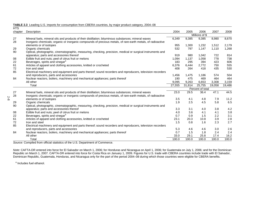| <b>HTS</b> |                                                                                                              |                  |        |                |        |        |
|------------|--------------------------------------------------------------------------------------------------------------|------------------|--------|----------------|--------|--------|
| chapter    | Description                                                                                                  | 2004             | 2005   | 2006           | 2007   | 2008   |
|            |                                                                                                              |                  |        | Millions of \$ |        |        |
| 27         | Mineral fuels, mineral oils and products of their distillation; bituminous substances; mineral waxes         | 6,349            | 9,385  | 9,385          | 8,980  | 8,670  |
| 28         | Inorganic chemicals; organic or inorganic compounds of precious metals, of rare-earth metals, of radioactive |                  |        |                |        |        |
|            | elements or of isotopes                                                                                      | 955              | 1,300  | 1,232          | 1,512  | 2,179  |
| 29         | Organic chemicals                                                                                            | 532              | 797    | 1,147          | 1,110  | 1,268  |
| 90         | Optical, photographic, cinematographic, measuring, checking, precision, medical or surgical instruments and  |                  |        |                |        |        |
|            | apparatus; parts and accessories thereof                                                                     | 919              | 980    | 1,042          | 722    | 814    |
| 08         | Edible fruit and nuts; peel of citrus fruit or melons                                                        | 1,094            | 1,137  | 1,058          | 778    | 738    |
| 22         | Beverages, spirits and vinegar <sup>a</sup>                                                                  | 183              | 295    | 394            | 423    | 606    |
| 61         | Articles of apparel and clothing accessories, knitted or crocheted                                           | 6,376            | 6,444  | 2,772          | 750    | 555    |
| 72         | Iron and steel                                                                                               | 408              | 264    | 418            | 435    | 530    |
| 85         | Electrical machinery and equipment and parts thereof; sound recorders and reproducers, television recorders  |                  |        |                |        |        |
|            | and reproducers, parts and accessories                                                                       | 1,456            | 1,475  | 1.186          | 574    | 504    |
| 84         | Nuclear reactors, boilers, machinery and mechanical appliances; parts thereof                                | 190              | 475    | 469            | 464    | 464    |
|            | All other                                                                                                    | 9,095            | 9,263  | 6,653          | 3,308  | 3,159  |
|            | Total                                                                                                        | 27,555           | 31,814 | 25,755         | 19,058 | 19,486 |
|            |                                                                                                              | Percent of total |        |                |        |        |
| 27         | Mineral fuels, mineral oils and products of their distillation; bituminous substances; mineral waxes         | 23.0             | 29.5   | 36.4           | 47.1   | 44.5   |
| 28         | Inorganic chemicals; organic or inorganic compounds of precious metals, of rare-earth metals, of radioactive |                  |        |                |        |        |
|            | elements or of isotopes                                                                                      | 3.5              | 4.1    | 4.8            | 7.9    | 11.2   |
| 29         | Organic chemicals                                                                                            | 1.9              | 2.5    | 4.5            | 5.8    | 6.5    |
| 90         | Optical, photographic, cinematographic, measuring, checking, precision, medical or surgical instruments and  |                  |        |                |        |        |
|            | apparatus; parts and accessories thereof                                                                     | 3.3              | 3.1    | 4.0            | 3.8    | 4.2    |
| 08         | Edible fruit and nuts; peel of citrus fruit or melons                                                        | 4.0              | 3.6    | 4.1            | 4.1    | 3.8    |
| 22         | Beverages, spirits and vinegar <sup>a</sup>                                                                  | 0.7              | 0.9    | 1.5            | 2.2    | 3.1    |
| 61         | Articles of apparel and clothing accessories, knitted or crocheted                                           | 23.1             | 20.3   | 10.8           | 3.9    | 2.8    |
| 72         | Iron and steel                                                                                               | 1.5              | 0.8    | 1.6            | 2.3    | 2.7    |
| 85         | Electrical machinery and equipment and parts thereof; sound recorders and reproducers, television recorders  |                  |        |                |        |        |
|            | and reproducers, parts and accessories                                                                       | 5.3              | 4.6    | 4.6            | 3.0    | 2.6    |
| 84         | Nuclear reactors, boilers, machinery and mechanical appliances; parts thereof                                | 0.7              | 1.5    | 1.8            | 2.4    | 2.4    |
|            | All other                                                                                                    | 33.0             | 29.1   | 25.8           | 17.4   | 16.2   |
|            | Total                                                                                                        | 100.0            | 100.0  | 100.0          | 100.0  | 100.0  |

**TABLE 2.3** Leading U.S. imports for consumption from CBERA countries, by major product category, 2004–08

*Note*: CAFTA-DR entered into force for El Salvador on March 1, 2006; for Honduras and Nicaragua on April 1, 2006; for Guatemala on July 1, 2006; and for the Dominican Republic on March 1, 2007. CAFTA-DR entered into force for Costa Rica on January 1, 2009. Figures for U.S. trade with CBERA countries include trade with El Salvador, Dominican Republic, Guatemala, Honduras, and Nicaragua only for the part of the period 2004–08 during which those countries were eligible for CBERA benefits.

a Includes fuel ethanol.

2-8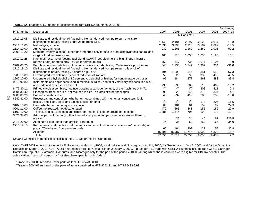|            |                                                                                                                                                 |                |                |                        |        |        | % change,        |
|------------|-------------------------------------------------------------------------------------------------------------------------------------------------|----------------|----------------|------------------------|--------|--------|------------------|
| HTS number | Description                                                                                                                                     | 2004           | 2005           | 2006<br>Millions of \$ | 2007   | 2008   | 2007-08          |
| 2710.19.05 |                                                                                                                                                 |                |                |                        |        |        |                  |
|            | Distillate and residual fuel oil (including blends) derived from petroleum or oils from<br>bituminous minerals, testing under 25 degrees a.p.i. | 1,446          | 2,484          | 2,697                  | 2,523  | 2,934  | 16.3             |
| 2711.11.00 | Natural gas, liquefied                                                                                                                          | 2,630          | 3,293          | 2,918                  | 3,187  | 2,692  | $-15.5$          |
| 2814.10.00 |                                                                                                                                                 | 939            | 1,261          | 1,169                  |        |        | 59.2             |
|            | Anhydrous ammonia                                                                                                                               |                |                |                        | 1,260  | 2,006  |                  |
| 2905.11.20 | Methanol (methyl alcohol), other than imported only for use in producing synthetic natural gas                                                  |                |                |                        |        |        | 16.1             |
| 2710.11.25 | (sng) or for direct use as fuel                                                                                                                 | 465            | 713            | 1,038                  | 1,030  | 1,196  |                  |
|            | Naphthas (exc. motor fuel/mtr fuel blend. stock) fr petroleum oils & bituminous minerals                                                        |                |                |                        |        |        |                  |
|            | (o/than crude) or preps 70%+ by wt. fr petroleum oils                                                                                           | 450            | 647            | 736                    | 1,017  | 1,107  | 8.9              |
| 2709.00.20 | Petroleum oils and oils from bituminous minerals, crude, testing 25 degrees a.p.i. or more                                                      | 848            | 1,135          | 1,747                  | 1,309  | 904    | $-31.0$          |
| 2710.19.10 | Distillate and residual fuel oil (including blends) derived from petroleum oils or oil of                                                       |                |                |                        |        |        |                  |
|            | bituminous minerals, testing 25 degree a.p.i. or >                                                                                              | 494            | 1,000          | 516                    | 351    | 588    | 67.3             |
| 7203.10.00 | Ferrous products obtained by direct reduction of iron ore                                                                                       | 58             | 20             | 39                     | 332    | 493    | 48.5             |
| 2207.10.60 | Undenatured ethyl alcohol of 80 percent vol. alcohol or higher, for nonbeverage purposes                                                        | 97             | 184            | 277                    | 263    | 483    | 83.4             |
| 9018.90.80 | Instruments and appliances used in medical, surgical, dental or veterinary sciences, n.e.s.o.i.,                                                |                |                |                        |        |        |                  |
|            | and parts and accessories thereof                                                                                                               | 793            | 793            | 786                    | 519    | 467    | $-10.2$          |
| 8473.30.11 | Printed circuit assemblies, not incorporating a cathode ray tube, of the machines of 8471                                                       | $\binom{a}{b}$ | $\binom{a}{b}$ | $\binom{a}{b}$         | 402    | 411    | 2.3              |
| 0804.30.40 | Pineapples, fresh or dried, not reduced in size, in crates or other packages                                                                    | 99             | 223            | 246                    | 378    | 394    | 4.1              |
| 0803.00.20 | Bananas, fresh or dried                                                                                                                         | 640            | 632            | 415                    | 286    | 258    | $-10.0$          |
| 8542.31.00 | Processors and controllers, whether or not combined with memories, converters, logic                                                            |                |                |                        |        |        |                  |
|            | circuits, amplifiers, clock and timing circuits, or other                                                                                       | $b$            | $b$            | $\binom{b}{b}$         | 178    | 205    | 15.5             |
| 3102.10.00 | Urea, whether or not in aqueous solution                                                                                                        | 65             | 101            | 84                     | 159    | 197    | 24.3             |
| 0901.11.00 | Coffee, not roasted, not decaffeinated                                                                                                          | 472            | 565            | 341                    | 156    | 189    | 20.9             |
| 6109.10.00 | T-shirts, singlets, tank tops and similar garments, knitted or crocheted, of cotton                                                             | 1,486          | 1,546          | 705                    | 198    | 173    | $-12.7$          |
| 9021.39.00 | Artificial parts of the body (other than artificial joints) and parts and accessories thereof,                                                  |                |                |                        |        |        |                  |
|            | n.e.s.o.i.                                                                                                                                      | 4              | 30             | 34                     | 40     | 167    | 322.5            |
| 2818.20.00 | Aluminum oxide, other than artificial corundum                                                                                                  | 14             | 36             | 60                     | 250    | 165    | $-34.0$          |
| 2710.19.15 | Kerosene-type jet fuel from petroleum oils and oils of bituminous minerals (o/than crude) or                                                    |                |                |                        |        |        |                  |
|            | preps. 70%+ by wt. from petroleum oils                                                                                                          | 60             | 164            | 202                    | 122    | 159    | 30.8             |
|            | All other                                                                                                                                       | 16,496         | 16,987         | 11,745                 | 5,099  | 4,300  | $-15.7$          |
|            | Total                                                                                                                                           | 27,555         | 31,814         | 25,755                 | 19,058 | 19.486 | $\overline{2.2}$ |

#### **TABLE 2.4** Leading U.S. imports for consumption from CBERA countries, 2004–08

*Source*: Compiled from official statistics of the U.S. Department of Commerce.

*Note*: CAFTA-DR entered into force for El Salvador on March 1, 2006; for Honduras and Nicaragua on April 1, 2006; for Guatemala on July 1, 2006; and for the Dominican Republic on March 1, 2007. CAFTA-DR entered into force for Costa Rica on January 1, 2009. Figures for U.S. trade with CBERA countries include trade with El Salvador, Dominican Republic, Guatemala, Honduras, and Nicaragua only for the part of the period 2004-08 during which those countries were eligible for CBERA benefits. The abbreviation, "n.e.s.o.i." stands for "not elsewhere specified or included."

 $^{\text{a}}$  Trade in 2004-06 reported under parts of item HTS 8473.30.10.<br> $^{\text{b}}$  Trade in 2004-06 reported under parts of items contained in HTS 8542.21 and HTS 8543.89.93.

2-9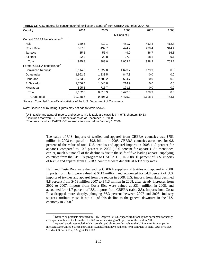| Country                                   | 2004     | 2005    | 2006           | 2007    | 2008  |
|-------------------------------------------|----------|---------|----------------|---------|-------|
|                                           |          |         | Millions of \$ |         |       |
| Current CBERA beneficiaries: <sup>b</sup> |          |         |                |         |       |
| Haiti                                     | 330.5    | 410.1   | 451.7          | 452.8   | 412.8 |
| Costa Rica                                | 527.5    | 492.7   | 474.7          | 430.4   | 314.4 |
| Jamaica                                   | 85.5     | 56.4    | 49.0           | 36.7    | 16.8  |
| All other                                 | 32.3     | 28.8    | 27.8           | 18.3    | 9.1   |
| Total                                     | 975.8    | 988.0   | 1,003.2        | 938.2   | 753.1 |
| Former CBERA beneficiaries <sup>c</sup>   |          |         |                |         |       |
| Dominican Republic                        | 2,114.8  | 1,922.0 | 1,623.7        | 179.9   | 0.0   |
| Guatemala                                 | 1,962.9  | 1,833.5 | 847.3          | 0.0     | 0.0   |
| <b>Honduras</b>                           | 2,753.0  | 2,700.2 | 594.7          | 0.0     | 0.0   |
| El Salvador                               | 1,756.4  | 1,645.8 | 214.9          | 0.0     | 0.0   |
| Nicaragua                                 | 595.8    | 716.7   | 191.3          | 0.0     | 0.0   |
| Total                                     | 9,182.8  | 8,818.3 | 3,472.0        | 179.9   | 0.0   |
| <b>Grand total</b>                        | 10,158.6 | 9,806.3 | 4,475.2        | 1,118.1 | 753.1 |

|  |  |  |  | TABLE 2.5 U.S. imports for consumption of textiles and apparel <sup>a</sup> from CBERA countries, 2004–08 |  |
|--|--|--|--|-----------------------------------------------------------------------------------------------------------|--|
|--|--|--|--|-----------------------------------------------------------------------------------------------------------|--|

*Note*: Because of rounding, figures may not add to totals shown.

<sup>a</sup>U.S. textile and apparel imports and exports in this table are classified in HTS chapters 50-63.

<sup>b</sup>Countries that were CBERA beneficiaries as of December 31, 2008.

<sup>c</sup>Countries for which CAFTA-DR entered into force before January 1, 2009.

The value of U.S. imports of textiles and apparel<sup>4</sup> from CBERA countries was \$753 million in 2008 compared to \$9.8 billion in 2005. CBERA countries accounted for 0.8 percent of the value of total U.S. textiles and apparel imports in 2008 (1.0 percent for apparel), compared to 10.6 percent in 2005 (13.6 percent for apparel). As mentioned earlier, much but not all of the decline is due to the shift of five leading apparel-supplying countries from the CBERA program to CAFTA-DR. In 2008, 16 percent of U.S. imports of textile and apparel from CBERA countries were dutiable at NTR duty rates.

Haiti and Costa Rica were the leading CBERA suppliers of textiles and apparel in 2008. Imports from Haiti were valued at \$413 million, and accounted for 54.8 percent of U.S. imports of textiles and apparel from the region in 2008. U.S. imports from Haiti declined 8.8 percent from \$453 million 2007 to \$413 million in 2008, after steady increases from 2002 to 2007. Imports from Costa Rica were valued at \$314 million in 2008, and accounted for 41.7 percent of U.S. imports from CBERA (table 2.5). Imports from Costa Rica dropped more sharply, plunging 36.3 percent between 2007 and 2008. Industry sources attribute most, if not all, of this decline to the general downturn in the U.S. economy in 2008.<sup>5</sup>

 $\frac{1}{4}$  Defined as products classified in HTS Chapters 50–63. Apparel traditionally has accounted for nearly all imports in this sector from the CBERA countries, rising to 99 percent of the total in 2008.

Apparel goods assembled in Haiti are shipped almost exclusively to the U.S. market for companies like Sara Lee (United States) and Gildan (Canada) that have had long-term contracts in Haiti. *Just-style.com*, "Gildan Q3 Profit Rise," August 13, 2008.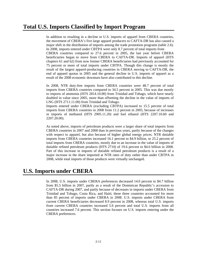## **Total U.S. Imports Classified by Import Program**

In addition to resulting in a decline in U.S. imports of apparel from CBERA countries, the movement of CBERA's five large apparel producers to CAFTA-DR has also caused a major shift in the distribution of imports among the trade promotion programs (table 2.6). In 2008, imports entered under CBTPA were only 8.7 percent of total imports from CBERA countries compared to 27.6 percent in 2005, the last year before CBERA beneficiaries began to move from CBERA to CAFTA-DR. Imports of apparel (HTS chapters 61 and 62) from now former CBERA beneficiaries had previously accounted for 75 percent or more of total imports under CBTPA. Though this change is mostly the result of the largest apparel-producing countries in CBERA moving to CAFTA-DR, the end of apparel quotas in 2005 and the general decline in U.S. imports of apparel as a result of the 2008 economic downturn have also contributed to this decline.

In 2008, NTR duty-free imports from CBERA countries were 48.7 percent of total imports from CBERA countries compared to 34.5 percent in 2005. This was due mostly to imports of ammonia (HTS 2814.10.00) from Trinidad and Tobago, which have nearly doubled in value since 2005, more than offsetting the decline in the value of imports of LNG (HTS 2711.11.00) from Trinidad and Tobago.

Imports entered under CBERA (excluding CBTPA) increased to 15.5 percent of total imports from CBERA countries in 2008 from 11.2 percent in 2005, because of increases in imports of methanol (HTS 2905.11.20) and fuel ethanol (HTS 2207.10.60 and 2207.20.00).

As noted above, imports of petroleum products were a larger share of total imports from CBERA countries in 2007 and 2008 than in previous years, partly because of the changes with respect to apparel, but also because of higher global energy prices. NTR dutiable imports from CBERA countries increased 16.1 percent to \$4.9 billion, or 25.2 percent of total imports from CBERA countries, mostly due to an increase in the value of imports of dutiable refined petroleum products (HTS 2710) of 19.6 percent to \$4.6 billion in 2008. Part of this increase in imports of dutiable refined petroleum products is a result of a major increase in the share imported at NTR rates of duty rather than under CBTPA in 2008, while total imports of those products were virtually unchanged.

## **U.S. Imports under CBERA**

In 2008, U.S. imports under CBERA preferences decreased 14.0 percent to \$4.7 billion from \$5.5 billion in 2007, partly as a result of the Dominican Republic's accession to CAFTA-DR during 2007, and partly because of decreases in imports under CBERA from Trinidad and Tobago, Costa Rica, and Haiti; these three countries accounted for more than 85 percent of imports under CBERA in 2008. U.S. imports under CBERA from current CBERA beneficiaries decreased 8.9 percent in 2008, whereas total U.S. imports from current CBERA countries increased 5.6 percent and total U.S. imports from all countries increased 7.6 percent. This section focuses on U.S. imports entering under the CBERA preferences.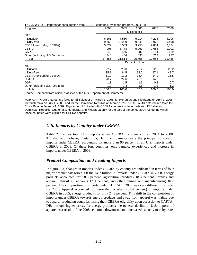| <b>TABLE 2.6</b> U.S. imports for consumption from CBERA countries, by import program, 2004–08 |  |  |  |  |  |
|------------------------------------------------------------------------------------------------|--|--|--|--|--|
|                                                                                                |  |  |  |  |  |

| Program                          | 2004   | 2005             | 2006   | 2007   | 2008   |  |  |  |  |
|----------------------------------|--------|------------------|--------|--------|--------|--|--|--|--|
|                                  |        | Millions of \$   |        |        |        |  |  |  |  |
| <b>NTR</b>                       |        |                  |        |        |        |  |  |  |  |
| <b>Dutiable</b>                  | 6,261  | 7,580            | 5,214  | 4,224  | 4,906  |  |  |  |  |
| Duty-free                        | 9,669  | 10,989           | 9,848  | 8,972  | 9,498  |  |  |  |  |
| CBERA (excluding CBTPA)          | 3,029  | 3,563            | 3,955  | 2,834  | 3,024  |  |  |  |  |
| <b>CBTPA</b>                     | 7,908  | 8,773            | 5,961  | 2,662  | 1,702  |  |  |  |  |
| <b>GSP</b>                       | 349    | 465              | 382    | 154    | 129    |  |  |  |  |
| Other (including U.S. Virgin Is) | 340    | 444              | 395    | 212    | 227    |  |  |  |  |
| Total                            | 27,555 | 31,814           | 25.755 | 19,058 | 19,486 |  |  |  |  |
|                                  |        | Percent of total |        |        |        |  |  |  |  |
| <b>NTR</b>                       |        |                  |        |        |        |  |  |  |  |
| <b>Dutiable</b>                  | 22.7   | 23.8             | 20.2   | 22.2   | 25.2   |  |  |  |  |
| Duty-free                        | 35.1   | 34.5             | 38.2   | 47.1   | 48.7   |  |  |  |  |
| CBERA (excluding CBTPA)          | 11.0   | 11.2             | 15.4   | 14.9   | 15.5   |  |  |  |  |
| <b>CBTPA</b>                     | 28.7   | 27.6             | 23.1   | 14.0   | 8.7    |  |  |  |  |
| <b>GSP</b>                       | 1.3    | 1.5              | 1.5    | 0.8    | 0.7    |  |  |  |  |
| Other (including U.S. Virgin Is) | 1.2    | 1.4              | 1.5    | 1.1    | 1.2    |  |  |  |  |
| Total                            | 100.0  | 100.0            | 100.0  | 100.0  | 100.0  |  |  |  |  |

*Note*: CAFTA-DR entered into force for El Salvador on March 1, 2006; for Honduras and Nicaragua on April 1, 2006; for Guatemala on July 1, 2006; and for the Dominican Republic on March 1, 2007. CAFTA-DR entered into force for Costa Rica on January 1, 2009. Figures for U.S. trade with CBERA countries include trade with El Salvador, Dominican Republic, Guatemala, Honduras, and Nicaragua only for the part of the period 2004–08 during which those countries were eligible for CBERA benefits.

### *U.S. Imports by Country under CBERA*

Table 2.7 shows total U.S. imports under CBERA by country from 2004 to 2008. Trinidad and Tobago, Costa Rica, Haiti, and Jamaica were the principal sources of imports under CBERA, accounting for more than 90 percent of all U.S. imports under CBERA in 2008. Of these four countries, only Jamaica experienced and increase in imports under CBERA in 2008.

### *Product Composition and Leading Imports*

In figure 2.3, changes in imports under CBERA by country are indicated in terms of four major product categories. Of the \$4.7 billion in imports under CBERA in 2008, energy products accounted for 58.6 percent, agricultural products 18.3 percent, textiles and apparel (almost all apparel) 12.9 percent, and other mining and manufacturing 10.2 percent. The composition of imports under CBERA in 2008 was very different from that for 2005. Apparel accounted for more than one-half (53.4 percent) of imports under CBERA in 2005; energy products, for only 24.3 percent. This shift in the composition of imports under CBERA towards energy products and away from apparel was mainly due to apparel-producing countries losing their CBERA eligibility upon accession to CAFTA-DR; through higher prices for energy products; the general decline in U.S. imports of apparel as a result of the 2008 economic downturn; and increased capacity to dehydrate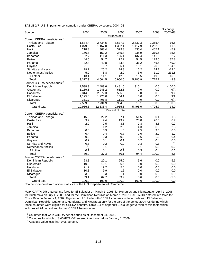| $\overline{\%}$ change,<br>2004<br>2007<br>2007-08<br>2005<br>2006<br>2008<br>Source<br>Millions of \$<br>Current CBERA beneficiaries: <sup>a</sup><br><b>Trinidad and Tobago</b><br>3,677.7<br>2,365.4<br>$-16.5$<br>1,674.4<br>2,734.5<br>2,832.3<br>Costa Rica<br>1,079.0<br>1,157.8<br>1,382.1<br>1,417.9<br>1,252.8<br>$-11.6$<br>379.3<br>430.4<br>405.1<br>$-5.9$<br>Haiti<br>218.3<br>303.4<br>35.5<br>166.7<br>152.2<br>245.8<br>235.9<br>319.6<br>Jamaica<br>92.7<br>111.3<br>125.1<br>137.4<br>141.0<br>2.7<br><b>Bahamas</b><br>44.5<br>137.8<br><b>Belize</b><br>54.7<br>72.2<br>54.5<br>129.5<br>32.8<br>40.8<br>33.8<br>31.2<br>46.5<br>49.0<br>Panama<br>21.0<br>6.7<br>5.1<br>10.1<br>20.6<br>104.1<br>Guyana<br>St. Kitts and Nevis<br>29.7<br>25.2<br>24.8<br>16.2<br>$-13.1$<br>14.1<br>5.2<br>6.8<br>2.2<br>3.6<br>11.9<br>231.6<br><b>Netherlands Antilles</b><br>13.1<br>12.6<br>All other<br>11.1<br>16.5<br>19.3<br>16.9<br>Total<br>3,377.3<br>4,604.5<br>5,960.6<br>5,185.9<br>4,725.7<br>$-8.9$<br>Former CBERA beneficiaries: <sup>b</sup><br>Dominican Republic<br>2,598.3<br>2,483.6<br>310.1<br>0.0<br>$-100.0$<br>2,481.0<br>1,189.5<br>1,246.2<br>652.8<br>0.0<br>0.0<br>N/A<br>Guatemala<br>N/A<br>Honduras<br>2,314.5<br>2,372.3<br>555.9<br>0.0<br>0.0<br>El Salvador<br>1,125.8<br>1,226.0<br>154.1<br>0.0<br>0.0<br>N/A<br>331.2<br>403.8<br>111.0<br>0.0<br>0.0<br>N/A<br>Nicaragua<br>7,559.3<br>7,731.9<br>3,954.9<br>310.1<br>0.0<br>$-100.0$<br>Total<br>10,936.6<br>12,336.4<br>9,915.5<br>5,496.0<br>Grand total<br>4,725.7<br>$-14.0$<br>Percent of total<br>Current CBERA beneficiaries: <sup>a</sup><br><b>Trinidad and Tobago</b><br>15.3<br>22.2<br>51.5<br>$-1.5$<br>37.1<br>50.1<br>25.8<br>Costa Rica<br>9.9<br>9.4<br>13.9<br>26.5<br>0.7 |
|--------------------------------------------------------------------------------------------------------------------------------------------------------------------------------------------------------------------------------------------------------------------------------------------------------------------------------------------------------------------------------------------------------------------------------------------------------------------------------------------------------------------------------------------------------------------------------------------------------------------------------------------------------------------------------------------------------------------------------------------------------------------------------------------------------------------------------------------------------------------------------------------------------------------------------------------------------------------------------------------------------------------------------------------------------------------------------------------------------------------------------------------------------------------------------------------------------------------------------------------------------------------------------------------------------------------------------------------------------------------------------------------------------------------------------------------------------------------------------------------------------------------------------------------------------------------------------------------------------------------------------------------------------------------------------------------------------------------------------------------------------------------------------------------------|
|                                                                                                                                                                                                                                                                                                                                                                                                                                                                                                                                                                                                                                                                                                                                                                                                                                                                                                                                                                                                                                                                                                                                                                                                                                                                                                                                                                                                                                                                                                                                                                                                                                                                                                                                                                                                  |
|                                                                                                                                                                                                                                                                                                                                                                                                                                                                                                                                                                                                                                                                                                                                                                                                                                                                                                                                                                                                                                                                                                                                                                                                                                                                                                                                                                                                                                                                                                                                                                                                                                                                                                                                                                                                  |
|                                                                                                                                                                                                                                                                                                                                                                                                                                                                                                                                                                                                                                                                                                                                                                                                                                                                                                                                                                                                                                                                                                                                                                                                                                                                                                                                                                                                                                                                                                                                                                                                                                                                                                                                                                                                  |
|                                                                                                                                                                                                                                                                                                                                                                                                                                                                                                                                                                                                                                                                                                                                                                                                                                                                                                                                                                                                                                                                                                                                                                                                                                                                                                                                                                                                                                                                                                                                                                                                                                                                                                                                                                                                  |
|                                                                                                                                                                                                                                                                                                                                                                                                                                                                                                                                                                                                                                                                                                                                                                                                                                                                                                                                                                                                                                                                                                                                                                                                                                                                                                                                                                                                                                                                                                                                                                                                                                                                                                                                                                                                  |
|                                                                                                                                                                                                                                                                                                                                                                                                                                                                                                                                                                                                                                                                                                                                                                                                                                                                                                                                                                                                                                                                                                                                                                                                                                                                                                                                                                                                                                                                                                                                                                                                                                                                                                                                                                                                  |
|                                                                                                                                                                                                                                                                                                                                                                                                                                                                                                                                                                                                                                                                                                                                                                                                                                                                                                                                                                                                                                                                                                                                                                                                                                                                                                                                                                                                                                                                                                                                                                                                                                                                                                                                                                                                  |
|                                                                                                                                                                                                                                                                                                                                                                                                                                                                                                                                                                                                                                                                                                                                                                                                                                                                                                                                                                                                                                                                                                                                                                                                                                                                                                                                                                                                                                                                                                                                                                                                                                                                                                                                                                                                  |
|                                                                                                                                                                                                                                                                                                                                                                                                                                                                                                                                                                                                                                                                                                                                                                                                                                                                                                                                                                                                                                                                                                                                                                                                                                                                                                                                                                                                                                                                                                                                                                                                                                                                                                                                                                                                  |
|                                                                                                                                                                                                                                                                                                                                                                                                                                                                                                                                                                                                                                                                                                                                                                                                                                                                                                                                                                                                                                                                                                                                                                                                                                                                                                                                                                                                                                                                                                                                                                                                                                                                                                                                                                                                  |
|                                                                                                                                                                                                                                                                                                                                                                                                                                                                                                                                                                                                                                                                                                                                                                                                                                                                                                                                                                                                                                                                                                                                                                                                                                                                                                                                                                                                                                                                                                                                                                                                                                                                                                                                                                                                  |
|                                                                                                                                                                                                                                                                                                                                                                                                                                                                                                                                                                                                                                                                                                                                                                                                                                                                                                                                                                                                                                                                                                                                                                                                                                                                                                                                                                                                                                                                                                                                                                                                                                                                                                                                                                                                  |
|                                                                                                                                                                                                                                                                                                                                                                                                                                                                                                                                                                                                                                                                                                                                                                                                                                                                                                                                                                                                                                                                                                                                                                                                                                                                                                                                                                                                                                                                                                                                                                                                                                                                                                                                                                                                  |
|                                                                                                                                                                                                                                                                                                                                                                                                                                                                                                                                                                                                                                                                                                                                                                                                                                                                                                                                                                                                                                                                                                                                                                                                                                                                                                                                                                                                                                                                                                                                                                                                                                                                                                                                                                                                  |
|                                                                                                                                                                                                                                                                                                                                                                                                                                                                                                                                                                                                                                                                                                                                                                                                                                                                                                                                                                                                                                                                                                                                                                                                                                                                                                                                                                                                                                                                                                                                                                                                                                                                                                                                                                                                  |
|                                                                                                                                                                                                                                                                                                                                                                                                                                                                                                                                                                                                                                                                                                                                                                                                                                                                                                                                                                                                                                                                                                                                                                                                                                                                                                                                                                                                                                                                                                                                                                                                                                                                                                                                                                                                  |
|                                                                                                                                                                                                                                                                                                                                                                                                                                                                                                                                                                                                                                                                                                                                                                                                                                                                                                                                                                                                                                                                                                                                                                                                                                                                                                                                                                                                                                                                                                                                                                                                                                                                                                                                                                                                  |
|                                                                                                                                                                                                                                                                                                                                                                                                                                                                                                                                                                                                                                                                                                                                                                                                                                                                                                                                                                                                                                                                                                                                                                                                                                                                                                                                                                                                                                                                                                                                                                                                                                                                                                                                                                                                  |
|                                                                                                                                                                                                                                                                                                                                                                                                                                                                                                                                                                                                                                                                                                                                                                                                                                                                                                                                                                                                                                                                                                                                                                                                                                                                                                                                                                                                                                                                                                                                                                                                                                                                                                                                                                                                  |
|                                                                                                                                                                                                                                                                                                                                                                                                                                                                                                                                                                                                                                                                                                                                                                                                                                                                                                                                                                                                                                                                                                                                                                                                                                                                                                                                                                                                                                                                                                                                                                                                                                                                                                                                                                                                  |
|                                                                                                                                                                                                                                                                                                                                                                                                                                                                                                                                                                                                                                                                                                                                                                                                                                                                                                                                                                                                                                                                                                                                                                                                                                                                                                                                                                                                                                                                                                                                                                                                                                                                                                                                                                                                  |
|                                                                                                                                                                                                                                                                                                                                                                                                                                                                                                                                                                                                                                                                                                                                                                                                                                                                                                                                                                                                                                                                                                                                                                                                                                                                                                                                                                                                                                                                                                                                                                                                                                                                                                                                                                                                  |
|                                                                                                                                                                                                                                                                                                                                                                                                                                                                                                                                                                                                                                                                                                                                                                                                                                                                                                                                                                                                                                                                                                                                                                                                                                                                                                                                                                                                                                                                                                                                                                                                                                                                                                                                                                                                  |
|                                                                                                                                                                                                                                                                                                                                                                                                                                                                                                                                                                                                                                                                                                                                                                                                                                                                                                                                                                                                                                                                                                                                                                                                                                                                                                                                                                                                                                                                                                                                                                                                                                                                                                                                                                                                  |
|                                                                                                                                                                                                                                                                                                                                                                                                                                                                                                                                                                                                                                                                                                                                                                                                                                                                                                                                                                                                                                                                                                                                                                                                                                                                                                                                                                                                                                                                                                                                                                                                                                                                                                                                                                                                  |
|                                                                                                                                                                                                                                                                                                                                                                                                                                                                                                                                                                                                                                                                                                                                                                                                                                                                                                                                                                                                                                                                                                                                                                                                                                                                                                                                                                                                                                                                                                                                                                                                                                                                                                                                                                                                  |
|                                                                                                                                                                                                                                                                                                                                                                                                                                                                                                                                                                                                                                                                                                                                                                                                                                                                                                                                                                                                                                                                                                                                                                                                                                                                                                                                                                                                                                                                                                                                                                                                                                                                                                                                                                                                  |
| Haiti<br>2.0<br>2.5<br>3.8<br>7.8<br>8.6<br>0.7                                                                                                                                                                                                                                                                                                                                                                                                                                                                                                                                                                                                                                                                                                                                                                                                                                                                                                                                                                                                                                                                                                                                                                                                                                                                                                                                                                                                                                                                                                                                                                                                                                                                                                                                                  |
| 1.5<br>1.2<br>2.5<br>4.3<br>6.8<br>2.5<br>Jamaica                                                                                                                                                                                                                                                                                                                                                                                                                                                                                                                                                                                                                                                                                                                                                                                                                                                                                                                                                                                                                                                                                                                                                                                                                                                                                                                                                                                                                                                                                                                                                                                                                                                                                                                                                |
| 0.9<br>3.0<br>0.8<br>1.3<br>2.5<br>0.5<br><b>Bahamas</b>                                                                                                                                                                                                                                                                                                                                                                                                                                                                                                                                                                                                                                                                                                                                                                                                                                                                                                                                                                                                                                                                                                                                                                                                                                                                                                                                                                                                                                                                                                                                                                                                                                                                                                                                         |
| 2.7<br>0.7<br>1.0<br>1.7<br><b>Belize</b><br>0.4<br>0.4                                                                                                                                                                                                                                                                                                                                                                                                                                                                                                                                                                                                                                                                                                                                                                                                                                                                                                                                                                                                                                                                                                                                                                                                                                                                                                                                                                                                                                                                                                                                                                                                                                                                                                                                          |
| 0.3<br>0.3<br>1.0<br>0.4<br>Panama<br>0.3<br>0.6                                                                                                                                                                                                                                                                                                                                                                                                                                                                                                                                                                                                                                                                                                                                                                                                                                                                                                                                                                                                                                                                                                                                                                                                                                                                                                                                                                                                                                                                                                                                                                                                                                                                                                                                                 |
| 0.3<br>0.2<br>0.2<br>0.4<br>0.1<br>0.1<br>Guyana                                                                                                                                                                                                                                                                                                                                                                                                                                                                                                                                                                                                                                                                                                                                                                                                                                                                                                                                                                                                                                                                                                                                                                                                                                                                                                                                                                                                                                                                                                                                                                                                                                                                                                                                                 |
| $\binom{c}{ }$<br>0.3<br>0.3<br>St. Kitts and Nevis<br>0.2<br>0.2<br>0.3                                                                                                                                                                                                                                                                                                                                                                                                                                                                                                                                                                                                                                                                                                                                                                                                                                                                                                                                                                                                                                                                                                                                                                                                                                                                                                                                                                                                                                                                                                                                                                                                                                                                                                                         |
| $\binom{c}{ }$<br>$\binom{c}{c}$<br>0.1<br>0.3<br>0.2<br><b>Netherlands Antilles</b><br>0.1                                                                                                                                                                                                                                                                                                                                                                                                                                                                                                                                                                                                                                                                                                                                                                                                                                                                                                                                                                                                                                                                                                                                                                                                                                                                                                                                                                                                                                                                                                                                                                                                                                                                                                      |
| 0.3<br>0.1<br>All other<br>0.1<br>0.1<br>0.1<br>0.4                                                                                                                                                                                                                                                                                                                                                                                                                                                                                                                                                                                                                                                                                                                                                                                                                                                                                                                                                                                                                                                                                                                                                                                                                                                                                                                                                                                                                                                                                                                                                                                                                                                                                                                                              |
| 30.9<br>37.3<br>60.1<br>94.4<br>100.0<br>$\overline{5.6}$<br>Total                                                                                                                                                                                                                                                                                                                                                                                                                                                                                                                                                                                                                                                                                                                                                                                                                                                                                                                                                                                                                                                                                                                                                                                                                                                                                                                                                                                                                                                                                                                                                                                                                                                                                                                               |
| Former CBERA beneficiaries: <sup>b</sup>                                                                                                                                                                                                                                                                                                                                                                                                                                                                                                                                                                                                                                                                                                                                                                                                                                                                                                                                                                                                                                                                                                                                                                                                                                                                                                                                                                                                                                                                                                                                                                                                                                                                                                                                                         |
| Dominican Republic<br>23.8<br>20.1<br>25.0<br>0.0<br>$-5.6$<br>5.6                                                                                                                                                                                                                                                                                                                                                                                                                                                                                                                                                                                                                                                                                                                                                                                                                                                                                                                                                                                                                                                                                                                                                                                                                                                                                                                                                                                                                                                                                                                                                                                                                                                                                                                               |
| Guatemala<br>10.9<br>10.1<br>0.0<br>0.0<br>0.0<br>6.6                                                                                                                                                                                                                                                                                                                                                                                                                                                                                                                                                                                                                                                                                                                                                                                                                                                                                                                                                                                                                                                                                                                                                                                                                                                                                                                                                                                                                                                                                                                                                                                                                                                                                                                                            |
| Honduras<br>21.2<br>19.2<br>5.6<br>0.0<br>0.0<br>0.0                                                                                                                                                                                                                                                                                                                                                                                                                                                                                                                                                                                                                                                                                                                                                                                                                                                                                                                                                                                                                                                                                                                                                                                                                                                                                                                                                                                                                                                                                                                                                                                                                                                                                                                                             |
| 10.3<br>9.9<br>1.6<br>0.0<br>0.0<br>0.0<br>El Salvador                                                                                                                                                                                                                                                                                                                                                                                                                                                                                                                                                                                                                                                                                                                                                                                                                                                                                                                                                                                                                                                                                                                                                                                                                                                                                                                                                                                                                                                                                                                                                                                                                                                                                                                                           |
| 3.0<br>3.3<br>1.1<br>0.0<br>0.0<br>0.0<br>Nicaragua                                                                                                                                                                                                                                                                                                                                                                                                                                                                                                                                                                                                                                                                                                                                                                                                                                                                                                                                                                                                                                                                                                                                                                                                                                                                                                                                                                                                                                                                                                                                                                                                                                                                                                                                              |
| Total<br>69.1<br>62.7<br>39.9<br>5.6<br>0.0<br>$-5.6$                                                                                                                                                                                                                                                                                                                                                                                                                                                                                                                                                                                                                                                                                                                                                                                                                                                                                                                                                                                                                                                                                                                                                                                                                                                                                                                                                                                                                                                                                                                                                                                                                                                                                                                                            |
| 100.0<br>100.0<br>100.0<br>100.0<br>100.0<br>$\overline{0.0}$<br>Grand total                                                                                                                                                                                                                                                                                                                                                                                                                                                                                                                                                                                                                                                                                                                                                                                                                                                                                                                                                                                                                                                                                                                                                                                                                                                                                                                                                                                                                                                                                                                                                                                                                                                                                                                     |

**TABLE 2.7** U.S. imports for consumption under CBERA, by source, 2004–08

*Note*: CAFTA-DR entered into force for El Salvador on March 1, 2006; for Honduras and Nicaragua on April 1, 2006; for Guatemala on July 1, 2006; and for the Dominican Republic on March 1, 2007. CAFTA-DR entered into force for Costa Rica on January 1, 2009. Figures for U.S. trade with CBERA countries include trade with El Salvador, Dominican Republic, Guatemala, Honduras, and Nicaragua only for the part of the period 2004–08 during which those countries were eligible for CBERA benefits. Table E.4 of appendix E is a longer version of this table which includes all 24 current and former CBERA beneficiaries.

a Countries that were CBERA beneficiaries as of December 31, 2008.

<sup>b</sup> Countries for which U.S.-CAFTA-DR entered into force before January 1, 2009.

 $\textdegree$  Absolute value less than 0.05 percent.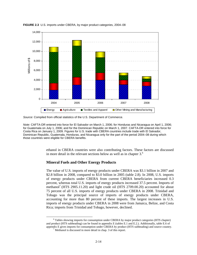

**FIGURE 2.3** U.S. imports under CBERA, by major product categories, 2004–08

*Note*: CAFTA-DR entered into force for El Salvador on March 1, 2006; for Honduras and Nicaragua on April 1, 2006; for Guatemala on July 1, 2006; and for the Dominican Republic on March 1, 2007. CAFTA-DR entered into force for Costa Rica on January 1, 2009. Figures for U.S. trade with CBERA countries include trade with El Salvador, Dominican Republic, Guatemala, Honduras, and Nicaragua only for the part of the period 2004–08 during which those countries were eligible for CBERA benefits.

> ethanol in CBERA countries were also contributing factors. These factors are discussed in more detail in the relevant sections below as well as in chapter  $3<sup>6</sup>$

#### **Mineral Fuels and Other Energy Products**

The value of U.S. imports of energy products under CBERA was \$3.1 billion in 2007 and \$2.8 billion in 2008, compared to \$3.0 billion in 2005 (table 2.8). In 2008, U.S. imports of energy products under CBERA from current CBERA beneficiaries increased 0.3 percent, whereas total U.S. imports of energy products increased 37.5 percent. Imports of  $methanol<sup>7</sup> (HTS 2905.11.20)$  and light crude oil (HTS 2709.00.20) accounted for about 75 percent of all U.S. imports of energy products under CBERA in 2008. Trinidad and Tobago was the principal source of imports of energy products under CBERA, accounting for more than 80 percent of these imports. The largest increases in U.S. imports of energy products under CBERA in 2008 were from Jamaica, Belize, and Costa Rica; imports from Trinidad and Tobago, however, declined.

 <sup>6</sup> Tables showing imports for consumption under CBERA by major product categories (HTS chapter) and product (HTS subheading) can be found in appendix E (tables E.1 and E.2.). Additionally, table E.6 of appendix E gives imports for consumption under CBERA by product (HTS subheading) and source country.

 $\frac{7}{1}$  Methanol is discussed in more detail in chap. 3 of this report.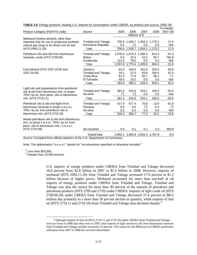|                                                                                                                                                             |                                                                      |                                       |                                         |                                                 |                                        | % change,                                   |
|-------------------------------------------------------------------------------------------------------------------------------------------------------------|----------------------------------------------------------------------|---------------------------------------|-----------------------------------------|-------------------------------------------------|----------------------------------------|---------------------------------------------|
| Product Category (HS/HTS code)                                                                                                                              | Source                                                               | 2005                                  | 2006                                    | 2007                                            | 2008                                   | $2007 - 08$                                 |
|                                                                                                                                                             |                                                                      |                                       | Millions of \$                          |                                                 |                                        |                                             |
| Methanol (methyl alcohol), other than<br>imported only for use in producing synthetic<br>natural gas (sng) or for direct use as fuel<br>(HTS 2905.11.20)    | Trinidad and Tobago<br>Dominican Republic<br>Total                   | 0.0<br>700.6                          | 1,029.7                                 | 700.6 1,029.7 1,004.2 1,175.2<br>0.0<br>1,004.2 | 0.0<br>1,175.2                         | 17.0<br>N/A<br>17.0                         |
| Petroleum oils and oils from bituminous<br>minerals, crude (HTS 2709.00)                                                                                    | Trinidad and Tobago<br><b>Belize</b><br>Guatemala<br>Total           | 0.0<br>131.9<br>1,207.9               | 1,076.0 1,678.3 1,299.3<br>15.5<br>76.5 | 10.2<br>0.0<br>1,770.4 1,309.5                  | 813.3<br>90.7<br>0.0<br>904.0          | $-37.4$<br>792.8<br>N/A<br>$-31.0$          |
| Fuel ethanol (HTS 2207.10.60 and<br>2207.20.00)                                                                                                             | Jamaica<br>Trinidad and Tobago<br>Costa Rica<br>El Salvador<br>Total | 63.0<br>19.1<br>61.3<br>40.4<br>183.8 | 164.6<br>37.0<br>77.4<br>10.2<br>289.2  | 161.9<br>83.8<br>82.7<br>0.0<br>328.4           | 253.5<br>160.4<br>89.1<br>0.0<br>503.1 | 56.6<br>91.5<br>7.7<br>N/A<br>53.2          |
| Light oils and preparations from petroleum<br>oils & oils from bituminous min. or preps<br>70%+ by wt. from petro. oils or bituminous<br>min. (HTS 2710.11) | Trinidad and Tobago<br>All other<br>Total                            | 381.4<br>381.5                        | 316.8<br>316.8                          | 333.1<br>0.0<br>333.1                           | 165.0<br>0.0<br>165.0                  | $-50.5$<br>N/A<br>$-50.5$                   |
| Petroleum oils & oils (not light) from<br>bituminous minerals or preps n.e.s.o.i.<br>70%+ by wt. from petroleum oils or<br>bituminous min. (HTS 2710.19)    | Trinidad and Tobago<br>Panama<br>All other<br>Total                  | 517.9<br>0.0<br>0.5<br>518.3          | 577.4<br>0.0<br>9.3<br>586.7            | 76.9<br>$^{\text{a}}$<br>0.0<br>77.0            | 13.9<br>6.3<br>0.0<br>20.2             | $-81.9$<br>$\binom{b}{b}$<br>N/A<br>$-73.8$ |
| Waste petroleum oils & oils from bituminous<br>min. or preps n.e.s.o.i. 70%+ by wt. from<br>petro. oils or bituminous min., n.e.s.o.i.<br>(HTS 2710.99)     | All countries<br>Grand total                                         | 0.0                                   | 0.1                                     | 0.1<br>2,992.1 3,992.8 3,052.2 2,767.8          | 0.3                                    | 356.8<br>$-9.3$                             |
|                                                                                                                                                             |                                                                      |                                       |                                         |                                                 |                                        |                                             |

|  |  |  |  |  |  |  | TABLE 2.8 Energy products: leading U.S. imports for consumption under CBERA, by product and source, 2005-08 |  |
|--|--|--|--|--|--|--|-------------------------------------------------------------------------------------------------------------|--|
|--|--|--|--|--|--|--|-------------------------------------------------------------------------------------------------------------|--|

*Note*: The abbreviation "n.e.s.o.i." stands for "not elsewhere specified or otherwise included."

 $^{\circ}$  Less than \$50,000.

**b** Greater than 10,000 percent.

U.S. imports of energy products under CBERA from Trinidad and Tobago decreased 16.8 percent from \$2.8 billion in 2007 to \$2.3 billion in 2008. However, imports of methanol (HTS 2905.11.20) from Trinidad and Tobago increased 17.0 percent to \$1.2 billion because of higher prices. Methanol accounted for more than one-half of all imports of energy products under CBERA from Trinidad and Tobago. Trinidad and Tobago was also the source for more than 90 percent of the imports of petroleum and petroleum products (HTS 2709 and 2710) under CBERA. Imports of light crude oil (HTS 2709.00.20) under CBERA from Trinidad and Tobago decreased 37.4 percent to \$813 million due primarily to a more than 50 percent decline in quantity, while imports of fuel oil (HTS 2710.11 and 2710.19) from Trinidad and Tobago also declined sharply.<sup>8</sup>

 <sup>8</sup> Although imports of fuel oil (HTS 2710.11 and 2710.19) under CBERA from Trinidad and Tobago were far lower in 2008 than they were in 2007, total imports of light and heavy oils from bituminous minerals from Trinidad and Tobago actually increased 1.6 percent. The reason for the difference in CBERA preference utilization from 2007 to 2008 has not been determined.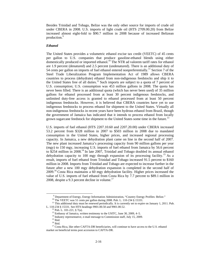Besides Trinidad and Tobago, Belize was the only other source for imports of crude oil under CBERA in 2008. U.S. imports of light crude oil (HTS 2709.00.20) from Belize increased almost eight-fold to \$90.7 million in 2008 because of increased Belizean production.<sup>9</sup>

#### *Ethanol*

The United States provides a volumetric ethanol excise tax credit (VEETC) of 45 cents per gallon to U.S. companies that produce gasoline-ethanol blends using either domestically produced or imported ethanol.<sup>10</sup> The NTR ad valorem tariff rates for ethanol are 1.9 percent (denatured) and 2.5 percent (undenatured). There is an additional duty of 54 cents per gallon on imports of fuel ethanol entered nonpreferentially.<sup>11</sup> Section 7 of the Steel Trade Liberalization Program Implementation Act of 1989 allows CBERA countries to process (dehydrate) ethanol from non-indigenous feedstocks and ship it to the United States free of all duties.<sup>12</sup> Such imports are subject to a quota of 7 percent of U.S. consumption; U.S. consumption was 453 million gallons in 2008. The quota has never been filled. There is an additional quota (which has never been used) of 35 million gallons for ethanol processed from at least 30 percent indigenous feedstocks, and unlimited duty-free access is granted to ethanol processed from at least 50 percent indigenous feedstocks. However, it is believed that CBERA countries have yet to use indigenous feedstocks to process ethanol for shipment to the United States. Virtually all non-indigenous feedstocks in recent years have been hydrous ethanol from Brazil, though the government of Jamaica has indicated that it intends to process ethanol from locally grown sugarcane feedstock for shipment to the United States some time in the future.<sup>13</sup>

U.S. imports of fuel ethanol (HTS 2207.10.60 and 2207.20.00) under CBERA increased 53.2 percent from \$328 million in 2007 to \$503 million in 2008 due to mandated consumption in the United States, higher prices, and increased regional processing capacity. In Jamaica, a new dehydration plant came on line in the second half of 2007. The new plant increased Jamaica's processing capacity from 90 million gallons per year (mgy) to 150 mgy, increasing U.S. imports of fuel ethanol from Jamaica by 56.6 percent to \$254 million in 2008.<sup>14</sup> In late 2007, Trinidad and Tobago doubled its annual ethanol dehydration capacity to 100 mgy through expansion of its processing facility.<sup>15</sup> As a result, imports of fuel ethanol from Trinidad and Tobago increased 91.5 percent to \$160 million in 2008. Imports from Trinidad and Tobago are expected to increase further in the future after a new 100 mgy dehydration expansion is completed in the second half of 2009.16 Costa Rica maintains a 60 mgy dehydration facility. Higher prices increased the value of U.S. imports of fuel ethanol from Costa Rica by 7.7 percent to \$89.1 million in 2008, despite a 9.3 percent decline in volume. $^{17}$ 

 $\overline{9}$ 

<sup>&</sup>lt;sup>9</sup> Department of Energy, Energy Information Administration, "Country Energy Profiles: Belize."<br><sup>10</sup> The VEETC was 51 cents per gallon during 2008. Pub. L. 110-234 § 15331.<br><sup>11</sup> This additional duty must be renewed period L. 110-234 § 15331. See HTS headings 9901.00.50 and 9901.00.52.<br><sup>12</sup> Pub. L. 101-221, § 7(a).<br><sup>13</sup> Embassy of Jamaica. written testimony to the USITC. June 30, 2009, 4–5.

 $14$  Industry representative, e-mail message to Commission staff, July 15, 2009. 15 Ibid.

<sup>16</sup> Ibid.

<sup>&</sup>lt;sup>17</sup> Costa Rica, like other CAFTA-DR beneficiaries, will continue to have access to the U.S. ethanol market on beneficial terms post accession to CAFTA-DR.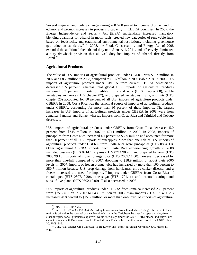Several major ethanol policy changes during 2007–08 served to increase U.S. demand for ethanol and prompt increases in processing capacity in CBERA countries. In 2007, the Energy Independence and Security Act (EISA) substantially increased mandatory blending quantities for ethanol in motor fuels, created new categories of renewable fuels based on feedstocks, and established environmental restrictions, including greenhouse gas reduction standards.18 In 2008, the Food, Conservation, and Energy Act of 2008 extended the additional fuel ethanol duty until January 1, 2011, and effectively eliminated a duty drawback provision that allowed duty-free imports of ethanol directly from Brazil.<sup>19</sup>

#### **Agricultural Products**

The value of U.S. imports of agricultural products under CBERA was \$957 million in 2007 and \$866 million in 2008, compared to \$1.6 billion in 2005 (table 2.9). In 2008, U.S. imports of agriculture products under CBERA from current CBERA beneficiaries decreased 9.5 percent, whereas total global U.S. imports of agricultural products increased 8.3 percent. Imports of edible fruits and nuts (HTS chapter 08), edible vegetables and roots (HTS chapter 07), and prepared vegetables, fruits, and nuts (HTS chapter 20) accounted for 80 percent of all U.S. imports of agriculture products under CBERA in 2008. Costa Rica was the principal source of imports of agricultural products under CBERA, accounting for more than 80 percent of these imports. The largest increases in U.S. imports of agricultural products under CBERA in 2008 were from Jamaica, Panama, and Belize, whereas imports from Costa Rica and Trinidad and Tobago decreased.

U.S. imports of agricultural products under CBERA from Costa Rica decreased 5.0 percent from \$748 million in 2007 to \$711 million in 2008. In 2008, imports of pineapples from Costa Rica increased 4.1 percent to \$389 million and accounted for more than 80 percent of all U.S. imports of pineapples. More than one-half of U.S. imports of agricultural products under CBERA from Costa Rica were pineapples (HTS 0804.30). Other agricultural CBERA imports from Costa Rica experiencing growth in 2008 included cassavas (HTS 0714.10), yams (HTS 0714.90.20), and prepared bananas (HTS 2008.99.13). Imports of frozen orange juice (HTS 2009.11.00), however, decreased by more than one-half compared to 2007, dropping to \$38.9 million or about their 2006 levels. In 2007, imports of frozen orange juice had increased by more than 100 percent to \$80.7 million because U.S. crop damage from hurricanes, citrus canker disease, and a freeze increased the need for imports. 20 Imports under CBERA from Costa Rica of cantaloupes (HTS 0807.19.20), cane sugar (HTS 1701.11), and unrooted cuttings and slips of live plants (HTS 0602.10.00) all also decreased in 2008.

U.S. imports of agricultural products under CBERA from Jamaica increased 23.0 percent from \$35.6 million in 2007 to \$43.8 million in 2008. Yam imports (HTS 0714.90.20) increased 28.8 percent to \$15.6 million, or more than one-third of imports of agricultural

 $18$  Pub. L. 110-140,  $8$  202

<sup>&</sup>lt;sup>19</sup> Pub. L. 110-234, §§ 15333–4. According to one source from Trinidad and Tobago, the current ethanol regime is critical to the survival of the ethanol industry in the Caribbean, because "an open and duty-free ethanol regime for all producers/exporters" would "seriously hinder the CBI/CBERA ethanol industry which cannot compete with Brazilian ethanol." Trinidad Bulk Traders, Ltd., written submission to the USITC, June

<sup>30, 2009, 8–9.&</sup>lt;br><sup>20</sup> Ellis, "Fla. Orange Crop Expected To Be Lower This Year," Savannah Morning News, March 11, 2007.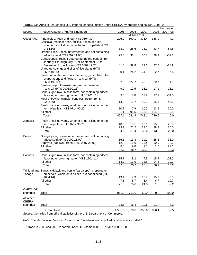|                       |                                                                                                                        |                 |                 |       |       | % change, |
|-----------------------|------------------------------------------------------------------------------------------------------------------------|-----------------|-----------------|-------|-------|-----------|
| Source                | Product Category (HS/HTS number)                                                                                       | 2005            | 2006            | 2007  | 2008  | 2007-08   |
|                       |                                                                                                                        |                 | Millions of $$$ |       |       |           |
| Costa Rica            | Pineapples, fresh or dried (HTS 0804.30)                                                                               | 206.2           | 390.1           | 373.4 | 388.9 | 4.1       |
|                       | Cassava (manioc) fresh, chilled, frozen or dried,<br>whether or not sliced or in the form of pellets (HTS              |                 |                 |       |       |           |
|                       | 0714.10)                                                                                                               | 33.9            | 25.6            | 28.2  | 43.7  | 54.8      |
|                       | Orange juice, frozen, unfermented and not containing                                                                   |                 |                 |       |       |           |
|                       | added spirit (HTS 2009.11.00)                                                                                          | 25.0            | 38.1            | 80.7  | 38.9  | $-51.8$   |
|                       | Cantaloupes, fresh, if entered during the periods from                                                                 |                 |                 |       |       |           |
|                       | January 1 through July 31 or September 16 to                                                                           |                 |                 |       |       |           |
|                       | December 31, inclusive (HTS 0807.19.20)                                                                                | 41.0            | 39.8            | 39.1  | 27.8  | $-28.9$   |
|                       | Unrooted cuttings and slips of live plants (HTS                                                                        |                 |                 |       |       |           |
|                       | 0602.10.00)<br>Fresh cut, anthuriums, alstroemeria, gypsophilia, lilies,                                               | 20.1            | 24.2            | 24.5  | 22.7  | $-7.4$    |
|                       | snapdragons and flowers, n.e.s.o.i. (HTS                                                                               |                 |                 |       |       |           |
|                       | $0603.19.00^a$ )                                                                                                       | 22.0            | 27.7            | 23.3  | 20.7  | $-11.1$   |
|                       | Banana pulp, otherwise prepared or preserved,                                                                          |                 |                 |       |       |           |
|                       | n.e.s.o.i. (HTS 2008.99.13)                                                                                            | 9.2             | 12.5            | 15.1  | 17.1  | 13.1      |
|                       | Cane sugar, raw, in solid form, not containing added                                                                   |                 |                 |       |       |           |
|                       | flavoring or coloring matter (HTS 1701.11)                                                                             | 3.5             | 8.8             | 37.2  | 17.1  | $-54.0$   |
|                       | Meat of bovine animals, boneless, frozen (HTS                                                                          |                 |                 |       |       |           |
|                       | 0202.30)<br>Fresh or chilled yams, whether or not sliced or in the                                                     | 14.3            | 11.7            | 10.3  | 15.1  | 46.5      |
|                       | form of pellets (HTS 0714.90.20)                                                                                       | 10.7            | 7.9             | 10.7  | 13.9  | 30.0      |
|                       | All other                                                                                                              | 91.1            | 95.5            | 105.6 | 104.8 | $-0.8$    |
|                       | Total                                                                                                                  | 477.1           | 681.9           | 748.1 | 710.6 | $-5.0$    |
|                       |                                                                                                                        |                 |                 |       |       |           |
| Jamaica               | Fresh or chilled yams, whether or not sliced or in the<br>form of pellets (HTS 0714.90.20)                             | 10.6            | 10.1            | 12.1  | 15.6  | 28.8      |
|                       | All other                                                                                                              | 23.9            | 21.2            | 23.5  | 28.3  | 20.0      |
|                       | Total                                                                                                                  | 34.5            | 31.4            | 35.6  | 43.8  | 23.0      |
|                       |                                                                                                                        |                 |                 |       |       |           |
| Belize                | Orange juice, frozen, unfermented and not containing<br>added spirit (HTS 2009.11.00)                                  | 16.6            | 13.3            | 19.2  | 25.6  | 33.0      |
|                       | Papayas (papaws), fresh (HTS 0807.20.00)                                                                               | 12.9            | 15.6            | 13.4  | 10.9  | $-18.7$   |
|                       | All other                                                                                                              | 8.6             | 9.8             | 1.0   | 1.3   | 29.1      |
|                       | Total                                                                                                                  | 38.1            | 38.7            | 33.7  | 37.8  | 12.3      |
| Panama                |                                                                                                                        |                 |                 |       |       |           |
|                       | Cane sugar, raw, in solid form, not containing added<br>flavoring or coloring matter (HTS 1701.11)                     | 15.7            | 8.2             | 7.9   | 15.9  | 102.2     |
|                       | All other                                                                                                              | 14.7            | 17.0            | 18.5  | 14.8  | $-20.3$   |
|                       | Total                                                                                                                  | 30.4            | 25.2            | 26.4  | 30.7  | 16.2      |
|                       |                                                                                                                        |                 |                 |       |       |           |
| Tobago                | Trinidad and Tunas, skipjack and bonito (sarda spp), prepared or<br>preserved, whole or in pieces, but not minced (HTS |                 |                 |       |       |           |
|                       | 1604.14)                                                                                                               | 19.4            | 19.3            | 15.7  | 15.1  | $-3.5$    |
|                       | All other                                                                                                              | 7.1             | 5.7             | 8.4   | 6.7   | $-19.7$   |
|                       | Total                                                                                                                  | 26.5            | 25.0            | 24.0  | 21.8  | $-9.2$    |
|                       |                                                                                                                        |                 |                 |       |       |           |
| CAFTA-DR<br>countries | Total                                                                                                                  | 962.9           | 711.0           | 69.0  | 0.0   | $-100.0$  |
|                       |                                                                                                                        |                 |                 |       |       |           |
| All other             |                                                                                                                        |                 |                 |       |       |           |
| CBERA                 |                                                                                                                        |                 |                 |       |       |           |
| countries             | Total                                                                                                                  | 15.8            | 16.4            | 19.8  | 21.4  | 8.3       |
|                       | Grand total                                                                                                            | 1,585.5 1,529.6 |                 | 956.6 | 866.1 | $-9.5$    |
|                       | Source: Compiled from official statistics of the U.S. Department of Commerce.                                          |                 |                 |       |       |           |

**TABLE 2.9** Agriculture: Leading U.S. imports for consumption under CBERA, by product and source, 2005–08

*Note*: The abbreviation "n.e.s.o.i." stands for "not elsewhere specified or otherwise included."

<sup>a</sup> Trade in 2005 and 2006 reported under HTS items 0603.10.70 and 0603.10.80.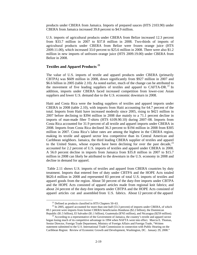products under CBERA from Jamaica. Imports of prepared sauces (HTS 2103.90) under CBERA from Jamaica increased 39.8 percent to \$4.9 million.

U.S. imports of agricultural products under CBERA from Belize increased 12.3 percent from \$33.7 million in 2007 to \$37.8 million in 2008. Two-thirds of imports of agricultural products under CBERA from Belize were frozen orange juice (HTS 2009.11.00), which increased 33.0 percent to \$25.6 million in 2008. There were also \$1.2 million in new imports of unfrozen orange juice (HTS 2009.19.00) under CBERA from Belize in 2008.

#### **Textiles and Apparel Products 21**

The value of U.S. imports of textile and apparel products under CBERA (primarily CBTPA) was \$609 million in 2008, down significantly from \$927 million in 2007 and \$6.6 billion in 2005 (table 2.10). As noted earlier, much of the change can be attributed to the movement of five leading suppliers of textiles and apparel to CAFTA-DR.<sup>22</sup> In addition, imports under CBERA faced increased competition from lower-cost Asian suppliers and lower U.S. demand due to the U.S. economic downturn in 2008.

Haiti and Costa Rica were the leading suppliers of textiles and apparel imports under CBERA in 2008 (table 2.10), with imports from Haiti accounting for 64.7 percent of the total. Imports from Haiti have increased modestly since 2005, rising to \$421 million in 2007 before declining to \$394 million in 2008 due mainly to a 71.1 percent decline in imports of man-made fiber T-shirts (HTS 6109.90.10) during 2007–08. Imports from Costa Rica accounted for 31.9 percent of all textile and apparel imports under CBERA in 2008. Imports from Costa Rica declined 36.3 percent to \$194 million in 2008 from \$305 million in 2007. Costa Rica's labor rates are among the highest in the CBERA region, making its textile and apparel sector less competitive than its Central American and Caribbean neighbors. Jamaica, the third leading CBERA supplier of textiles and apparel to the United States, whose exports have been declining for over the past decade,  $^{23}$ accounted for 2.2 percent of U.S. imports of textiles and apparel under CBERA in 2008. A 56.0 percent decline in imports from Jamaica from \$35.8 million in 2007 to \$15.7 million in 2008 can likely be attributed to the downturn in the U.S. economy in 2008 and decline in demand for apparel.

 Table 2.11 shows U.S. imports of textiles and apparel from CBERA countries by duty treatment. Imports that entered free of duty under CBTPA and the HOPE Acts totaled \$620.4 million in 2008 and represented 83 percent of total U.S. imports of textiles and apparel goods from the region. About 50 percent of the duty-free imports under CBTPA and the HOPE Acts consisted of apparel articles made from regional knit fabrics; and about 24 percent of the duty-free imports under CBTPA and the HOPE Acts consisted of apparel articles cut and assembled from U.S. fabrics. About 12 percent of the apparel

<sup>&</sup>lt;sup>21</sup> Defined as products classified in HTS Chapters 50–63.<br><sup>22</sup> In 2005, apparel accounted for more than one-half (53.3 percent) of imports under CBERA, of which 89.1 percent were imports from former CBERA beneficiaries Honduras (\$2.2 billion), the Dominican

Republic (\$1.5 billion), El Salvador (\$1.1 billion), Guatemala (\$765 million), and Nicaragua (\$259 million). 23 According to a representative of the Government of Jamaica, the country's textile and apparel sector began losing much of its competitive advantage in 1994 when NAFTA went into effect. Marcia E. Thomas, Senior Director, Foreign Trade Department, Ministry of Foreign Affairs and Foreign Trade, "Written statement submitted to the U.S. International Trade Commission in connection with Public Hearing on the Caribbean Region: Review of Economic Growth and Development, Washington, DC. January 29, 2008."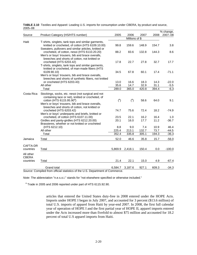| ∠ບບວ−ບ໐                   |                                                                                                                                                                                                      |                |                |              |              | $\overline{\%}$ change, |
|---------------------------|------------------------------------------------------------------------------------------------------------------------------------------------------------------------------------------------------|----------------|----------------|--------------|--------------|-------------------------|
| Source                    | Product Category (HS/HTS number)                                                                                                                                                                     | 2005           | 2006           | 2007         | 2008         | 2007-08                 |
| Haiti                     |                                                                                                                                                                                                      |                | Millions of \$ |              |              |                         |
|                           | T-shirts, singlets, tank tops and similar garments,<br>knitted or crocheted, of cotton (HTS 6109.10.00)<br>Sweaters, pullovers and similar articles, knitted or                                      | 99.8           | 159.6          | 148.9        | 154.7        | 3.8                     |
|                           | crocheted, of cotton, nesoi (HTS 6110.20.20)<br>Men's or boys' trousers, bib and brace overalls,<br>breeches and shorts of cotton, not knitted or                                                    | 88.2           | 83.6           | 132.8        | 144.3        | 8.6                     |
|                           | crocheted (HTS 6203.42)<br>T-shirts, singlets, tank tops and similar garments,<br>knitted or crocheted, of man-made fibers (HTS                                                                      | 17.8           | 22.7           | 27.8         | 32.7         | 17.7                    |
|                           | 6109.90.10)<br>Men's or boys' trousers, bib and brace overalls,<br>breeches and shorts of synthetic fibers, not knitted                                                                              | 34.5           | 67.8           | 60.1         | 17.4         | $-71.1$                 |
|                           | or crocheted (HTS 6203.43)                                                                                                                                                                           | 13.0           | 16.6           | 18.3         | 14.3         | $-22.0$                 |
|                           | All other                                                                                                                                                                                            | 35.6           | 14.7           | 32.9         | 31.1         | $-5.5$                  |
|                           | Total                                                                                                                                                                                                | 289.0          | 365.0          | 420.8        | 394.4        | $-6.3$                  |
| Costa Rica                | Stockings, socks, etc. nesoi (not surgical and not<br>containing lace or net), knitted or crocheted, of<br>cotton (HTS 6115.95.90 <sup>a</sup> )<br>Men's or boys' trousers, bib and brace overalls, | $\binom{a}{b}$ | $\binom{a}{b}$ | 58.6         | 64.0         | 9.1                     |
|                           | breeches and shorts of cotton, not knitted or<br>crocheted (HTS 6203.42)<br>Men's or boys' underpants and briefs, knitted or                                                                         | 74.7           | 75.6           | 72.4         | 18.2         | $-74.9$                 |
|                           | crocheted, of cotton (HTS 6107.11.00)<br>Girdles and panty-girdles (HTS 6212.20.00)<br>Brassieres, whether or not knitted or crocheted                                                               | 23.5<br>20.1   | 22.1<br>16.0   | 16.2<br>17.7 | 16.4<br>11.2 | 1.0<br>$-36.7$          |
|                           | (HTS 6212.10)                                                                                                                                                                                        | 8.8            | 9.0            | 7.4          | 10.9         | 46.4                    |
|                           | All other                                                                                                                                                                                            | 225.4          | 213.1          | 132.7        | 73.7         | $-44.5$                 |
|                           | Total                                                                                                                                                                                                | 352.4          | 335.8          | 305.1        | 194.3        | $-36.3$                 |
| Jamaica                   | Total                                                                                                                                                                                                | 52.0           | 46.6           | 35.8         | 15.7         | $-56.0$                 |
| CAFTA-DR                  |                                                                                                                                                                                                      |                |                |              |              |                         |
| countries                 | Total                                                                                                                                                                                                | 5,869.9        | 2,418.1        | 150.4        | 0.0          | $-100.0$                |
| All other<br><b>CBERA</b> |                                                                                                                                                                                                      |                |                |              |              |                         |
| countries                 | Total                                                                                                                                                                                                | 21.4           | 22.1           | 15.0         | 4.9          | $-67.4$                 |
|                           | Grand total                                                                                                                                                                                          | 6,584.7        | 3,187.6        | 927.1        | 609.3        | $-34.3$                 |

**TABLE 2.10** Textiles and Apparel: Leading U.S. imports for consumption under CBERA, by product and source, 2005–08

*Source*: Compiled from official statistics of the U.S. Department of Commerce.

*Note*: The abbreviation "n.e.s.o.i." stands for "not elsewhere specified or otherwise included."

<sup>a</sup> Trade in 2005 and 2006 reported under part of HTS 6115.92.90.

articles that entered the United States duty-free in 2008 entered under the HOPE Acts. Imports under HOPE I began in July 2007, and accounted for 3 percent (\$13.6 million) of total U.S. imports of apparel from Haiti by year-end 2007. In 2008, the first full calendar year of operation of HOPE I and the first partial year of HOPE II, apparel imports entered under the Acts increased more than fivefold to almost \$75 million and accounted for 18.2 percent of total U.S apparel imports from Haiti.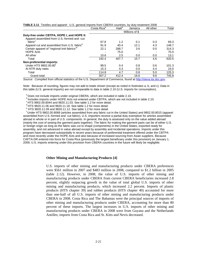|                                                         | Costa Rica <sup>a</sup> | Haiti <sup>b</sup> | Jamaica | All other | Total |  |  |  |
|---------------------------------------------------------|-------------------------|--------------------|---------|-----------|-------|--|--|--|
|                                                         |                         | Millions of \$     |         |           |       |  |  |  |
| Duty-free under CBTPA, HOPE I, and HOPE II:             |                         |                    |         |           |       |  |  |  |
| Apparel assembled from U.S.-formed and -cut             |                         |                    |         |           |       |  |  |  |
| fabric <sup>c</sup>                                     | 67.8                    | 1.2                | 0.1     | 0.3       | 69.3  |  |  |  |
| Apparel cut and assembled from U.S. fabric <sup>a</sup> | 91.9                    | 40.4               | 12.1    | 4.3       | 148.7 |  |  |  |
| Certain apparel of "regional knit fabrics" <sup>e</sup> | 22.1                    | 288.7              | 3.6     | 0.0       | 314.3 |  |  |  |
| <b>HOPE Acts</b>                                        |                         | 75.0               |         |           | 75.0  |  |  |  |
| All other                                               | 10.6                    | 2.5                | 0.0     | 0.0       | 13.1  |  |  |  |
| Total                                                   | 192.4                   | 407.7              | 15.7    | 4.6       | 620.5 |  |  |  |
| Non-preferential imports:                               |                         |                    |         |           |       |  |  |  |
| Under HTS 9802.00.80                                    | 99.5                    | 0.4                | 0.8     | 0.6       | 101.3 |  |  |  |
| At NTR duty rates                                       | 15.3                    | 4.3                | 0.0     | 4.4       | 24.0  |  |  |  |
| Total                                                   | 114.8                   | 4.7                | 0.8     | 5.0       | 125.3 |  |  |  |
| Grand total                                             | 307.2                   | 412.4              | 16.6    | 9.6       | 745.8 |  |  |  |

**TABLE 2.11** Textiles and apparel: U.S. general imports from CBERA countries, by duty treatment 2008

*Source:* Compiled from official statistics of the U.S. Department of Commerce, found at http://otexa.ita.doc.gov*.*

*Note*: Because of rounding, figures may not add to totals shown (except as noted in footnotes a, b, and c). Data in this table (U.S. general imports) are not comparable to data in table 2.10 (U.S. imports for consumption).

<sup>a</sup> Does not include imports under original CBERA, which are included in table 2.10.

 $^{\circ}$  Includes imports under HOPE Acts not entered under CBTPA, which are not included in table 2.10.<br>  $^{\circ}$  HTS 9802.00.8044 and 9820.11.03. See table 1.2 for more detail.<br>  $^{\circ}$  HTS 9820.11.06 and 9820.11.18. See tab

 $'$  Under HTS 9802.00.8068 (articles assembled from any fabric cut in the United States) and 9802.00.8015 (apparel assembled from U.S.-formed and -cut fabric), U.S. importers receive a partial duty exemption for articles assembled abroad in whole or in part of U.S. components. In general, the duty is assessed only on the value added abroad (mainly the cost of sewing the garment parts together). The fabric for making the garment parts can be of either U.S. or foreign origin as long as the fabric was cut to shape (components) in the United States, exported ready for assembly, and not advanced in value abroad except by assembly and incidental operations. Imports under this program have decreased substantially in recent years because of preferential treatment offered under the CBTPA and most recently under the HOPE Acts and also because of increased sourcing from Asian suppliers. Because CAFTA-DR entered into force for Costa Rica (previously the largest beneficiary under this provision) on January 1, 2009, U.S. imports entering under this provision from CBERA countries in the future will likely be negligible.

#### **Other Mining and Manufacturing Products [4]**

U.S. imports of other mining and manufacturing products under CBERA preferences were \$561 million in 2007 and \$483 million in 2008, compared to \$1.2 billion in 2005 (table 2.12). However, in 2008, the value of U.S. imports of other mining and manufacturing products under CBERA from current CBERA beneficiaries increased 2.8 percent, slightly outpacing growth in the value of total global U.S. imports of other mining and manufacturing products, which increased 2.2 percent. Imports of plastic products (HTS chapter 39) and rubber products (HTS chapter 40) accounted for more than one-half of all U.S. imports of other mining and manufacturing products under CBERA in 2008. Costa Rica and The Bahamas were the principal sources of imports of other mining and manufacturing products under CBERA, accounting for more than 80 percent of these imports. The largest increases in U.S. imports of other mining and manufacturing products under CBERA in 2008 were from Guyana and the Netherlands Antilles; imports from Costa Rica and St. Kitts and Nevis decreased.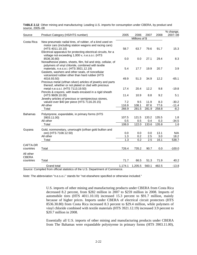| Source                    | Product Category (HS/HTS number)                                                                                                                                                                        | 2005                    | 2006           | 2007       | 2008        | % change,<br>2007-08 |
|---------------------------|---------------------------------------------------------------------------------------------------------------------------------------------------------------------------------------------------------|-------------------------|----------------|------------|-------------|----------------------|
|                           |                                                                                                                                                                                                         |                         | Millions of \$ |            |             |                      |
| Costa Rica                | New pneumatic radial tires, of rubber, of a kind used on<br>motor cars (including station wagons and racing cars)<br>(HTS 4011.10.10)<br>Electrical apparatus for protecting electrical circuits, for a | 58.7                    | 63.7           | 79.6       | 91.7        | 15.3                 |
|                           | voltage not exceeding 1,000 v, n.e.s.o.i. (HTS<br>8536.30.80)<br>Nonadhesive plates, sheets, film, foil and strip, cellular, of                                                                         | 0.0                     | 0.0            | 27.1       | 29.4        | 8.3                  |
|                           | polymers of vinyl chloride, combined with textile<br>materials, n.e.s.o.i. (HTS 3921.12.19)<br>Gaskets, washers and other seals, of noncellular                                                         | 5.4                     | 17.7           | 19.9       | 20.7        | 3.9                  |
|                           | vulcanized rubber other than hard rubber (HTS<br>4016.93.50)<br>Precious metal (o/than silver) articles of jewelry and parts                                                                            | 49.9                    | 51.3           | 34.9       | 12.2        | $-65.1$              |
|                           | thereof, whether or not plated or clad with precious<br>metal n.e.s.o.i. (HTS 7113.19.50)<br>Pencils & crayons, with leads encased in a rigid sheath                                                    | 17.4                    | 20.4           | 12.2       | 9.8         | $-19.8$              |
|                           | (HTS 9609.10.00)<br>Jewelry articles of precious or semiprecious stones,                                                                                                                                | 11.4                    | 10.9           | 8.8        | 9.2         | 5.1                  |
|                           | valued over \$40 per piece (HTS 7116.20.15)                                                                                                                                                             | 7.2                     | 9.5            | 11.9       | 8.3         | $-30.2$              |
|                           | All other                                                                                                                                                                                               | 116.9                   | 108.1          | 87.6       | 77.6        | $-11.4$              |
|                           | Total                                                                                                                                                                                                   | 266.9                   | 281.5          | 281.9      | 258.8       | $-8.2$               |
| <b>Bahamas</b>            | Polystyrene, expandable, in primary forms (HTS<br>3903.11.00)                                                                                                                                           | 107.5                   | 121.5          | 133.2      | 135.5       | 1.8                  |
|                           | All other                                                                                                                                                                                               | 0.5                     | 0.5            | 0.4        | 0.3         | $-34.5$              |
|                           | Total                                                                                                                                                                                                   | 108.0                   | 122.0          | 133.6      | 135.8       | 1.6                  |
| Guyana                    | Gold, nonmonetary, unwrought (o/than gold bullion and                                                                                                                                                   |                         |                |            |             |                      |
|                           | ore) (HTS 7108.12.50)<br>All other                                                                                                                                                                      | 0.0                     | 0.0            | 0.0        | 13.1        | N/A                  |
|                           | Total                                                                                                                                                                                                   | 1.3<br>$\overline{1.3}$ | 0.2<br>0.2     | 2.5<br>2.5 | 3.0<br>16.1 | 18.2<br>538.7        |
|                           |                                                                                                                                                                                                         |                         |                |            |             |                      |
| CAFTA-DR<br>countries     | Total                                                                                                                                                                                                   | 726.4                   | 735.2          | 90.7       | 0.0         | $-100.0$             |
| All other<br><b>CBERA</b> |                                                                                                                                                                                                         |                         |                |            |             |                      |
| countries                 | Total                                                                                                                                                                                                   | 71.7                    | 66.5           | 51.3       | 71.9        | 40.2                 |
|                           | Grand total<br>$a$ f <sub>tha</sub> $H$ C D <sub>on</sub>                                                                                                                                               | 1,174.1                 | 1,205.5        | 560.1      | 482.5       | $-13.8$              |

**TABLE 2.12** Other mining and manufacturing: Leading U.S. imports for consumption under CBERA, by product and source, 2005–08

*Source*: Compiled from official statistics of the U.S. Department of Commerce.

*Note*: The abbreviation "n.e.s.o.i." stands for "not elsewhere specified or otherwise included."

U.S. imports of other mining and manufacturing products under CBERA from Costa Rica decreased 8.2 percent, from \$282 million in 2007 to \$259 million in 2008. Imports of automobile tires (HTS 4011.10.10) increased 15.3 percent to \$91.7 million, mainly because of higher prices. Imports under CBERA of electrical circuit protectors (HTS 8536.30.80) from Costa Rica increased 8.3 percent to \$29.4 million, while polymers of vinyl chloride combined with textile materials (HTS 3921.12.19) increased 3.9 percent to \$20.7 million in 2008.

Essentially all U.S. imports of other mining and manufacturing products under CBERA from The Bahamas were expandable polystyrene in primary forms (HTS 3903.11.00),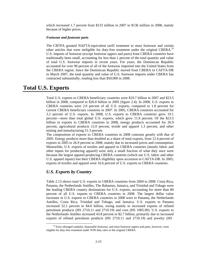which increased 1.7 percent from \$133 million in 2007 to \$136 million in 2008, mainly because of higher prices.

#### *Footwear and footwear parts*

The CBTPA granted NAFTA-equivalent tariff treatment to most footwear and certain other articles that were ineligible for duty-free treatment under the original CBERA.<sup>24</sup> U.S. imports of footwear (except footwear uppers and parts) from CBERA countries have traditionally been small, accounting for less than 1 percent of the total quantity and value of total U.S. footwear imports in recent years. For years, the Dominican Republic accounted for over 90 percent of all of the footwear imported into the United States from the CBERA region. Since the Dominican Republic moved from CBERA to CAFTA-DR in March 2007, the total quantity and value of U.S. footwear imports under CBERA has contracted substantially, totaling less than \$50,000 in 2008.

### **Total U.S. Exports**

Total U.S. exports to CBERA beneficiary countries were \$19.7 billion in 2007 and \$23.5 billion in 2008, compared to \$26.0 billion in 2005 (figure 2.4). In 2008, U.S. exports to CBERA countries were 2.0 percent of all U.S. exports, compared to 1.8 percent for current CBERA beneficiary countries in 2007. In 2005, CBERA countries accounted for 3.2 percent of U.S. exports. In 2008, U.S. exports to CBERA countries grew 19.1 percent—more than total global U.S. exports, which grew 11.8 percent. Of the \$23.5 billion in exports to CBERA countries in 2008, energy products accounted for 26.9 percent, agricultural products 12.0 percent, textile and apparel 1.3 percent, and other mining and manufacturing 51.3 percent.

The composition of exports to CBERA countries in 2008 contrasts greatly with that of 2005. Energy products more than doubled as a share of total exports, from 12.4 percent of exports in 2005 to 26.9 percent in 2008, mainly due to increased prices and consumption. Meanwhile, U.S. exports of textiles and apparel to CBERA countries (mostly fabric and other inputs for producing apparel) were only a small fraction of what they once were because the largest apparel-producing CBERA countries (which use U.S. fabric and other U.S. apparel inputs) lost their CBERA eligibility upon accession to CAFTA-DR. In 2005, exports of textiles and apparel were 16.6 percent of U.S. exports to CBERA countries.

### *U.S. Exports by Country*

Table 2.13 shows total U.S. exports to CBERA countries from 2004 to 2008. Costa Rica, Panama, the Netherlands Antilles, The Bahamas, Jamaica, and Trinidad and Tobago were the leading CBERA country destinations for U.S. exports, accounting for more than 80 percent of all U.S. exports to CBERA countries in 2008. The largest dollar value increases in U.S. exports to CBERA countries in 2008 were to Panama, the Netherlands Antilles, Costa Rica, Trinidad and Tobago, and Jamaica. U.S. exports to Panama increased 32.1 percent to \$4.6 billion, owing mainly to increased exports of refined petroleum products (HS 2710.11 and 2710.19) and corn (HS 1005.90). U.S. exports to the Netherlands Antilles increased 43.8 percent to \$2.7 billion, primarily due to increased exports of refined petroleum products (HS 2710.11 and 2710.19) and jewelry (HS

 $24$  Zoris (thonged sandals), disposable footwear, and most footwear uppers and parts, however, were eligible for duty-free treatment under NTR duty rates or the original CBERA.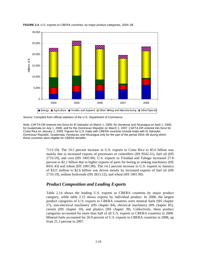

**FIGURE 2.4** U.S. exports to CBERA countries, by major product categories, 2004–08

*Note*: CAFTA-DR entered into force for El Salvador on March 1, 2006; for Honduras and Nicaragua on April 1, 2006; for Guatemala on July 1, 2006; and for the Dominican Republic on March 1, 2007. CAFTA-DR entered into force for Costa Rica on January 1, 2009. Figures for U.S. trade with CBERA countries include trade with El Salvador, Dominican Republic, Guatemala, Honduras, and Nicaragua only for the part of the period 2004–08 during which those countries were eligible for CBERA benefits.

> 7113.19). The 19.5 percent increase in U.S. exports to Costa Rica to \$5.0 billion was mainly due to increased exports of processors or controllers (HS 8542.31), fuel oil (HS 2710.19), and corn (HS 1005.90). U.S. exports to Trinidad and Tobago increased 27.8 percent to \$2.1 billion due to higher exports of parts for boring or sinking machinery (HS 8431.43) and wheat (HS 1001.90). The 14.3 percent increase in U.S. exports to Jamaica of \$321 million to \$2.6 billion was driven mostly by increased exports of fuel oil (HS 2710.19), sodium hydroxide (HS 2815.12), and wheat (HS 1001.90).

### *Product Composition and Leading Exports*

Table 2.14 shows the leading U.S. exports to CBERA countries by major product category, while table 2.15 shows exports by individual product. In 2008, the largest product categories of U.S. exports to CBERA countries were mineral fuels (HS chapter 27), non-electrical machinery (HS chapter 84), electrical machinery (HS chapter 85), cereals (HS chapter 10), and plastics (HS chapter 39). Collectively, these product categories accounted for more than half of all U.S. exports to CBERA countries in 2008. Mineral fuels accounted for 26.9 percent of U.S. exports to CBERA countries in 2008, up from 21.3 percent in 2007.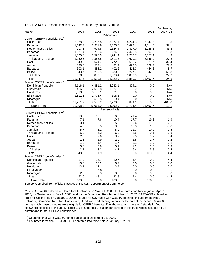|                                           |          |          |                  |          |          | $%$ change,        |
|-------------------------------------------|----------|----------|------------------|----------|----------|--------------------|
| Market                                    | 2004     | 2005     | 2006             | 2007     | 2008     | 2007-08            |
|                                           |          |          | Millions of \$   |          |          |                    |
| Current CBERA beneficiaries: <sup>a</sup> |          |          |                  |          |          |                    |
| Costa Rica                                | 3,028.8  | 3,296.8  | 3,877.1          | 4,224.3  | 5,047.8  | 19.5               |
| Panama                                    | 1,642.7  | 1,981.9  | 2,523.6          | 3,492.4  | 4,614.6  | 32.1               |
| <b>Netherlands Antilles</b>               | 717.5    | 974.8    | 1,324.4          | 1,897.0  | 2,728.6  | 43.8               |
| <b>Bahamas</b>                            | 1,121.4  | 1,703.4  | 2,224.5          | 2,422.8  | 2,697.0  | 11.3               |
| Jamaica                                   | 1,320.6  | 1,595.6  | 1,944.4          | 2,236.7  | 2,557.4  | 14.3               |
| <b>Trinidad and Tobago</b>                | 1,150.5  | 1,366.5  | 1,511.6          | 1,679.1  | 2,146.0  | 27.8               |
| Haiti                                     | 649.9    | 674.7    | 772.9            | 696.2    | 921.7    | 32.4               |
| Aruba                                     | 338.5    | 502.4    | 481.9            | 492.5    | 629.2    | 27.8               |
| <b>Barbados</b>                           | 303.1    | 355.2    | 402.2            | 418.3    | 454.6    | 8.7                |
| <b>Belize</b>                             | 143.7    | 209.8    | 230.0            | 227.9    | 342.6    | 50.3               |
| All other                                 | 630.9    | 859.7    | 1,030.4          | 1,063.0  | 1,357.2  | 27.7               |
| Total                                     | 11,047.6 | 13,520.8 | 16,322.9         | 18,850.3 | 23,496.7 | $\overline{2}$ 4.6 |
| Former CBERA beneficiaries: <sup>b</sup>  |          |          |                  |          |          |                    |
| Dominican Republic                        | 4,116.1  | 4,351.2  | 5,033.1          | 874.1    | 0.0      | N/A                |
| Guatemala                                 | 2,436.9  | 2,665.8  | 1,627.3          | 0.0      | 0.0      | N/A                |
| Honduras                                  | 3,019.2  | 3,155.1  | 831.5            | 0.0      | 0.0      | N/A                |
| El Salvador                               | 1,811.5  | 1,778.4  | 308.6            | 0.0      | 0.0      | N/A                |
| Nicaragua                                 | 567.5    | 589.5    | 169.4            | 0.0      | 0.0      | N/A                |
| Total                                     | 11,951.2 | 12,540.2 | 7,970.0          | 874.1    | 0.0      | $-100.0$           |
| <b>Grand Total</b>                        | 22,998.8 | 26,061.0 | 24,292.9         | 19,724.4 | 23,496.7 | 19.1               |
|                                           |          |          | Percent of total |          |          |                    |
| Current CBERA beneficiaries: <sup>a</sup> |          |          |                  |          |          |                    |
| Costa Rica                                | 13.2     | 12.7     | 16.0             | 21.4     | 21.5     | 0.1                |
| Panama                                    | 7.1      | 7.6      | 10.4             | 17.7     | 19.6     | 1.9                |
| <b>Netherlands Antilles</b>               | 3.1      | 3.7      | 5.5              | 9.6      | 11.6     | 2.0                |
| <b>Bahamas</b>                            | 4.9      | 6.5      | 9.2              | 12.3     | 11.5     | $-0.8$             |
| Jamaica                                   | 5.7      | 6.1      | 8.0              | 11.3     | 10.9     | $-0.5$             |
| <b>Trinidad and Tobago</b>                | 5.0      | 5.2      | 6.2              | 8.5      | 9.1      | 0.6                |
| Haiti                                     |          | 2.6      | 3.2              | 3.5      | 3.9      | 0.4                |
|                                           | 2.8      |          |                  |          |          |                    |
| Aruba                                     | 1.5      | 1.9      | 2.0              | 2.5      | 2.7      | 0.2                |
| <b>Barbados</b>                           | 1.3      | 1.4      | 1.7              | 2.1      | 1.9      | $-0.2$             |
| <b>Belize</b>                             | 0.6      | 0.8      | 0.9              | 1.2      | 1.5      | 0.3                |
| All other                                 | 2.7      | 3.3      | 4.2              | 5.4      | 5.8      | 0.4                |
| Total                                     | 48.0     | 51.9     | 67.2             | 95.6     | 100.0    | $\overline{4.4}$   |
| Former CBERA beneficiaries: <sup>b</sup>  |          |          |                  |          |          |                    |
| Dominican Republic                        | 17.9     | 16.7     | 20.7             | 4.4      | 0.0      | $-4.4$             |
| Guatemala                                 | 10.6     | 10.2     | 6.7              | 0.0      | 0.0      | 0.0                |
| Honduras                                  | 13.1     | 12.1     | 3.4              | 0.0      | 0.0      | 0.0                |
| El Salvador                               | 7.9      | 6.8      | 1.3              | 0.0      | 0.0      | 0.0                |
| Nicaragua                                 | 2.5      | 2.3      | 0.7              | 0.0      | 0.0      | 0.0                |
| Total                                     | 52.0     | 48.1     | 32.8             | 4.4      | 0.0      | $-4.4$             |
| <b>Grand total</b>                        | 100.0    | 100.0    | 100.0            | 100.0    | 100.0    | 0.0                |

**TABLE 2.13** U.S. exports to select CBERA countries, by source, 2004–08

*Note*: CAFTA-DR entered into force for El Salvador on March 1, 2006; for Honduras and Nicaragua on April 1, 2006; for Guatemala on July 1, 2006; and for the Dominican Republic on March 1, 2007. CAFTA-DR entered into force for Costa Rica on January 1, 2009. Figures for U.S. trade with CBERA countries include trade with El Salvador, Dominican Republic, Guatemala, Honduras, and Nicaragua only for the part of the period 2004–08 during which those countries were eligible for CBERA benefits. The abbreviation, "n.e.s.o.i." stands for "not elsewhere specified or included." Table E.5 of appendix E is a longer version of this table which includes all 24 current and former CBERA beneficiaries.

a Countries that were CBERA beneficiaries as of December 31, 2008.

<sup>b</sup> Countries for which U.S.-CAFTA-DR entered into force before January 1, 2009.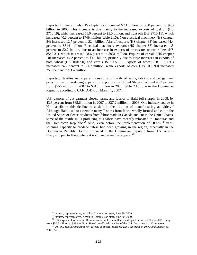Exports of mineral fuels (HS chapter 27) increased \$2.1 billion, or 50.0 percent, to \$6.3 billion in 2008. This increase is due mainly to the increased exports of fuel oil (HS 2710.19), which increased 51.0 percent to \$5.5 billion, and light oils (HS 2710.11), which increased 40.3 percent to \$749 million (table 2.15). Non-electrical machinery (HS chapter 84) increased 12.7 percent to \$2.4 billion. Aircraft exports (HS chapter 88) increased 44.4 percent to \$514 million. Electrical machinery exports (HS chapter 85) increased 1.5 percent to \$2.2 billion, due to an increase in exports of processors or controllers (HS 8542.31), which increased 28.6 percent to \$931 million. Exports of cereals (HS chapter 10) increased 44.2 percent to \$1.1 billion, primarily due to large increases in exports of both wheat (HS 1001.90) and corn (HS 1005.90). Exports of wheat (HS 1001.90) increased 74.7 percent to \$367 million, while exports of corn (HS 1005.90) increased 25.8 percent to \$352 million.

Exports of textiles and apparel (consisting primarily of yarns, fabrics, and cut garment parts for use in producing apparel for export to the United States) declined 43.2 percent from \$556 million in 2007 to \$316 million in 2008 (table 2.16) due to the Dominican Republic acceding to CAFTA-DR on March 1, 2007.

U.S. exports of cut garment pieces, yarns, and fabrics to Haiti fell sharply in 2008, by 43.3 percent from \$65.6 million in 2007 to \$37.2 million in 2008. One industry source in Haiti attributes this decline to a shift in the location of manufacturing activities.<sup>25</sup> Although Haiti used to assemble many T-shirts from fabric wholly formed and cut in the United States or fleece products from fabric made in Canada and cut in the United States, some of the textile mills producing this fabric have recently relocated to Honduras and the Dominican Republic.<sup>26</sup> Also, even before the implementation of HOPE,  $^{27}$  yarnspinning capacity to produce fabric had been growing in the region, especially in the Dominican Republic. Fabric produced in the Dominican Republic from U.S. yarn is likely shipped to Haiti, where it is cut and sewn into apparel.<sup>28</sup>

<sup>&</sup>lt;sup>25</sup> Industry representative, e-mail to Commission staff, June 30, 2009.<br><sup>26</sup> Industry representative, e-mail to Commission staff, June 30, 2009.<br><sup>27</sup> U.S. exports of yarn to the Dominican Republic more than quadrupled be

<sup>&</sup>lt;sup>28</sup> USITC, Textiles and Apparel: Effects of Special Rules for Haiti on Trade Markets and Industries, 2008, 2-7.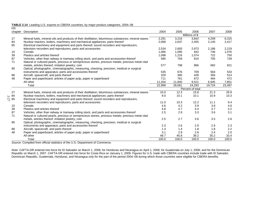| HS                      |                                                                                                      |        |        |                  |        |        |
|-------------------------|------------------------------------------------------------------------------------------------------|--------|--------|------------------|--------|--------|
|                         | chapter Description                                                                                  | 2004   | 2005   | 2006             | 2007   | 2008   |
|                         |                                                                                                      |        |        | Millions of \$   |        |        |
| 27                      | Mineral fuels, mineral oils and products of their distillation; bituminous substances; mineral waxes | 2,291  | 3,216  | 3,842            | 4,209  | 6,315  |
| 84                      | Nuclear reactors, boilers, machinery and mechanical appliances; parts thereof                        | 2,068  | 2,637  | 2,455            | 2,145  | 2,417  |
| 85                      | Electrical machinery and equipment and parts thereof; sound recorders and reproducers,               |        |        |                  |        |        |
|                         | television recorders and reproducers, parts and accessories                                          | 2,534  | 2,693  | 2,973            | 2,186  | 2,219  |
| 10                      | Cereals                                                                                              | 1,066  | 1,095  | 942              | 746    | 1,076  |
| 39                      | Plastics and articles thereof                                                                        | 1,098  | 1,216  | 1,074            | 722    | 750    |
| 87                      | Vehicles, other than railway or tramway rolling stock, and parts and accessories thereof             | 585    | 759    | 810              | 705    | 728    |
| 71                      | Natural or cultured pearls, precious or semiprecious stones, precious metals; precious metal clad    |        |        |                  |        |        |
|                         | metals, articles thereof; imitation jewelry; coin                                                    | 577    | 708    | 866              | 682    | 621    |
| 90                      | Optical, photographic, cinematographic, measuring, checking, precision, medical or surgical          |        |        |                  |        |        |
|                         | instruments and apparatus; parts and accessories thereof                                             | 535    | 676    | 709              | 564    | 533    |
| 88                      | Aircraft, spacecraft, and parts thereof                                                              | 329    | 360    | 428              | 356    | 514    |
| 48                      | Paper and paperboard; articles of paper pulp, paper or paperboard                                    | 711    | 761    | 672              | 464    | 472    |
|                         | All other                                                                                            | 11,204 | 11,940 | 9,521            | 6,945  | 7,851  |
|                         | Total                                                                                                | 22,999 | 26,061 | 24,293           | 19,724 | 23,497 |
|                         |                                                                                                      |        |        | Percent of total |        |        |
| 27                      | Mineral fuels, mineral oils and products of their distillation; bituminous substances; mineral waxes | 10.0   | 12.3   | 15.8             | 21.3   | 26.9   |
| $~10$ $~\mathrm{\odot}$ | Nuclear reactors, boilers, machinery and mechanical appliances; parts thereof                        | 9.0    | 10.1   | 10.1             | 10.9   | 10.3   |
| $\frac{1}{2}$ 85        | Electrical machinery and equipment and parts thereof; sound recorders and reproducers,               |        |        |                  |        |        |
|                         | television recorders and reproducers, parts and accessories                                          | 11.0   | 10.3   | 12.2             | 11.1   | 9.4    |
| 10                      | Cereals                                                                                              | 4.6    | 4.2    | 3.9              | 3.8    | 4.6    |
| 39                      | Plastics and articles thereof                                                                        | 4.8    | 4.7    | 4.4              | 3.7    | 3.2    |
| 87                      | Vehicles, other than railway or tramway rolling stock, and parts and accessories thereof             | 2.5    | 2.9    | 3.3              | 3.6    | 3.1    |
| 71                      | Natural or cultured pearls, precious or semiprecious stones, precious metals; precious metal clad    |        |        |                  |        |        |
|                         | metals, articles thereof; imitation jewelry; coin                                                    | 2.5    | 2.7    | 3.6              | 3.5    | 2.6    |
| 90                      | Optical, photographic, cinematographic, measuring, checking, precision, medical or surgical          |        |        |                  |        |        |
|                         | instruments and apparatus; parts and accessories thereof                                             | 2.3    | 2.6    | 2.9              | 2.9    | 2.3    |
| 88                      | Aircraft, spacecraft, and parts thereof                                                              | 1.4    | 1.4    | 1.8              | 1.8    | 2.2    |
| 48                      | Paper and paperboard; articles of paper pulp, paper or paperboard                                    | 3.1    | 2.9    | 2.8              | 2.4    | 2.0    |
|                         | All other                                                                                            | 48.7   | 45.8   | 39.2             | 35.2   | 33.4   |
|                         | Total                                                                                                | 100.0  | 100.0  | 100.0            | 100.0  | 100.0  |

**TABLE 2.14** Leading U.S. exports to CBERA countries, by major product categories, 2004–08

*Source*: Compiled from official statistics of the U.S. Department of Commerce.

*Note*: CAFTA-DR entered into force for El Salvador on March 1, 2006; for Honduras and Nicaragua on April 1, 2006; for Guatemala on July 1, 2006; and for the Dominican Republic on March 1, 2007. CAFTA-DR entered into force for Costa Rica on January 1, 2009. Figures for U.S. trade with CBERA countries include trade with El Salvador, Dominican Republic, Guatemala, Honduras, and Nicaragua only for the part of the period 2004–08 during which those countries were eligible for CBERA benefits.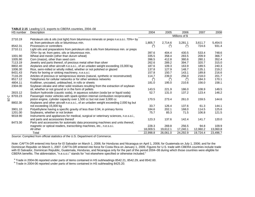| TABLE 2.15 Leading U.S. exports to CBERA countries, 2004-08 |  |  |  |  |
|-------------------------------------------------------------|--|--|--|--|
|-------------------------------------------------------------|--|--|--|--|

| HS number | Description                                                                            | 2004           | 2005           | 2006         | 2007     | 2008     |  |  |
|-----------|----------------------------------------------------------------------------------------|----------------|----------------|--------------|----------|----------|--|--|
|           |                                                                                        |                | Millions of \$ |              |          |          |  |  |
| 2710.19   | Petroleum oils & oils (not light) from bituminous minerals or preps n.e.s.o.i. 70%+ by |                |                |              |          |          |  |  |
|           | wt. from petroleum oils or bituminous min.                                             | 1,805.7        | 2,714.6        | 3,281.1      | 3,611.7  | 5,454.5  |  |  |
| 8542.31   | Processors or controllers                                                              | $\binom{a}{b}$ | $^{\rm (a)}$   | $^{\rm (a)}$ | 724.6    | 931.4    |  |  |
| 2710.11   | Light oils and preparations from petroleum oils & oils from bituminous min. or preps   |                |                |              |          |          |  |  |
|           | 70%+ by wt. from petro. oils or bituminous min.                                        | 397.6          | 404.4          | 430.5        | 533.4    | 748.6    |  |  |
| 1001.90   | Wheat and meslin (other than durum wheat)                                              | 335.5          | 358.4          | 283.5        | 209.9    | 366.7    |  |  |
| 1005.90   | Corn (maize), other than seed corn                                                     | 396.5          | 412.8          | 380.6        | 280.1    | 352.4    |  |  |
| 7113.19   | Jewelry and parts thereof, of precious metal other than silver                         | 262.6          | 289.2          | 394.7        | 320.7    | 315.0    |  |  |
| 8802.40   | Airplanes and other aircraft n.e.s.o.i., of an unladen weight exceeding 15,000 kg      | 187.6          | 109.3          | 163.9        | 189.5    | 240.3    |  |  |
| 1006.30   | Rice, semi-milled or wholly milled, whether or not polished or glazed                  | 137.8          | 127.9          | 148.7        | 135.1    | 219.2    |  |  |
| 8431.43   | Parts for boring or sinking machinery, n.e.s.o.i.                                      | 157.8          | 150.7          | 143.1        | 189.8    | 216.6    |  |  |
| 7116.20   | Articles of precious or semiprecious stones (natural, synthetic or reconstructed)      | 114.7          | 239.0          | 256.0        | 218.0    | 201.7    |  |  |
| 8517.12   | Telephones for cellular networks or for other wireless networks                        | $\binom{b}{b}$ | $b$            | $b$          | 184.3    | 170.1    |  |  |
| 4804.11   | Kraftliner, uncoated, unbleached, in rolls or sheets                                   | 181.0          | 195.0          | 210.6        | 156.0    | 158.1    |  |  |
| 2304.00   | Soybean oilcake and other solid residues resulting from the extraction of soybean      |                |                |              |          |          |  |  |
|           | oil, whether or not ground or in the form of pellets                                   | 143.5          | 221.9          | 186.0        | 108.9    | 149.5    |  |  |
| 2815.12   | Sodium hydroxide (caustic soda), in aqueous solution (soda lye or liquid soda)         | 52.7           | 131.0          | 137.2        | 123.4    | 146.2    |  |  |
| 8703.23   | Passenger motor vehicles with spark-ignition internal combustion reciprocating         |                |                |              |          |          |  |  |
|           | piston engine, cylinder capacity over 1,500 cc but not over 3,000 cc                   | 170.5          | 273.4          | 261.0        | 159.5    | 144.6    |  |  |
| 8802.30   | Airplanes and other aircraft n.e.s.o.i., of an unladen weight exceeding 2,000 kg but   |                |                |              |          |          |  |  |
|           | not exceeding 15,000 kg                                                                | 33.7           | 126.4          | 137.6        | 61.3     | 144.1    |  |  |
| 3901.10   | Polyethylene having a specific gravity of less than 0.94, in primary forms             | 184.6          | 202.1          | 168.0        | 114.5    | 125.6    |  |  |
| 1201.00   | Soybeans, whether or not broken                                                        | 75.7           | 85.3           | 71.5         | 106.8    | 121.5    |  |  |
| 9018.90   | Instruments and appliances for medical, surgical or veterinary sciences, n.e.s.o.i.,   |                |                |              |          |          |  |  |
|           | and parts and accessories thereof                                                      | 123.3          | 137.6          | 142.4        | 141.7    | 120.0    |  |  |
| 8473.30   | Parts and accessories for automatic data processing machines and units thereof,        |                |                |              |          |          |  |  |
|           | magnetic or optical readers, transcribing machines, etc., n.e.s.o.i.                   | 228.3          | 269.8          | 256.5        | 94.8     | 109.9    |  |  |
|           | All other                                                                              | 18,009.5       | 19,612.1       | 17,240.1     | 12,060.2 | 13,060.8 |  |  |
|           | Total                                                                                  | 22,998.8       | 26,061.0       | 24,292.9     | 19,724.4 | 23,496.7 |  |  |

*Note*: CAFTA-DR entered into force for El Salvador on March 1, 2006; for Honduras and Nicaragua on April 1, 2006; for Guatemala on July 1, 2006; and for the Dominican Republic on March 1, 2007. CAFTA-DR entered into force for Costa Rica on January 1, 2009. Figures for U.S. trade with CBERA countries include trade with El Salvador, Dominican Republic, Guatemala, Honduras, and Nicaragua only for the part of the period 2004–08 during which those countries were eligible for CBERA benefits. The abbreviation, "n.e.s.o.i." stands for "not elsewhere specified or otherwise included."

 $a$  Trade in 2004-06 reported under parts of items contained in HS subheadings 8542.21, 8542.29, and 8542.60.<br> $b$  Trade in 2004-06 reported under parts of items contained in HS subheading 8425.20.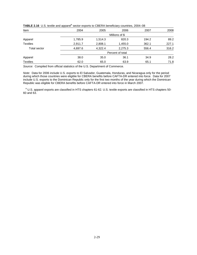| Item                | 2004           | 2005    | 2006             | 2007  | 2008  |  |  |  |
|---------------------|----------------|---------|------------------|-------|-------|--|--|--|
|                     | Millions of \$ |         |                  |       |       |  |  |  |
| Apparel             | 1,785.9        | 1,514.3 | 820.3            | 194.2 | 89.2  |  |  |  |
| <b>Textiles</b>     | 2.911.7        | 2,808.1 | 1,455.0          | 362.1 | 227.1 |  |  |  |
| <b>Total sector</b> | 4,697.6        | 4,322.4 | 2,275.3          | 556.4 | 316.2 |  |  |  |
|                     |                |         | Percent of total |       |       |  |  |  |
| Apparel             | 38.0           | 35.0    | 36.1             | 34.9  | 28.2  |  |  |  |
| <b>Textiles</b>     | 62.0           | 65.0    | 63.9             | 65.1  | 71.8  |  |  |  |

TABLE 2.16 U.S. textile and apparel<sup>a</sup> sector exports to CBERA beneficiary countries, 2004–08

*Note*:Data for 2006 include U.S. exports to El Salvador, Guatemala, Honduras, and Nicaragua only for the period during which those countries were eligible for CBERA benefits before CAFTA-DR entered into force. Data for 2007 include U.S. exports to the Dominican Republic only for the first two months of the year during which the Dominican Republic was eligible for CBERA benefits before CAFTA-DR entered into force in March 2007.

<sup>a</sup> U.S. apparel exports are classified in HTS chapters 61-62. U.S. textile exports are classified in HTS chapters 50-60 and 63.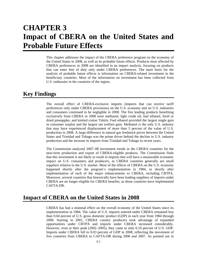# **CHAPTER 3 Impact of CBERA on the United States and Probable Future Effects**

This chapter addresses the impact of the CBERA preference program on the economy of the United States in 2008, as well as its probable future effects. Products most affected by CBERA preferences in 2008 are identified in an impact analysis, focusing on products that can enter free of duty only under CBERA preferences. The main basis for the analysis of probable future effects is information on CBERA-related investment in the beneficiary countries. Most of the information on investment has been collected from U.S. embassies in the countries of the region.

## **Key Findings**

The overall effect of CBERA-exclusive imports (imports that can receive tariff preferences only under CBERA provisions) on the U.S. economy and on U.S. industries and consumers continued to be negligible in 2008. The five leading products benefiting exclusively from CBERA in 2008 were methanol, light crude oil, fuel ethanol, fresh or dried pineapples, and knitted cotton Tshirts. Fuel ethanol provided the largest single gain in consumer surplus and the largest net welfare gain. Methanol is the only U.S. industry that may have experienced displacement of more than 5 percent of the value of U.S. production in 2008. A large difference in natural gas feedstock prices between the United States and Trinidad and Tobago was the prime driver behind the decline in U.S. industry production and the increase in imports from Trinidad and Tobago in recent years.

The Commission analyzed 2007–08 investment trends in the CBERA countries for the near-term production and export of CBERA-eligible products. The Commission finds that this investment is not likely to result in imports that will have a measurable economic impact on U.S. consumers and producers, as CBERA countries generally are small suppliers relative to the U.S. market. Most of the effects of CBERA on the U.S. economy happened shortly after the program's implementation in 1984, or shortly after implementation of each of the major enhancements to CBERA, including CBTPA. Moreover, several countries that historically have been leading suppliers of imports under CBERA are no longer eligible for CBERA benefits, as those countries have implemented CAFTA-DR.

## **Impact of CBERA on the United States in 2008**

CBERA has had a minimal effect on the overall economy of the United States since its implementation in 1984. The value of U.S. imports entered under CBERA remained less than 0.04 percent of U.S. gross domestic product (GDP) in each year from 1984 through 2000. Starting in 2001, CBERA country producers took advantage of expanded opportunities under CBTPA and imports under CBERA increased considerably. However, even at their peak (2002–2005), they came to only 0.10 percent of U.S. GDP. Imports under CBERA fell to 0.03 percent of GDP in 2008, reflecting the movement of five countries from CBERA to CAFTA-DR during 2006 and 2007. As pointed out in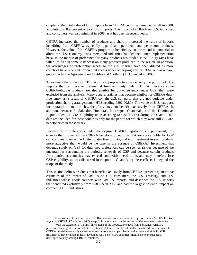chapter 2, the total value of U.S. imports from CBERA countries remained small in 2008, amounting to 0.9 percent of total U.S. imports. The impact of CBERA on U.S. industries and consumers was also minimal in 2008, as it has been in recent years.

CBTPA increased the number of products and sharply increased the value of imports benefiting from CBERA, especially apparel and petroleum and petroleum products. However, the value of the CBERA program to beneficiary countries and its potential to affect the U.S. economy, consumers, and industries has declined since implementation because the margin of preference for many products has eroded as NTR duty rates have fallen (to free in some instances) on many products produced in the region. In addition, the advantages of preferential access to the U.S. market have been diluted as more countries have received preferential access under other programs or FTAs, and as apparel quotas under the Agreement on Textiles and Clothing (ATC) ended in 2005.<sup>1</sup>

To evaluate the impact of CBERA, it is appropriate to consider only the portion of U.S. imports that can receive preferential treatment *only* under CBERA. Because some CBERA-eligible products are also eligible for duty-free entry under GSP, they were excluded from the analysis. Many apparel articles that became eligible for CBERA dutyfree entry as a result of CBTPA contain U.S.-cut parts that are not dutiable under production-sharing arrangements (HTS heading 9802.00.80). The value of U.S.-cut parts incorporated in such articles, therefore, does not benefit exclusively from CBERA. In addition, because El Salvador, Honduras, Nicaragua, Guatemala, and the Dominican Republic lost CBERA eligibility upon acceding to CAFTA-DR during 2006 and 2007, data are included for these countries only for the period for which they were still CBERA beneficiaries in those years.

Because tariff preferences under the original CBERA legislation are permanent, this ensures that products from CBERA beneficiary countries that are also eligible for GSP can continue to enter the United States free of duty, making investment in such products more attractive than would be the case in the absence of CBERA.<sup>2</sup> Investment that depends solely on GSP for duty-free preferences can be seen as riskier because of the uncertainties surrounding the periodic renewals of GSP and because certain products from particular countries may exceed competitive-need limits and may therefore lose GSP eligibility, as was discussed in chapter 1. Quantifying these effects is beyond the scope of this study.

This section defines products that benefit exclusively from CBERA; presents quantitative estimates of the impact of CBERA on U.S. consumers, the U.S. Treasury, and U.S. industries whose goods compete with CBERA imports; and describes the U.S. imports that benefited exclusively from CBERA in 2008 and had the largest potential impact on competing U.S. industries.

 $\frac{1}{1}$  For most intents and purposes, CBERA countries were not subject to apparel quotas. See USITC, *The Impact of CBERA: 17th Report*, 2005, chap. 3, for more detail on the erosion of the margin of preference.

With the exception of 11 tariff lines, none of the products excluded from permanent CBERA provisions are eligible for normal GSP treatment. A limited number of products excluded from permanent CBERA provisions—mostly canned tuna and petroleum and petroleum products—are eligible for GSP treatment if they originate in least-developed GSP beneficiary countries. Haiti is the only such leastdeveloped country among CBERA countries.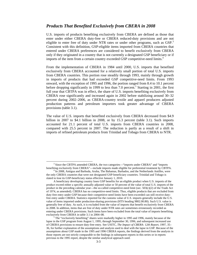### *Products That Benefited Exclusively from CBERA in 2008*

U.S. imports of products benefiting exclusively from CBERA are defined as those that enter under either CBERA duty-free or CBERA reduced-duty provisions and are not eligible to enter free of duty under NTR rates or under other programs, such as GSP.<sup>3</sup> Consistent with this definition, GSP-eligible items imported from CBERA countries that entered under CBERA preferences are considered to benefit exclusively from CBERA only if they originated in a country that is not currently a designated GSP beneficiary or if imports of the item from a certain country exceeded GSP competitive-need limits.<sup>4</sup>

From the implementation of CBERA in 1984 until 2000, U.S. imports that benefited exclusively from CBERA accounted for a relatively small portion of total U.S. imports from CBERA countries. This portion rose steadily through 1993, mainly through growth in imports of products that had exceeded GSP competitive-need limits. From 1993 onward, with the exception of 1995 and 1996, the portion ranged from 8.4 to 10.1 percent before dropping significantly in 1999 to less than  $7.0$  percent.<sup>5</sup> Starting in 2001, the first full year that CBTPA was in effect, the share of U.S. imports benefiting exclusively from CBERA rose significantly and increased again in 2002 before stabilizing around 30–32 percent during 2002–2006, as CBERA-country textile and apparel producers adjusted production patterns and petroleum importers took greater advantage of CBERA provisions (table 3.1).

The value of U.S. imports that benefited exclusively from CBERA decreased from \$4.9 billion in 2007 to \$4.1 billion in 2008, or by 15.3 percent (table 3.1). Such imports accounted for 21.1 percent of total U.S. imports from CBERA countries in 2008, compared with 25.5 percent in 2007. The reduction is partly as a result of a shift in imports of refined petroleum products from Trinidad and Tobago from CBERA to NTR.

 $\frac{1}{3}$ <sup>3</sup> Since the CBTPA amended CBERA, the two categories—"imports under CBERA" and "imports benefiting exclusively from CBERA"—include imports made eligible for preferential treatment by CBTPA. 4

 $4$  In 2008, Antigua and Barbuda, Aruba, The Bahamas, Barbados, and the Netherlands Antilles, were the only CBERA countries that were not designated GSP-beneficiary countries. Trinidad and Tobago is slated to lose its GSP-beneficiary status effective January 1, 2010.

A beneficiary developing country loses GSP benefits for an eligible product when U.S. imports of the product exceed either a specific annually adjusted value or 50 percent of the value of total U.S. imports of the product in the preceding calendar year—the so-called competitive-need limit (sec. 503(c)(2) of the Trade Act of 1974, as amended). CBERA has no competitive-need limits. Thus, eligible products that are excluded from duty-free entry under GSP because their competitive-need limits have been exceeded can still receive dutyfree entry under CBERA. Statistics reported for the customs value of U.S. imports generally include the U.S. value of items imported under production-sharing provisions (HTS heading 9802.00.80). Such U.S. value is generally free of duty. As such, it is excluded from the value of imports that benefit exclusively from CBERA in 2008. In addition, items that are free of duty under NTR rates are sometimes erroneously recorded as entering under CBERA provisions. Such items have been excluded from the total value of imports benefiting exclusively from CBERA in table 3.1 in 2004–08.

 $5$  The "exclusively benefiting" shares were markedly higher in 1995 and 1996, mainly because of the lapse in the GSP program from August 1, 1995, through September 30, 1996, and subsequent increased use of CBERA provisions to ensure duty-free entry. See USITC, *The Impact of CBERA: 12th Report*, 1997, 35– 36, for further explanation of the assumptions and analysis used to deal with the lapse in GSP. Because of the assumptions about GSP made in the 1995 and 1996 CBERA reports, the findings derived from the analysis in those reports are not strictly comparable to the findings in subsequent reports in this series or in reports previous to the 1995 report, despite the similar analytical approach used.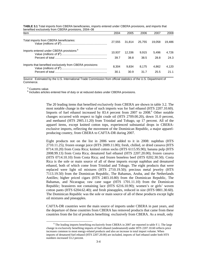| Item                                                      | 2004   | 2005   | 2006   | 2007   | 2008   |
|-----------------------------------------------------------|--------|--------|--------|--------|--------|
| Total imports from CBERA beneficiaries:                   | 27.555 | 31.814 | 25.755 | 19.058 | 19.486 |
| Imports entered under CBERA provisions: <sup>b</sup>      | 10.937 | 12.336 | 9.915  | 5.496  | 4.726  |
|                                                           | 39.7   | 38.8   | 38.5   | 28.8   | 24.3   |
| Imports that benefited exclusively from CBERA provisions: | 8.304  | 9.834  | 8.175  | 4.862  | 4.120  |
|                                                           | 30.1   | 30.9   | 31.7   | 25.5   | 21.1   |

**TABLE 3.1** Total imports from CBERA beneficiaries, imports entered under CBERA provisions, and imports that benefited exclusively from CBERA provisions, 2004–08

*Source*: Estimated by the U.S. International Trade Commission from official statistics of the U.S. Department of Commerce.

<sup>a</sup> Customs value.

<sup>b</sup> Includes articles entered free of duty or at reduced duties under CBERA provisions.

The 20 leading items that benefited exclusively from CBERA are shown in table 3.2. The most notable change in the value of such imports was for fuel ethanol (HTS 2207.10.60). Imports of fuel ethanol increased by 83.4 percent from 2007 to 2008.<sup>6</sup> Other notable changes occurred with respect to light crude oil (HTS 2709.00.20), down 31.0 percent, and methanol (HTS 2905.11.20) from Trinidad and Tobago, up 17 percent. All of the apparel items, except knitted cotton tops, experienced substantial drops in CBERAexclusive imports, reflecting the movement of the Dominican Republic, a major apparelproducing country, from CBERA to CAFTA-DR during 2007.

Eight products not on the list in 2006 were added to it in 2008: naphthas (HTS 2710.11.25); frozen orange juice (HTS 2009.11.00); fresh, chilled, or dried cassava (HTS 0714.10.20) from Costa Rica; knitted cotton socks (HTS 6115.95.90); banana pulp (HTS 2008.99.13) from Costa Rica; denatured fuel ethanol (HTS 2207.20.00); frozen cassava (HTS 0714.10.10) from Costa Rica; and frozen boneless beef (HTS 0202.30.50). Costa Rica is the sole or main source of all of these imports except naphthas and denatured ethanol, both of which come from Trinidad and Tobago. The eight products that were replaced were light oil mixtures (HTS 2710.19.50); precious metal jewelry (HTS 7113.19.50) from the Dominican Republic, The Bahamas, Aruba, and the Netherlands Antilles; higher priced cigars (HTS 2403.10.80) from the Dominican Republic, The Bahamas, and Nicaragua; raw cane sugar (HTS 1701.11.10) from the Dominican Republic; brassieres not containing lace (HTS 6216.10.90); women's or girls' woven cotton pants (HTS 6204.62.40); and fresh pineapples, reduced in size (HTS 0801.30.60). The Dominican Republic was the sole or main source of all of these products except light oil mixtures and pineapples.

CAFTA-DR countries were the main source of imports under CBERA in past years, and the departure of these countries from CBERA has removed products that came from these countries from the list of products benefiting exclusively from CBERA. As a result, only

 <sup>6</sup>  $6$  The leading imports benefiting exclusively from CBERA in 2007 are reported in table F.1. The large change in exclusively benefiting imports of fuel ethanol (undenatured) under HTS 2207.10.60 reflects price increases common to most energy-related products and also an increase in total import volume. When imports of denatured fuel ethanol (HTS 2207.20.00) are included, imports of fuel ethanol under both HTS numbers increased 53.2 percent.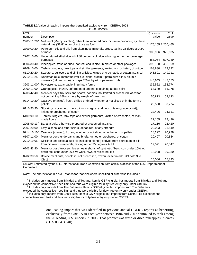| <b>HTS</b>              |                                                                                                                                                 | Customs             | C.i.f.  |
|-------------------------|-------------------------------------------------------------------------------------------------------------------------------------------------|---------------------|---------|
| number                  | Description                                                                                                                                     | value               | value   |
| 2905.11.20 <sup>a</sup> | Methanol (Methyl alcohol), other than imported only for use in producing synthetic<br>natural gas (SNG) or for direct use as fuel               | 1,175,155 1,260,465 |         |
| 2709.00.20              | Petroleum oils and oils from bituminous minerals, crude, testing 25 degrees A.P.I.<br>or more                                                   | 903,986             | 925,635 |
| 2207.10.60              | Undenatured ethyl alcohol of 80 percent vol. alcohol or higher, for nonbeverage<br>purposes                                                     | 483,064             | 507,289 |
| 0804.30.40              | Pineapples, fresh or dried, not reduced in size, in crates or other packages                                                                    | 393,138             | 455,369 |
| 6109.10.00              | T-shirts, singlets, tank tops and similar garments, knitted or crocheted, of cotton                                                             | 168,880             | 172,232 |
| 6110.20.20              | Sweaters, pullovers and similar articles, knitted or crocheted, of cotton, n.e.s.o.i.                                                           | 145,801             | 149,711 |
| 2710.11.25              | Naphthas (exc. motor fuel/mtr fuel blend. stock) fr petroleum oils & bitumin<br>minerals (o/than crude) or preps 70%+ by wt. fr petroleum oils  | 143,645             | 147,653 |
| 3903.11.00 <sup>b</sup> | Polystyrene, expandable, in primary forms                                                                                                       | 135,522             | 138,774 |
| 2009.11.00              | Orange juice, frozen, unfermented and not containing added spirit                                                                               | 64,689              | 66,978  |
| 6203.42.40              | Men's or boys' trousers and shorts, not bibs, not knitted or crocheted, of cotton,<br>not containing 15% or more by weight of down, etc         | 50,873              | 52,133  |
| 0714.10.20 <sup>c</sup> | Cassava (manioc), fresh, chilled or dried, whether or not sliced or in the form of<br>pellets                                                   | 25,500              | 30,774  |
| 6115.95.90              | Stockings, socks, etc. n.e.s.o.i. (not surgical and not containing lace or net),<br>knitted or crocheted, of cotton                             | 22,496              | 24,111  |
| 6109.90.10              | T-shirts, singlets, tank tops and similar garments, knitted or crocheted, of man-<br>made fibers                                                | 22,105              | 22,496  |
| 2008.99.13 <sup>c</sup> | Banana pulp, otherwise prepared or preserved, n.e.s.o.i.                                                                                        | 17,116              | 22,420  |
| 2207.20.00              | Ethyl alcohol and other spirits, denatured, of any strength                                                                                     | 20,003              | 21,549  |
| 0714.10.10 <sup>c</sup> | Cassava (manioc), frozen, whether or not sliced or in the form of pellets                                                                       | 18,222              | 20,938  |
| 6107.11.00              | Men's or boys' underpants and briefs, knitted or crocheted, of cotton                                                                           | 20,407              | 20,834  |
| 2710.19.05              | Distillate and residual fuel oil (including blends) derived from petroleum or oils<br>from bituminous minerals, testing under 25 degrees A.P.I. | 19,571              | 20,347  |
| 6203.43.40              | Men's or boys' trousers, breeches & shorts, of synthetic fibers, con under 15% wt<br>down etc, cont under 36% wt wool, n/water resist, not k/c  | 18,998              | 19,380  |
| 0202.30.50              | Bovine meat cuts, boneless, not processed, frozen, descr in add. US note 3 to<br>Ch. 2<br>$\cdots$ $\sim$                                       | 15,066              | 15,893  |

|  |  | TABLE 3.2 Value of leading imports that benefited exclusively from CBERA, 2008 |  |
|--|--|--------------------------------------------------------------------------------|--|
|--|--|--------------------------------------------------------------------------------|--|

(*1,000 dollars*)

*Source*: Estimated by the U.S. International Trade Commission from official statistics of the U.S. Department of Commerce.

*Note*: The abbreviation n.e.s.o.i. stands for "not elsewhere specified or otherwise included."

<sup>a</sup> Includes only imports from Trinidad and Tobago. Item is GSP-eligible, but imports from Trinidad and Tobago exceeded the competitive-need limit and thus were eligible for duty-free entry only under CBERA.

**b** Includes only imports from The Bahamas. Item is GSP-eligible, but imports from The Bahamas

exceeded the competitive-need limit and thus were eligible for duty-free entry only under CBERA.

<sup>c</sup> Includes only imports from Costa Rica. Item is GSP-eligible, but imports from Costa Rica exceeded the competitive-need limit and thus were eligible for duty-free entry only under CBERA.

> one leading import that was identified in previous annual CBERA reports as benefiting exclusively from CBERA in each year between 1984 and 2007 continued to rank among the 20 leading U.S. imports in 2008. That product was fresh or dried pineapples in crates (HTS 0804.30.40).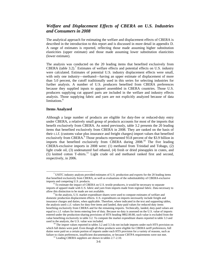## *Welfare and Displacement Effects of CBERA on U.S. Industries and Consumers in 2008*

The analytical approach for estimating the welfare and displacement effects of CBERA is described in the introduction to this report and is discussed in more detail in appendix D. A range of estimates is reported, reflecting those made assuming higher substitution elasticities (upper estimate) and those made assuming lower substitution elasticities (lower estimate).

The analysis was conducted on the 20 leading items that benefited exclusively from CBERA (table 3.2).<sup>7</sup> Estimates of welfare effects and potential effects on U.S. industry were calculated. Estimates of potential U.S. industry displacement effects were small, with only one industry—methanol—having an upper estimate of displacement of more than 5.0 percent, the cutoff traditionally used in this series for selecting industries for further analysis. A number of U.S. producers benefited from CBERA preferences because they supplied inputs to apparel assembled in CBERA countries. Those U.S. producers supplying cut apparel parts are included in the welfare and industry effects analysis. Those supplying fabric and yarn are not explicitly analyzed because of data limitations.<sup>8</sup>

#### **Items Analyzed**

Although a large number of products are eligible for duty-free or reduced-duty entry under CBERA, a relatively small group of products accounts for most of the imports that benefit exclusively from CBERA. As noted previously, table 3.2 presents the 20 leading items that benefited exclusively from CBERA in 2008. They are ranked on the basis of their c.i.f. (customs value plus insurance and freight charges) import values that benefited exclusively from CBERA. $^9$  Those products represented 93.8 percent of the \$3.9 billion in imports that benefited exclusively from CBERA during 2008.10 The five leading CBERA-exclusive imports in 2008 were: (1) methanol from Trinidad and Tobago, (2) light crude oil, (3) undenatured fuel ethanol, (4) fresh or dried pineapples in crates, and  $(5)$  knitted cotton T-shirts.<sup>11</sup> Light crude oil and methanol ranked first and second, respectively, in 2006.

 $\frac{1}{7}$  $\frac{7}{1}$  USITC industry analysts provided estimates of U.S. production and exports for the 20 leading items that benefited exclusively from CBERA, as well as evaluations of the substitutability of CBERA-exclusive imports and competing U.S. products.

<sup>&</sup>lt;sup>8</sup> To estimate the impact of CBERA on U.S. textile producers, it would be necessary to separate imports of apparel made with U.S. fabric and yarn from imports made from regional fabric. Data necessary to allow this distinction to be made are not available.

 $9$  In the analysis, U.S. market expenditure shares were used to compute estimates of welfare and domestic production displacement effects. U.S. expenditures on imports necessarily include freight and insurance charges and duties, when applicable. Therefore, where indicated in the text and supporting tables, the analysis used c.i.f. values for duty-free items and landed, duty-paid values for reduced-duty items benefiting exclusively from CBERA and for the remaining imports. Technically, landed, duty-paid values are equal to c.i.f. values for items entering free of duty. Because no duty is assessed on the U.S. value of imports entered under the production-sharing provisions of HTS heading 9802.00.80, such value is excluded from the value benefiting exclusively in table 3.2. To compute the market expenditure shares reported in table 3.3 and used in the analysis, the U.S. value was included.<br><sup>10</sup> The import values reported in tables 3.2 and 3.3 do not include imports under each HTS provision on

which full duties were paid. Even though all these products were eligible for CBERA tariff preferences, full duties were paid on a certain portion of imports under each HTS provision for a variety of reasons, such as failure to claim preferences, insufficient documentation, or because CBTPA requirements were not met.<br><sup>11</sup> Leading CBERA suppliers are shown in tables 2.7–2.10.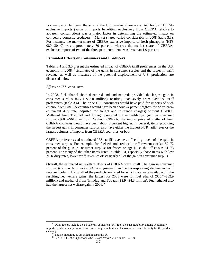For any particular item, the size of the U.S. market share accounted for by CBERAexclusive imports (value of imports benefiting exclusively from CBERA relative to apparent consumption) was a major factor in determining the estimated impact on competing domestic producers.<sup>12</sup> Market shares varied considerably in 2008 (table 3.3). For instance, the market share of CBERA-exclusive imports of fresh pineapples (HTS 0804.30.40) was approximately 80 percent, whereas the market share of CBERAexclusive imports of two of the three petroleum items was less than 1.0 percent.

#### **Estimated Effects on Consumers and Producers**

Tables 3.4 and 3.5 present the estimated impact of CBERA tariff preferences on the U.S. economy in 2008.<sup>13</sup> Estimates of the gains in consumer surplus and the losses in tariff revenue, as well as measures of the potential displacement of U.S. production, are discussed below.

#### *Effects on U.S. consumers*

In 2008, fuel ethanol (both denatured and undenatured) provided the largest gain in consumer surplus (\$77.1–\$93.0 million) resulting exclusively from CBERA tariff preferences (table 3.4). The price U.S. consumers would have paid for imports of such ethanol from CBERA countries would have been about 24 percent higher (the ad valorem equivalent duty rate, adjusted for freight and insurance charges) without CBERA. Methanol from Trinidad and Tobago provided the second-largest gain in consumer surplus (\$60.0–\$61.6 million). Without CBERA, the import price of methanol from CBERA countries would have been about 5 percent higher. In general, items providing the largest gains in consumer surplus also have either the highest NTR tariff rates or the largest volumes of imports from CBERA countries, or both.

CBERA preferences also reduced U.S. tariff revenues, offsetting much of the gain in consumer surplus. For example, for fuel ethanol, reduced tariff revenues offset 57–72 percent of the gain in consumer surplus; for frozen orange juice, the offset was 61–75 percent. For many of the other items listed in table 3.4, especially those items with low NTR duty rates, lower tariff revenues offset nearly all of the gain in consumer surplus.

Overall, the estimated net welfare effects of CBERA were small. The gain in consumer surplus (column A of table 3.4) was greater than the corresponding decline in tariff revenue (column B) for all of the products analyzed for which data were available. Of the resulting net welfare gains, the largest for 2008 were for fuel ethanol (\$25.7–\$32.9 million) and methanol from Trinidad and Tobago (\$2.9 –\$4.3 million). Fuel ethanol also had the largest net welfare gain in  $2006$ .<sup>14</sup>

 $12$  Other factors include the ad valorem equivalent tariff rate; the substitutability among beneficiary imports, nonbeneficiary imports, and domestic production; and the overall demand elasticity for the product category.<br><sup>13</sup> The methodology is described in appendix D.

<sup>14</sup> See USITC, *The Impact of CBERA: 18th Report*, 2007, table 3-4, 3-9.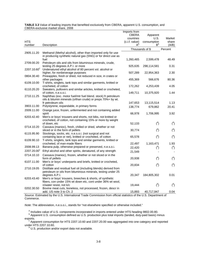|             |                                                                                                   | Imports from<br><b>CBERA</b><br>countries | Apparent<br>U.S. | Market         |
|-------------|---------------------------------------------------------------------------------------------------|-------------------------------------------|------------------|----------------|
| <b>HTS</b>  |                                                                                                   | (c.i.f. value)                            | consumption      | share          |
| number      | Description                                                                                       | Aª                                        | B <sup>b</sup>   | (A/B)          |
|             |                                                                                                   |                                           | Thousands of \$  | Percent        |
| 2905.11.20  | Methanol (Methyl alcohol), other than imported only for use                                       |                                           |                  |                |
|             | in producing synthetic natural gas (SNG) or for direct use as                                     |                                           |                  |                |
|             | fuel                                                                                              | 1,260,465                                 | 2,599,478        | 48.49          |
| 2709.00.20  | Petroleum oils and oils from bituminous minerals, crude,                                          |                                           |                  |                |
|             | testing 25 degrees A.P.I. or more                                                                 | 925,635                                   | 298,114,581      | 0.31           |
| 2207.10.60° | Undenatured ethyl alcohol of 80 percent vol. alcohol or                                           |                                           |                  |                |
| 0804.30.40  | higher, for nonbeverage purposes<br>Pineapples, fresh or dried, not reduced in size, in crates or | 507,289                                   | 22,954,363       | 2.30           |
|             | other packages                                                                                    | 455,369                                   | 566,676          | 80.36          |
| 6109.10.00  | T-shirts, singlets, tank tops and similar garments, knitted or                                    |                                           |                  |                |
|             | crocheted, of cotton                                                                              | 172,262                                   | 4,253,439        | 4.05           |
| 6110.20.20  | Sweaters, pullovers and similar articles, knitted or crocheted,                                   |                                           |                  |                |
|             | of cotton, n.e.s.o.i.                                                                             | 149,711                                   | 10,375,920       | 1.44           |
| 2710.11.25  | Naphthas (exc. motor fuel/mtr fuel blend. stock) fr petroleum                                     |                                           |                  |                |
|             | oils & bitumin minerals (o/than crude) or preps 70%+ by wt.                                       |                                           |                  |                |
| 3903.11.00  | fr petroleum oils<br>Polystyrene, expandable, in primary forms                                    | 147,653                                   | 13,115,514       | 1.13           |
|             |                                                                                                   | 138,774                                   | 679,862          | 20.41          |
| 2009.11.00  | Orange juice, frozen, unfermented and not containing added<br>spirit                              | 66,978                                    | 1,706,995        | 3.92           |
| 6203.42.40  | Men's or boys' trousers and shorts, not bibs, not knitted or                                      |                                           |                  |                |
|             | crocheted, of cotton, not containing 15% or more by weight                                        |                                           |                  |                |
|             | of down, etc                                                                                      | 52,133                                    | $\binom{d}{ }$   | $\binom{d}{ }$ |
| 0714.10.20  | Cassava (manioc), fresh, chilled or dried, whether or not                                         |                                           |                  |                |
|             | sliced or in the form of pellets                                                                  | 30,774                                    | $\binom{d}{ }$   | $\binom{d}{ }$ |
| 6115.95.90  | Stockings, socks, etc. n.e.s.o.i. (not surgical and not                                           |                                           |                  |                |
|             | containing lace or net), knitted or crocheted, of cotton                                          | 65,578                                    | $\binom{d}{ }$   | $\binom{d}{ }$ |
| 6109.90.10  | T-shirts, singlets, tank tops and similar garments, knitted or<br>crocheted, of man-made fibers   | 22,497                                    | 1,163,471        | 1.93           |
| 2008.99.13  | Banana pulp, otherwise prepared or preserved, n.e.s.o.i.                                          |                                           |                  |                |
| 2207.20.00° | Ethyl alcohol and other spirits, denatured, of any strength                                       | 22,420                                    | $\binom{d}{ }$   | $\binom{d}{ }$ |
|             |                                                                                                   | 21,549                                    |                  |                |
| 0714.10.10  | Cassava (manioc), frozen, whether or not sliced or in the<br>form of pellets                      | 20,938                                    | $\binom{d}{ }$   | $\binom{d}{ }$ |
| 6107.11.00  | Men's or boys' underpants and briefs, knitted or crocheted,                                       |                                           |                  |                |
|             | of cotton                                                                                         | 20,834                                    | $\binom{d}{ }$   | $\binom{d}{ }$ |
| 2710.19.05  | Distillate and residual fuel oil (including blends) derived from                                  |                                           |                  |                |
|             | petroleum or oils from bituminous minerals, testing under 25                                      |                                           |                  |                |
|             | degrees A.P.I.                                                                                    | 20,347                                    | 184,805,302      | 0.01           |
| 6203.43.40  | Men's or boys' trousers, breeches & shorts, of synthetic                                          |                                           |                  |                |
|             | fibers, con under 15% wt down etc, cont under 36% wt wool,                                        |                                           | $\binom{d}{ }$   | $\binom{d}{ }$ |
| 0202.30.50  | n/water resist, not k/c<br>Bovine meat cuts, boneless, not processed, frozen, descr in            | 19,444                                    |                  |                |
|             | add. US note 3 to Ch. 2                                                                           | 15,893                                    | 40,717,947       | 0.04           |
|             |                                                                                                   |                                           |                  |                |

**TABLE 3.3** Value of leading imports that benefited exclusively from CBERA, apparent U.S. consumption, and CBERA-exclusive market share, 2008

*Source*: Estimated by the U.S. International Trade Commission from official statistics of the U.S. Department of Commerce.

*Note*: The abbreviation, n.e.s.o.i., stands for "not elsewhere specified or otherwise included."

<sup>a</sup> Includes value of U.S. components incorporated in imports entered under HTS heading 9802.00.80.

<sup>b</sup> Apparent U.S. consumption defined as U.S. production plus total imports (landed, duty-paid basis) minus exports.

 $\cdot$ <sup>c</sup> Apparent consumption for HTS 2207.10.60 and 2207.20.00 was aggregated into one category and reported under HTS 2207.10.60.

 $d$  U.S. production and/or export data not available.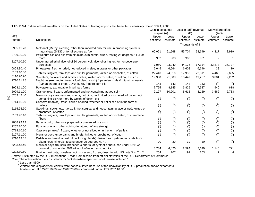|            |                                                                                                                                                 | Gain in consumer<br>surplus (A) |                | Loss in tariff revenue<br>(B) |                | Net welfare effect<br>$(A-B)$ |                |
|------------|-------------------------------------------------------------------------------------------------------------------------------------------------|---------------------------------|----------------|-------------------------------|----------------|-------------------------------|----------------|
| <b>HTS</b> |                                                                                                                                                 | Upper                           | Lower          | Upper                         | Lower          | Upper                         | Lower          |
| number     | Description                                                                                                                                     | estimate                        | estimate       | estimate                      | estimate       | estimate                      | estimate       |
|            |                                                                                                                                                 |                                 |                | Thousands of \$               |                |                               |                |
| 2905.11.20 | Methanol (Methyl alcohol), other than imported only for use in producing synthetic<br>natural gas (SNG) or for direct use as fuel               | 60,021                          | 61,568         | 55,704                        | 58,649         | 4,317                         | 2,919          |
| 2709.00.20 | Petroleum oils and oils from bituminous minerals, crude, testing 25 degrees A.P.I. or                                                           |                                 |                |                               |                |                               |                |
|            | more                                                                                                                                            | 902                             | 903            | 900                           | 901            | 2                             |                |
| 2207.10.60 | Undenatured ethyl alcohol of 80 percent vol. alcohol or higher, for nonbeverage<br>purposes                                                     | 77,050                          | 93,040         | 44,176                        | 67,314         | 32,873                        | 25,727         |
| 0804.30.40 | Pineapples, fresh or dried, not reduced in size, in crates or other packages                                                                    | 6,645                           | 6,664          | 6,608                         | 6,646          | 38                            | 19             |
| 6109.10.00 | T-shirts, singlets, tank tops and similar garments, knitted or crocheted, of cotton                                                             | 22,440                          | 24,916         | 17,980                        | 22,311         | 4,460                         | 2,605          |
| 6110.20.20 | Sweaters, pullovers and similar articles, knitted or crocheted, of cotton, n.e.s.o.i.                                                           | 19,330                          | 21,508         | 15,449                        | 19,257         | 3,881                         | 2,252          |
| 2710.11.25 | Naphthas (exc. motor fuel/mtr fuel blend. stock) fr petroleum oils & bitumin minerals<br>(o/than crude) or preps 70%+ by wt. fr petroleum oils  | 143                             | 143            | 143                           | 143            | $\binom{a}{b}$                | $\binom{a}{b}$ |
| 3903.11.00 | Polystyrene, expandable, in primary forms                                                                                                       | 7,765                           | 8,145          | 6,825                         | 7,527          | 940                           | 618            |
| 2009.11.00 | Orange juice, frozen, unfermented and not containing added spirit                                                                               | 9,197                           | 10,901         | 5,615                         | 8,169          | 3,582                         | 2,733          |
| 6203.42.40 | Men's or boys' trousers and shorts, not bibs, not knitted or crocheted, of cotton, not<br>containing 15% or more by weight of down, etc.        | $b$                             | $b$            | $\binom{b}{b}$                | $b$            | $b$                           | $b$            |
| 0714.10.20 | Cassava (manioc), fresh, chilled or dried, whether or not sliced or in the form of<br>pellets                                                   | $b$                             | $b$            | $b$                           | $b$            | $b$                           | $b$            |
| 6115.95.90 | Stockings, socks, etc. n.e.s.o.i. (not surgical and not containing lace or net), knitted or<br>crocheted, of cotton                             | $\binom{b}{b}$                  | $b$            | $\binom{b}{b}$                | $b$            | $b$                           | $\binom{b}{b}$ |
| 6109.90.10 | T-shirts, singlets, tank tops and similar garments, knitted or crocheted, of man-made<br>fibers                                                 |                                 | $\binom{b}{b}$ | $\binom{b}{b}$                | $\binom{b}{b}$ | $\binom{b}{b}$                | $\binom{b}{b}$ |
| 2008.99.13 | Banana pulp, otherwise prepared or preserved, n.e.s.o.i.                                                                                        | $\binom{b}{b}$                  | $\binom{b}{b}$ | $\binom{b}{b}$                | $\binom{b}{b}$ | $\binom{b}{b}$                | $\binom{b}{b}$ |
| 2207.20.00 | Ethyl alcohol and other spirits, denatured, of any strength                                                                                     | $(\mathcal{C})$                 | $\binom{c}{ }$ | $\binom{c}{ }$                | $(^\circ)$     | $\binom{c}{ }$                | $\binom{c}{ }$ |
| 0714.10.10 | Cassava (manioc), frozen, whether or not sliced or in the form of pellets                                                                       | $\binom{b}{b}$                  | $\binom{b}{b}$ | $b$                           | $\binom{b}{b}$ | $\binom{b}{b}$                | $\binom{b}{b}$ |
| 6107.11.00 | Men's or boys' underpants and briefs, knitted or crocheted, of cotton                                                                           | $\binom{b}{b}$                  | $\binom{b}{b}$ | $\binom{b}{b}$                | $b$            | $b$                           | $b$            |
| 2710.19.05 | Distillate and residual fuel oil (including blends) derived from petroleum or oils from<br>bituminous minerals, testing under 25 degrees A.P.I. | 20                              | 20             | 19                            | 20             | $\binom{a}{b}$                | $\binom{a}{ }$ |
| 6203.43.40 | Men's or boys' trousers, breeches & shorts, of synthetic fibers, con under 15% wt<br>down etc, cont under 36% wt wool, n/water resist, not k/c  | 3,734                           | 4,420          | 2,594                         | 3,699          | 1,140                         | 721            |
| 0202.30.50 | Bovine meat cuts, boneless, not processed, frozen, descr in add. US note 3 to Ch. 2                                                             | 204                             | 207            | 197                           | 203            | $\overline{7}$                | 4              |

| TABLE 3.4 Estimated welfare effects on the United States of leading imports that benefited exclusively from CBERA, 2008 |
|-------------------------------------------------------------------------------------------------------------------------|
|-------------------------------------------------------------------------------------------------------------------------|

*Source*: Estimated by the U.S. International Trade Commission from official statistics of the U.S. Department of Commerce.

*Note*: The abbreviation n.e.s.o.i. stands for "not elsewhere specified or otherwise included." a Less than \$500.

 $^{\rm b}$  Welfare and displacement effects were not calculated because of the unavailability of U.S. production and/or export data.<br><sup>c</sup> Analysis for HTS 2207.10.60 and 2207.20.00 is combined under HTS 2207.10.60.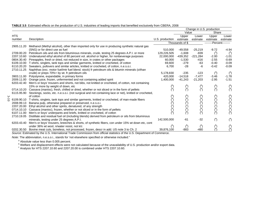|                      |                                                                                                              |                 |                   |                   | Change in U.S. production |                                    |
|----------------------|--------------------------------------------------------------------------------------------------------------|-----------------|-------------------|-------------------|---------------------------|------------------------------------|
|                      |                                                                                                              |                 | Value             |                   | Share                     |                                    |
| <b>HTS</b><br>number | Description                                                                                                  | U.S. production | Upper<br>estimate | Lower<br>estimate | Upper<br>estimate         | Lower<br>estimate                  |
|                      |                                                                                                              |                 | Thousands of \$   |                   | --------Percent--------   |                                    |
| 2905.11.20           | Methanol (Methyl alcohol), other than imported only for use in producing synthetic natural gas               |                 |                   |                   |                           |                                    |
|                      | (SNG) or for direct use as fuel                                                                              | 510,000         | $-49,558$         | $-25,219$         | $-9.72$                   | $-4.94$                            |
| 2709.00.20           | Petroleum oils and oils from bituminous minerals, crude, testing 25 degrees A.P.I. or more                   | 129,226,505     | $-1.608$          | $-839$            | $\binom{a}{b}$            | $\binom{a}{b}$                     |
| 2207.10.60           | Undenatured ethyl alcohol of 80 percent vol. alcohol or higher, for nonbeverage purposes                     | 22,000,000      | $-439,352$        | $-221,284$        | $-2.00$                   | $-1.01$                            |
|                      | 0804.30.40 Pineapples, fresh or dried, not reduced in size, in crates or other packages                      | 60,000          | $-1,530$          | -416              | $-2.55$                   | $-0.69$                            |
|                      | 6109.10.00 T-shirts, singlets, tank tops and similar garments, knitted or crocheted, of cotton               | 69.600          | $-279$            | $-63$             | $-0.40$                   | $-0.09$                            |
| 6110.20.20           | Sweaters, pullovers and similar articles, knitted or crocheted, of cotton, n.e.s.o.i.                        | 6.700           | $-28$             | -6                | $-0.42$                   | $-0.09$                            |
| 2710.11.25           | Naphthas (exc. motor fuel/mtr fuel blend. stock) fr petroleum oils & bitumin minerals (o/than                |                 |                   |                   |                           |                                    |
|                      | crude) or preps 70%+ by wt. fr petroleum oils                                                                | 5,178,830       | $-235$            | $-123$            | $\binom{a}{b}$            | $\binom{a}{b}$                     |
| 3903.11.00           | Polystyrene, expandable, in primary forms                                                                    | 420,000         | $-14,518$         | $-7,477$          | $-3.46$                   | $-1.78$                            |
|                      | 2009.11.00 Orange juice, frozen, unfermented and not containing added spirit                                 | 1,400,000       | $-41,243$         | $-21,203$         | $-2.95$                   | $-1.51$                            |
|                      | 6203.42.40 Men's or boys' trousers and shorts, not bibs, not knitted or crocheted, of cotton, not containing |                 |                   |                   |                           |                                    |
|                      | 15% or more by weight of down, etc                                                                           |                 |                   |                   |                           |                                    |
| 0714.10.20           | Cassava (manioc), fresh, chilled or dried, whether or not sliced or in the form of pellets                   |                 |                   |                   |                           |                                    |
| 6115.95.90           | Stockings, socks, etc. n.e.s.o.i. (not surgical and not containing lace or net), knitted or crocheted,       |                 |                   |                   |                           |                                    |
|                      | of cotton                                                                                                    |                 |                   |                   |                           |                                    |
|                      | 6109.90.10 T-shirts, singlets, tank tops and similar garments, knitted or crocheted, of man-made fibers      |                 |                   |                   |                           |                                    |
| 2008.99.13           | Banana pulp, otherwise prepared or preserved, n.e.s.o.i.                                                     |                 |                   |                   |                           |                                    |
|                      | 2207.20.00 Ethyl alcohol and other spirits, denatured, of any strength                                       |                 |                   |                   |                           |                                    |
| 0714.10.10           | Cassava (manioc), frozen, whether or not sliced or in the form of pellets                                    |                 |                   |                   |                           |                                    |
| 6107.11.00           | Men's or boys' underpants and briefs, knitted or crocheted, of cotton                                        |                 |                   |                   |                           |                                    |
| 2710.19.05           | Distillate and residual fuel oil (including blends) derived from petroleum or oils from bituminous           |                 |                   |                   |                           |                                    |
|                      | minerals, testing under 25 degrees A.P.I.                                                                    | 142,500,000     | $-61$             | $-32$             | $\binom{a}{b}$            | $({}^{\rm a})$                     |
| 6203.43.40           | Men's or boys' trousers, breeches & shorts, of synthetic fibers, con under 15% wt down etc, cont             |                 |                   |                   |                           |                                    |
|                      | under 36% wt wool, n/water resist, not k/c                                                                   |                 | $\binom{b}{b}$    | $\binom{b}{b}$    |                           | $(\overline{\phantom{a}}^{\rm b})$ |
| 0202.30.50           | Bovine meat cuts, boneless, not processed, frozen, descr in add. US note 3 to Ch. 2                          | 39,876,100      | $-883$            | $-480$            |                           |                                    |

#### **TABLE 3.5** Estimated effects on the production of U.S. industries of leading imports that benefited exclusively from CBERA, 2008

*Source*: Estimated by the U.S. International Trade Commission from official statistics of the U.S. Department of Commerce.

*Note*: The abbreviation, n.e.s.o.i., stands for 'not elsewhere specified or otherwise included." a Absolute value less than 0.005 percent.

<sup>b</sup> Welfare and displacement effects were not calculated because of the unavailability of U.S. production and/or export data.<br><sup>c</sup> Analysis for HTS 2207.10.60 and 2207.20.00 is combined under HTS 2207.10.60.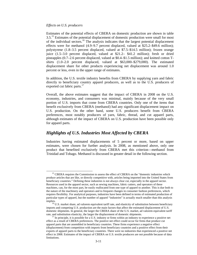#### *Effects on U.S. producers*

Estimates of the potential effects of CBERA on domestic production are shown in table 3.5.15 Estimates of the potential displacement of domestic production were small for most of the individual sectors.16 The analysis indicates that the largest potential displacement effects were for methanol (4.9–9.7 percent displaced, valued at \$25.2–\$49.6 million); polystyrene (1.8–3.5 percent displaced, valued at \$7.5–\$14.5 million); frozen orange juice (1.5–3.0 percent displaced, valued at \$21.2– \$41.2 million); fresh or dried pineapples (0.7–2.6 percent displaced, valued at \$0.4–\$1.5 million); and knitted cotton Tshirts (1.0–2.0 percent displaced, valued at \$63,000–\$279,000). The estimated displacement share for other products experiencing net displacement was around 1.0 percent or less, even in the upper range of estimates.

In addition, the U.S. textile industry benefits from CBERA by supplying yarn and fabric directly to beneficiary country apparel producers, as well as to the U.S. producers of exported cut fabric parts.<sup>17</sup>

Overall, the above estimates suggest that the impact of CBERA in 2008 on the U.S. economy, industries, and consumers was minimal, mainly because of the very small portion of U.S. imports that come from CBERA countries. Only one of the items that benefit exclusively from CBERA (methanol) had any significant displacement impact on U.S. production. On the other hand, some U.S. producers benefit from CBERA preferences, most notably producers of yarn, fabric, thread, and cut apparel parts, although estimates of the impact of CBERA on U.S. production have been possible only for apparel parts.

## *Highlights of U.S. Industries Most Affected by CBERA*

Industries having estimated displacements of 5 percent or more, based on upper estimates, were chosen for further analysis. In 2008, as mentioned above, only one product that benefited exclusively from CBERA met this criterion—methanol from Trinidad and Tobago. Methanol is discussed in greater detail in the following section.

<sup>&</sup>lt;sup>15</sup> CBERA requires the Commission to assess the effect of CBERA on the "domestic industries which produce articles that are like, or directly competitive with, articles being imported into the United States from beneficiary countries." Defining these industries is not always clear cut, especially in the apparel sector. Resources used in the apparel sector, such as sewing machines, fabric cutters, and operators of these machines, can, for the most part, be easily reallocated from one type of apparel to another. This is due both to the nature of the machinery and operators and to frequent changes in consumer fashion preferences, which requires flexibility. For analytical purposes, industries have been defined in terms of estimated production of particular types of apparel, but the number of apparel "industries" is actually much smaller than this analysis implies.<br><sup>16</sup> U.S. market share, ad valorem equivalent tariff rate, and elasticity of substitution between beneficiary

imports and competing U.S. production are the main factors that affect the estimated displacement of U.S. domestic shipments. In general, the larger the CBERA share of the U.S. market, ad valorem equivalent tariff rate, and substitution elasticity, the larger the displacement of domestic shipments. 17 In principle, it is possible for a U.S. industry or firms within an industry to experience a positive net

effect as a result of CBERA preferences. The positive net effect could occur for firms that produce cut apparel parts that are assembled in beneficiary countries. These firms experience a negative effect (displacement) from competition with imports from beneficiary countries and a positive effect from their exports of apparel parts to the beneficiary countries. There were no industries that experienced a positive net effect in 2008. Estimates of the impact of CBERA on U.S. textile producers are not possible because of data limitations.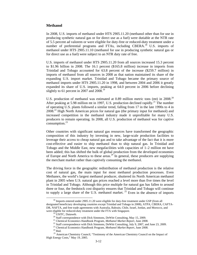#### **Methanol**

In 2008, U.S. imports of methanol under HTS 2905.11.20 (methanol other than for use in producing synthetic natural gas or for direct use as a fuel) were dutiable at the NTR rate of 5.5 percent ad valorem or were eligible for duty-free or reduced-duty treatment under a number of preferential programs and FTAs, including CBERA.<sup>18</sup> U.S. imports of methanol under HTS 2905.11.10 (methanol for use in producing synthetic natural gas or for direct use as a fuel) were subject to an NTR duty rate of free.

U.S. imports of methanol under HTS 2905.11.20 from all sources increased 15.3 percent to \$1.96 billion in 2008. The 16.1 percent (\$165.8 million) increase in imports from Trinidad and Tobago accounted for 63.8 percent of the increase (\$259.7 million) in imports of methanol from all sources in 2008 as that nation maintained its share of the expanding U.S. import market. Trinidad and Tobago became the primary source of methanol imports under HTS 2905.11.20 in 1998, and between 2004 and 2006 it greatly expanded its share of U.S. imports, peaking at 64.0 percent in 2006 before declining slightly to 61 percent in 2007 and  $2008$ .<sup>19</sup>

U.S. production of methanol was estimated at 0.89 million metric tons (mt) in 2008.<sup>20</sup> After peaking at 5.98 million mt in 1997, U.S. production declined rapidly.<sup>21</sup> The number of operating U.S. plants followed a similar trend, falling from 17 in the late 1990s to 4 in  $2008<sup>22</sup>$  High North American prices for natural gas (the primary input for methanol) and increased competition in the methanol industry made it unprofitable for many U.S. producers to remain operating. In 2008, all U.S. production of methanol was for captive consumption.<sup>23</sup>

Other countries with significant natural gas resources have transformed the geographic composition of this industry by investing in new, large-scale production facilities to leverage their access to cheap natural gas and to take advantage of the fact that it is more cost-effective and easier to ship methanol than to ship natural gas. In Trinidad and Tobago and the Middle East, new megafacilities with capacities of 1–2 million mt have been added; this has shifted the bulk of global production from the developed economies of Europe and North America to these areas. $24$  In general, these producers are supplying the merchant market rather than captively consuming the methanol.

The driving force in the geographic redistribution of methanol production is the relative cost of natural gas, the main input for most methanol production processes. Even Methanex, the world's largest methanol producer, shuttered its North American methanol plant in 2005 when U.S. natural gas prices reached a level more than five times the level in Trinidad and Tobago. Although this price multiple for natural gas has fallen to around three or four, the feedstock cost disparity ensures that Trinidad and Tobago will continue to supply a large share of the U.S. methanol market.  $25$  Even in the absence of imports

<sup>&</sup>lt;sup>18</sup> Imports entered under 2905.11.20 were eligible for duty-free treatment under GSP (from all designated beneficiary developing countries except Trinidad and Tobago in 2008), ATPA, CBERA, CAFTA-DR, NAFTA, and free trade agreements with Australia, Bahrain, Chile, Israel, Jordan, and Morocco, and were eligible for reduced-duty treatment under the FTA with Singapore.<br><sup>19</sup> USITC, Dataweb.<br><sup>20</sup> Staff correspondence with Dick Simmons, DeWitt Consulting, May 15, 2009.<br><sup>21</sup> Chemical Economics Handbook Program, *Methanol* 

<sup>&</sup>lt;sup>25</sup> American Chemistry Council, "Testimony of the American Chemistry Council on the Impact of High Energy Costs," May 19, 2005.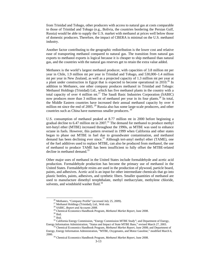from Trinidad and Tobago, other producers with access to natural gas at costs comparable to those of Trinidad and Tobago (e.g., Bolivia, the countries bordering the Persian Gulf, Russia) would be able to supply the U.S. market with methanol at prices well below those of domestic producers. Therefore, the impact of CBERA is minimal on the U.S. methanol industry.

Another factor contributing to the geographic redistribution is the lower cost and relative ease of transporting methanol compared to natural gas. The transition from natural gas exports to methanol exports is logical because it is cheaper to ship methanol than natural gas, and the countries with the natural gas reserves get to retain the extra value added.

Methanex is the world's largest methanol producer, with capacities of 3.8 million mt per year in Chile, 1.9 million mt per year in Trinidad and Tobago, and 530,000–1.4 million mt per year in New Zealand, as well as a projected capacity of 1.3 million mt per year at a plant under construction in Egypt that is expected to become operational in  $2010^{26}$  In addition to Methanex, one other company produces methanol in Trinidad and Tobago: Methanol Holdings (Trinidad) Ltd., which has five methanol plants in the country with a total capacity of over 4 million mt.<sup>27</sup> The Saudi Basic Industries Corporation (SABIC) now produces more than 3 million mt of methanol per year in its four plants.<sup>28</sup> In total, the Middle Eastern countries have increased their annual methanol capacity by over 4 million mt since the end of 2005.<sup>29</sup> Russia also has some large-scale producers, and other countries such as China have numerous smaller producers. 30

U.S. consumption of methanol peaked at 8.77 million mt in 2000 before beginning a gradual decline to 6.47 million mt in  $2007$ <sup>31</sup>. The demand for methanol to produce methyl tert-butyl ether (MTBE) increased throughout the 1990s, as MTBE was used to enhance octane in fuels. However, this pattern reversed in 1999 when California and other states began to phase out MTBE in fuel due to groundwater contamination, and methanol demand has been declining ever since.<sup>32</sup> Although tert-amyl methyl ether (TAME), one of the fuel additives used to replace MTBE, can also be produced from methanol, the use of methanol to produce TAME has been insufficient to fully offset the MTBE-related decline in methanol demand. $33$ 

Other major uses of methanol in the United States include formaldehyde and acetic acid production. Formaldehyde production has become the primary use of methanol in the United States. Formaldehyde resins are used in the production of plywood, particle board, paints, and adhesives. Acetic acid is an input for other intermediate chemicals that go into plastic bottles, paints, adhesives, and synthetic fibers. Smaller quantities of methanol are used to manufacture dimethyl terephthalate, methyl methacrylate, methylene chloride, solvents, and windshield washer fluid.<sup>34</sup>

<sup>&</sup>lt;sup>26</sup> Methanex, "Company Profile" (accessed July 25, 2009).<br><sup>27</sup> Methanol Holdings (Trinidad), Ltd., Web site.

<sup>&</sup>lt;sup>28</sup> SABIC, *Report and Accounts 2008*.<br><sup>29</sup> Chemical Economics Handbook Program, *Methanol Market Report*, June 2008.<br><sup>30</sup> Ibid.

 $31$  Ibid.

<sup>&</sup>lt;sup>32</sup> California Energy Commission, "Energy Commission MTBE Study"; and Department of Energy, Energy Information Administration, "Status and Impact of State MTBE Bans," revised March 27, 2003. 33 Chemical Economics Handbook Program, *Methanol Market Report*, June 2008; and Department of

Energy, Energy Information Administration, "MTBE, Oxygenates, and Motor Gasoline," modified March 6, 2000. 34 Chemical Economics Handbook Program, *Methanol Market Report*, June 2008.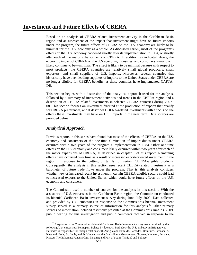# **Investment and Future Effects of CBERA**

Based on an analysis of CBERA-related investment activity in the Caribbean Basin region and an assessment of the impact that investment might have on future imports under the program, the future effects of CBERA on the U.S. economy are likely to be minimal for the U.S. economy as a whole. As discussed earlier, most of the program's effects on the U.S. economy happened shortly after its implementation in 1984, or shortly after each of the major enhancements to CBERA. In addition, as indicated above, the economic impact of CBERA on the U.S economy, industries, and consumers is—and will likely continue to be—minimal. The effect is likely to be minimal because with respect to most products, the CBERA countries are relatively small global producers, small exporters, and small suppliers of U.S. imports. Moreover, several countries that historically have been leading suppliers of imports to the United States under CBERA are no longer eligible for CBERA benefits, as those countries have implemented CAFTA-DR.

This section begins with a discussion of the analytical approach used for the analysis, followed by a summary of investment activities and trends in the CBERA region and a description of CBERA-related investments in selected CBERA countries during 2007– 08. This section focuses on investment directed at the production of exports that qualify for CBERA preferences, and it describes CBERA-related investments with a focus on the effects these investments may have on U.S. imports in the near term. Data sources are provided below.

## *Analytical Approach*

Previous reports in this series have found that most of the effects of CBERA on the U.S. economy and consumers of the one-time elimination of import duties under CBERA occurred within two years of the program's implementation in 1984. Other one-time effects on the U.S. economy and consumers likely occurred within two years after each of the major expansions of CBERA, as described in chapter 1 of this report. Remaining effects have occurred over time as a result of increased export-oriented investment in the region in response to the cutting of tariffs for certain CBERA-eligible products. Consequently, the analysis in this section uses recent CBERA-related investment as a barometer of future trade flows under the program. That is, this analysis considers whether new or increased recent investment in certain CBERA-eligible sectors could lead to increased exports to the United States, which could have future effects on the U.S. economy and consumers.

The Commission used a number of sources for the analysis in this section. With the assistance of U.S. embassies in the Caribbean Basin region, the Commission conducted its biennial Caribbean Basin investment survey during June–July 2009. Data collected and provided by U.S. embassies in response to the Commission's biennial investment survey served as a primary source of information for this analysis.<sup>35</sup> Other primary sources of information included testimony presented at the Commission's June 23, 2009, public hearing for this investigation and public comments received in response to the

<sup>&</sup>lt;sup>35</sup> Responses to the Commission's biennial Caribbean Basin investment survey were provided by the following U.S. embassies: Belmopan, Belize; Bridgetown, Barbados (the U.S. embassy in Bridgetown, Barbados is responsible for foreign relations with Antigua and Barbuda, Barbados, Dominica, Grenada, St. Kitts and Nevis, St. Lucia, and St. Vincent and the Grenadines); Georgetown, Guyana; Kingston, Jamaica; Nassau, The Bahamas; Panama City, Panama; and Port of Spain, Trinidad and Tobago.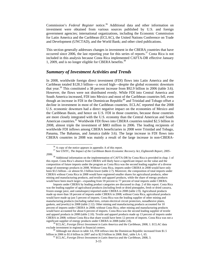Commission's Federal Register notice.<sup>36</sup> Additional data and other information on investment were obtained from various sources published by U.S. and foreign government agencies; international organizations, including the Economic Commission for Latin America and the Caribbean (ECLAC), the United Nations Conference on Trade and Development (UNCTAD), and the World Bank; and other cited publications.

This section generally addresses changes in investment in the CBERA countries that have occurred since 2006, the last reporting year for this series of reports.37 Costa Rica is not included in this analysis because Costa Rica implemented CAFTA-DR effective January 1, 2009, and is no longer eligible for CBERA benefits.<sup>38</sup>

## *Summary of Investment Activities and Trends*

In 2008, worldwide foreign direct investment (FDI) flows into Latin America and the Caribbean totaled \$128.3 billion—a record high—despite the global economic downturn that year.<sup>39</sup> This constituted a 38 percent increase from \$92.9 billion in 2006 (table 3.6). However, the flows were not distributed evenly. While FDI into Central America and South America increased, FDI into Mexico and most of the Caribbean countries fell, even though an increase in FDI in the Dominican Republic<sup>40</sup> and Trinidad and Tobago offset a decline in investment in most of the Caribbean countries. ECLAC reported that the 2008 U.S. economic downturn had a direct negative impact on the economies of Mexico and the Caribbean Basin, and hence on U.S. FDI in those countries, because those countries are more closely integrated with the U.S. economy than the Central American and South American countries.<sup>41</sup> Worldwide FDI flows into CBERA countries totaled \$2.5 billion in 2008, almost triple the investment of \$883 million in 2006. The leading recipients of worldwide FDI inflows among CBERA beneficiaries in 2008 were Trinidad and Tobago, Panama, The Bahamas, and Jamaica (table 3.6). The large increase in FDI flows into CBERA countries in 2008 was mainly a result of the large increase in non-CBERA-

<sup>&</sup>lt;sup>36</sup> A copy of the notice appears in appendix A of this report.

<sup>&</sup>lt;sup>37</sup> See USITC, *The Impact of the Caribbean Basin Economic Recovery Act, Eighteenth Report, 2005– 2006*.

<sup>&</sup>lt;sup>38</sup> Additional information on the implementation of CAFTA-DR by Costa Rica is provided in chap. 1 of this report. Costa Rica's absence from CBERA will likely have a significant impact on the value and the composition of future imports under the program as Costa Rica was the second leading supplier of a diverse range of nonenergy products in 2008. Without Costa Rica, imports under CBERA in 2008 would have only been \$3.5 billion—or almost \$1.3 billion lower (table 2.7). Moreover, the composition of total imports under CBERA without Costa Rica in 2008 would have registered smaller shares for agricultural products, other mining and manufacturing products, and textile and apparel products, while the share of energy products would have been much larger—expanding from 59 percent to 77 percent of total imports under CBERA.

Imports under CBERA by leading product categories are discussed in chap. 2 of this report. Costa Rica was the leading supplier of agricultural products (including fresh or dried pineapples, fresh or dried cassava, frozen orange juice, and cantaloupes) imported under CBERA in 2008 (table 2.9). Agricultural products made up more than 18 percent of imports under CBERA in 2008; without Costa Rica, agricultural products would have made up just 5 percent of imports. Costa Rica was the leading supplier of other mining and manufacturing products (including radial tires, certain electrical circuit protectors, nonadhesive plates, gaskets, and jewelry) in 2008 (table 2.12). Other mining and manufacturing products accounted for 10 percent of imports under CBERA in 2008; without Costa Rica, other mining and manufacturing products would have accounted for about 6 percent of imports. Costa Rica was the second leading supplier of textile and apparel products in 2008 (table 2.10). Textile and apparel products made up 13 percent of imports under CBERA in 2008; without Costa Rica that share would have been 12 percent of imports. Costa Rica was not a significant supplier of energy products under CBERA in 2008 (table 2.8). 39 ECLAC, *Foreign Direct Investment in Latin America and the Caribbean*, 2008, 1. ECLAC data

exclude investment in regional in financial centers.<br>
<sup>40</sup> Although not shown in table 3.6, FDI inflows into the Dominican Republic increased from \$1.5<br>
billion in 2006 to \$1.6 billion in 2007 and to \$2.9 billion in 2008.

<sup>&</sup>lt;sup>41</sup> ECLAC, *Foreign Direct Investment in Latin America and the Caribbean*, 2008, 3.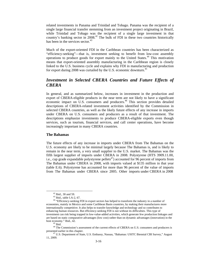related investments in Panama and Trinidad and Tobago. Panama was the recipient of a single large financial transfer stemming from an investment project originating in Brazil, while Trinidad and Tobago was the recipient of a single large investment in that country's banking sector in 2008.<sup>42</sup> The bulk of FDI in these two countries historically has been in the services sector.<sup>43</sup>

Much of the export-oriented FDI in the Caribbean countries has been characterized as "efficiency-seeking"—that is, investment seeking to benefit from low-cost assembly operations to produce goods for export mainly to the United States.44 This motivation means that export-oriented assembly manufacturing in the Caribbean region is closely linked to the U.S. business cycle and explains why FDI in manufacturing and production for export during 2008 was curtailed by the U.S. economic downturn.<sup>45</sup>

## *Investment in Selected CBERA Countries and Future Effects of CBERA*

In general, and as summarized below, increases in investment in the production and export of CBERA-eligible products in the near term are not likely to have a significant economic impact on U.S. consumers and producers.<sup>46</sup> This section provides detailed descriptions of CBERA-related investment activities identified by the Commission in selected CBERA countries, as well as the likely future effects of any increase in imports under CBERA on U.S. consumers and producers as a result of that investment. The descriptions emphasize investments to produce CBERA-eligible exports even though services, such as tourism, financial services, and call center operations, have become increasingly important in many CBERA countries.

#### **The Bahamas**

The future effects of any increase in imports under CBERA from The Bahamas on the U.S. economy are likely to be minimal largely because The Bahamas is, and is likely to remain in the near term, a very small supplier to the U.S. market. The Bahamas was the fifth largest supplier of imports under CBERA in 2008. Polystyrene (HTS 3909.11.00, i.e., cup grade expandable polystyrene pellets<sup>47</sup>) accounted for 96 percent of imports from The Bahamas under CBERA in 2008, with imports valued at \$135 million in that year (table E.6). Polystyrene has accounted for more than 96 percent of the value of imports from The Bahamas under CBERA since 2005. Other imports under CBERA in 2008

 <sup>42</sup> Ibid., 30 and 59.

<sup>43</sup> Ibid., table I.A-2, 67.

<sup>44 &</sup>quot;Efficiency-seeking FDI in export sectors has helped to transform the industry in a number of economies, mainly in Mexico and some Caribbean Basin countries, by making their manufactures more internationally competitive. It also helps to transfer knowledge and technology and so contributes to enhancing human resources. But efficiency-seeking FDI is not without its difficulties. This type of investment can risk being trapped in low-value-added activities, which generate few production linkages and are based on static comparative advantages (low cost) rather than on dynamic advantages (innovation) in the host economy." Ibid., 42.<br><sup>45</sup> Ibid.

<sup>&</sup>lt;sup>46</sup> The Commission's assessment of the current effects of CBERA on U.S. consumers and producers is presented earlier in this chapter. 47 U.S. Department of State, U.S. Embassy, Nassau, "Bahamas: USITC Biennial CBI Survey," August

<sup>11, 2009.</sup>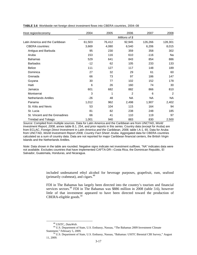| Host region/economy             | 2004   | 2005   | 2006           | 2007      | 2008           |
|---------------------------------|--------|--------|----------------|-----------|----------------|
|                                 |        |        | Millions of \$ |           |                |
| Latin America and the Caribbean | 61,503 | 76,412 | 92,945         | 126,266   | 128,301        |
| <b>CBERA</b> countries:         | 3,669  | 4,080  | 6,540          | 6,206     | 8,015          |
| Antigua and Barbuda             | 95     | 230    | 359            | 358       | 302            |
| Aruba                           | 153    | 116    | 610            | $-116$    | Na             |
| <b>Bahamas</b>                  | 529    | 641    | 843            | 854       | 886            |
| <b>Barbados</b>                 | $-12$  | 62     | 105            | 233       | 133            |
| <b>Belize</b>                   | 111    | 127    | 117            | 148       | 189            |
| Dominica                        | 27     | 32     | 29             | 61        | 60             |
| Grenada                         | 66     | 73     | 97             | 186       | 147            |
| Guyana                          | 30     | 77     | 102            | 152       | 178            |
| Haiti                           | 6      | 26     | 160            | 74        | 30             |
| Jamaica                         | 601    | 682    | 882            | 866       | 810            |
| Montserrat                      | 3      | 1      | 2              | 6         | $\overline{2}$ |
| <b>Netherlands Antilles</b>     | $-26$  | 48     | <b>NA</b>      | <b>NA</b> | <b>NA</b>      |
| Panama                          | 1,012  | 962    | 2,498          | 1,907     | 2,402          |
| St. Kitts and Nevis             | 53     | 104    | 115            | 164       | 94             |
| St. Lucia                       | 81     | 82     | 238            | 248       | 185            |
| St. Vincent and the Grenadines  | 66     | 41     | 110            | 119       | 97             |
| Trinidad and Tobago             | 1,001  | 940    | 883            | 830       | 2,500          |

#### **TABLE 3.6** Worldwide net foreign direct investment flows into CBERA countries, 2004–08

*Source*: Compiled from multiple sources. Data for Latin America and the Caribbean are from UNCTAD, *World Investment Report, 2008*, annex table B.1, 254, and prior reports in this series. Country data (except for Aruba) are from ECLAC, *Foreign Direct Investment in Latin America and the Caribbean, 2008*, table I.A-1, 65. Data for Aruba from UNCTAD, *World Investment Report 2008, Country Fact Sheet: Aruba*. Aggregated data for CBERA countries calculated as a sum of country data. Data are not reported for major Caribbean financial centers, the British Virgin Islands and the Netherlands Antilles.

*Note*: Data shown in the table are rounded. Negative signs indicate net investment outflows. "NA" indicates data were not available. Excludes countries that have implemented CAFTA-DR—Costa Rica, the Dominican Republic, El Salvador, Guatemala, Honduras, and Nicaragua.

> included undenatured ethyl alcohol for beverage purposes, grapefruit, rum, seafood (primarily crabmeat), and cigars. $48$

> FDI in The Bahamas has largely been directed into the country's tourism and financial services sectors.<sup>49</sup> FDI in The Bahamas was \$886 million in 2008 (table 3.6), however little of that investment appeared to have been directed toward the production of CBERA-eligible goods. $50$

<sup>&</sup>lt;sup>48</sup> USITC, *DataWeb*.<br><sup>49</sup> U.S. Department of State, U.S. Embassy, Nassau, "The Bahamas 2009 Investment Climate Statement," February 5, 2009.<br><sup>50</sup> U.S. Department of State, U.S. Embassy, Nassau, "Bahamas: USITC Biennial CBI Survey," August

<sup>11, 2009.</sup>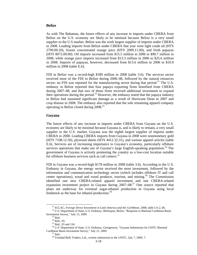#### **Belize**

As with The Bahamas, the future effects of any increase in imports under CBERA from Belize on the U.S. economy are likely to be minimal because Belize is a very small supplier to the U.S market. Belize was the sixth largest supplier of imports under CBERA in 2008. Leading imports from Belize under CBERA that year were light crude oil (HTS 2709.00.20), frozen concentrated orange juice (HTS 2009.11.00), and fresh papayas (HTS 8072.00.00). Oil imports increased from \$15.5 million in 2006 to \$90.7 million in 2008, while orange juice imports increased from \$13.3 million in 2006 to \$25.6 million in 2008. Imports of papayas, however, decreased from \$15.6 million in 2006 to \$10.9 million in 2008 (table E.6).

FDI in Belize was a record-high \$189 million in 2008 (table 3.6). The services sector received most of the FDI in Belize during 2006–08, followed by the natural resources sector; no FDI was reported for the manufacturing sector during that period.<sup>51</sup> The U.S. embassy in Belize reported that four papaya exporting firms benefited from CBERA during 2007–08, and that two of those firms received additional investment to expand their operations during the period.<sup>52</sup> However, the embassy noted that the papaya industry in Belize had sustained significant damage as a result of Hurricane Dean in 2007 and crop disease in 2008. The embassy also reported that the sole remaining apparel company operating in Belize closed during 2008.<sup>53</sup>

#### **Guyana**

The future effects of any increase in imports under CBERA from Guyana on the U.S. economy are likely to be minimal because Guyana is, and is likely to remain, a very small supplier to the U.S. market. Guyana was the eighth largest supplier of imports under CBERA in 2008. Leading CBERA imports from Guyana in 2008 were nonmonetary gold (HTS 7108.12.50), plywood sheets (HTS 4412.32.31), and various apparel articles (table E.6). Services are of increasing importance to Guyana's economy, particularly offshore services operations that make use of Guyana's large English-speaking population.<sup>54</sup> The government of Guyana is actively promoting the country as a low-cost location suitable for offshore business services such as call centers.<sup>55</sup>

FDI in Guyana was a record-high \$178 million in 2008 (table 3.6). According to the U.S. Embassy in Guyana, the energy sector received the most investment, followed by the information and communication technology sector (which includes offshore IT and call center operations), wood and wood products, tourism, and mining.<sup>56</sup> The Commission identified one new CBERA-related apparel investment and one CBERA-related expansion investment project in Guyana during  $2007-08$ <sup>57</sup> One source reported that plans are underway for eventual sugar-ethanol production in Guyana using local feedstock as the base for ethanol production.<sup>58</sup>

<sup>&</sup>lt;sup>51</sup> ECLAC, *Foreign Direct Investment in Latin America and the Caribbean*, 2008, table I.A-2, 66.<br><sup>52</sup> U.S. Department of State, U.S. Embassy, Belmopan, Belize, "Response to Biennial Caribbean Basin Investment Survey," July 15, 2009. 53 Ibid.

<sup>54</sup> Ibid., 93.

<sup>55</sup> Ibid., 93 and 124.

<sup>56</sup> U.S. Department of State, U.S. Embassy, Georgetown, "Guyana Submission for USITC Biennial Caribbean Basin Investment Survey," July 21, 2009. 57 Ibid.

<sup>58</sup> Trinidad Bulk Traders, Ltd., written submission to the USITC, July 7, 2009, 7.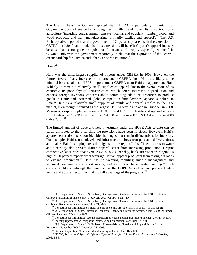The U.S. Embassy in Guyana reported that CBERA is particularly important for Guyana's exports of seafood (including fresh, chilled, and frozen fish); nontraditional agriculture (including guava, mango, cassava, jicama, and eggplant); lumber, wood, and wood products; and light manufacturing (primarily textiles and apparel).<sup>59</sup> The U.S. Embassy also reported that the government of Guyana is pleased with the extension of CBTPA until 2010, and thinks that this extension will benefit Guyana's apparel industry because that sector generates jobs for "thousands of people, especially women" in Guyana. However, the government reportedly thinks that the expiration of the act will create hardship for Guyana and other Caribbean countries.<sup>60</sup>

## Haiti<sup>61</sup>

Haiti was the third largest supplier of imports under CBERA in 2008. However, the future effects of any increase in imports under CBERA from Haiti are likely to be minimal because almost all U.S. imports under CBERA from Haiti are apparel, and Haiti is likely to remain a relatively small supplier of apparel due to the overall state of its economy; its poor physical infrastructure, which deters increases in production and exports; foreign investors' concerns about committing additional resources to produce goods in Haiti; and increased global competition from low-cost apparel suppliers in Asia.<sup>62</sup> Haiti is a relatively small supplier of textile and apparel articles to the U.S. market, even though it ranked as the largest CBERA textile and apparel supplier in 2008. Moreover, despite implementation of HOPE I and HOPE II, textile and apparel imports from Haiti under CBERA declined from \$420.8 million in 2007 to \$394.4 million in 2008  $(table 2.10).$ <sup>63</sup>

The limited amount of trade and new investment under the HOPE Acts to date can be partly attributed to the brief time the provisions have been in effect. However, Haiti's apparel sector also faces considerable challenges that remain disincentives for investors. For example, Haiti's underdeveloped infrastructure slows transport and delivery times and makes Haiti's shipping costs the highest in the region.<sup>64</sup> Insufficient access to water and electricity also prevent Haiti's apparel sector from increasing production. Despite competitive labor rates that average \$2.50–\$3.75 per day, bank interest rates ranging as high as 30 percent reportedly discourage Haitian apparel producers from taking out loans to expand production.<sup>65</sup> Haiti has no weaving facilities; middle management and technical personnel are in short supply; and its workers have limited training.<sup>66</sup> Such constraints likely outweigh the benefits that the HOPE Acts offer, and prevent Haiti's textile and apparel sector from taking full advantage of the programs.<sup>67</sup>

 $^{59}$  U.S. Department of State, U.S. Embassy, Georgetown, "Guyana Submission for USITC Biennial Caribbean Basin Investment Survey," July 21, 2009; USITC, *DataWeb*.

<sup>&</sup>lt;sup>60</sup> U.S. Department of State, U.S. Embassy, Georgetown, "Guyana Submission for USITC Biennial

Caribbean Basin Investment Survey," July 21, 2009.<br><sup>61</sup> For additional information on Haiti, see the economic profile of Haiti in chap. 4 of this report.<br><sup>62</sup> U.S. Department of State, Bureau of Economic, Energy and Busine

 $^{63}$  For additional information, see the discussion of textile and apparel imports in chap. 2 of this report.<br> $^{64}$  Industry representative, telephone interview by Commission staff, June 17, 2009.<br> $^{65}$  U.S. Departmen

Research—November 2008," December 24, 2008.<br><sup>66</sup> Carana Corporation, "Garment Manufacturing in Haiti," June 16, 2009, 15.<br><sup>67</sup> USITC, *Textiles and Apparel: Effects of Special Rules for Haiti on Trade Markets and Industrie* 

<sup>2008,</sup> ES-3.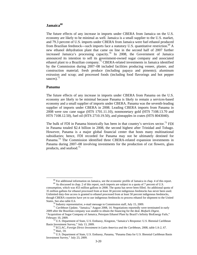## Jamaica<sup>68</sup>

The future effects of any increase in imports under CBERA from Jamaica on the U.S. economy are likely to be minimal as well. Jamaica is a small supplier to the U.S. market, and 79.3 percent of U.S. imports under CBERA from Jamaica were fuel ethanol produced from Brazilian feedstock—such imports face a statutory U.S. quantitative restriction.<sup>69</sup> A new ethanol dehydration plant that came on line in the second half of 2007 further increased Jamaica's processing capacity.70 In 2008, the Government of Jamaica announced its intention to sell its government-owned sugar company and associated ethanol plant to a Brazilian company.71 CBERA-related investments in Jamaica identified by the Commission during 2007–08 included facilities producing veneer, plaster, and construction material; fresh produce (including papaya and pimento); aluminum extrusion and scrap; and processed foods (including food flavorings and hot pepper sauces). $^{72}$ 

#### **Panama**

The future effects of any increase in imports under CBERA from Panama on the U.S. economy are likely to be minimal because Panama is likely to remain a services-based economy and a small supplier of imports under CBERA. Panama was the seventh-leading supplier of imports under CBERA in 2008. Leading CBERA imports from Panama in 2008 were raw cane sugar (HTS 1701.11.10), nonmonetary gold (HTS 7108.13.70 and HTS 7108.12.50), fuel oil (HTS 2710.19.50), and pineapples in crates (HTS 8043040).

The bulk of FDI in Panama historically has been in that country's services sector.<sup>73</sup> FDI in Panama totaled \$2.4 billion in 2008, the second highest after Trinidad and Tobago. However, Panama is a major global financial center that hosts many multinational subsidiaries; hence, FDI recorded for Panama may not be ultimately destined for Panama.<sup>74</sup> The Commission identified three CBERA-related expansion investments in Panama during 2007–08 involving investments for the production of cut flowers, glass products, and seafood.<sup>75</sup>

<sup>&</sup>lt;sup>68</sup> For additional information on Jamaica, see the economic profile of Jamaica in chap. 4 of this report. <sup>69</sup> As discussed in chap. 2 of this report, such imports are subject to a quota of 7 percent of U.S.

consumption, which was 453 million gallons in 2008. The quota has never been filled. An additional quota of 35 million gallons for ethanol processed from at least 30 percent indigenous feedstocks has never been used. Unlimited duty-free access is granted to ethanol processed from at least 50 percent indigenous feedstocks, though CBERA countries have yet to use indigenous feedstocks to process ethanol for shipment to the United

States. See also table E.6. 70 Industry representative, e-mail message to Commission staff, July 15, 2009. 71 *Caribbean Update*, "Jamaica," August 2008, 14. Negotiations reportedly were terminated in early 2009 after the Brazilian company was unable to obtain the financing for the deal. *Biofuels Digest*, "Acquisition of Sugar Company of Jamaica, Petrojam Ethanol Plant by Brazil's Infinity BioEnergy Fails," February 10, 2009. 72 U.S. Department of State, U.S. Embassy, Kingston, "Jamaica's Response: U.S. Biennial Caribbean

Basin Investment Survey," July 13, 2009.<br><sup>73</sup> ECLAC, *Foreign Direct Investment in Latin America and the Caribbean*, 2008, table I.A-2, 67.<br><sup>74</sup> Ibid., 59.

<sup>75</sup> U.S. Department of State, U.S. Embassy, Panama, "Panama Data for U.S. Biennial Caribbean Basin Investment Survey," July 23, 2009.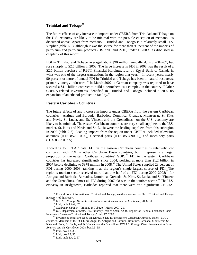### **Trinidad and Tobago<sup>76</sup>**

The future effects of any increase in imports under CBERA from Trinidad and Tobago on the U.S. economy are likely to be minimal with the possible exception of methanol, as discussed above. Apart from methanol, Trinidad and Tobago is a relatively small U.S. supplier (table E.6), although it was the source for more than 90 percent of the imports of petroleum and petroleum products (HS 2709 and 2710) under CBERA, as discussed in chapter 2 of this report.

FDI in Trinidad and Tobago averaged about \$90 million annually during 2004–07, but rose sharply to \$2.5 billion in 2008. The large increase in FDI in 2008 was the result of a \$2.5 billion purchase of RBTT Financial Holdings, Ltd. by Royal Bank of Canada in what was one of the largest transactions in the region that year.<sup>77</sup> In recent years, nearly 90 percent or more of annual FDI in Trinidad and Tobago has been in natural resources, primarily energy industries.<sup>78</sup> In March 2007, a German company was reported to have secured a \$1.1 billion contract to build a petrochemicals complex in the country.<sup>79</sup> Other CBERA-related investments identified in Trinidad and Tobago included a 2007–08 expansion of an ethanol production facility.<sup>80</sup>

#### **Eastern Caribbean Countries**

The future effects of any increase in imports under CBERA from the eastern Caribbean countries—Antigua and Barbuda, Barbados, Dominica, Grenada, Montserrat, St. Kitts and Nevis, St. Lucia, and St. Vincent and the Grenadines—on the U.S. economy are likely to be minimal. The eastern Caribbean countries are very small suppliers to the U.S. market. St. Kitts and Nevis and St. Lucia were the leading suppliers from this subregion in 2008 (table 2.7). Leading imports from the region under CBERA included television antennas (HTS 8529.10.20), electrical parts (HTS 8504.90.95), and machinery parts (HTS 8503.00.95).

According to ECLAC data, FDI in the eastern Caribbean countries is relatively low compared with FDI in other Caribbean Basin countries, but it represents a larger proportion of the eastern Caribbean countries' GDP. <sup>81</sup> FDI to the eastern Caribbean countries has increased significantly since 2004, peaking at more than \$1.2 billion in 2007 before declining to \$978 million in 2008.<sup>82</sup> The United States supplied 23 percent of FDI during 2000–2008, ranking it as the region's single largest source of FDI. The region's tourism sector received more than one-half of all FDI during  $2000-2008$ ;<sup>83</sup> for Antigua and Barbuda, Barbados, Dominica, Grenada, St. Kitts, St. Lucia, and St. Vincent and the Grenadines, almost all FDI during  $2007-08$  was in the tourism sector.<sup>84</sup> The U.S. embassy in Bridgetown, Barbados reported that there were "no significant CBERA-

<sup>&</sup>lt;sup>76</sup> For additional information on Trinidad and Tobago, see the economic profile of Trinidad and Tobago in chap. 4 of this report.

<sup>&</sup>lt;sup>77</sup> ECLAC, *Foreign Direct Investment in Latin America and the Caribbean*, 2008, 30. <sup>78</sup> Ibid., table I.A-2, 67. *Thithean Polate*, "Trinidad & Tobago," March 2007, 21.

<sup>&</sup>lt;sup>80</sup> U.S. Department of State, U.S. Embassy, Port of Spain, "2009 Report for Biennial Caribbean Basin Investment Survey—Trinidad and Tobago," July 17, 2009. 81 Investment trends are based on aggregate data for the Eastern Caribbean Currency Union (ECCU)

countries. Members of the ECCU are Anguilla, Antigua and Barbuda, Dominica, Grenada, Montserrat, St. Kitts and Nevis, St. Lucia, and St. Vincent and the Grenadines. ECLAC, *Foreign Direct Investment in Latin America and the Caribbean*, 2008, box I.3, 35. 82 Ibid., box I.3, 35.

<sup>83</sup> Ibid., box I.3, 36.

<sup>84</sup> Ibid., table I.A-2, 67.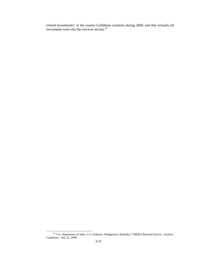related investments" in the eastern Caribbean countries during 2008, and that virtually all investment went into the services sectors.<sup>85</sup>

 <sup>85</sup> U.S. Department of State, U.S. Embassy, Bridgetown, Barbados "CBERA Biennial Survey—Eastern Caribbean," July 22, 2009.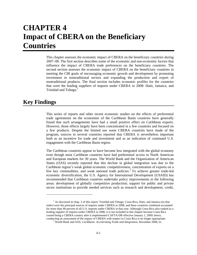# **CHAPTER 4 Impact of CBERA on the Beneficiary Countries**

This chapter assesses the economic impact of CBERA on the beneficiary countries during 2007–08. The first section describes some of the economic and non-economic factors that influence the impact of CBERA trade preferences on the beneficiary countries. The second section assesses the economic impact of CBERA on the beneficiary countries in meeting the CBI goals of encouraging economic growth and development by promoting investment in nontraditional sectors and expanding the production and export of nontraditional products. The final section includes economic profiles for the countries that were the leading suppliers of imports under CBERA in 2008: Haiti, Jamaica, and Trinidad and Tobago.<sup>1</sup>

# **Key Findings**

l

This series of reports and other recent economic studies on the effects of preferential trade agreements on the economies of the Caribbean Basin countries have generally found that such arrangements have had a small positive effect on Caribbean exports. However, those effects largely have been concentrated in a few countries and focused on a few products. Despite the limited use some CBERA countries have made of the program, sources in several countries reported that CBERA is nevertheless important both as an incentive for trade and investment and as an indication of continued U.S. engagement with the Caribbean Basin region.

The Caribbean countries appear to have become less integrated with the global economy even though most Caribbean countries have had preferential access to North American and European markets for 30 years. The World Bank and the Organization of American States (OAS) recently reported that this decline in global integration was due to the Caribbean region's weak global economic competitiveness, concentration of exports on a few key commodities, and weak national trade policies.<sup>2</sup> To achieve greater trade-led economic diversification, the U.S. Agency for International Development (USAID) has recommended that Caribbean countries undertake policy improvements in the following areas: development of globally competitive production; support for public and private sector institutions to provide needed services such as research and development, credit,

<sup>&</sup>lt;sup>1</sup> As discussed in chap. 2 of this report, Trinidad and Tobago, Costa Rica, Haiti, and Jamaica (in that order) were the principal sources of imports under CBERA in 2008, and these countries combined accounted for more than 90 percent of all U.S. imports under CBERA in that year. Although Costa Rica also ranked as a leading supplier of imports under CBERA in 2008, it is not included in this chapter because Costa Rica ceased being a CBERA country after it implemented CAFTA-DR effective January 1, 2009; hence, conducting an assessment of the impact of CBERA with respect to Costa Rica is no longer appropriate. 2

World Bank and OAS, *Caribbean: Accelerating Trade and Integration*, December 2008, iii.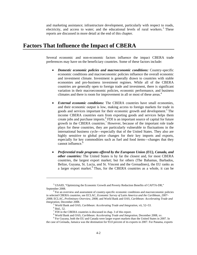and marketing assistance; infrastructure development, particularly with respect to roads, electricity, and access to water; and the educational levels of rural workers.<sup>3</sup> These reports are discussed in more detail at the end of this chapter.

# **Factors That Influence the Impact of CBERA**

Several economic and non-economic factors influence the impact CBERA trade preferences may have on the beneficiary countries. Some of these factors include:

- *Domestic economic policies and macroeconomic conditions:* Country-specific economic conditions and macroeconomic policies influence the overall economic and investment climate. Investment is generally drawn to countries with stable economies and pro-business investment regimes. While all of the CBERA countries are generally open to foreign trade and investment, there is significant variation in their macroeconomic policies, economic performance, and business climates and there is room for improvement in all or most of these areas.<sup>4</sup>
- *External economic conditions:* The CBERA countries have small economies, and their economic output is low, making access to foreign markets for trade in goods and services important for their economic growth and development.<sup>5</sup> The income CBERA countries earn from exporting goods and services helps them create jobs and purchase imports.<sup>6</sup> FDI is an important source of capital for future growth in the CBERA countries.<sup>7</sup> However, because of the important role trade plays for these countries, they are particularly vulnerable to fluctuations in the international business cycle—especially that of the United States. They also are highly sensitive to global price changes for their key imports and exports, especially for key commodities such as fuel and food items—changes that they cannot influence.<sup>8</sup>
- *Preferential trade programs offered by the European Union (EU), Canada, and other countries:* The United States is by far the closest and, for most CBERA countries, the largest export market; but for others (The Bahamas, Barbados, Belize, Guyana, St. Lucia, and St. Vincent and the Grenadines), the EU ranks as a larger export market.<sup>9</sup> Thus, for the CBERA countries as a whole, it can be

<sup>&</sup>lt;sup>3</sup> USAID, "Optimizing the Economic Growth and Poverty Reduction Benefits of CAFTA-DR," September 2008.

For an overview and assessment of country-specific economic conditions and macroeconomic policies in selected CBERA countries, see ECLAC, *Economic Survey of Latin America and the Caribbean, 2007– 2008*; ECLAC, *Preliminary Overview*, 2008; and World Bank and OAS, *Caribbean: Accelerating Trade and Integration*, December 2008.

World Bank and OAS, *Caribbean: Accelerating Trade and Integration*, vii, 52–53. 6

 $6$  Ibid., 52.

<sup>&</sup>lt;sup>7</sup> FDI in the CBERA countries is discussed in chap. 3 of this report.

World Bank and OAS, *Caribbean: Accelerating Trade and Integration*, December 2008, xv. 9

 $9$  For Guyana, both the EU and Canada were larger export markets than the United States in 2007. In

the case of Grenada, Jamaica was the destination for 93.0 percent of its exports in 2007. For Panama, exports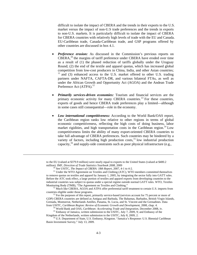difficult to isolate the impact of CBERA and the trends in their exports to the U.S. market versus the impact of non-U.S trade preferences and the trends in exports to non-U.S. markets. It is particularly difficult to isolate the impact of CBERA for CBERA countries with relatively high levels of trade with the EU and Canada. EU-Caribbean trade, Canada-Caribbean trade, and GSP programs offered by other countries are discussed in box 4.1.

- **Preference erosion:** As discussed in the Commission's previous reports on CBERA,10 the margins of tariff preference under CBERA have eroded over time as a result of (1) the phased reduction of tariffs globally under the Uruguay Round; (2) the end of the textile and apparel quotas, which has increased global competition from low-cost producers in China, India, and other Asian countries;  $11$  and (3) enhanced access to the U.S. market offered to other U.S. trading partners under NAFTA, CAFTA-DR, and various bilateral FTAs, as well as under the African Growth and Opportunity Act (AGOA) and the Andean Trade Preference Act (ATPA).<sup>12</sup>
- *Primarily services-driven economies:* Tourism and financial services are the primary economic activity for many CBERA countries.<sup>13</sup> For these countries, exports of goods and hence CBERA trade preferences play a limited—although in some cases still consequential—role in the economy.
- *Low international competitiveness:* According to the World Bank/OAS report, the Caribbean region ranks low relative to other regions in terms of global economic competitiveness, reflecting the high costs of doing business, labor market rigidities, and high transportation costs in the Caribbean region.<sup>14</sup> Low competitiveness limits the ability of many export-oriented CBERA countries to take full advantage of CBERA preferences. Such countries may be hindered by a variety of factors, including high production  $costs$ ,<sup>15</sup> low industrial production capacity,  $^{16}$  and supply-side constraints such as poor physical infrastructure (e.g.,

to the EU (valued at \$379.9 million) were nearly equal to exports to the United States (valued at \$400.2 million). IMF, *Direction of Trade Statistics Yearbook 2008*, 2009<br><sup>10</sup> See USITC, *The Impact of CBERA: 18th Report*, 2007, 4-1 to 4-2.<br><sup>11</sup> Under the WTO Agreement on Textiles and Clothing (ATC), WTO members committed th

to remove quotas on textiles and apparel by January 1, 2005, by integrating the sector fully into GATT rules. Before the ATC took effect, a large portion of textiles and apparel exports from developing countries to the industrial countries was subject to quotas under a special regime outside normal GATT rules. WTO, Textiles

Monitoring Body (TMB), "The Agreement on Textiles and Clothing."<br><sup>12</sup> Much like CBERA, AGOA and ATPA offer preferential tariff treatment to certain U.S. imports from countries eligible under those programs.<br><sup>13</sup> For the purposes of this report, primarily service-based (services account for 75 percent or more of

GDP) CBERA countries are defined as Antigua and Barbuda, The Bahamas, Barbados, British Virgin Islands, Grenada, Montserrat, Netherlands Antilles, Panama, St. Lucia, and St. Vincent and the Grenadines. Data

from USITC, *Caribbean Region: Review of Economic Growth and Development*, 2008, chap. 4.<br><sup>14</sup> World Bank and OAS, *Caribbean: Accelerating Trade and Integration*, December 2008, iv.<br><sup>15</sup> Embassy of Jamaica, written submis

<sup>&</sup>lt;sup>16</sup> U.S. Department of State, U.S. Embassy, Kingston. "Jamaica's Response: U.S. Biennial Caribbean Basin Investment Survey," July 13, 2009.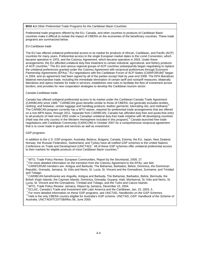#### **BOX 4.1** Other Preferential Trade Programs for the Caribbean Basin Countries

Preferential trade programs offered by the EU, Canada, and other countries to products of Caribbean Basin countries make it difficult to isolate the impact of CBERA on the economies of the beneficiary countries. These trade programs are summarized below.

#### *EU-Caribbean trade*

The EU has offered unilateral preferential access to its market for products of African, Caribbean, and Pacific (ACP) countries for many years. Preferential access to the single European market dates to the Lomé Convention, which became operative in 1976, and the Cotonou Agreement, which became operative in 2003. Under these arrangements, the EU afforded unilateral duty-free treatment to certain industrial, agricultural, and fishery products of ACP countries.<sup>1</sup> The EU and various regional groups of ACP countries subsequently began negotiating to replace the unilateral preferences granted under the Cotonou Agreement with reciprocal preferences through Economic Partnership Agreements (EPAs).<sup>2</sup> EU negotiations with the Caribbean Forum of ACP States (CARIFORUM)<sup>3</sup> began in 2004, and an agreement had been signed by all of the parties except Haiti by year-end 2008. The EPA liberalizes bilateral merchandise trade, including the immediate elimination of certain tariff and nontariff measures; bilaterally liberalizes and opens markets for trade in services; establishes new rules to facilitate the flow of investment across borders; and provides for new cooperation strategies to develop the Caribbean tourism sector.

#### Canada-Caribbean trade

Canada has offered unilateral preferential access to its market under the Caribbean-Canada Trade Agreement (CARIBCAN) since 1986.<sup>4</sup> CARIBCAN gives benefits similar to those of CBERA, but generally excludes textiles, clothing, and footwear; certain luggage and handbag products; leather garments; lubricating oils; and methanol.<sup>5</sup> The CARIBCAN program currently has a WTO waiver, required for preferential trade arrangements that are offered on a non-MFN basis, through 2011. Separate from CARIBCAN, Canada has afforded duty-free and quota-free entry to all products of Haiti since 2002 under a Canadian unilateral duty-free trade initiative with 48 developing countries (Haiti was the only country in the Western Hemisphere included in this program).<sup>6</sup> Canada launched free trade negotiations with Caribbean Community (CARICOM) in October 2007 for a comprehensive reciprocal agreement that is to cover trade in goods and services as well as investment.

#### GSP programs

In addition to the U.S. GSP program, Australia, Belarus, Bulgaria, Canada, Estonia, the EU, Japan, New Zealand, Norway, the Russian Federation, Switzerland, and Turkey have all notified GSP schemes to the United Nations Conference on Trade and Development (UNCTAD).<sup>7</sup> All of these GSP schemes offer unilateral preferential access to their markets for eligible products of most Caribbean Basin countries. $8$ 

 $1$  WTO, Trade Policy Review: European Communities, Report by the Secretariat, 2009, 27.

<sup>&</sup>lt;sup>2</sup> For more detailed information on the transition from the Cotonou Agreement to the EPAs, see ibid.  $3 \text{ CADI EOB}$  IM members are: Astigue and Berbude. The Behames, Berbades, Belize, Deminise, the

<sup>&</sup>lt;sup>3</sup> CARIFORUM members are: Antigua and Barbuda, The Bahamas, Barbados, Belize, Dominica, the Dominican Republic, Grenada, Jamaica, St. Kitts and Nevis, St. Lucia, St. Vincent and the Grenadines, Suriname, and Trinidad and Tobago.

<sup>4</sup> CARIBCAN beneficiaries are Anguilla, Antigua and Barbuda, The Bahamas, Barbados, Belize, Bermuda, the British Virgin Islands, the Cayman Islands, Dominica, Grenada, Guyana, Haiti, Montserrat, St. Kitts and Nevis, St. Lucia, St. Vincent and the Grenadines, Trinidad and Tobago, and the Turks and Caicos Islands. 5

WTO, Trade Policy Review: Jamaica, Report by Jamaica, December 15, 2004.

<sup>&</sup>lt;sup>6</sup> ECLAC, Canada's Trade and Investment with Latin America and the Caribbean, Jan. 23, 2003, 5.

For more detailed information on these GSP programs, see UNCTAD, *Handbooks on the GSP Schemes*. 8

Haiti is the only CBERA country eligible for Australia's GSP scheme. UNCTAD, *GSP: Handbook of the Scheme of Australia*, UNCTAD/ITCD/TSB/Misc.56, June 2000.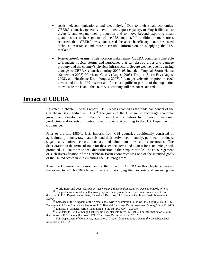- roads, telecommunications, and electricity).<sup>17</sup> Due to their small economies, CBERA countries generally have limited export capacity, making it difficult to diversify and expand their production and to move beyond exporting small quantities for niche segments of the U.S. market. $18$  In addition, some sources reported that CBERA was underused because beneficiary countries need technical assistance and more accessible information on supplying the U.S. market.<sup>19</sup>
- *Non-economic events:* Their location makes many CBERA countries vulnerable to frequent tropical storms and hurricanes that can destroy crops and damage property and the country's physical infrastructure. Severe weather events causing damage to CBERA countries during 2007–08 included Tropical Storm Hanna (September 2008), Hurricane Gustav (August 2008), Tropical Storm Fay (August 2008), and Hurricane Dean (August 2007).20 A major volcanic eruption in 1997 devastated much of Montserrat and forced a significant portion of the population to evacuate the island; the country's economy still has not recovered.

## **Impact of CBERA**

l

As stated in chapter 1 of this report, CBERA was enacted as the trade component of the Caribbean Basin Initiative  $(CBI)$ <sup>21</sup>. The goals of the CBI are to encourage economic growth and development in the Caribbean Basin countries by promoting increased production and exports of nontraditional products. According to the U.S. Department of Commerce,

Prior to the mid-1980's, U.S. imports from CBI countries traditionally consisted of agricultural products, raw materials, and their derivatives—namely, petroleum products, sugar cane, coffee, cocoa, bananas, and aluminum ores and concentrates. The deterioration in the terms of trade for these export items and a quest for economic growth prompted CBI countries to seek diversification in their export profile. The encouragement of such diversification of the Caribbean Basin economies was one of the intended goals of the United States in implementing the CBI program. $^{22}$ 

Thus, the Commission's assessment of the impact of CBERA in this chapter addresses the extent to which CBERA countries are diversifying their exports and are using the

<sup>&</sup>lt;sup>17</sup> World Bank and OAS, *Caribbean: Accelerating Trade and Integration*, December 2008, xv–xvi. <sup>18</sup> The problems associated with moving beyond niche products into more mainstream exports are

discussed in U.S. Department of State, "Jamaica's Response: U.S. Biennial Caribbean Basin Investment

Survey."<br><sup>19</sup> Embassy of the Kingdom of the Netherlands, written submission to the USITC, July 8, 2009, 3; U.S.<br>Department of State, "Jamaica's Response: U.S. Biennial Caribbean Basin Investment Survey," July 13, 2009.

<sup>&</sup>lt;sup>20</sup> Embassy of Jamaica, written submission to the USITC, July 7, 2009, 9.<br><sup>21</sup> CBI dates to 1983, although CBERA did not enter into force until 1984. For information on CBI in the context of U.S. trade policy, see USTR,

<sup>&</sup>lt;sup>22</sup> U.S. Department of Commerce, International Trade Administration, Guide to the Caribbean Basin *Initiative*, 2000, 1–2.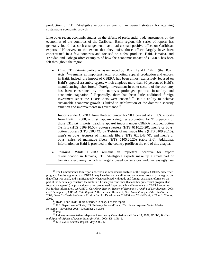production of CBERA-eligible exports as part of an overall strategy for attaining sustainable economic growth.

Like other recent economic studies on the effects of preferential trade agreements on the economies of the countries of the Caribbean Basin region, this series of reports has generally found that such arrangements have had a small positive effect on Caribbean exports.<sup>23</sup> However, to the extent that they exist, those effects largely have been concentrated in a few countries and focused on a few products. Haiti, Jamaica, and Trinidad and Tobago offer examples of how the economic impact of CBERA has been felt throughout the region:

*Haiti:* CBERA—in particular, as enhanced by HOPE I and HOPE II (the HOPE  $Acts)<sup>24</sup>$ —remains an important factor promoting apparel production and exports in Haiti. Indeed, the impact of CBERA has been almost exclusively focused on Haiti's apparel assembly sector, which employs more than 30 percent of Haiti's manufacturing labor force.<sup>25</sup> Foreign investment in other sectors of the economy has been constrained by the country's prolonged political instability and economic stagnation. <sup>26</sup> Reportedly, there has been little additional foreign investment since the HOPE Acts were enacted.<sup>27</sup> Haiti's ability to achieve sustainable economic growth is linked to stabilization of the domestic security situation and improvements in governance.<sup>28</sup>

Imports under CBERA from Haiti accounted for 90.1 percent of all U.S. imports from Haiti in 2008, with six apparel categories accounting for 91.6 percent of those CBERA imports. Leading apparel imports under CBERA included cotton T-shirts (HTS 6109.10.00), cotton sweaters (HTS 6110.20.20), men's or boys' cotton trousers (HTS 6203.42.40), T-shirts of manmade fibers (HTS 6109.90.10), men's or boys' trousers of manmade fibers (HTS 6203.43.40), and men's or boys' shirts of manmade fibers (HTS 6105.20.20) (table E.6). Additional information on Haiti is provided in the country profile at the end of this chapter.

*Jamaica:* While CBERA remains an important incentive for export diversification in Jamaica, CBERA-eligible exports make up a small part of Jamaica's economy, which is largely based on services and, increasingly, on

-

<sup>&</sup>lt;sup>23</sup> The Commission's 15th report undertook an econometric analysis of the original CBERA preference program. Results suggested that CBERA may have had an overall impact on income growth in the region, but that effect was small, and significant only when combined with trade and foreign exchange reforms on the part of the beneficiary countries themselves. The analysis confirmed that another preferential program that focused on apparel (the production-sharing program) did spur growth and investment in CBERA countries. For further information, see USITC, *Caribbean Region: Review of Economic Growth and Development*, 2008, and *The Impact of CBERA, 15th Report*, 2002. See also Hornbeck, *U.S .Trade Policy and the Caribbean*, 2007; Dean, "Is Trade Preference Erosion Bad for Development?" 2006; and World Bank, *A Time to Choose*, 2005.<br><sup>24</sup> HOPE I and HOPE II are described in chap. 1 of this report.<br><sup>24</sup> HOPE I and HOPE II are described in chap. 1 of this report.

<sup>&</sup>lt;sup>25</sup> U.S. Department of State, U.S. Embassy Port-au-Prince, "Textile and Apparel Sector Market Research—November 2008," December 24, 2008 26 Ibid.

<sup>27</sup> Industry representative, telephone interview by Commission staff, June 17, 2009; USITC, *Textiles and Apparel: Effects of Special Rules for Haiti*, 2008, ES-1, ES-2. 28 EIU, *Haiti: Country Report*, May 2009, 12.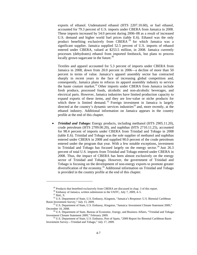exports of ethanol. Undenatured ethanol (HTS 2207.10.60), or fuel ethanol, accounted for 79.3 percent of U.S. imports under CBERA from Jamaica in 2008. These imports increased by 54.0 percent during 2006–08 as a result of increased U.S. demand and higher world fuel prices (table E.6). Ethanol was the only product benefiting exclusively from CBERA<sup>29</sup> for which Jamaica was a significant supplier. Jamaica supplied 52.5 percent of U.S. imports of ethanol entered under CBERA, valued at \$253.5 million, in 2008. Jamaica currently processes (dehydrates) ethanol from imported feedstock, but plans to process locally grown sugarcane in the future. $30$ 

Textiles and apparel accounted for 5.3 percent of imports under CBERA from Jamaica in 2008, down from 20.0 percent in 2006—a decline of more than 50 percent in terms of value. Jamaica's apparel assembly sector has contracted sharply in recent years in the face of increasing global competition and, consequently, Jamaica plans to refocus its apparel assembly industry to service the haute couture market.<sup>31</sup> Other imports under CBERA from Jamaica include fresh produce, processed foods, alcoholic and non-alcoholic beverages, and electrical parts. However, Jamaica industries have limited production capacity to expand exports of these items, and they are low-value or niche products for which there is limited demand.<sup>32</sup> Foreign investment in Jamaica is largely directed at the country's dynamic services industries<sup>33</sup> and, more recently, at the ethanol industry. Additional information on Jamaica appears in the country profile at the end of this chapter.

• *Trinidad and Tobago:* Energy products, including methanol (HTS 2905.11.20), crude petroleum (HTS 2709.00.20), and naphthas (HTS 2710.11.25), accounted for 98.4 percent of imports under CBERA from Trinidad and Tobago in 2008 (table E.6). Trinidad and Tobago was the sole supplier of methanol and naphthas entered under CBERA in 2008 and supplied 90.0 percent of the crude petroleum entered under the program that year. With a few notable exceptions, investment in Trinidad and Tobago has focused largely on the energy sector.<sup>34</sup> Just  $26.3$ percent of total U.S. imports from Trinidad and Tobago entered under CBERA in 2008. Thus, the impact of CBERA has been almost exclusively on the energy sector of Trinidad and Tobago. However, the government of Trinidad and Tobago is focusing on the development of non-energy exports to promote greater diversification of the economy.<sup>35</sup> Additional information on Trinidad and Tobago is provided in the country profile at the end of this chapter.

<sup>&</sup>lt;sup>29</sup> Products that benefited exclusively from CBERA are discussed in chap. 3 of this report. <sup>30</sup> Embassy of Jamaica, written submission to the USITC, July 7, 2009, 4–5.

<sup>31</sup> Ibid., 9.

<sup>&</sup>lt;sup>32</sup> U.S. Department of State, U.S. Embassy, Kingston, "Jamaica's Response: U.S. Biennial Caribbean Basin Investment Survey," July 13, 2009.

<sup>&</sup>lt;sup>33</sup> U.S. Department of State, U.S. Embassy, Kingston, "Jamaica: Investment Climate Statement 2009,"

December 10, 2008.<br><sup>34</sup> U.S. Department of State, Bureau of Economic, Energy, and Business Affairs, "Trinidad and Tobago:<br>Investment Climate Statement 2009," February 2009.

<sup>&</sup>lt;sup>35</sup> U.S. Department of State, U.S. Embassy, Port of Spain, "2009 Report for Biennial Caribbean Basin Investment Survey—Trinidad and Tobago," July 17, 2009.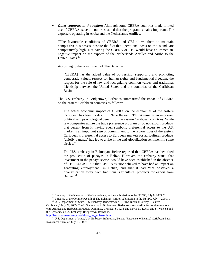• *Other countries in the region:* Although some CBERA countries made limited use of CBERA, several countries stated that the program remains important. For exporters operating in Aruba and the Netherlands Antilles,

[T]he favourable conditions of CBERA and CBI allows them to maintain competitive businesses, despite the fact that operational costs on the islands are comparatively high. Not having the CBERA or CBI would have an immediate negative impact on the exports of the Netherlands Antilles and Aruba to the United States.<sup>36</sup>

According to the government of The Bahamas,

[CBERA] has the added value of buttressing, supporting and promoting democratic values, respect for human rights and fundamental freedom, the respect for the rule of law and recognizing common values and traditional friendship between the United States and the countries of the Caribbean Basin.<sup>37</sup>

The U.S. embassy in Bridgetown, Barbados summarized the impact of CBERA on the eastern Caribbean countries as follows:

The actual economic impact of CBERA on the economies of the eastern Caribbean has been modest. . . . Nevertheless, CBERA remains an important political and psychological benefit for the eastern Caribbean countries. While few companies utilize the trade preference program or do not export products that benefit from it, having even symbolic preferential access to the U.S. market is an important sign of commitment to the region. Loss of the eastern Caribbean's preferential access to European markets for agricultural products (chiefly bananas) has led to a rise in the anti-globalization sentiment in some circles.<sup>38</sup>

The U.S. embassy in Belmopan, Belize reported that CBERA has benefited the production of papayas in Belize. However, the embassy stated that investment in the papaya sector "would have been established in the absence of CBERA/CBTPA," that CBERA is "not believed to have had an impact on generating employment" in Belize, and that it had "not observed a diversification away from traditional agricultural products for export from Belize."<sup>39</sup>

<sup>&</sup>lt;sup>36</sup> Embassy of the Kingdom of the Netherlands, written submission to the USITC, July 8, 2009, 2.<br><sup>37</sup> Embassy of the Commonwealth of The Bahamas, written submission to the USITC, July 7, 2009, 1.<br><sup>38</sup> U.S. Department of

Caribbean," July 22, 2009. The U.S. embassy in Bridgetown, Barbados is responsible for foreign relations with Antigua and Barbuda, Barbados, Dominica, Grenada, St. Kitts and Nevis, St. Lucia, and St. Vincent and the Grenadines. U.S. Embassy, Bridgetown, Barbados,

http://barbados.usembassy.gov/about\_the\_embassy.html.<br><sup>39</sup> U.S. Department of State, U.S. Embassy, Belmopan, Belize, "Response to Biennial Caribbean Basin Investment Survey," July 15, 2009.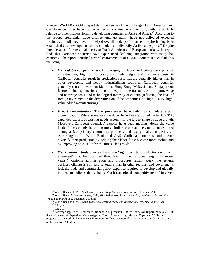A recent World Bank/OAS report described some of the challenges Latin American and Caribbean countries have had in achieving sustainable economic growth, particularly relative to other high-performing developing countries in Asia and Africa.<sup>40</sup> According to the report, preferential trade arrangements generally "have not delivered expected results . . . [and] they have not helped overall trade performance" despite having been established as a development tool to stimulate and diversify Caribbean exports.<sup>41</sup> Despite three decades of preferential access to North American and European markets, the report finds that Caribbean countries have experienced declining integration with the global economy. The report identified several characteristics of CBERA countries to explain this, including:

- *Weak global competitiveness:* High wages, low labor productivity, poor physical infrastructure, high utility costs, and high freight and insurance costs in Caribbean countries result in production costs that are generally higher than in other developing and newly industrializing countries. Caribbean countries generally scored lower than Mauritius, Hong Kong, Malaysia, and Singapore on factors including time for and cost to export, time for and cost to import, wage and nonwage costs, and technological intensity of exports (reflecting the level of foreign investment in the diversification of the economies into high-quality, highvalue-added manufacturing).<sup>42</sup>
- *Export concentration:* Trade preferences have failed to stimulate export diversification. While some new products have been exported under CBERA, expanded exports of existing goods account for the largest share of trade growth. Moreover, Caribbean countries' exports have been moving "down the value ladder," increasingly becoming more similar to one another, more concentrated among a few primary commodity products, and less globally competitive.<sup>43</sup> According to the World Bank and OAS, Caribbean countries could better diversify their production by helping their labor force become more mobile and by improving physical infrastructure such as roads.<sup>44</sup>
- *Weak national trade policies:* Despite a "significant tariff reductions and tariff alignment" that has occurred throughout in the Caribbean region in recent years, 45 customs administration and procedures remain weak, the general business climate is still less favorable than in other regions, and governments lack the trade and commercial policy expertise required to develop and globally implement policies that enhance Caribbean global competitiveness. Moreover,

<sup>40</sup> World Bank and OAS, *Caribbean: Accelerating Trade and Integration*, December 2008. 41 World Bank, *A Time to Choose,* 2005, 76, cited in World Bank and OAS, *Caribbean: Accelerating* 

<sup>&</sup>lt;sup>42</sup> World Bank and OAS, *Caribbean: Accelerating Trade and Integration*, December 2008, i–vii. <sup>43</sup> Ibid., iv.

<sup>44</sup> Ibid., 17.

<sup>&</sup>lt;sup>45</sup> "Average applied MFN tariffs fell from over 20 percent in 1996 to just below 10 percent in 2005. Still, there is some tariff dispersion, with average tariffs on 10 percent of goods over 20 percent. While the progress to date is admirable, there is still room for further reduction of tariffs and more uniformity in some of the countries." Ibid., vi.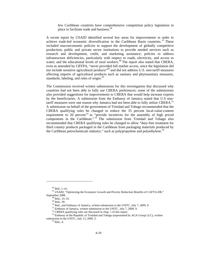few Caribbean countries have comprehensive competition policy legislation in place to facilitate trade and business.46

A recent report by USAID identified several key areas for improvements in order to achieve trade-led economic diversification in the Caribbean Basin countries.<sup>47</sup> These included macroeconomic policies to support the development of globally competitive production; public and private sector institutions to provide needed services such as research and development, credit, and marketing assistance; policies to address infrastructure deficiencies, particularly with respect to roads, electricity, and access to water; and the educational levels of rural workers.<sup>48</sup> The report also stated that CBERA, even as amended by CBTPA, "never provided full market access, since the legislation did not include sensitive agricultural products<sup>"49</sup> and did not address U.S. non-tariff measures affecting imports of agricultural products such as sanitary and phytosanitary measures, standards, labeling, and rules of origin.<sup>50</sup>

The Commission received written submissions for this investigation that discussed why countries had not been able to fully use CBERA preferences; some of the submissions also provided suggestions for improvements to CBERA that would help increase exports by the beneficiaries. A submission from the Embassy of Jamaica stated that U.S nontariff measures were one reason why Jamaica had not been able to fully utilize CBERA.<sup>51</sup> A submission on behalf of the government of Trinidad and Tobago recommended that the CBERA qualifying rules be changed to reduce the 35 percent local-value-content requirement to 20 percent<sup>52</sup> to "provide incentives for the assembly of high priced components in the Caribbean."  $5^3$  The submission from Trinidad and Tobago also recommended that CBERA qualifying rules be changed to allow "duty-free treatment for third country products packaged in the Caribbean from packaging materials produced by the Caribbean petrochemicals industry," such as polypropylene and polyethylene.<sup>54</sup>

<sup>46</sup> Ibid., i–vii.

<sup>&</sup>lt;sup>47</sup> USAID, "Optimizing the Economic Growth and Poverty Reduction Benefits of CAFTA-DR," September 2008. 48 Ibid., 33–35.

<sup>49</sup> Ibid., 39.

<sup>&</sup>lt;sup>50</sup> Ibid., and Embassy of Jamaica, written submission to the USITC, July 7, 2009, 9.<br><sup>51</sup> Embassy of Jamaica, written submission to the USITC, July 7, 2009, 9.<br><sup>52</sup> CBERA qualifying rules are discussed in chap. 1 of this

<sup>&</sup>lt;sup>53</sup> Embassy of the Republic of Trinidad and Tobago (represented by AGA Group LLC), written submission to the USITC, July 13, 2009, 5.<br> $^{54}$  Ibid., 4.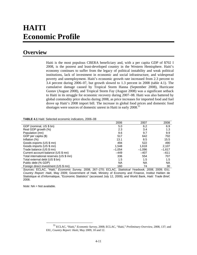# **HAITI Economic Profile**

# **Overview**

Haiti is the most populous CBERA beneficiary and, with a per capita GDP of \$702 I 2008, is the poorest and least-developed country in the Western Hemisphere. Haiti's economy continues to suffer from the legacy of political instability and weak political institutions, lack of investment in economic and social infrastructure, and widespread poverty and unemployment. Haiti's economic growth rate increased from 2.3 percent to 3.4 percent during 2006–07, but growth slowed to 1.3 percent in 2008 (table 4.1). The cumulative damage caused by Tropical Storm Hanna (September 2008), Hurricane Gustav (August 2008), and Tropical Storm Fay (August 2008) was a significant setback to Haiti in its struggle for economic recovery during 2007–08. Haiti was also battered by global commodity price shocks during 2008, as price increases for imported food and fuel drove up Haiti's 2008 import bill. The increase in global food prices and domestic food shortages were sources of domestic unrest in Haiti in early 2008.<sup>55</sup>

|  | <b>TABLE 4.1 Haiti: Selected economic indicators, 2006–08</b> |  |  |  |
|--|---------------------------------------------------------------|--|--|--|
|--|---------------------------------------------------------------|--|--|--|

|                                         | 2006     | 2007     | 2008     |
|-----------------------------------------|----------|----------|----------|
| GDP (nominal, US \$ bn)                 | 5.0      | 6.2      | 6.9      |
| Real GDP growth (%)                     | 2.3      | 3.4      | 1.3      |
| Population (mn)                         | 9.6      | 9.7      | 9.9      |
| GDP per capita (\$)                     | 517      | 642      | 702      |
| Inflation $(\%)$                        | 13.1     | 8.5      | 15.5     |
| Goods exports (US \$ mn)                | 494      | 522      | 490      |
| Goods imports (US \$ mn)                | 1,548    | 1.618    | 2,107    |
| Trade balance (US \$ mn)                | $-1,054$ | $-1,096$ | $-1,617$ |
| Current account balance (US \$ mn)      | $-449$   | $-407$   | $-611$   |
| Total international reserves (US \$ mn) | 336      | 554      | 707      |
| Total external debt (US \$ bn)          | 1.5      | 1.5      | 1.5      |
| Public debt (% GDP)                     | ΝA       | NA.      | NА       |
| Foreign direct investment (US \$ mn)    | 160      | 74       | 30       |

*Sources*: ECLAC, "Haiti," *Economic Survey,* 2008, 267–270; ECLAC, *Statistical Yearbook, 2008*, 2009; EIU, *Country Report: Haiti*, May 2009; Government of Haiti, Ministry of Economy and Finance, Institut Haïtien de Statistique et d'Informatique, "Economic Statistics" (accessed July 12, 2009); and World Bank, *Haiti: Trade Brief*, 2008.

*Note*: NA = Not available.

 <sup>55</sup> ECLAC, "Haiti," *Economic Survey*, 2008; ECLAC, "Haiti," *Preliminary Overview*, 2008, 137; and EIU, *Country Report: Haiti*, May 2009, 10 and 12.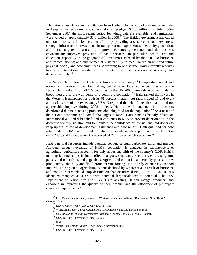International assistance and remittances from Haitians living abroad play important roles in keeping the economy afloat. Aid donors pledged \$750 million for July 2006– September 2007, the most recent period for which data are available, and remittances were valued at approximately \$1.6 billion in 2008.<sup>56</sup> The Haitian government has called on donors to back its job-creation effort by providing assistance in four key areas: strategic infrastructure investments in transportation, export zones, electricity generation, and ports; targeted measures to improve economic governance and the business environment; improved provision of basic services—in particular, health care and education, especially in the geographical areas most affected by the 2007–08 hurricane and tropical storms; and environmental sustainability to meet Haiti's current and future physical, social, and economic needs. According to one source, Haiti currently receives too little international assistance to fund its government's economic recovery and development plan.<sup>57</sup>

The World Bank classifies Haiti as a low-income economy.<sup>58</sup> Comparative social and economic indicators show Haiti falling behind other low-income countries since the 1980s. Haiti ranked 148th of 179 countries on the UN 2008 human development index, a broad measure of the well-being of a country's population.59 Haiti ranked the lowest in the Western Hemisphere for both its 61 percent literacy rate (adults aged 15 and over) and its 60 years of life expectancy. USAID reported that Haiti's health situation did not appreciably improve during 2008—indeed, Haiti's health and nutrition indicators deteriorated due to increasing problems obtaining food for the population.<sup>60</sup> As a result of the serious economic and social challenges it faces, Haiti remains heavily reliant on international aid and debt relief, and it continues to work to prevent deterioration in the domestic security situation and to maintain the confidence of international aid donors to keep up the inflow of development assistance and debt relief.<sup>61</sup> Haiti qualified for debt relief under the IMF/World Bank initiative for heavily indebted poor countries (HIPC) in early 2009, and has subsequently received \$1.2 billion under this program.<sup>62</sup>

Haiti's natural resources include bauxite, copper, calcium carbonate, gold, and marble. Although about two-thirds of Haiti's population is engaged in subsistence-level agriculture, agriculture accounts for only about one-fifth of the country's GDP. Haiti's main agricultural crops include coffee, mangoes, sugarcane, rice, corn, cacao, sorghum, pulses, and other fruits and vegetables. Agricultural output is hampered by poor soil, low productivity, and hilly and flood-prone terrain, forcing Haiti to rely extensively on food imports. During 2008, agricultural output declined by 6 percent as a result of hurricane and tropical storm-related crop destruction that occurred during 2007–08. USAID has identified mangoes as a crop with potential large-scale export potential. The U.S. Department of Agriculture and USAID are assisting Haitian mango producers and exporters in improving the quality of their product and the efficiency of pre-export clearance requirements.<sup>63</sup>

 <sup>56</sup> U.S. Department of State, Bureau of Western Hemisphere Affairs, "Background Note: Haiti," October 2008.

<sup>57</sup> EIU, *Country Report: Haiti*, May 2009, 17–18.

<sup>58</sup> World Bank, *World Trade Indicators 2008 Database*, updated December 2008.

<sup>59</sup> UN, *2007/2008 Human Development Report*, "Country Tables, 2007/2008 Report."

<sup>60</sup> USAID, *Haiti*, "Overview," June 12, 2008.

 $61$  Ibid.

<sup>62</sup> World Bank, *Haiti Country Brief*, updated November 2008.

<sup>63</sup> USAID, *Haiti*, "Overview," June 12, 2008.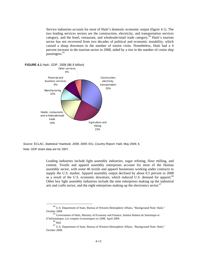Service industries account for most of Haiti's domestic economic output (figure 4.1). The two leading services sectors are the construction, electricity, and transportation services category, and the hotel, restaurant, and wholesale/retail trade category.<sup>64</sup> Haiti's tourism sector has not recovered from two decades of political and economic instability, which caused a sharp downturn in the number of tourist visits. Nonetheless, Haiti had a 6 percent increase in the tourism sector in 2008, aided by a rise in the number of cruise ship passengers.<sup>65</sup>





*Source*: ECLAC, *Statistical Yearbook, 2008*, 2009; EIU, *Country Report: Haiti*, May 2009, 6. *Note*: GDP share data are for 2007.

Leading industries include light assembly industries, sugar refining, flour milling, and cement. Textile and apparel assembly enterprises account for most of the Haitian assembly sector, with some 46 textile and apparel businesses working under contracts to supply the U.S. market. Apparel assembly output declined by about 0.5 percent in 2008 as a result of the U.S. economic downturn, which reduced U.S. demand for apparel.<sup>66</sup> Other key light assembly industries include the nine enterprises making up the industrial arts and crafts sector, and the eight enterprises making up the electronics sector.<sup>67</sup>

 <sup>64</sup> U.S. Department of State, Bureau of Western Hemisphere Affairs, "Background Note: Haiti," October 2008.

 $^{65}$  Government of Haiti, Ministry of Economy and Finance, Institut Haïtien de Statistique et d'Informatique, *Les comptes économiques en 2008,* April 2009.

 $66$  Ibid

<sup>67</sup> U.S. Department of State, Bureau of Western Hemisphere Affairs, "Background Note: Haiti," October 2008.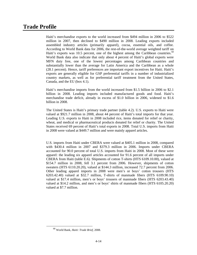# **Trade Profile**

Haiti's merchandise exports to the world increased from \$494 million in 2006 to \$522 million in 2007, then declined to \$490 million in 2008. Leading exports included assembled industry articles (primarily apparel), cocoa, essential oils, and coffee. According to World Bank data for 2006, the rest-of-the-world average weighted tariff on Haiti's exports was 10.5 percent, one of the highest among the Caribbean countries.<sup>68</sup> World Bank data also indicate that only about 4 percent of Haiti's global exports were MFN duty free, one of the lowest percentages among Caribbean countries and substantially lower than the average for Latin America and the Caribbean as a whole (28.1 percent). Hence, tariff preferences are important export incentives for Haiti. Haiti's exports are generally eligible for GSP preferential tariffs in a number of industrialized country markets, as well as for preferential tariff treatment from the United States, Canada, and the EU (box 4.1).

Haiti's merchandise imports from the world increased from \$1.5 billion in 2006 to \$2.1 billion in 2008. Leading imports included manufactured goods and food. Haiti's merchandise trade deficit, already in excess of \$1.0 billion in 2006, widened to \$1.6 billion in 2008.

The United States is Haiti's primary trade partner (table 4.2). U.S. exports to Haiti were valued at \$921.7 million in 2008, about 44 percent of Haiti's total imports for that year. Leading U.S. exports to Haiti in 2008 included rice, items donated for relief or charity, wheat, and medical or pharmaceutical products donated for relief or charity. The United States received 69 percent of Haiti's total exports in 2008. Total U.S. imports from Haiti in 2008 were valued at \$449.7 million and were mainly apparel articles.

U.S. imports from Haiti under CBERA were valued at \$405.1 million in 2008, compared with \$430.4 million in 2007 and \$379.3 million in 2006. Imports under CBERA accounted for 90.0 percent of total U.S. imports from Haiti in 2008. Most of these were apparel: the leading six apparel articles accounted for 91.6 percent of all imports under CBERA from Haiti (table E.6). Shipments of cotton T-shirts (HTS 6109.10.00), valued at \$154.7 million in 2008, fell 3.1 percent from 2006. However, shipments of cotton sweaters (HTS 6110.20.20), valued at \$144.3 million, increased 72.7 percent from 2006. Other leading apparel imports in 2008 were men's or boys' cotton trousers (HTS 6203.42.40) valued at \$32.7 million, T-shirts of manmade fibers (HTS 6109.90.10) valued at \$17.4 million, men's or boys' trousers of manmade fibers (HTS 6203.43.40) valued at \$14.2 million, and men's or boys' shirts of manmade fibers (HTS 6105.20.20) valued at \$7.7 million.

 <sup>68</sup> World Bank, *Haiti: Trade Brief*, 2008.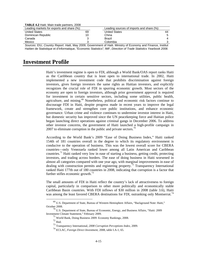**TABLE 4.2** Haiti: Main trade partners, 2008

| Leading markets for exports and share (%): |    | Leading sources of imports and share (%): |    |
|--------------------------------------------|----|-------------------------------------------|----|
| <b>United States</b>                       | 69 | <b>United States</b>                      | 44 |
| Dominican Republic                         | 10 | China                                     |    |
| Canada                                     |    | Brazil                                    |    |
| Mexico                                     |    | Colombia                                  |    |

*Sources:* EIU, *Country Report: Haiti*, May 2009; Government of Haiti. Ministry of Economy and Finance, Institut Haïtien de Statistique et d'Informatique, "Economic Statistics"; IMF, *Direction of Trade Statistics Yearbook 2008*.

# **Investment Profile**

Haiti's investment regime is open to FDI, although a World Bank/OAS report ranks Haiti as the Caribbean country that is least open to international trade. In 2002, Haiti implemented a new investment code that prohibits discrimination against foreign investors, gives foreign investors the same rights as Haitian investors, and explicitly recognizes the crucial role of FDI in spurring economic growth. Most sectors of the economy are open to foreign investors, although prior government approval is required for investment in certain sensitive sectors, including some utilities, public health, agriculture, and mining.69 Nonetheless, political and economic risk factors continue to discourage FDI in Haiti, despite progress made in recent years to improve the legal framework, create and strengthen core public institutions, and enhance economic governance. Urban crime and violence continues to undermine investor interest in Haiti, but domestic security has improved since the UN peacekeeping force and Haitian police began launching direct operations against criminal gangs in December 2006. To address other investor concerns, the government of Haiti launched a high-profile campaign in  $2007$  to eliminate corruption in the public and private sectors.<sup>70</sup>

According to the World Bank's 2009 "Ease of Doing Business Index," Haiti ranked 154th of 181 countries overall in the degree to which its regulatory environment is conducive to the operation of business. This was the lowest overall score for CBERA countries—only Venezuela ranked lower among all Latin American and Caribbean countries.71 Haiti ranked very low in ease of starting a business, getting credit, protecting investors, and trading across borders. The ease of doing business in Haiti worsened in almost all categories compared with one year ago, with marginal improvements in ease of dealing with construction permits and registering property.<sup>72</sup> Transparency International ranked Haiti 177th out of 180 countries in 2008, indicating that corruption is a factor that further stifles economic growth.73

The small amounts of FDI in Haiti reflect the country's lack of attractiveness to foreign capital, particularly in comparison to other more politically and economically stable Caribbean Basin countries. With FDI inflows of \$30 million in 2008 (table 3.6), Haiti was among the least favored CBERA destinations for FDI, outranking only Montserrat.<sup>74</sup>

 <sup>69</sup> U.S. Department of State, Bureau of Western Hemisphere Affairs, "Background Note: Haiti," October 2008.

 $^{70}$  U.S. Department of State, Bureau of Economic, Energy, and Business Affairs, "Haiti: 2009 Investment Climate Statement," February 2009.

<sup>71</sup> World Bank, Doing Business 2009: Economy Rankings, 2008.

<sup>72</sup> Ibid.

<sup>73</sup> Transparency International, *2008 Corruption Perceptions Index*, 2009.

<sup>74</sup> ECLAC, *Foreign Direct Investment*, 2008, table I.A-1, 65.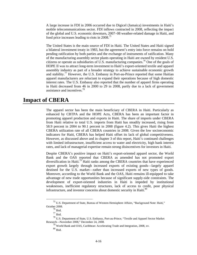A large increase in FDI in 2006 occurred due to Digicel (Jamaica) investments in Haiti's mobile telecommunications sector. FDI inflows contracted in 2008, reflecting the impact of the global and U.S. economic downturn, 2007–08 weather-related damage in Haiti, and food price increases leading to riots in 2008.75

The United States is the main source of FDI in Haiti. The United States and Haiti signed a bilateral investment treaty in 1983, but the agreement's entry into force remains on hold pending ratification by both parties and the exchange of instruments of ratification. Many of the manufacturing assembly sector plants operating in Haiti are owned by resident U.S. citizens or operate as subsidiaries of U.S. manufacturing companies.<sup>76</sup> One of the goals of HOPE II was to attract long-term investment to Haiti's export-oriented textile and apparel assembly industry as part of a broader strategy to achieve sustainable economic growth and stability.<sup>77</sup> However, the U.S. Embassy in Port-au-Prince reported that some Haitian apparel manufacturers are reluctant to expand their operations because of high domestic interest rates. The U.S. Embassy also reported that the number of apparel firms operating in Haiti decreased from 46 in 2000 to 29 in 2008, partly due to a lack of government assistance and incentives.<sup>78</sup>

# **Impact of CBERA**

The apparel sector has been the main beneficiary of CBERA in Haiti. Particularly as enhanced by CBTPA and the HOPE Acts, CBERA has been an important factor in promoting apparel production and exports in Haiti. The share of imports under CBERA from Haiti relative to total U.S. imports from Haiti has steadily increased, rising from 58.9 percent in 2004 to 90.1 percent in 2008 (figure 4.2). This gives Haiti the highest CBERA utilization rate of all CBERA countries in 2008. Given the low socioeconomic indicators for Haiti, CBERA has helped Haiti offset its lack of global competitiveness. However, as discussed above and in chapter 3 of this report, Haiti's continued challenges with limited infrastructure, insufficient access to water and electricity, high bank interest rates, and lack of managerial expertise remain strong disincentives for investors in Haiti.

Despite CBERA's positive impact on Haiti's export-oriented apparel sector, the World Bank and the OAS reported that CBERA as amended has not promoted export diversification in Haiti.<sup>79</sup> Haiti ranks among the CBERA countries that have experienced export growth largely through increased exports of existing goods—largely apparel destined for the U.S. market—rather than increased exports of new types of goods. Moreover, according to the World Bank and the OAS, Haiti remains ill-equipped to take advantage of new trade opportunities because of significant supply-side constraints. The development of export-oriented industries in Haiti is impeded by institutional weaknesses, inefficient regulatory structures, lack of access to credit, poor physical infrastructure, and investor concerns about domestic security in Haiti.<sup>80</sup>

 <sup>75</sup> U.S. Department of State, Bureau of Western Hemisphere Affairs, "Background Note: Haiti," October 2008.

<sup>76</sup> Ibid.

<sup>77</sup> Ibid.

<sup>78</sup> U.S. Department of State, U.S. Embassy, Port-au-Prince, "Textile and Apparel Sector Market Research—November 2008," December 24, 2008.

 $79$  World Bank and OAS, Caribbean: Accelerating Trade and Integration, 2008, xv.  $^{80}$  Ibid.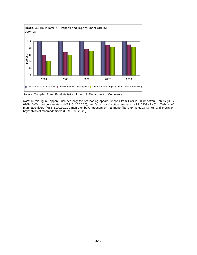

*Source*: Compiled from official statistics of the U.S. Department of Commerce.

*Note*: In this figure, apparel includes only the six leading apparel imports from Haiti in 2008: cotton T-shirts (HTS 6109.10.00), cotton sweaters (HTS 6110.20.20), men's or boys' cotton trousers (HTS 6203.42.40) , T-shirts of manmade fibers (HTS 6109.90.10), men's or boys' trousers of manmade fibers (HTS 6203.43.40), and men's or boys' shirts of manmade fibers (HTS 6105.20.20).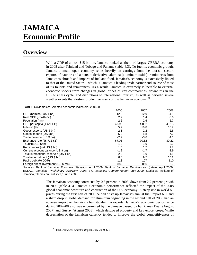# **JAMAICA Economic Profile**

## **Overview**

With a GDP of almost \$15 billion, Jamaica ranked as the third largest CBERA economy in 2008 after Trinidad and Tobago and Panama (table 4.3). To fuel its economic growth, Jamaica's small, open economy relies heavily on earnings from the tourism sector; exports of bauxite and a bauxite derivative, alumina (aluminum oxide); remittances from Jamaicans abroad; and imports of fuel and food. Jamaica's economy is extensively linked to that of the United States—which is Jamaica's leading trade partner and source of most of its tourists and remittances. As a result, Jamaica is extremely vulnerable to external economic shocks from changes in global prices of key commodities, downturns in the U.S business cycle, and disruptions to international tourism, as well as periodic severe weather events that destroy productive assets of the Jamaican economy.<sup>81</sup>

| TABLE 4.3 Jamaica: Selected economic indicators, 2006-08 |
|----------------------------------------------------------|
|----------------------------------------------------------|

|                                         | 2006   | 2007   | 2008   |
|-----------------------------------------|--------|--------|--------|
| GDP (nominal, US \$ bn)                 | 12.0   | 12.9   | 14.8   |
| Real GDP growth (%)                     | 2.7    | 1.4    | $-0.6$ |
| Population (mn)                         | 2.6    | 2.6    | 2.7    |
| GDP per capita (\$ at PPP)              | 4,690  | 4,862  | 4,913  |
| Inflation (%)                           | 5.7    | 16.8   | 16.9   |
| Goods exports (US \$ bn)                | 2.1    | 2.2    | 2.6    |
| Goods imports (US \$bn)                 | 5.0    | 5.8    | 7.2    |
| Trade balance (US \$ bn)                | $-2.9$ | $-3.6$ | -4.6   |
| Exchange rate (J\$: US \$1)             | 67.03  | 70.62  | 80.22  |
| Tourism (US \$bn)                       | 1.9    | 1.9    | 2.0    |
| Remittances (net US \$ bn)              | 1.5    | 1.7    | 1.7    |
| Current account balance (US \$ bn)      | $-1.2$ | $-1.7$ | $-2.9$ |
| Total international reserves (US \$ bn) | 2.3    | 1.9    | 1.8    |
| Total external debt (US \$ bn)          | 8.0    | 9.7    | 10.2   |
| Public debt (% GDP)                     | 113    | 107    | 110    |
| Foreign direct investment (US \$ mn)    | 882    | 866    | 810    |

*Sources:* Bank of Jamaica, *Economic Statistics*, April 2009; Bank of Jamaica, *Remittances Update*, April 2009; ECLAC, "Jamaica," *Preliminary Overview*, 2008; EIU, *Jamaica: Country Report*, July 2009; Statistical Institute of Jamaica, "Jamaican Statistics," June 2009.

> The Jamaican economy contracted by 0.6 percent in 2008, down from 2.7 percent growth in 2006 (table 4.3). Jamaica's economic performance reflected the impact of the 2008 global economic downturn and contraction of the U.S. economy. A steep rise in world oil prices during the first half of 2008 helped drive up Jamaica's annual fuel import bill, and a sharp drop in global demand for aluminum beginning in the second half of 2008 had an adverse impact on Jamaica's bauxite/alumina exports. Jamaica's economic performance during 2007–08 also was undermined by the damage caused by hurricanes Dean (August 2007) and Gustav (August 2008), which destroyed property and key export crops. While depreciation of the Jamaican currency tended to improve the global competitiveness of

 <sup>81</sup> EIU, *Jamaica: Country Report*, July 2009, 6–7.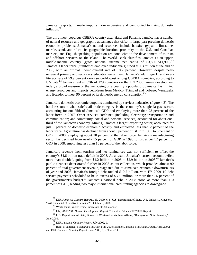Jamaican exports, it made imports more expensive and contributed to rising domestic inflation $82$ 

The third most populous CBERA country after Haiti and Panama, Jamaica has a number of natural resource and geographic advantages that offset in large part pressing domestic economic problems. Jamaica's natural resources include bauxite, gypsum, limestone, marble, sand, and silica. Its geographic location, proximity to the U.S. and Canadian markets, and English-speaking population are conducive to the development of tourism and offshore services on the island. The World Bank classifies Jamaica as an uppermiddle-income country (gross national income per capita of  $$3,856-$11,905$ ).<sup>83</sup> Jamaica's labor force (number of employed individuals) stood at 1.3 million at the end of 2008, with an official unemployment rate of 10.2 percent. However, despite nearuniversal primary and secondary education enrollment, Jamaica's adult (age 15 and over) literacy rate of 79.9 percent ranks second-lowest among CBERA countries, according to UN data.<sup>84</sup> Jamaica ranked 87th of 179 countries on the UN 2008 human development index, a broad measure of the well-being of a country's population. Jamaica has limited energy resources and imports petroleum from Mexico, Trinidad and Tobago, Venezuela, and Ecuador to meet 90 percent of its domestic energy consumption.<sup>85</sup>

Jamaica's domestic economic output is dominated by services industries (figure 4.3). The hotel-restaurant-wholesale/retail trade category is the economy's single largest sector, accounting for one-fifth of Jamaica's GDP and employing more than 23 percent of the labor force in 2007. Other services combined (including electricity; transportation and communication; and community, social and personal services) accounted for about onethird of the Jamaican economy. Mining, Jamaica's largest exporting sector, accounted for just 5 percent of domestic economic activity and employed less than 2 percent of the labor force. Agriculture has declined from about 8 percent of GDP in 1995 to 5 percent of GDP in 2008, employing about 20 percent of the labor force. Jamaica's manufacturing sector has declined from nearly 15 percent of GDP in 1995 to just under 12 percent of GDP in 2008, employing less than 10 percent of the labor force.

Jamaica's revenue from tourism and net remittances was not sufficient to offset the country's \$4.6 billion trade deficit in 2008. As a result, Jamaica's current account deficit more than doubled, going from \$1.2 billion in 2006 to \$2.9 billion in 2008.<sup>86</sup> Jamaica's public finances deteriorated further in 2008 as tax collection, which provides almost 90 percent of total government revenue, stagnated due to Jamaica's economic downturn. As of year-end 2008, Jamaica's foreign debt totaled \$10.2 billion, with FY 2009–10 debt service payments scheduled to be in excess of \$300 million, or more than 55 percent of the government's budget.<sup>87</sup> Jamaica's national debt in 2008 stood at more than 110 percent of GDP, leading two major international credit rating agencies to downgrade

 <sup>82</sup> EIU, *Jamaica: Country Report*, July 2009, 6–8; U.S. Department of State, U.S. Embassy, Kingston, "Will Financial Crisis Rock Jamaica?" October 9, 2008.

<sup>83</sup> World Bank, World Trade Indicators 2008 Database.

<sup>84</sup> UN, *2007/2008 Human Development Report,* "Country Tables, 2007/2008 Report."

<sup>85</sup> U.S. Department of State, Bureau of Western Hemisphere Affairs, "Background Note: Jamaica," June 2009.

<sup>86</sup> EIU, Jamaica: Country Report, July 2009, 9.

<sup>87</sup> Bank of Jamaica, *Economic Statistics*, May 2009; Bank of Jamaica, *Statistical Digest*, April 2009; and EIU, *Jamaica: Country Report*, June 2009, 5, 6, 9, and 14.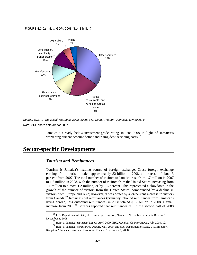#### **FIGURE 4.3** Jamaica: GDP, 2008 (\$14.8 billion)



*Source:* ECLAC, *Statistical Yearbook, 2008*, 2009; EIU, *Country Report: Jamaica*, July 2009, 14. *Note:* GDP share data are for 2007.

Jamaica's already below-investment-grade rating in late 2008 in light of Jamaica's worsening current account deficit and rising debt-servicing costs.<sup>88</sup>

## **Sector-specific Developments**

### *Tourism and Remittances*

Tourism is Jamaica's leading source of foreign exchange. Gross foreign exchange earnings from tourism totaled approximately \$2 billion in 2008, an increase of about 3 percent from 2007. The total number of visitors to Jamaica rose from 1.7 million in 2007 to 1.8 million in 2008, with the number of visitors from the United States increasing from 1.1 million to almost 1.2 million, or by 1.6 percent. This represented a slowdown in the growth of the number of visitors from the United States, compounded by a decline in visitors from Europe and Asia; however, it was offset by a 24 percent increase in visitors from Canada.89 Jamaica's net remittances (primarily inbound remittances from Jamaicans living abroad, less outbound remittances) in 2008 totaled \$1.7 billion in 2008, a small increase from  $2006$ .<sup>90</sup> Sources reported that remittances fell in the second half of  $2008$ 

 <sup>88</sup> U.S. Department of State, U.S. Embassy, Kingston, "Jamaica: November Economic Review," December 1, 2008.

<sup>89</sup> Bank of Jamaica, *Statistical Digest*, April 2009; EIU, *Jamaica: Country Report*, July 2009, 12.

<sup>90</sup> Bank of Jamaica, *Remittances Update*, May 2009; and U.S. Department of State, U.S. Embassy, Kingston, "Jamaica: November Economic Review," December 1, 2008.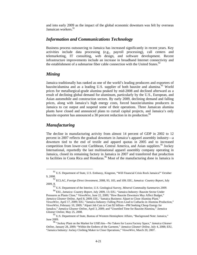and into early 2009 as the impact of the global economic downturn was felt by overseas Jamaican workers<sup>91</sup>

### *Information and Communications Technology*

Business process outsourcing to Jamaica has increased significantly in recent years. Key activities include data processing (e.g., payroll processing), call centers and telemarketing, IT consulting, web design, and software development. Recent infrastructure improvements include an increase in broadband Internet connectivity and the establishment of a submarine fiber cable connection with the United States.<sup>92</sup>

### *Mining*

Jamaica traditionally has ranked as one of the world's leading producers and exporters of bauxite/alumina and as a leading U.S. supplier of both bauxite and alumina.<sup>93</sup> World prices for metallurgical-grade alumina peaked by mid-2008 and declined afterward as a result of declining global demand for aluminum, particularly by the U.S., European, and Asian automobile and construction sectors. By early 2009, declining demand and falling prices, along with Jamaica's high energy costs, forced bauxite/alumina producers in Jamaica to cut output and suspend some of their operations. Three Jamaican alumina plants have closed and announced plans to curtail capital projects, and Jamaica's only bauxite exporter has announced a 30 percent reduction in its production.<sup>94</sup>

### *Manufacturing*

The decline in manufacturing activity from almost 14 percent of GDP in 2002 to 12 percent in 2007 reflects the gradual downturn in Jamaica's apparel assembly industry—a downturn tied to the end of textile and apparel quotas in 2005 and to increased competition from lower-cost Caribbean, Central America, and Asian suppliers.<sup>95</sup> Jockey International, reportedly the last multinational apparel assembly company operating in Jamaica, closed its remaining factory in Jamaica in 2007 and transferred that production to facilities in Costa Rica and Honduras.<sup>96</sup> Most of the manufacturing done in Jamaica is

<sup>&</sup>lt;sup>91</sup> U.S. Department of State, U.S. Embassy, Kingston, "Will Financial Crisis Rock Jamaica?" October 9, 2008.

<sup>92</sup> ECLAC, *Foreign Direct Investment*, 2008, 93, 103, and 109; EIU, *Jamaica: Country Report*, July 2009, 8.

<sup>&</sup>lt;sup>93</sup> U.S. Department of the Interior, U.S. Geological Survey, *Mineral Commodity Summaries 2009*.<br><sup>94</sup> EIU, *Jamaica: Country Report*, July 2009, 13; EIU, "Jamaica Industry: Bauxite Sector Under Pressures as Plants Close," *ViewsWire*, June 22, 2009; "How Bauxite Downturn May Affect Budget," *Jamaica Gleaner Online*, April 8, 2009; EIU, "Jamaica Business: Alpart to Close Alumina Plant," *ViewsWire*, April 17, 2009; EIU, "Jamaica Industry: Falling Prices Lead to Cutbacks in Alumina Production," *ViewsWire*, February 10, 2009; "Alpart Job Cuts to Cost \$2 billion—PM Seeking Cheap Energy for Jamalco," *Jamaica Gleaner Online*, April 3, 2009; and "Unsettled Time for Bauxite/Alumina," *Jamaica Gleaner Online*, May 25, 2008.

<sup>&</sup>lt;sup>95</sup> U.S. Department of State, Bureau of Western Hemisphere Affairs, "Background Note: Jamaica," June 2009.

<sup>96 &</sup>quot;Jockey Plant on the Market for US\$5.6m—No Takers for Lucea Factory Space," *Jamaica Gleaner Online*, January 28, 2009; "Within the Embers of the Garment," *Jamaica Gleaner Online*, July 4, 2008; EIU, "Jamaica Industry: Jockey Clothing Maker to Close Operations," *ViewsWire*, March 20, 2007.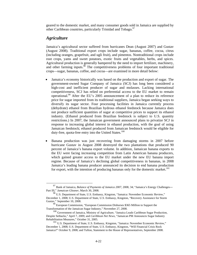geared to the domestic market, and many consumer goods sold in Jamaica are supplied by other Caribbean countries, particularly Trinidad and Tobago.<sup>97</sup>

### *Agriculture*

Jamaica's agricultural sector suffered from hurricanes Dean (August 2007) and Gustav (August 2008). Traditional export crops include sugar, bananas, coffee, cocoa, citrus (including oranges, grapefruit, and ugli fruit), and pimentos. Nontraditional crops include root crops, yams and sweet potatoes, exotic fruits and vegetables, herbs, and spices. Agricultural production is generally hampered by the need to import fertilizer, machinery, and other farming inputs. $\frac{98}{8}$  The competitiveness problems of four important traditional crops—sugar, bananas, coffee, and cocoa—are examined in more detail below:

- Jamaica's economy historically was based on the production and export of sugar. The government-owned Sugar Company of Jamaica (SCJ) has long been considered a high-cost and inefficient producer of sugar and molasses. Lacking international competitiveness, SCJ has relied on preferential access to the EU market to remain operational.99 After the EU's 2005 announcement of a plan to reduce its reference price for sugar imported from its traditional suppliers, Jamaica began seeking ways to diversify its sugar sector. Four processing facilities in Jamaica currently process (dehydrate) ethanol from Brazilian hydrous ethanol feedstock because Jamaica does not produce sufficient quantities of sugar at competitive prices to support its ethanol industry. (Ethanol produced from Brazilian feedstock is subject to U.S. quantity restrictions.) In 2007, the Jamaican government announced plans to privatize SCJ in response to increasing global interest in ethanol production, with the goal of using Jamaican feedstock; ethanol produced from Jamaican feedstock would be eligible for duty-free, quota-free entry into the United States.<sup>100</sup>
- Banana production was just recovering from damaging storms in 2007 before hurricane Gustav in August 2008 destroyed the two plantations that produced 90 percent of Jamaica's banana export volume. In addition, Jamaican banana exports to the EU were facing increasing competition from Latin American banana producers, which gained greater access to the EU market under the new EU banana import regime. Because of Jamaica's declining global competitiveness in bananas, in 2008 Jamaica's leading banana producer announced its decision to end banana production for export, with the intention of producing bananas only for the domestic market.<sup>101</sup>

 <sup>97</sup> Bank of Jamaica, *Balance of Payments of Jamaica 2007*, 2008, 34; "Jamaica's Energy Challenges— Part III," *Jamaican Gleaner*, March 30, 2008.

 $^{98}$  U.S. Department of State, U.S. Embassy, Kingston, "Jamaica: November Economic Review," December 1, 2008; U.S. Department of State, U.S. Embassy, Kingston, "Recovery Assistance for Storm Gustav," September 10, 2008.

<sup>&</sup>lt;sup>99</sup> European Commission, "European Commission Disburses \$365 Million to Support the Transformation of the Jamaican Sugar Industry," November 27, 2008.

<sup>100</sup> Government of Jamaica, Ministry of Agriculture, "Jamaica Leads Caribbean Sugar Production, Despite Setbacks," April 7, 2009; and *Caribbean Net News*, "Jamaican PM Announces Sugar Industry Rehabilitation Measures," October 31, 2005.

<sup>&</sup>lt;sup>101</sup> U.S. Department of State, U.S. Embassy, Kingston, "Jamaica: November Economic Review," December 1, 2008; U.S. Department of State, U.S. Embassy, Kingston, "Will Financial Crisis Rock Jamaica?" October 9, 2008; and Tufton, Statement to the House of Representatives, September 2008.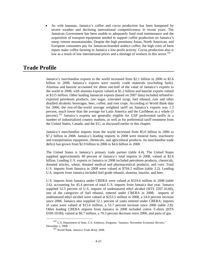• As with bananas, Jamaica's coffee and cocoa production has been hampered by severe weather and declining international competitiveness in recent years. The Jamaican Government has been unable to adequately fund road maintenance and the acquisition of transport equipment needed to support coffee production on Jamaica's steep, remote mountainsides. Despite the high premiums Asian, North American, and European consumers pay for Jamaican-branded arabica coffee, the high costs of farm inputs make coffee farming in Jamaica a low-profit activity. Cocoa production also is low as a result of low international prices and a shortage of workers in this sector.<sup>102</sup>

## **Trade Profile**

Jamaica's merchandise exports to the world increased from \$2.1 billion in 2006 to \$2.6 billion in 2008. Jamaica's exports were mainly crude materials (excluding fuels). Alumina and bauxite accounted for about one-half of the value of Jamaica's exports to the world in 2008, with alumina exports valued at \$1.2 billion and bauxite exports valued at \$115 million. Other leading Jamaican exports (based on 2007 data) included refined/reexported petroleum products, raw sugar, iron/steel scrap, fuel ethanol, rum and other distilled alcoholic beverages, beer, coffee, and root crops. According to World Bank data for 2006, the rest-of-the-world average weighted tariff on Jamaica's exports was 1.3 percent, much lower than the average for Latin America and the Caribbean as a whole (3 percent).103 Jamaica's exports are generally eligible for GSP preferential tariffs in a number of industrialized country markets, as well as for preferential tariff treatment from the United States, Canada, and the EU, as discussed earlier in this chapter.

Jamaica's merchandise imports from the world increased from \$5.0 billion in 2006 to \$7.2 billion in 2008. Jamaica's leading imports in 2008 were mineral fuels, machinery and transportation equipment, chemicals, and agricultural products. Its merchandise trade deficit has grown from \$2.9 billion in 2006 to \$4.6 billion in 2008.

The United States is Jamaica's primary trade partner (table 4.4). The United States supplied approximately 40 percent of Jamaica's total imports in 2008, valued at \$2.6 billion. Leading U.S. exports to Jamaica in 2008 included petroleum products, chemicals, donated articles, wheat, donated medical and pharmaceutical products, and corn. Total U.S. imports from Jamaica in 2008 were valued at \$704.2 million (table 2.2). Leading U.S. imports from Jamaica included fuel grade ethanol, alumina, bauxite, and beer.

U.S. imports from Jamaica under CBERA were valued at \$319.6 million in 2008 (table 2.6), accounting for 45.4 percent of total U.S. imports from Jamaica that year. Jamaica supplied 52.5 percent of U.S. imports of undenatured ethyl alcohol (HTS 2207.10.60), one of the categories of fuel ethanol, entered under CBERA in 2008; imports of undenatured ethyl alcohol were valued at \$253.5 million in 2008, a 54.0 percent increase since 2006. Jamaica also supplied 52.1 percent of yams entered under CBERA; imports of yams were valued at \$15.6 million, a 53.7 percent increase since 2006 (table 2.8). Other leading CBERA imports from Jamaica in 2008 included cotton T-shirts (HTS 6109.10.00), valued at \$6.7 million, a 70.3 percent decrease since 2006, and parts of gas

 <sup>102</sup> U.S. Department of State, U.S. Embassy, Kingston, "Jamaica: November Economic Review," December 1, 2008.

<sup>103</sup> World Bank, *Jamaica Trade Brief*, 2008.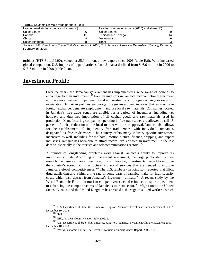**TABLE 4.4** Jamaica: Main trade partners, 2008

| Leading markets for exports and share (%): |    | Leading sources of imports (2006) and share (%): |    |  |
|--------------------------------------------|----|--------------------------------------------------|----|--|
| <b>United States</b>                       | 26 | United States                                    | 39 |  |
| Canada                                     |    | Trinidad and Tobago                              | 14 |  |
| China                                      |    | Venezuela                                        |    |  |
| United Kingdom                             |    | Brazil                                           |    |  |

*Sources*: IMF, *Direction of Trade Statistics Yearbook 2008*; EIU, *Jamaica: Historical Data—Main Trading Partners*, February 15, 2008.

turbines (HTS 8411.99.90), valued at \$5.0 million, a new export since 2006 (table E.6). With increased global competition, U.S. imports of apparel articles from Jamaica declined from \$46.6 million in 2006 to \$15.7 million in 2008 (table 2.10).

## **Investment Profile**

Over the years, the Jamaican government has implemented a wide range of policies to encourage foreign investment.<sup>104</sup> Foreign investors in Jamaica receive national treatment and face no investment impediments and no constraints on foreign exchange or on profit repatriation. Jamaican policies encourage foreign investment in areas that earn or save foreign exchange, generate employment, and use local raw materials. Companies located in Jamaica's free trade zones are eligible for a variety of incentives, including tax holidays and duty-free importation of all capital goods and raw materials used in production. Manufacturing companies operating in free trade zones are allowed to sell 15 percent of their production on the local market with prior approval. Jamaica also allows for the establishment of single-entity free trade zones, with individual companies designated as free trade zones. The country offers many industry-specific investment incentives as well, including for the hotel, motion picture, finance, shipping, and export industries. Jamaica has been able to attract record levels of foreign investment in the last decade, especially in the tourism and telecommunications sectors.<sup>105</sup>

A number of longstanding problems work against Jamaica's ability to improve its investment climate. According to one recent assessment, the large public debt burden restricts the Jamaican government's ability to make key investments needed to improve the country's economic infrastructure and social services that are needed to improve Jamaica's global competitiveness.<sup>106</sup> The U.S. Embassy in Kingston reported that illicit drug trafficking and a high crime rate in some parts of Jamaica make for high security costs, which also detract from Jamaica's investment climate.<sup>107</sup> A recent study by the World Economic Forum on tourism competitiveness cited crime as a major impediment to enhancing the competitiveness of Jamaica's tourism sector.<sup>108</sup> Migration to the United States, Canada, and the United Kingdom has created a shortage of skilled workers, which

<sup>&</sup>lt;sup>104</sup> U.S. Department of State, U.S. Embassy, Kingston, "Jamaica: Investment Climate Statement 2009," December 10, 2008.

 $105$  Ibid.

<sup>106</sup> EIU, Jamaica: Country Report, July 2009, 5.

<sup>&</sup>lt;sup>107</sup> U.S. Department of State, U.S. Embassy, Kingston, "Jamaica: Investment Climate Statement 2009," December 10, 2008.

<sup>108</sup> World Economic Forum, The Travel & Tourism Competitiveness Report, 2009, 231.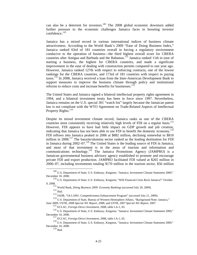can also be a deterrent for investors.<sup>109</sup> The 2008 global economic downturn added further pressure to the economic challenges Jamaica faces in boosting investor  $\text{confidence}^{110}$ 

Jamaica has a mixed record in various international indices of business climate attractiveness. According to the World Bank's 2009 "Ease of Doing Business Index," Jamaica ranked 63rd of 181 countries overall in having a regulatory environment conducive to the operation of business—the third highest overall score for CBERA countries after Antigua and Barbuda and the Bahamas.<sup>111</sup> Jamaica ranked 11th in ease of starting a business, the highest for CBERA countries, and made a significant improvement in the ease of dealing with construction permits compared to one year ago. However, Jamaica ranked 127th with respect to enforcing contracts, one of the lowest rankings for the CBERA countries, and 173rd of 181 countries with respect to paying taxes.112 In 2008, Jamaica received a loan from the Inter-American Development Bank to support measures to improve the business climate through policy and institutional reforms to reduce costs and increase benefits for businesses.<sup>113</sup>

The United States and Jamaica signed a bilateral intellectual property rights agreement in 1994, and a bilateral investment treaty has been in force since 1997. Nevertheless, Jamaica remains on the U.S. special 301 "watch list" largely because the Jamaican patent law is not compliant with the WTO Agreement on Trade-Related Aspects of Intellectual Property Rights.<sup>114</sup>

Despite its mixed investment climate record, Jamaica ranks as one of the CBERA countries most consistently receiving relatively high levels of FDI on a regular basis.<sup>115</sup> However, FDI appears to have had little impact on GDP growth and job creation, indicating that Jamaica has not been able to use FDI to benefit the domestic economy.116 FDI inflows into Jamaica peaked in 2006 at \$882 million, declining somewhat to \$810 million in 2008.<sup>117</sup> The bauxite/alumina sector ranked as the leading destination for FDI in Jamaica during  $2002-07$ .<sup>118</sup> The United States is the leading source of FDI in Jamaica, and most of that investment is in the areas of tourism and information and communications technology.<sup>119</sup> The Jamaica Promotions Agency (JAMPRO) is a Jamaican governmental business advisory agency established to promote and encourage private FDI and export production. JAMPRO facilitated FDI valued at \$265 million in 2006–07, including investments totaling \$170 million in the tourism sector, \$56 million

<sup>&</sup>lt;sup>109</sup> U.S. Department of State, U.S. Embassy, Kingston, "Jamaica: Investment Climate Statement 2009," December 10, 2008.

<sup>&</sup>lt;sup>110</sup> U.S. Department of State, U.S. Embassy, Kingston, "Will Financial Crisis Rock Jamaica?" October 9, 2008.

<sup>111</sup> World Bank, *Doing Business 2009: Economy Rankings* (accessed July 20, 2009).

 $112$  Ibid.

<sup>113</sup> IADB, "JA-L1001: Competitiveness Enhancement Program" (accessed July 21, 2009).

<sup>114</sup> U.S. Department of State, Bureau of Western Hemisphere Affairs, "Background Note: Jamaica,"

June 2009; USTR, *2008 Special 301 Report,* 2008; and USTR, *2007 Special 301 Report,* 2007.

<sup>115</sup> ECLAC, *Foreign Direct Investment*, 2008, table I.A-1, 65.

<sup>116</sup> U.S. Department of State, U.S. Embassy, Kingston, "Jamaica: Investment Climate Statement 2009," December 10, 2008.

<sup>117</sup> ECLAC, *Foreign Direct Investment*, 2008, table I.A-1, 65.

<sup>118</sup> U.S. Department of State, U.S. Embassy, Kingston, "Jamaica: Investment Climate Statement 2009," December 10, 2008.

 $\frac{119}{119}$  Ibid.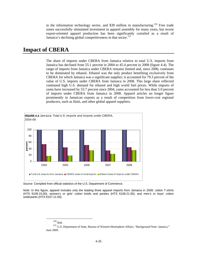in the information technology sector, and \$39 million in manufacturing.<sup>120</sup> Free trade zones successfully stimulated investment in apparel assembly for many years, but recent export-oriented apparel production has been significantly curtailed as a result of Jamaica's declining global competitiveness in that sector. $121$ 

## **Impact of CBERA**

The share of imports under CBERA from Jamaica relative to total U.S. imports from Jamaica has declined from 55.1 percent in 2004 to 45.4 percent in 2008 (figure 4.4). The range of imports from Jamaica under CBERA remains limited and, since 2006, continues to be dominated by ethanol. Ethanol was the only product benefiting exclusively from CBERA for which Jamaica was a significant supplier; it accounted for 79.3 percent of the value of U.S. imports under CBERA from Jamaica in 2008. This large share reflected continued high U.S. demand for ethanol and high world fuel prices. While imports of yams have increased by 53.7 percent since 2004, yams accounted for less than 5.0 percent of imports under CBERA from Jamaica in 2008. Apparel articles no longer figure prominently in Jamaican exports as a result of competition from lower-cost regional producers, such as Haiti, and other global apparel suppliers.



*Source:* Compiled from official statistics of the U.S. Department of Commerce.

*Note:* In this figure, apparel includes only the leading three apparel imports from Jamaica in 2008: cotton T-shirts (HTS 6109.10.00), women's or girls' cotton briefs and panties (HTS 6108.21.00), and men's or boys' cotton underpants (HTS 6107.11.00).

 $^{120}$  Ibid.

<sup>&</sup>lt;sup>121</sup> U.S. Department of State, Bureau of Western Hemisphere Affairs, "Background Note: Jamaica," June 2009.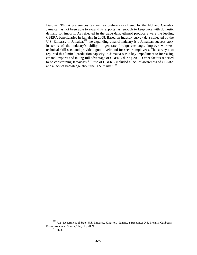Despite CBERA preferences (as well as preferences offered by the EU and Canada), Jamaica has not been able to expand its exports fast enough to keep pace with domestic demand for imports. As reflected in the trade data, ethanol producers were the leading CBERA beneficiaries in Jamaica in 2008. Based on industry survey data collected by the U.S. Embassy in Jamaica,<sup>122</sup> the expanding ethanol industry is a Jamaican success story in terms of the industry's ability to generate foreign exchange, improve workers' technical skill sets, and provide a good livelihood for sector employees. The survey also reported that limited production capacity in Jamaica was a key impediment to increasing ethanol exports and taking full advantage of CBERA during 2008. Other factors reported to be constraining Jamaica's full use of CBERA included a lack of awareness of CBERA and a lack of knowledge about the U.S. market. $123$ 

 <sup>122</sup> U.S. Department of State, U.S. Embassy, Kingston, "Jamaica's Response: U.S. Biennial Caribbean Basin Investment Survey," July 13, 2009. 123 Ibid.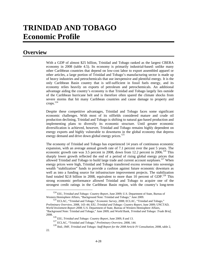# **TRINIDAD AND TOBAGO Economic Profile**

## **Overview**

With a GDP of almost \$25 billion, Trinidad and Tobago ranked as the largest CBERA economy in 2008 (table 4.5). Its economy is primarily industrial-based: unlike many other Caribbean countries that depend on low-cost labor to export assembled apparel or other articles, a large portion of Trinidad and Tobago's manufacturing sector is made up of heavy industries and petrochemicals that use inexpensive and plentiful energy. It is the only Caribbean Basin country that is self-sufficient in fossil fuels energy, and its economy relies heavily on exports of petroleum and petrochemicals. An additional advantage aiding the country's economy is that Trinidad and Tobago largely lies outside of the Caribbean hurricane belt and is therefore often spared the climate shocks from severe storms that hit many Caribbean countries and cause damage to property and crops.<sup>124</sup>

Despite these competitive advantages, Trinidad and Tobago faces some significant economic challenges. With most of its oilfields considered mature and crude oil production declining, Trinidad and Tobago is shifting to natural gas-based production and implementing plans to diversify its economic structure. Until greater economic diversification is achieved, however, Trinidad and Tobago remains highly dependent on energy exports and highly vulnerable to downturns in the global economy that depress energy demand and drive down global energy prices.<sup>125</sup>

The economy of Trinidad and Tobago has experienced 14 years of continuous economic expansion, with an average annual growth rate of 7.1 percent over the past 5 years. The economic growth rate was 3.5 percent in 2008, down from 12.2 percent in  $2006$ .<sup>126</sup> This sharply lower growth reflected the end of a period of rising global energy prices that allowed Trinidad and Tobago to build large trade and current account surpluses.<sup>127</sup> When energy prices were high, Trinidad and Tobago transferred excess revenue into sovereign wealth "stabilization" funds to provide a cushion against future economic downturn as well as into a funding source for infrastructure improvement projects. The stabilization fund totaled \$2.8 billion in 2008, equivalent to more than 10 percent of GDP.<sup>128</sup> This strong economic performance allowed Trinidad and Tobago to acquire one of the strongest credit ratings in the Caribbean Basin region, with the country's long-term

 <sup>124</sup> EIU, *Trinidad and Tobago: Country Report*, June 2009; U.S. Department of State, Bureau of Western Hemisphere Affairs, "Background Note: Trinidad and Tobago," June 2009.

<sup>125</sup> ECLAC, "Trinidad and Tobago," *Economic Survey*, 2008; ECLAC, "Trinidad and Tobago," *Preliminary Overview*, 2008, 143–44; EIU, *Trinidad and Tobago: Country Report*, June 2009; UNCTAD, *World Investment Report 2008*; U.S. Department of State, Bureau of Western Hemisphere Affairs, "Background Note: Trinidad and Tobago," June 2009; and World Bank, *Trinidad and Tobago: Trade Brief*, 2008.

<sup>126</sup> EIU, *Trinidad and Tobago: Country Report*, June 2009, 8 and 13.

<sup>127</sup> ECLAC, "Trinidad and Tobago," *Preliminary Overview*, 2008, 144.

<sup>128</sup> Ibid.; IMF, *Trinidad and Tobago: Staff Report for the 2008 Article IV Consultation*, 2008, table 2, 22.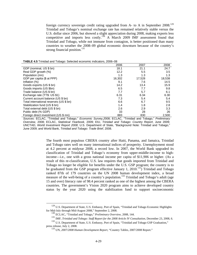foreign currency sovereign credit rating upgraded from A- to A in September  $2008$ <sup>129</sup> Trinidad and Tobago's nominal exchange rate has remained relatively stable versus the U.S. dollar since 2006, but showed a slight appreciation during 2008, making exports less competitive and imports less costly.<sup>130</sup> A March 2009 IMF assessment found that Trinidad and Tobago, while not immune from contagion, is better positioned than many countries to weather the 2008–09 global economic downturn because of the country's strong financial position.<sup>131</sup>

| <b>IABLE 4.5</b> Trinidad and Tobago: Selected economic indicators, 2006–08 |        |        |        |
|-----------------------------------------------------------------------------|--------|--------|--------|
|                                                                             | 2006   | 2007   | 2008   |
| GDP (nominal, US \$ bn)                                                     | 18.1   | 21.1   | 24.7   |
| Real GDP growth (%)                                                         | 12.2   | 5.5    | 3.5    |
| Population (mn)                                                             | 1.3    | 1.3    | 1.3    |
| GDP per capita (\$ at PPP)                                                  | 16,302 | 17,528 | 18,538 |
| Inflation $(\%)$                                                            | 9.1    | 7.6    | 14.5   |
| Goods exports (US \$ bn)                                                    | 14.2   | 13.4   | 15.9   |
| Goods imports (US \$bn)                                                     | 6.5    | 7.7    | 9.8    |
| Trade balance (US \$ bn)                                                    | 7.7    | 5.7    | 6.1    |
| Exchange rate (TT\$: US \$1)                                                | 6.31   | 6.34   | 6.30   |
| Current account balance (US \$ bn)                                          | 7.3    | 5.4    | 5.4    |
| Total international reserves (US \$ bn)                                     | 6.6    | 6.7    | 9.5    |
| Stabilization fund (US \$ bn)                                               | 1.4    | 1.8    | 2.8    |
| Total external debt (US \$ bn)                                              | 2.6    | 2.9    | 3.3    |
| Public debt (% GDP)                                                         | 33     | 28     | 26     |
| Foreign direct investment (US \$ mn)                                        | 883    | 830    | 2,500  |

**TABLE 4.5** Trinidad and Tobago: Selected economic indicators, 2006–08

*Sources*: ECLAC, "Trinidad and Tobago," *Economic Survey,2*008; ECLAC, "Trinidad and Tobago," *Preliminary Overview,* 2008; ECLAC, *Statistical Yearbook*, 2009; EIU, *Trinidad and Tobago: Country Report*, June 2009; UNCTAD, *World Investment Report 2008*; U.S. Department of State, "Background Note: Trinidad and Tobago," June 2009; and World Bank, *Trinidad and Tobago: Trade Brief*, 2008.

> The fourth most populous CBERA country after Haiti, Panama, and Jamaica, Trinidad and Tobago rates well on many international indices of prosperity. Unemployment stood at 4.2 percent at midyear 2008, a record low. In 2007, the World Bank upgraded its classification of Trinidad and Tobago's economy from upper-middle-income to highincome—i.e., one with a gross national income per capita of \$11,906 or higher. (As a result of this re-classification, U.S. law requires that goods imported from Trinidad and Tobago no longer be eligible for benefits under the U.S. GSP program; the country is to be graduated from the GSP program effective January 1,  $2010^{132}$  Trinidad and Tobago ranked 87th of 179 countries on the UN 2008 human development index, a broad measure of the well-being of a country's population.<sup>133</sup> Trinidad and Tobago's adult (age 15 and over) literacy rate of 98.4 percent ranked as one of the highest among the CBERA countries. The government's Vision 2020 program aims to achieve developed country status by the year 2020 using the stabilization fund to support socioeconomic

<sup>&</sup>lt;sup>129</sup> U.S. Department of State, U.S. Embassy, Port of Spain, "Trinidad and Tobago Economic Highlights for Mid-July through Mid-August 2008," September 2, 2008.

<sup>130</sup> ECLAC, "Trinidad and Tobago," *Preliminary Overview*, 2008, 144.

<sup>131</sup> IMF, *Trinidad and Tobago: Staff Report for the 2008 Article IV Consultation*, December 23, 2008, 6.

<sup>&</sup>lt;sup>132</sup> U.S. Department of State, U.S. Embassy, Port of Spain, "Trinidad and Tobago GSP Graduation," press release, July 2, 2008.

<sup>133</sup> UN, *2007/2008 Human Development Report*, "Country Tables, 2007/2008 Report."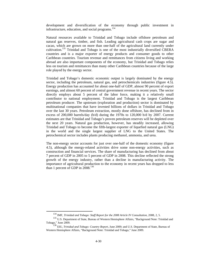development and diversification of the economy through public investment in infrastructure, education, and social programs. $134$ 

Natural resources available to Trinidad and Tobago include offshore petroleum and natural gas reserves, timber, and fish. Leading agricultural cash crops are sugar and cacao, which are grown on more than one-half of the agricultural land currently under cultivation.135 Trinidad and Tobago is one of the most industrially diversified CBERA countries and is a major exporter of energy products and consumer goods to other Caribbean countries. Tourism revenue and remittances from citizens living and working abroad are also important components of the economy, but Trinidad and Tobago relies less on tourism and remittances than many other Caribbean countries because of the large role played by the energy sector.

Trinidad and Tobago's domestic economic output is largely dominated by the energy sector, including the petroleum, natural gas, and petrochemicals industries (figure 4.5). Energy production has accounted for about one-half of GDP, almost 90 percent of export earnings, and almost 60 percent of central government revenue in recent years. The sector directly employs about 5 percent of the labor force, making it a relatively small contributor to national employment. Trinidad and Tobago is the largest Caribbean petroleum producer. The upstream (exploration and production) sector is dominated by multinational companies that have invested billions of dollars in Trinidad and Tobago over the last 30 years. Petroleum extraction, mostly done offshore, has declined from in excess of 200,000 barrels/day (b/d) during the 1970s to 120,000 b/d by 2007. Current estimates are that Trinidad and Tobago's proven petroleum reserves will be depleted over the next 20 years. Natural gas production, however, has steadily increased, allowing Trinidad and Tobago to become the fifth-largest exporter of liquefied natural gas (LNG) in the world and the single largest supplier of LNG to the United States. The petrochemical sector includes plants producing methanol, ammonia, and urea.

The non-energy sector accounts for just over one-half of the domestic economy (figure 4.5), although the energy-related activities drive some non-energy activities, such as construction and financial services. The share of manufacturing has declined from about 7 percent of GDP in 2005 to 5 percent of GDP in 2008. This decline reflected the strong growth of the energy industry, rather than a decline in manufacturing activity. The importance of agricultural production to the economy in recent years has dropped to less than 1 percent of GDP in  $2008$ <sup>136</sup>

 <sup>134</sup> IMF, *Trinidad and Tobago: Staff Report for the 2008 Article IV Consultation*, 2008, 2, 5.

<sup>&</sup>lt;sup>135</sup> U.S. Department of State, Bureau of Western Hemisphere Affairs, "Background Note: Trinidad and Tobago," June 2009.

<sup>136</sup> EIU, *Trinidad and Tobago: Country Report*, June 2009; and U.S. Department of State, Bureau of Western Hemisphere Affairs, "Background Note: Trinidad and Tobago," June 2009.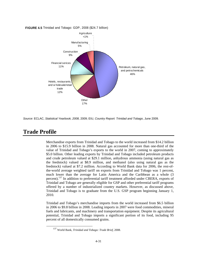

#### **FIGURE 4.5** Trinidad and Tobago: GDP, 2008 (\$24.7 billion)

*Source*: ECLAC, *Statistical Yearbook, 2008*, 2009; EIU, *Country Report: Trinidad and Tobago*, June 2009.

## **Trade Profile**

Merchandise exports from Trinidad and Tobago to the world increased from \$14.2 billion in 2006 to \$15.9 billion in 2008. Natural gas accounted for more than one-third of the value of Trinidad and Tobago's exports to the world in 2007, coming to approximately \$5.0 billion. Other leading exports by Trinidad and Tobago included petroleum products and crude petroleum valued at \$29.1 million, anhydrous ammonia (using natural gas as the feedstock) valued at \$8.9 million, and methanol (also using natural gas as the feedstock) valued at \$7.2 million. According to World Bank data for 2006, the rest-ofthe-world average weighted tariff on exports from Trinidad and Tobago was 1 percent, much lower than the average for Latin America and the Caribbean as a whole (3 percent).<sup>137</sup> In addition to preferential tariff treatment afforded under CBERA, exports of Trinidad and Tobago are generally eligible for GSP and other preferential tariff programs offered by a number of industrialized country markets. However, as discussed above, Trinidad and Tobago is to graduate from the U.S. GSP program beginning January 1, 2010.

Trinidad and Tobago's merchandise imports from the world increased from \$6.5 billion in 2006 to \$9.8 billion in 2008. Leading imports in 2007 were food commodities, mineral fuels and lubricants, and machinery and transportation equipment. Despite its agricultural potential, Trinidad and Tobago imports a significant portion of its food, including 95 percent of all domestically consumed grains.

 <sup>137</sup> World Bank, *Trinidad and Tobago: Trade Brief*, 2008.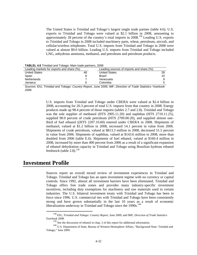The United States is Trinidad and Tobago's largest single trade partner (table 4.6). U.S. exports to Trinidad and Tobago were valued at \$2.1 billion in 2008, amounting to approximately 28 percent of the country's total imports in 2008.138 Leading U.S. exports to Trinidad and Tobago in 2008 included machinery parts, wheat, petroleum, aircraft, and cellular/wireless telephones. Total U.S. imports from Trinidad and Tobago in 2008 were valued at almost \$9.0 billion. Leading U.S. imports from Trinidad and Tobago included LNG, anhydrous ammonia, methanol, and petroleum and petroleum products.

| <b>TABLEL 4.6 Trinidad and Tobago: Main trade partners, 2008</b> |                                    |                                           |        |
|------------------------------------------------------------------|------------------------------------|-------------------------------------------|--------|
| Leading markets for exports and share (%):                       |                                    | Leading sources of imports and share (%): |        |
| <b>United States</b>                                             | 48                                 | <b>United States</b>                      | 28     |
| Spain                                                            |                                    | <b>Brazil</b>                             | 10     |
| <b>Netherlands</b>                                               |                                    | Venezuela                                 |        |
| Jamaica                                                          |                                    | Colombia                                  |        |
| _  .<br>$\sim$<br>_<br>$ -$                                      | $\sim$<br>$\overline{\phantom{a}}$ | --------<br>- -                           | .<br>. |

*Sources*: EIU, *Trinidad and Tobago: Country Report*, June 2009; IMF, *Direction of Trade Statistics Yearbook 2008*.

> U.S. imports from Trinidad and Tobago under CBERA were valued at \$2.4 billion in 2008, accounting for 26.3 percent of total U.S. imports from that country in 2008. Energy products made up 98.4 percent of those imports (tables 2.7 and 2.8). Trinidad and Tobago was the sole supplier of methanol (HTS 2905.11.20) and naphthas (HTS 2710.11.25), supplied 90.0 percent of crude petroleum (HTS 2709.00.20), and supplied almost onethird of fuel ethanol ((HTS 2207.10.60) entered under CBERA in 2008. Shipments of methanol, valued at \$1.2 billion in 2008, increased 14.1 percent in value from 2006. Shipments of crude petroleum, valued at \$813.3 million in 2008, decreased 51.5 percent in value from 2006. Shipments of naphthas, valued at \$143.6 million in 2008, more than doubled from 2006 (table E.6). Shipments of fuel ethanol, valued at \$160.4 million in 2008, increased by more than 400 percent from 2006 as a result of a significant expansion of ethanol dehydration capacity in Trinidad and Tobago using Brazilian hydrous ethanol feedstock (table  $2.8$ ).<sup>139</sup>

## **Investment Profile**

Sources report an overall mixed review of investment experiences in Trinidad and Tobago. Trinidad and Tobago has an open investment regime with no currency or capital controls. Since 1992, almost all investment barriers have been eliminated. Trinidad and Tobago offers free trade zones and provides many industry-specific investment incentives, including duty exemptions for machinery and raw materials used in certain industries. The U.S. bilateral investment treaty with Trinidad and Tobago has been in force since 1996. U.S. commercial ties with Trinidad and Tobago have been consistently strong and have grown substantially in the last 10 years as a result of economic liberalization underway in Trinidad and Tobago since the  $1990s$ .<sup>140</sup>

 <sup>138</sup> EIU, *Trinidad and Tobago: Country Report*, June 2009; and IMF, *Direction of Trade Statistics Yearbook 2008*. <sup>139</sup> See the discussion of ethanol in chap. 2 of this report for additional information.

<sup>&</sup>lt;sup>140</sup> U.S. Department of State, Bureau of Western Hemisphere Affairs, "Background Note: Trinidad and Tobago," June 2009.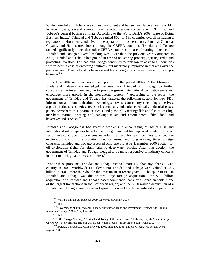While Trinidad and Tobago welcomes investment and has secured large amounts of FDI in recent years, several sources have reported serious concerns with Trinidad and Tobago's general business climate. According to the World Bank's 2009 "Ease of Doing Business Index," Trinidad and Tobago ranked 80th of 181 countries overall in having a regulatory environment conducive to the operation of business—only Panama, Grenada, Guyana, and Haiti scored lower among the CBERA countries. Trinidad and Tobago ranked significantly lower than other CBERA countries in ease of starting a business.<sup>141</sup> Trinidad and Tobago's overall ranking was lower than the previous year. Compared to 2008, Trinidad and Tobago lost ground in ease of registering property, getting credit, and protecting investors. Trinidad and Tobago continued to rank low relative to all countries with respect to ease of enforcing contracts, but marginally improved in that area over the previous year. Trinidad and Tobago ranked last among all countries in ease of closing a business.<sup>142</sup>

In its June 2007 report on investment policy for the period 2007–12, the Ministry of Trade and Industry acknowledged the need for Trinidad and Tobago to further consolidate the investment regime to promote greater international competitiveness and encourage more growth in the non-energy sectors.<sup>143</sup> According to the report, the government of Trinidad and Tobago has targeted the following sectors for new FDI: information and communications technology; downstream energy (including adhesives, asphalt products, cosmetics, feedstock chemicals, industrial chemicals, industrial gases, paints, petrochemicals, pharmaceuticals, and plastics); yachting; fish and fish processing; merchant marine; printing and packing; music and entertainment; film; food and beverage; and services.<sup>144</sup>

Trinidad and Tobago has had specific problems in encouraging oil sector FDI, and international oil companies have lobbied the government for improved conditions for oil sector investors. Specific concerns included the need for tax incentives to encourage exploration, confusing exploration contract terms, and long waiting times to sign contracts. Trinidad and Tobago received only one bid at its December 2006 auction for oil exploration rights for eight Atlantic deep-water blocks. After that auction, the government of Trinidad and Tobago pledged to be more responsive to industry concerns in order to elicit greater investor interest. $145$ 

Despite these problems, Trinidad and Tobago received more FDI than any other CBERA country in 2008. Worldwide FDI flows into Trinidad and Tobago were valued at \$2.5 billion in 2008, more than double the investment in recent years.<sup>146</sup> The spike in FDI in Trinidad and Tobago was due to two large foreign acquisitions—the \$2.2 billion acquisition of a Trinidad and Tobago-based commercial bank by a Canadian bank in one of the largest transactions in the Caribbean region; and the \$900 million acquisition of a Trinidad and Tobago-based wine and spirits producer by a Jamaica-based company. The

 <sup>141</sup> World Bank, *Doing Business 2009: Economy Rankings,* 2009.

 $^{142}$  Ibid.

<sup>143</sup> Government of Trinidad and Tobago, Ministry of Trade and Investment, *Trinidad and Tobago Investment Policy, 2007–2012*, June 2007.

 $144$  Ibid.

<sup>145</sup> EIU, *Energy Briefing*, "Trinidad and Tobago Oil: Better Terms," February 17, 2009; and *Energy Caribbean*, "New Trinidad Blocks: Ultra Deep-water Blocks Will Be Back Soon," June 2007.

<sup>146</sup> ECLAC, *Foreign Direct Investment*, 2008, table I.A-1, 65; and UNCTAD, *World Investment Report*, 2008.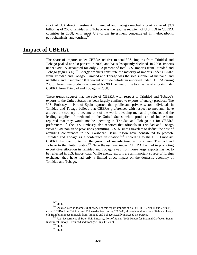stock of U.S. direct investment in Trinidad and Tobago reached a book value of \$3.8 billion as of 2007. Trinidad and Tobago was the leading recipient of U.S. FDI in CBERA countries in 2008, with most U.S.-origin investment concentrated in hydrocarbons, petrochemicals, and tourism.<sup>147</sup>

## **Impact of CBERA**

The share of imports under CBERA relative to total U.S. imports from Trinidad and Tobago peaked at 43.8 percent in 2006, and has subsequently declined. In 2008, imports under CBERA accounted for only 26.3 percent of total U.S. imports from Trinidad and Tobago (figure 4.6).<sup>148</sup> Energy products constitute the majority of imports under CBERA from Trinidad and Tobago. Trinidad and Tobago was the sole supplier of methanol and naphthas, and it supplied 90.0 percent of crude petroleum imported under CBERA during 2008. These three products accounted for 90.1 percent of the total value of imports under CBERA from Trinidad and Tobago in 2008.

These trends suggest that the role of CBERA with respect to Trinidad and Tobago's exports to the United States has been largely confined to exports of energy products. The U.S. Embassy in Port of Spain reported that public and private sector individuals in Trinidad and Tobago believe that CBERA preferences with respect to methanol have allowed the country to become one of the world's leading methanol producers and the leading supplier of methanol to the United States, while producers of fuel ethanol reported that they would not be operating in Trinidad and Tobago but for CBERA preferences.149 The U.S. Embassy also reported that officials in Trinidad and Tobago viewed CBI non-trade provisions permitting U.S. business travelers to deduct the cost of attending conferences in the Caribbean Basin region have contributed to promote Trinidad and Tobago as a conference destination.<sup>150</sup> According to the U.S. Embassy, CBERA has contributed to the growth of manufactured exports from Trinidad and Tobago to the United States.<sup>151</sup> Nevertheless, any impact CBERA has had in promoting export diversification in Trinidad and Tobago away from non-energy exports has yet to be reflected in U.S. import data. While energy exports are an important source of foreign exchange, they have had only a limited direct impact on the domestic economy of Trinidad and Tobago.

 $^{147}$  Ibid.

<sup>&</sup>lt;sup>148</sup> As discussed in footnote 8 of chap. 2 of this report, imports of fuel oil (HTS 2710.11 and 2710.19) under CBERA from Trinidad and Tobago declined during 2007–08, although total imports of light and heavy oils from bituminous minerals from Trinidad and Tobago actually increased 1.6 percent.

<sup>&</sup>lt;sup>149</sup> U.S. Department of State, U.S. Embassy, Port of Spain, "2009 Report for Biennial Caribbean Basin Investment Survey—Trinidad and Tobago," July 17, 2009.

<sup>150</sup> Ibid.

<sup>151</sup> Ibid.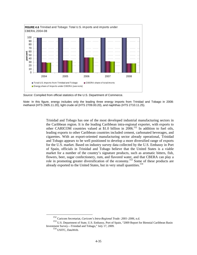

*Source*: Compiled from official statistics of the U.S. Department of Commerce.

*Note*: In this figure, energy includes only the leading three energy imports from Trinidad and Tobago in 2008: methanol (HTS 2905.11.20), light crude oil (HTS 2709.00.20), and naphthas (HTS 2710.11.25).

> Trinidad and Tobago has one of the most developed industrial manufacturing sectors in the Caribbean region. It is the leading Caribbean intra-regional exporter, with exports to other CARICOM countries valued at \$1.0 billion in 2006.152 In addition to fuel oils, leading exports to other Caribbean countries included cement, carbonated beverages, and cigarettes. With an export-oriented manufacturing sector already operational, Trinidad and Tobago appears to be well positioned to develop a more diversified range of exports for the U.S. market. Based on industry survey data collected by the U.S. Embassy in Port of Spain, officials in Trinidad and Tobago believe that the United States is a viable market for a number of the country's signature products, such as aromatic bitters, fish, flowers, beer, sugar confectionery, rum, and flavored water, and that CBERA can play a role in promoting greater diversification of the economy.<sup>153</sup> Some of these products are already exported to the United States, but in very small quantities.<sup>154</sup>

 <sup>152</sup> Caricom Secretariat, *Caricom's Intra-Regional Trade: 2001–2006*, n.d.

<sup>&</sup>lt;sup>153</sup> U.S. Department of State, U.S. Embassy, Port of Spain, "2009 Report for Biennial Caribbean Basin Investment Survey—Trinidad and Tobago," July 17, 2009.

<sup>&</sup>lt;sup>154</sup> USITC, DataWeb.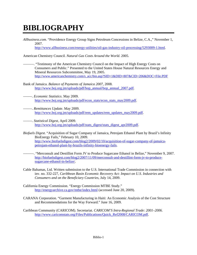# **BIBLIOGRAPHY**

*Allbusiness.com*. "Providence Energy Group Signs Petroleum Concessions in Belize, C.A.," November 1, 2007.

http://www.allbusiness.com/energy-utilities/oil-gas-industry-oil-processing/5293009-1.html.

American Chemistry Council. *Natural Gas Costs Around the World*. 2005.

- ———. "Testimony of the American Chemistry Council on the Impact of High Energy Costs on Consumers and Public." Presented to the United States House Natural Resources Energy and Mineral Resources Subcommittee, May 19, 2005. http://www.americanchemistry.com/s\_acc/bin.asp?SID=1&DID=807&CID=206&DOC=File.PDF
- Bank of Jamaica. *Balance of Payments of Jamaica 2007,* 2008. http://www.boj.org.jm/uploads/pdf/bop\_annual/bop\_annual\_2007.pdf.
- –––––. *Economic Statistics*. May 2009. http://www.boj.org.jm/uploads/pdf/econ\_stats/econ\_stats\_may2009.pdf.
- –––––. *Remittances Update*. May 2009. http://www.boj.org.jm/uploads/pdf/rem\_updates/rem\_updates\_may2009.pdf.
- –––––. *Statistical Digest*, April 2009. http://www.boj.org.jm/uploads/pdf/stats\_digest/stats\_digest\_apr2009.pdf.
- *Biofuels Digest*. "Acquisition of Sugar Company of Jamaica, Petrojam Ethanol Plant by Brazil's Infinity BioEnergy Fails," February 10, 2009. http://www.biofuelsdigest.com/blog2/2009/02/10/acquisition-of-sugar-company-of-jamaicapetrojam-ethanol-plant-by-brazils-infinity-bioenergy-fails.
	- ———. "Merconsult and Destillint Form JV to Produce Sugarcane Ethanol in Belize," November 9, 2007. http://biofuelsdigest.com/blog2/2007/11/09/merconsult-and-destillint-form-jv-to-producesugarcane-ethanol-in-belize/.
- Cable Bahamas, Ltd. Written submission to the U.S. International Trade Commission in connection with inv. no. 332-227, *Caribbean Basin Economic Recovery Act: Impact on U.S. Industries and Consumers and on the Beneficiary Countries*, July 14, 2009.
- California Energy Commission. "Energy Commission MTBE Study." http://energyarchive.ca.gov/mtbe/index.html (accessed June 20, 2009).
- CARANA Corporation. "Garment Manufacturing in Haiti: An Economic Analysis of the Cost Structure and Recommendations for the Way Forward." June 16, 2009.
- Caribbean Community (CARICOM). Secretariat. *CARICOM'S Intra-Regional Trade: 2001–2006*. http://www.caricomstats.org/Files/Publications/Quick\_Ref2008/CARICOM.pdf.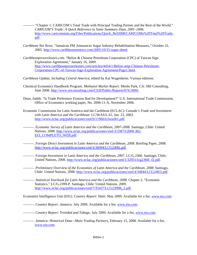———. "Chapter 1: CARICOM's Total Trade with Principal Trading Partner and the Rest of the World." *CARICOM'S Trade: A Quick Reference to Some Summary Data, 2001–2006.*  http://www.caricomstats.org/Files/Publications/Quick\_Ref2008/CARICOMs%20Total%20Trade. pdf.

- *Caribbean Net News*. "Jamaican PM Announces Sugar Industry Rehabilitation Measures," October 31, 2005. http://www.caribbeannetnews.com/2005/10/31/sugar.shtml.
- *Caribbeanpressreleases.com*. "Belize & Chinese Petroleum Corporation (CPC) of Taiwan Sign Exploration Agreement," January 16, 2009. http://www.caribbeanpressreleases.com/articles/4454/1/Belize-amp-Chinese-Petroleum-Corporation-CPC-of-Taiwan-Sign-Exploration-Agreement/Page1.html.
- *Caribbean Update, Including Central America*, edited by Kal Wagenheim. Various editions.
- Chemical Economics Handbook Program. *Methanol Market Report*. Menlo Park, CA: SRI Consulting, June 2008. http://www.sriconsulting.com/CEH/Public/Reports/674.5000/.
- Dean, Judith. "Is Trade Preference Erosion Bad for Development?" U.S. International Trade Commission, Office of Economics working paper, No. 2006-11-A, November 2006.
- Economic Commission for Latin America and the Caribbean (ECLAC). *Canada's Trade and Investment with Latin America and the Caribbean*. LC/WAS/L.61, Jan. 23, 2003. http://www.eclac.org/publicaciones/xml/0/11960/lclwasl61.pdf.
- ———. *Economic Survey of Latin America and the Caribbean, 2007-2008*. Santiago, Chile: United Nations, 2008. http://www.eclac.org/publicaciones/xml/3/33873/2008-382- EEI\_COMPLETO\_WEB.pdf.
- ———. *Foreign Direct Investment in Latin America and the Caribbean, 2008*. Briefing Paper, 2008. http://www.eclac.org/publicaciones/xml/4/36094/LCG2406i.pdf.
	- ———. *Foreign Investment in Latin America and the Caribbean, 2007*. LC/G.2360. Santiago, Chile: United Nations, 2008. http://www.eclac.org/publicaciones/xml/1/32931/lcg2360i\_f2.pdf.
- ———. *Preliminary Overview of the Economies of Latin America and the Caribbean, 2008*. Santiago, Chile: United Nations, 2008. http://www.eclac.org/publicaciones/xml/4/34844/LCG2401i.pdf.
- ———. *Statistical Yearbook for Latin America and the Caribbean, 2008*. Chapter 2, "Economic Statistics." LC/G.2399-P. Santiago, Chile: United Nations, 2009. http://www.eclac.org/publicaciones/xml/7/35437/LCG2399B\_2.pdf.

Economist Intelligence Unit (EIU). *Country Report: Haiti*. May 2009. Available for a fee, www.eiu.com.

- ———. *Country Report: Jamaica*. July 2009. Available for a fee, www.eiu.com.
- ———. *Country Report: Trinidad and Tobago*. July 2009. Available for a fee, www.eiu.com.
- ———. *Jamaica: Historical Data—Main Trading Partners*, February 15, 2008. Available for a fee, www.eiu.com.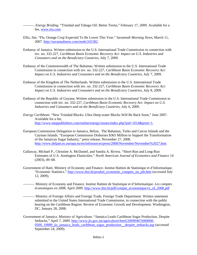———. *Energy Briefing.* "Trinidad and Tobago Oil: Better Terms," February 17, 2009. Available for a fee, www.eiu.com.

- Ellis, Jim. "Fla. Orange Crop Expected To Be Lower This Year." *Savannah Morning News*, March 11, 2007. http://savannahnow.com/node/241582.
- Embassy of Jamaica. Written submission to the U.S. International Trade Commission in connection with inv. no. 332-227, *Caribbean Basin Economic Recovery Act: Impact on U.S. Industries and Consumers and on the Beneficiary Countries*, July 7, 2009.
- Embassy of the Commonwealth of The Bahamas. Written submission to the U.S. International Trade Commission in connection with inv. no. 332-227, *Caribbean Basin Economic Recovery Act: Impact on U.S. Industries and Consumers and on the Beneficiary Countries*, July 7, 2009.
- Embassy of the Kingdom of The Netherlands. Written submission to the U.S. International Trade Commission in connection with inv. no. 332-227, *Caribbean Basin Economic Recovery Act: Impact on U.S. Industries and Consumers and on the Beneficiary Countries*, July 8, 2009.
- Embassy of the Republic of Guyana. Written submission to the U.S. International Trade Commission in connection with inv. no. 332-227, *Caribbean Basin Economic Recovery Act: Impact on U.S. Industries and Consumers and on the Beneficiary Countries*, July 6, 2009.
- *Energy Caribbean*. "New Trinidad Blocks: Ultra Deep-water Blocks Will Be Back Soon," June 2007. Available for a fee, http://www.meppublishers.com/online/energy/issues/index.php?pid=1014&print=1.
- European Commission Delegation to Jamaica, Belize, The Bahamas, Turks and Caicos Islands and the Cayman Islands. "European Commission Disburses \$365 Million to Support the Transformation of the Jamaican Sugar Industry," press release, November 27, 2008. http://www.deljam.ec.europa.eu/en/infosources/press/2008/November/November%2027.htm.
- Gallaway, Michael P., Christine A. McDaniel, and Sandra A. Rivera. "Short-Run and Long-Run Estimates of U.S. Armington Elasticities." *North American Journal of Economics and Finance* 14 (2003), 49–68.
- Government of Haiti. Ministry of Economy and Finance. Institut Haïtien de Statistique et d'Informatique. "Economic Statistics." http://www.ihsi.ht/produit\_economie\_comptes\_na\_pib.htm (accessed July 12, 2009).
- ———. Ministry of Economy and Finance. Institut Haïtien de Statistique et d'Informatique. *Les comptes économiques en 2008,* April 2009. http://www.ihsi.ht/pdf/compte\_economique/ce\_rd\_2008.pdf
- ———. Ministry of Foreign Affairs and Foreign Trade, Foreign Trade Department. Written statement submitted to the United States International Trade Commission, in connection with the public hearing on the Caribbean Region: Review of Economic Growth and Development. Washington, DC, January 28, 2008.
- Government of Jamaica. Ministry of Agriculture. "Jamaica Leads Caribbean Sugar Production, Despite Setbacks," April 7, 2009. http://www.jis.gov.jm/agriculture/html/20090407t000000-0500\_19089\_jis\_jamaica\_leads\_caribbean\_sugar\_production\_\_despite\_setbacks.asp (accessed September 24, 2009).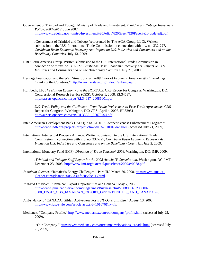- Government of Trinidad and Tobago. Ministry of Trade and Investment. *Trinidad and Tobago Investment Policy, 2007–2012*. June 2007. http://www.tradeind.gov.tt/misc/Investment%20Policy%20Green%20Paper%20(updated).pdf.
- ———. Government of Trinidad and Tobago (represented by The AGA Group, LLC). Written submission to the U.S. International Trade Commission in connection with inv. no. 332-227, *Caribbean Basin Economic Recovery Act: Impact on U.S. Industries and Consumers and on the Beneficiary Countries*, July 13, 2009.
- HBO Latin America Group. Written submission to the U.S. International Trade Commission in connection with inv. no. 332-227, *Caribbean Basin Economic Recovery Act: Impact on U.S. Industries and Consumers and on the Beneficiary Countries*, July 21, 2009.
- Heritage Foundation and the Wall Street Journal. *2009 Index of Economic Freedom World Rankings*. "Ranking the Countries." http://www.heritage.org/Index/Ranking.aspx.
- Hornbeck, J.F. *The Haitian Economy and the HOPE Act*. CRS Report for Congress. Washington, DC: Congressional Research Service (CRS), October 1, 2008. RL34687. http://assets.opencrs.com/rpts/RL34687\_20081001.pdf.
- ———.*U.S .Trade Policy and the Caribbean: From Trade Preferences to Free Trade Agreements*. CRS Report for Congress. Washington, DC: CRS, April 4, 2007. RL33951. http://assets.opencrs.com/rpts/RL33951\_20070404.pdf.
- Inter-American Development Bank (IADB). "JA-L1001 : Competitiveness Enhancement Program." http://www.iadb.org/projects/project.cfm?id=JA-L1001&lang=en (accessed July 21, 2009).
- International Intellectual Property Alliance. Written submission to the U.S. International Trade Commission in connection with inv. no. 332-227, *Caribbean Basin Economic Recovery Act: Impact on U.S. Industries and Consumers and on the Beneficiary Countries*, July 2, 2009.
- International Monetary Fund (IMF). *Direction of Trade Yearbook 2008*. Washington, DC: IMF, 2009.
- ———. *Trinidad and Tobago: Staff Report for the 2008 Article IV Consultation*. Washington, DC: IMF, December 23, 2008. http://www.imf.org/external/pubs/ft/scr/2009/cr0978.pdf.
- Jamaican Gleaner. "Jamaica's Energy Challenges—Part III." March 30, 2008. http://www.jamaicagleaner.com/gleaner/20080330/focus/focus3.html.
- *Jamaica Observer*. "Jamaican Export Opportunities and Canada." May 7, 2008. http://www.jamaicaobserver.com/magazines/Business/html/20080506T200000- 0500\_135313\_OBS\_JAMAICAN\_EXPORT\_OPPORTUNITIES\_AND\_CANADA.asp.
- *Just-style.com.* "CANADA: Gildan Activewear Posts 3% Q3 Profit Rise," August 13, 2008. http://www.just-style.com/article.aspx?id=101676&lk=fs.
- Methanex. "Company Profile." http://www.methanex.com/ourcompany/profile.html (accessed July 25, 2009).
	- ——. "Our Company." http://www.methanex.com/ourcompany/locations\_canada.html (accessed July 25, 2009).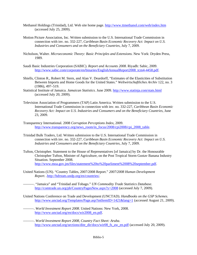- Methanol Holdings (Trinidad), Ltd. Web site home page. http://www.ttmethanol.com/web/index.htm (accessed July 25, 2009).
- Motion Picture Association, Inc. Written submission to the U.S. International Trade Commission in connection with inv. no. 332-227, *Caribbean Basin Economic Recovery Act: Impact on U.S. Industries and Consumers and on the Beneficiary Countries*, July 7, 2009.
- Nicholson, Walter. *Microeconomic Theory: Basic Principles and Extensions.* New York: Dryden Press, 1989.
- Saudi Basic Industries Corporation (SABIC). *Report and Accounts 2008*. Riyadh: Sabic, 2009. http://www.sabic.com/corporate/en/binaries/EnglishAnnualReport2008\_tcm4-4458.pdf.
- Shiells, Clinton R., Robert M. Stern, and Alan V. Deardorff, "Estimates of the Elasticities of Substitution Between Imports and Home Goods for the United States." *Weltwirtschaftliches Archiv* 122, no. 3 (1986), 497–519.
- Statistical Institute of Jamaica. *Jamaican Statistics*. June 2009. http://www.statinja.com/stats.html (accessed July 20, 2009).
- Television Association of Programmers (TAP) Latin America. Written submission to the U.S. International Trade Commission in connection with inv. no. 332-227, *Caribbean Basin Economic Recovery Act: Impact on U.S. Industries and Consumers and on the Beneficiary Countries*, June 23, 2009.
- Transparency International. 2008 *Corruption Perceptions Index*, 2009. http://www.transparency.org/news\_room/in\_focus/2008/cpi2008/cpi\_2008\_table.
- Trinidad Bulk Traders, Ltd. Written submission to the U.S. International Trade Commission in connection with inv. no. 332-227, *Caribbean Basin Economic Recovery Act: Impact on U.S. Industries and Consumers and on the Beneficiary Countries*, July 7, 2009.
- Tufton, Christopher. Statement to the House of Representatives [of Jamaica] by Dr. the Honourable Christopher Tufton, Minister of Agriculture, on the Post Tropical Storm Gustav Banana Industry Situation. September 2008. http://www.moa.gov.jm/files/statement%20to%20parliment%2008%20september.pdf.
- United Nations (UN). "Country Tables, 2007/2008 Report." *2007/2008 Human Development Report*. .http://hdrstats.undp.org/en/countries/.
	- ———. "Jamaica" and "Trinidad and Tobago." *UN Commodity Trade Statistics Database*. http://comtrade.un.org/pb/CountryPagesNew.aspx?y=2008 (accessed July 7, 2009).
- United Nations Conference on Trade and Development (UNCTAD). *Handbooks on the GSP Schemes*. http://www.unctad.org/Templates/Page.asp?intItemID=1421&lang=1 (accessed August 21, 2009).
- ———. *World Investment Report 2008*. United Nations: New York, 2008. http://www.unctad.org/en/docs/wir2008\_en.pdf.
- ———. *World Investment Report 2008, Country Fact Sheet: Aruba*. http://www.unctad.org/sections/dite\_dir/docs/wir08\_fs\_aw\_en.pdf (accessed July 20, 2009).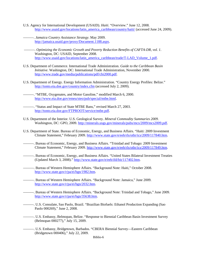- U.S. Agency for International Development (USAID). *Haiti*. "Overview." June 12, 2008. http://www.usaid.gov/locations/latin\_america\_caribbean/country/haiti/ (accessed June 24, 2009).
- ———. *Jamaica Country Assistance Strategy*. May 2009. http://jamaica.usaid.gov/proxy/Document.1188.aspx.
	- ———. *Optimizing the Economic Growth and Poverty Reduction Benefits of CAFTA-DR, vol. 1*. Washington, DC: USAID, September 2008. http://www.usaid.gov/locations/latin\_america\_caribbean/trade/T-LAD\_Volume\_1.pdf.
- U.S. Department of Commerce. International Trade Administration. *Guide to the Caribbean Basin Initiative*. Washington, DC: International Trade Administration, November 2000. http://www.trade.gov/media/publications/pdf/cbi2000.pdf.
- U.S. Department of Energy. Energy Information Administration. "Country Energy Profiles: Belize." http://tonto.eia.doe.gov/country/index.cfm (accessed July 2, 2009).
	- ———. "MTBE, Oxygenates, and Motor Gasoline," modified March 6, 2000. http://www.eia.doe.gov/emeu/steo/pub/special/mtbe.html.
- ———. "Status and Impact of State MTBE Bans," revised March 27, 2003. http://tonto.eia.doe.gov/FTPROOT/service/mtbe.pdf.
- U.S. Department of the Interior. U.S. Geological Survey. *Mineral Commodity Summaries 2009*. Washington, DC: GPO, 2009. http://minerals.usgs.gov/minerals/pubs/mcs/2009/mcs2009.pdf.
- U.S. Department of State. Bureau of Economic, Energy, and Business Affairs. "Haiti: 2009 Investment Climate Statement," February 2009. http://www.state.gov/e/eeb/rls/othr/ics/2009/117840.htm.
- ———. Bureau of Economic, Energy, and Business Affairs. "Trinidad and Tobago: 2009 Investment Climate Statement," February 2009. http://www.state.gov/e/eeb/rls/othr/ics/2009/117849.htm.
- ———. Bureau of Economic, Energy, and Business Affairs. "United States Bilateral Investment Treaties (Updated March 3, 2008)." http://www.state.gov/e/eeb/ifd/bit/117402.htm.
- ———. Bureau of Western Hemisphere Affairs. "Background Note: Haiti," October 2008. http://www.state.gov/r/pa/ei/bgn/1982.htm.
- ———. Bureau of Western Hemisphere Affairs. "Background Note: Jamaica," June 2009. http://www.state.gov/r/pa/ei/bgn/2032.htm.
- ———. Bureau of Western Hemisphere Affairs. "Background Note: Trinidad and Tobago," June 2009. http://www.state.gov/r/pa/ei/bgn/35638.htm.
- ———. U.S. Consulate, Sao Paolo, Brazil. "Brazilian Biofuels: Ethanol Production Expanding (Sao Paolo 000269)," June 2, 2008.
- ———. U.S. Embassy, Belmopan, Belize. "Response to Biennial Caribbean Basin Investment Survey (Belmopan 000277)," July 15, 2009.
- ———. U.S. Embassy, Bridgetown, Barbados. "CBERA Biennial Survey—Eastern Caribbean (Bridgetown 000406)," July 22, 2009.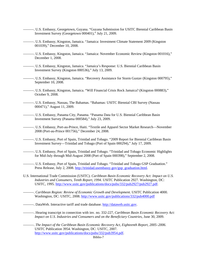- ———. U.S. Embassy, Georgetown, Guyana. "Guyana Submission for USITC Biennial Caribbean Basin Investment Survey (Georgetown 000401)," July 21, 2009.
- ———. U.S. Embassy, Kingston, Jamaica. "Jamaica: Investment Climate Statement 2009 (Kingston 001039)," December 10, 2008.
- ———. U.S. Embassy, Kingston, Jamaica. "Jamaica: November Economic Review (Kingston 001016)," December 1, 2008.
- ———. U.S. Embassy, Kingston, Jamaica. "Jamaica's Response: U.S. Biennial Caribbean Basin Investment Survey (Kingston 000536)," July 13, 2009.
- ———. U.S. Embassy, Kingston, Jamaica. "Recovery Assistance for Storm Gustav (Kingston 000795)," September 10, 2008.
- ———. U.S. Embassy, Kingston, Jamaica. "Will Financial Crisis Rock Jamaica? (Kingston 000883)," October 9, 2008.
- ———. U.S. Embassy, Nassau, The Bahamas. "Bahamas: USITC Biennial CBI Survey (Nassau 000471)," August 11, 2009.
- -. U.S. Embassy, Panama City, Panama. "Panama Data for U.S. Biennial Caribbean Basin Investment Survey (Panama 000584)," July 23, 2009.
- ———. U.S. Embassy, Port-au-Prince, Haiti. "Textile and Apparel Sector Market Research—November 2008 (Port-au-Prince 001756)," December 24, 2008.
- ———. U.S. Embassy, Port of Spain, Trinidad and Tobago. "2009 Report for Biennial Caribbean Basin Investment Survey—Trinidad and Tobago (Port of Spain 000294)," July 17, 2009.
- ———. U.S. Embassy, Port of Spain, Trinidad and Tobago. "Trinidad and Tobago Economic Highlights for Mid-July through Mid-August 2008 (Port of Spain 000398)," September 2, 2008.
- ———. U.S. Embassy, Port of Spain, Trinidad and Tobago. "Trinidad and Tobago GSP Graduation." Press Release, July 2, 2008. http://trinidad.usembassy.gov/gsp\_graduation.html.
- U.S. International Trade Commission (USITC). *Caribbean Basin Economic Recovery Act: Impact on U.S. Industries and Consumers, Tenth Report, 1994*. USITC Publication 2927. Washington, DC: USITC, 1995. http://www.usitc.gov/publications/docs/pubs/332/pub2927/pub2927.pdf.
	- ———. *Caribbean Region: Review of Economic Growth and Development*. USITC Publication 4000. Washington, DC: USITC, 2008. http://www.usitc.gov/publications/332/pub4000.pdf
- ———. DataWeb. Interactive tariff and trade database*.* http://dataweb.usitc.gov.
- ———. Hearing transcript in connection with inv. no. 332-227, *Caribbean Basin Economic Recovery Act: Impact on U.S. Industries and Consumers and on the Beneficiary Countries*, June 30, 2009.
- ———. *The Impact of the Caribbean Basin Economic Recovery Act, Eighteenth Report, 2005–2006*. USITC Publication 3954. Washington, DC: USITC, 2007. http://www.usitc.gov/publications/docs/pubs/332/pub3954.pdf.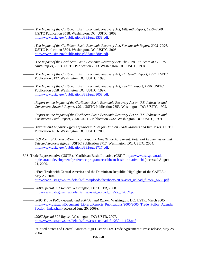- ———. *The Impact of the Caribbean Basin Economic Recovery Act, Fifteenth Report, 1999–2000*. USITC Publication 3538. Washington, DC: USITC, 2002. http://www.usitc.gov/publications/332/pub3538.pdf.
- ———. *The Impact of the Caribbean Basin Economic Recovery Act, Seventeenth Report, 2003–2004*. USITC Publication 3804. Washington, DC: USITC, 2005. http://www.usitc.gov/publications/332/pub3804.pdf.
- ———. *The Impact of the Caribbean Basin Economic Recovery Act: The First Ten Years of CBERA, Ninth Report, 1993*. USITC Publication 2813. Washington, DC: USITC, 1994.
- ———. *The Impact of the Caribbean Basin Economic Recovery Act, Thirteenth Report, 1997*. USITC Publication 3132. Washington, DC: USITC, 1998.
- ———. *The Impact of the Caribbean Basin Economic Recovery Act, Twelfth Report, 1996*. USITC Publication 3058. Washington, DC: USITC, 1997. http://www.usitc.gov/publications/332/pub3058.pdf.
- ———. *Report on the Impact of the Caribbean Basin Economic Recovery Act on U.S. Industries and Consumers, Seventh Report, 1991*. USITC Publication 2553. Washington, DC: USITC, 1992.
- ———. *Report on the Impact of the Caribbean Basin Economic Recovery Act on U.S. Industries and Consumers, Sixth Report, 1990*. USITC Publication 2432. Washington, DC: USITC, 1991.
	- ———. *Textiles and Apparel: Effects of Special Rules for Haiti on Trade Markets and Industries.* USITC Publication 4016. Washington, DC: USITC, 2008.

———. *U.S.-Central America-Dominican Republic Free Trade Agreement: Potential Economywide and Selected Sectoral Effects*. USITC Publication 3717. Washington, DC: USITC, 2004. http://www.usitc.gov/publications/332/pub3717.pdf.

- U.S. Trade Representative (USTR). "Caribbean Basin Initiative (CBI)." http://www.ustr.gov/tradetopics/trade-development/preference-programs/caribbean-basin-initiative-cbi (accessed August 21, 2009.
	- ———. "Free Trade with Central America and the Dominican Republic: Highlights of the CAFTA." May 25, 2004. http://www.ustr.gov/sites/default/files/uploads/factsheets/2004/asset\_upload\_file582\_5688.pdf.
	- ———. *2008 Special 301 Report*. Washington, DC: USTR, 2008. http://www.ustr.gov/sites/default/files/asset\_upload\_file553\_14869.pdf.
	- ———. *2005 Trade Policy Agenda and 2004 Annual Report*. Washington. DC: USTR, March 2005. http://www.ustr.gov/Document\_Library/Reports\_Publications/2005/2005\_Trade\_Policy\_Agenda/ Section\_Index.htm (accessed June 20, 2009).
		- ———. *2007 Special 301 Report*. Washington, DC: USTR, 2007. http://www.ustr.gov/sites/default/files/asset\_upload\_file230\_11122.pdf.
	- ———. "United States and Central America Sign Historic Free Trade Agreement." Press release, May 28, 2004.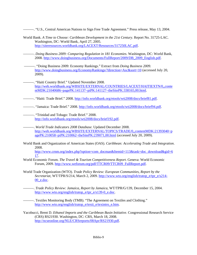———. "U.S., Central American Nations to Sign Free Trade Agreement." Press release, May 13, 2004.

- World Bank. *A Time to Choose: Caribbean Development in the 21st Century*. Report No. 31725-LAC. Washington, DC: World Bank, April 27, 2005. http://siteresources.worldbank.org/LACEXT/Resources/317250LAC.pdf.
- ———. *Doing Business 2009: Comparing Regulation in 181 Economies*. Washington, DC: World Bank, 2008. http://www.doingbusiness.org/Documents/FullReport/2009/DB\_2009\_English.pdf.
	- ———. "Doing Business 2009: Economy Rankings." Extract from *Doing Business 2009.*  http://www.doingbusiness.org/EconomyRankings/?direction=Asc&sort=10 (accessed July 20, 2009).
- -. "Haiti Country Brief." Updated November 2008. http://web.worldbank.org/WBSITE/EXTERNAL/COUNTRIES/LACEXT/HAITIEXTN/0,,conte ntMDK:21040686~pagePK:141137~piPK:141127~theSitePK:338165,00.html.
- ———. "Haiti: Trade Brief." 2008. http://info.worldbank.org/etools/wti2008/docs/brief81.pdf.
- ———. "Jamaica: Trade Brief." 2008. http://info.worldbank.org/etools/wti2008/docs/brief94.pdf.
- ———. "Trinidad and Tobago: Trade Brief." 2008. http://info.worldbank.org/etools/wti2008/docs/brief192.pdf.
- ———. *World Trade Indicators 2008 Database*. Updated December 2008. http://web.worldbank.org/WBSITE/EXTERNAL/TOPICS/TRADE/0,,contentMDK:21393040~p agePK:210058~piPK:210062~theSitePK:239071,00.html (accessed July 20, 2009).
- World Bank and Organization of American States (OAS). *Caribbean: Accelerating Trade and Integration*. 2008. http://www.crnm.org/index.php?option=com\_docman&Itemid=113&task=doc\_download&gid=6 17.
- World Economic Forum. *The Travel & Tourism Competitiveness Report*. Geneva: World Economic Forum, 2009. http://www.weforum.org/pdf/TTCR09/TTCR09\_FullReport.pdf.
- World Trade Organization (WTO). *Trade Policy Review: European Communities, Report by the Secretariat*, WT/TPR/S/214, March 2, 2009. http://www.wto.org/english/tratop\_e/tpr\_e/s214- 00\_e.doc.
	- ———. *Trade Policy Review: Jamaica, Report by Jamaica*, WT/TPR/G/139, December 15, 2004. http://www.wto.org/english/tratop\_e/tpr\_e/s139-0\_e.doc.
	- -. Textiles Monitoring Body (TMB). "The Agreement on Textiles and Clothing." http://www.wto.org/english/tratop\_e/texti\_e/texintro\_e.htm.
- Yacobucci, Brent D. *Ethanol Imports and the Caribbean Basin Initiative*. Congressional Research Service (CRS) RS21930. Washington, DC: CRS, March 18, 2008. http://ncseonline.org/NLE/CRSreports/08Apr/RS21930.pdf.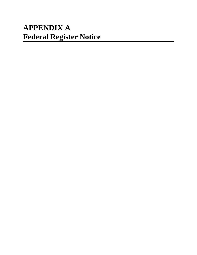# **APPENDIX A Federal Register Notice**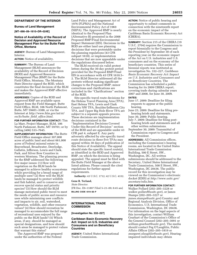#### **DEPARTMENT OF THE INTERIOR**

#### **Bureau of Land Management**

**[MT–066–09–1610–DR–024E]** 

#### **Notice of Availability of the Record of Decision and Approved Resource Management Plan for the Butte Field Office, Montana**

**AGENCY:** Bureau of Land Management, Interior.

**ACTION:** Notice of availability.

**SUMMARY:** The Bureau of Land Management (BLM) announces the availability of the Record of Decision (ROD) and Approved Resource Management Plan (RMP) for the Butte Field Office, Montana. The Montana State Director signed the ROD, which constitutes the final decision of the BLM and makes the Approved RMP effective immediately.

**ADDRESSES:** Copies of the ROD and Approved RMP are available upon request from the Field Manager, Butte Field Office, BLM, 106 North Parkmont, Butte, MT 59401–3388, or via the Internet at *http://www.blm.gov/mt/st/ en/fo/butte*\_*field*\_*office.html.* 

**FOR FURTHER INFORMATION CONTACT:** Tim La Marr, Project Manager, BLM, 106 North Parkmont, Butte, MT 59701; or by calling (406) 533–7645.

**SUPPLEMENTARY INFORMATION:** The Butte Field Office manages about 307,000 acres of public land and about 661,000 acres of Federal mineral estate in Beaverhead, Broadwater, Deerlodge, Gallatin, Jefferson, Lewis and Clark, Park, and Silver Bow Counties in western Montana. The planning process for the RMP addressed the following five major issues: (1) How will vegetation on the BLM lands be managed to achieve healthy ecosystems while providing for a broad range of multiple uses? (2) How will the BLM lands be managed to protect wildlife and fish habitat, and to conserve and recover special status and priority species? (3) How should the BLM manage motorized public travel to meet the needs of public access and resource uses while minimizing user conflicts and impacts to air, soil, watershed, vegetation, wildlife, and other resource values? (4) How should recreation be managed to accommodate the full range of recreational uses enjoyed by the public on the BLM lands? (5) Which areas, if any, should be managed as special designations, and how should such areas be managed to protect values that warrant this status?

The Approved RMP was prepared under the authorities of the Federal

Land Policy and Management Act of 1976 (FLPMA) and the National Environmental Policy Act of 1969 (NEPA). The Approved RMP is nearly identical to the Proposed Plan (Alternative B) presented in the 2008 Proposed RMP/Final Environmental Impact Statement (EIS). Decisions in the ROD are either land use planning decisions that were protestable under the planning regulations (43 CFR subpart 1610), or implementation decisions that are now appealable under the regulations discussed below.

The BLM received six valid protest letters during the 30-day protest period provided for the Proposed RMP/Final EIS in accordance with 43 CFR 1610.5– 2. The BLM Director addressed all the protests without making significant changes to the Proposed RMP; minor corrections and clarifications are included in the ''Clarifications'' section of the ROD.

Site-specific travel route decisions for the Helena Travel Planning Area (TPA), East Helena TPA, Lewis and Clark County NW TPA, Boulder/Jefferson City TPA, and Upper Big Hole River TPA are subject to a separate appeals process. These decisions are implementation decisions contained in the ''Implementation Decisions Covered Under this Record of Decision'' section of the ROD and are appealable under 43 CFR part 4, subpart E. Any party adversely affected by site-specific travel route decisions in these five TPAs may appeal within 30 days of publication of this Notice of Availability. The appeal should state the specific travel route(s), as identified in the ROD and Approved RMP, on which the decision is being appealed. The appeal must be filed with the Butte Field Manager at the above listed address. Please consult the cited regulations for further appeal requirements.

**Authority:** 43 U.S.C. 1712; 42 U.S.C. 4332.

#### **Gene R. Terland,**

*State Director.* 

[FR Doc. E9–11897 Filed 5–21–09; 8:45 am] **BILLING CODE 4310–\$\$–P** 

#### **INTERNATIONAL TRADE COMMISSION**

**[Investigation No. 332–227]** 

#### **Caribbean Basin Economic Recovery Act: Impact on U.S. Industries and Consumers and on Beneficiary Countries**

**AGENCY:** United States International Trade Commission.

**ACTION:** Notice of public hearing and opportunity to submit comments in connection with the nineteenth report on the economic impact of the Caribbean Basin Economic Recovery Act (CBERA).

**SUMMARY:** Section 215 of the CBERA (19 U.S.C. 2704) requires the Commission to report biennially to the Congress and the President by September 30 of each reporting year on the economic impact of the Act on U.S. industries and U.S. consumers and on the economy of the beneficiary countries. This series of biennial reports was instituted as investigation No. 332–227, *Caribbean Basin Economic Recovery Act: Impact on U.S. Industries and Consumers and on Beneficiary Countries*. The Commission has scheduled a public hearing for its 2009 CBERA report, covering trade during calendar years 2007 and 2008, for June 30, 2009.

#### **DATES:**

- June 17, 2009: Deadline for filing requests to appear at the public hearing.
- June 23, 2009: Deadline for filing prehearing briefs and statements.
- June 30, 2009: Public hearing. July 7, 2009: Deadline for filing posthearing briefs and statements and all
- other written submissions. September 30, 2009: Transmittal of Commission report to Congress and the President.

**ADDRESSES:** All Commission offices, including the Commission's hearing rooms, are located in the United States International Trade Commission Building, 500 E Street, SW., Washington, DC. All written submissions should be addressed to the Secretary, United States International Trade Commission, 500 E Street, SW., Washington, DC 20436. The public record for this investigation may be viewed on the Commission's electronic docket (EDIS) at *http://www.usitc.gov/ secretary/edis.htm*.

#### **FOR FURTHER INFORMATION CONTACT:**

Walker Pollard (202–205–3228 or *walker.pollard@usitc.gov*), or James Stamps (202–205–3227 or *james.stamps@usitc.gov*) Country and Regional Analysis Division, Office of Economics, U.S. International Trade Commission, Washington, DC 20436. For information on the legal aspects of this investigation, contact William Gearhart of the Commission's Office of the General Counsel (202–205–3091 or *william.gearhart@usitc.gov*). The media should contact Peg O'Laughlin, Public Affairs Officer (202–205–1819 or *margaret.olaughlin@usitc.gov*). Hearingimpaired individuals may obtain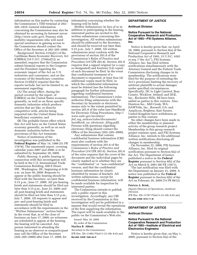information on this matter by contacting the Commission's TDD terminal at 202– 205–1810. General information concerning the Commission may also be obtained by accessing its Internet server (*http://www.usitc.gov*). Persons with mobility impairments who will need special assistance in gaining access to the Commission should contact the Office of the Secretary at 202–205–2000.

*Background:* Section 215(a)(1) of the Caribbean Basin Economic Recovery Act (CBERA) (19 U.S.C. 2704(a)(1)), as amended, requires that the Commission submit biennial reports to the Congress and the President regarding the economic impact of the Act on U.S. industries and consumers, and on the economy of the beneficiary countries. Section 215(b)(1) requires that the reports include, but not be limited to, an assessment regarding:

(A) The actual effect, during the period covered by the report, of [CBERA] on the United States economy generally, as well as on those specific domestic industries which produce articles that are like, or directly competitive with, articles being imported into the United States from beneficiary countries; and

(B) The probable future effect which this Act will have on the United States economy generally, as well as on such domestic industries before the provisions of this Act terminate.

Notice of institution of the investigation was published in the **Federal Register** of May 14, 1986 (51 FR 17678). The nineteenth report, covering calendar years 2007 and 2008, is to be submitted by September 30, 2009.

*Public Hearing:* A public hearing in connection with this investigation will be held at the U.S. International Trade Commission Building, 500 E Street, SW., Washington, DC, beginning at 9:30 a.m. on June 30, 2009. Requests to appear at the public hearing should be filed with the Secretary, no later than 5:15 p.m., June 17, 2009. All pre-hearing briefs and statements should be filed not later than 5:15 p.m., June 23, 2009; and all post-hearing briefs and statements should be filed not later than 5:15 p.m., July 7, 2009. All requests to appear and pre- and post-hearing briefs and statements should be filed in accordance with the requirements in the ''Written Submissions'' section below. In the event that, as of the close of business on June 17, 2009, no witnesses are scheduled to appear at the hearing, the hearing will be canceled. Any person interested in attending the hearing as an observer or nonparticipant may call the Office of the Secretary (202–205–2000) after June 17, 2009, for

information concerning whether the hearing will be held.

*Written Submissions:* In lieu of or in addition to participating in the hearing, interested parties are invited to file written submissions concerning this investigation. All written submissions should be addressed to the Secretary, and should be received not later than 5:15 p.m., July 7, 2009. All written submissions must conform with the provisions of section 201.8 of the Commission's Rules of Practice and Procedure (19 CFR 201.8). Section 201.8 requires that a signed original (or a copy so designated) and fourteen (14) copies of each document be filed. In the event that confidential treatment of a document is requested, at least four (4) additional copies must be filed, in which the confidential information must be deleted (see the following paragraph for further information regarding confidential business information). The Commission's rules authorize filing submissions with the Secretary by facsimile or electronic means only to the extent permitted by section 201.8 of the rules (see Handbook for Electronic Filing Procedures, *http:// www.usitc.gov/secretary/ fed*\_*reg*\_*notices/rules/documents/ handbook*\_*on*\_*electronic*\_*filing.pdf*). Persons with questions regarding electronic filing should contact the Office of the Secretary (202–205–2000).

Any submissions that contain confidential business information (CBI) must also conform with the requirements of section 201.6 of the *Commission's Rules of Practice and Procedure* (19 CFR 201.6). Section 201.6 of the rules requires that the cover of the document and the individual pages be clearly marked as to whether they are the ''confidential'' or ''non-confidential'' version, and that the confidential business information be clearly identified by means of brackets. All written submissions, except for confidential business information, will be made available for inspection by interested parties.

The Commission intends to publish only a public report in this investigation. Accordingly, any CBI received by the Commission in this investigation will not be published in a manner that would reveal the operations of the firm supplying the information. The report will be made available to the public on the Commission's Web site.

Issued: May 18, 2009. By order of the Commission.

#### **Marilyn R. Abbott,**

*Secretary to the Commission.*  [FR Doc. E9–11965 Filed 5–21–09; 8:45 am]

**BILLING CODE 7020–02–P** 

#### **DEPARTMENT OF JUSTICE**

#### **Antitrust Division**

#### **Notice Pursuant to the National Cooperative Research and Production Act of 1993—PXI Systems Alliance, Inc.**

Notice is hereby given that, on April 10, 2009, pursuant to Section 6(a) of the National Cooperative Research and Production Act of 1993, 15 U.S.C. 4301 *et seq.* (''the Act''), PXI Systems Alliance, Inc. has filed written notifications simultaneously with the Attorney General and the Federal Trade Commission disclosing changes in its membership. The notifications were filed for the purpose of extending the Act's provisions limiting the recovery of antitrust plaintiffs to actual damages under specified circumstances. Specifically, DC to Light Limited, Bray County, Wicklow, Ireland; and DGE, Inc., Rochester Hills, MI have been added as parties to this venture. Also, Huntron Inc., Mill Creek, WA; DAWTr0n, Inc., Roswell, GA; and Amplicon, Brighton, East Sussex, United Kingdom have withdrawn as parties to this venture.

No other changes have been made in either the membership or planned activity of the group research project. Membership in this group research project remains open, and PXI Systems Alliance, Inc. intends to file additional written notifications disclosing all changes in membership.

On November 22, 2000, PXI Systems Alliance, Inc. filed its original notification pursuant to Section 6(a) of the Act. The Department of Justice published a notice in the **Federal Register** pursuant to Section 6(b) of the Act on March 8, 2001 (66 FR 13971).

The last notification was filed with the Department on January 21, 2009. A notice was published in the **Federal Register** pursuant to Section 6(b) of the Act on February 26, 2009 (74 FR 8812).

#### **Patricia A. Brink,**

*Deputy Director of Operations, Antitrust Division.* 

[FR Doc. E9–11767 Filed 5–21–09; 8:45 am] **BILLING CODE 4410–11–M** 

#### **DEPARTMENT OF JUSTICE**

#### **Antitrust Division**

#### **Notice Pursuant to the National Cooperative Research and Production Act of 1993—Institute of Electrical and Electronics Engineers**

Notice is hereby given that, on May 1, 2009, pursuant to Section 6(a) of the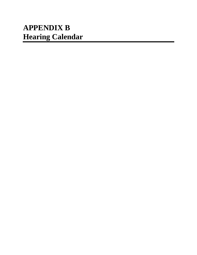# **APPENDIX B Hearing Calendar**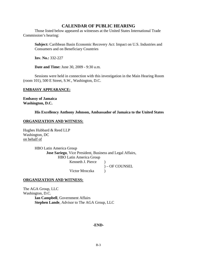### **CALENDAR OF PUBLIC HEARING**

 Those listed below appeared as witnesses at the United States International Trade Commission's hearing:

**Subject:** Caribbean Basin Economic Recovery Act: Impact on U.S. Industries and Consumers and on Beneficiary Countries

 **Inv. No.:** 332-227

 **Date and Time:** June 30, 2009 - 9:30 a.m.

 Sessions were held in connection with this investigation in the Main Hearing Room (room 101), 500 E Street, S.W., Washington, D.C.

### **EMBASSY APPEARANCE:**

**Embassy of Jamaica Washington, D.C.** 

### **His Excellency Anthony Johnson, Ambassador of Jamaica to the United States**

### **ORGANIZATION AND WITNESS:**

Hughes Hubbard & Reed LLP Washington, DC on behalf of

> HBO Latin America Group  **Jose Sariego**, Vice President, Business and Legal Affairs, HBO Latin America Group Kenneth J. Pierce ) ) – OF COUNSEL Victor Mroczka )

### **ORGANIZATION AND WITNESS:**

The AGA Group, LLC Washington, D.C.  **Ian Campbell**, Government Affairs  **Stephen Lande**, Advisor to The AGA Group, LLC

### **-END-**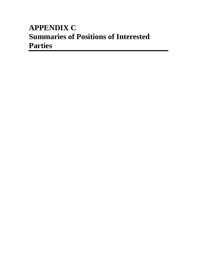# **APPENDIX C Summaries of Positions of Interested Parties**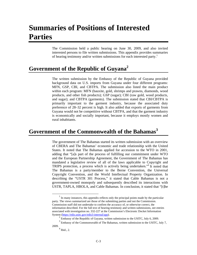# **Summaries of Positions of Interested Parties**

The Commission held a public hearing on June 30, 2009, and also invited interested persons to file written submissions. This appendix provides summaries of hearing testimony and/or written submissions for each interested party.<sup>1</sup>

### **Government of the Republic of Guyana2**

The written submission by the Embassy of the Republic of Guyana provided background data on U.S. imports from Guyana under four different programs: MFN, GSP, CBI, and CBTPA. The submission also listed the main product within each program: MFN (bauxite, gold, shrimps and prawns, diamonds, wood products, and other fish products); GSP (sugar); CBI (raw gold, wood products, and sugar); and CBTPA (garments). The submission stated that CBI/CBTPA is primarily important to the garment industry, because the associated duty preference of 28–32 percent is high. It also added that exports of garments from Guyana would not be competitive without CBTPA, and that the garment industry is economically and socially important, because it employs mostly women and rural inhabitants.

### Government of the Commonwealth of the Bahamas<sup>3</sup>

The government of The Bahamas started its written submission with an overview of CBERA and The Bahamas' economic and trade relationship with the United States. It noted that The Bahamas applied for accession to the WTO in 2001, adding that "[a]s part of the process of fulfilling our commitment under WTO and the European Partnership Agreement, the Government of The Bahamas has mandated a legislative review of all of the laws applicable to Copyright and TRIPS protection, a process which is actively being undertaken."<sup>4</sup> It noted that The Bahamas is a party/member to the Berne Convention, the Universal Copyright Convention, and the World Intellectual Property Organization. In describing the "USTR 301 Process," it stated that Cable Bahamas is not a government-owned monopoly and subsequently described its interactions with USTR, TAPLA, HBOLA, and Cable Bahamas. In conclusion, it stated that "[t]he

 $\frac{1}{1}$  $\frac{1}{1}$  In many instances, this appendix reflects only the principal points made by the particular party. The views summarized are those of the submitting parties and not the Commission. Commission staff did not undertake to confirm the accuracy of, or otherwise correct, the information described. For the full text of hearing testimony and written submissions, see entries associated with investigation no. 332-227 at the Commission's Electronic Docket Information System (https://edis.usitc.gov/edis3-internal/app).

<sup>&</sup>lt;sup>2</sup> Embassy of the Republic of Guyana, written submission to the USITC, July 6, 2009.

 $3$  Embassy of the Commonwealth of The Bahamas, written submission to the USITC, July 7, 2009.

 $<sup>4</sup>$  Ibid., 2.</sup>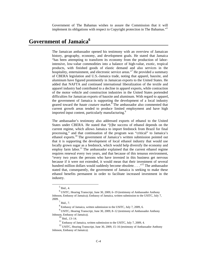Government of The Bahamas wishes to assure the Commission that it will implement its obligations with respect to Copyright protection in The Bahamas."<sup>5</sup>

### Government of Jamaica<sup>6</sup>

The Jamaican ambassador opened his testimony with an overview of Jamaican history, geography, economy, and development goals. He stated that Jamaica "has been attempting to transform its economy from the production of laborintensive, low-value commodities into a balance of high-value, exotic, tropical products, with finished goods of elastic demand and also services in the hospitality, entertainment, and electronic service areas."<sup>7</sup> He provided a summary of CBERA legislation and U.S.-Jamaica trade, noting that apparel, bauxite, and aluminum have figured prominently in Jamaican exports to the United States. He added that NAFTA and continued international liberalization of the textile and apparel industry had contributed to a decline in apparel exports, while contraction of the motor vehicle and construction industries in the United States portended difficulties for Jamaican exports of bauxite and aluminum. With regard to apparel, the government of Jamaica is supporting the development of a local industry geared toward the *haute couture* market.<sup>8</sup> The ambassador also commented that current growth areas tended to produce limited employment and have high imported input content, particularly manufacturing.<sup>9</sup>

The ambassador's testimony also addressed exports of ethanol to the United States under CBERA. He stated that "[t]he success of ethanol depends on the current regime, which allows Jamaica to import feedstock from Brazil for final processing," and that continuation of the program was "critical" to Jamaica's ethanol exports.10 The government of Jamaica's written submission pointed out that it is supporting the development of local ethanol industry that would use locally grown sugar as a feedstock, which would help diversify the economy and employ farm labor.<sup>11</sup> The ambassador explained that the current ethanol regime requires renewal every two years, and that because of this tenuous environment, "every two years the persons who have invested in this business get nervous because if it were not extended, it would mean that their investment of several hundred million dollars would suddenly become obsolete.  $\dots$ <sup>12</sup>. The ambassador stated that, consequently, the government of Jamaica is seeking to make these ethanol benefits permanent in order to facilitate increased investment in the industry.

 $rac{1}{5}$  $<sup>5</sup>$  Ibid., 4.</sup>

<sup>6</sup> USITC, Hearing Transcript, June 30, 2009, 6–19 (testimony of Ambassador Anthony Johnson, Embassy of Jamaica); Embassy of Jamaica, written submission to the USITC, July 7, 2009.

 $^7$  Ibid., 7.

<sup>&</sup>lt;sup>8</sup> Embassy of Jamaica, written submission to the USITC, July 7, 2009, 6.

<sup>&</sup>lt;sup>9</sup> USITC, Hearing Transcript, June 30, 2009, 8-12 (testimony of Ambassador Anthony Johnson, Embassy of Jamaica).

 $10$  Ibid., 13-14.

 $11$  Embassy of Jamaica, written submission to the USITC, July 7, 2009, 4.

 $12$  USITC, Hearing Transcript, June 30, 2009, 15–16 (testimony of Ambassador Anthony Johnson, Embassy of Jamaica).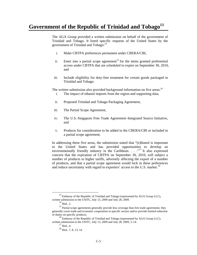### **Government of the Republic of Trinidad and Tobago<sup>13</sup>**

The AGA Group provided a written submission on behalf of the government of Trinidad and Tobago. It listed specific requests of the United States by the government of Trinidad and Tobago:<sup>14</sup>

- i. Make CBTPA preferences permanent under CBERA/CBI,
- ii. Enter into a partial scope agreement<sup>15</sup> for the items granted preferential access under CBTPA that are scheduled to expire on September 30, 2010, and
- iii. Include eligibility for duty-free treatment for certain goods packaged in Trinidad and Tobago.

The written submission also provided background information on five areas:<sup>16</sup>

- i. The impact of ethanol imports from the region and supporting data,
- ii. Proposed Trinidad and Tobago Packaging Agreement,
- iii. The Partial Scope Agreement,
- iv. The U.S.-Singapore Free Trade Agreement–Integrated Source Initiative, and
- v. Products for consideration to be added to the CBERA/CBI or included in a partial scope agreement.

In addressing these five areas, the submission stated that "[e]thanol is important to the United States and has provided opportunities to develop an environmentally friendly industry in the Caribbean.  $\cdot \cdot \cdot$ <sup>17</sup> It also expressed concern that the expiration of CBTPA on September 30, 2010, will subject a number of products to higher tariffs, adversely affecting the export of a number of products, and that a partial scope agreement would lock in these preferences and reduce uncertainty with regard to exporters' access to the U.S. market.<sup>18</sup>

 $^{13}$  Embassy of the Republic of Trinidad and Tobago (represented by AGA Group LLC), written submission to the USITC, July 13, 2009 and July 28, 2009.

 $14$  Ibid., 2.

<sup>&</sup>lt;sup>15</sup> Partial scope agreements generally provide less coverage than free trade agreements; they generally cover trade and economic cooperation in specific sectors and/or provide limited reduction of duties on specific products.

 $16$  Embassy of the Republic of Trinidad and Tobago (represented by AGA Group LLC). written submission to the USITC, July 13, 2009 and July 28, 2009, 3–14.

 $17$  Ibid., 4.

 $18$  Ibid., 7, 8, 13, 14.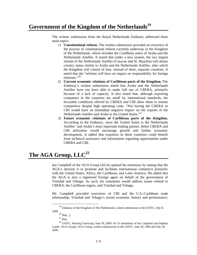### Government of the Kingdom of the Netherlands<sup>19</sup>

The written submission from the Royal Netherlands Embassy addressed three main topics.

- 1) **Constitutional reform.** The written submission provided an overview of the process of constitutional reform currently underway in the Kingdom of the Netherlands, which includes the Caribbean states of Aruba and the Netherlands Antilles. It stated that under a new system, the two largest islands of the Netherlands Antilles (Curacao and St. Maarten) will obtain country status similar to Aruba and the Netherlands Antilles, after which the Kingdom will consist of four, instead of three, separate countries. It noted that the "reforms will have no impact on responsibility for foreign relations."20
- 2) **Current economic relations of Caribbean parts of the Kingdom.** The Embassy's written submission stated that Aruba and the Netherlands Antilles have not been able to make full use of CBERA, primarily because of a lack of capacity. It also noted that, although exporting companies in the countries are small by international standards, the favorable conditions offered by CBERA and CBI allow them to remain competitive despite high operating costs. "Not having the CBERA or CBI would have an immediate negative impact on the exports of the Netherlands Antilles and Aruba to the United States."21
- 3) **Future economic relations of Caribbean parts of the Kingdom.** According to the Embassy, since the United States is the Netherlands Antilles' and Aruba's most important trading partner, better CBERA and CBI utilization would encourage growth and further economic development. It added that exporters in these countries could benefit from technical assistance and information regarding opportunities under CBERA and CBI.

## **The AGA Group, LLC<sup>22</sup>**

Ian Campbell of the AGA Group (AGA) opened his testimony by stating that the AGA's mission is to promote and facilitate international commerce primarily with the United States, Africa, the Caribbean, and Latin America. He added that the AGA is also a registered foreign agent on behalf of the government of Trinidad and Tobago. As such, his comments would address issues related to CBERA, the Caribbean region, and Trinidad and Tobago.

Mr. Campbell provided overviews of CBI and the U.S.-Caribbean trade relationship; Trinidad and Tobago's recent economic history and performance;

 $19$  Embassy of the Kingdom of The Netherlands, written submission to the USITC, July 8, 2009.

 $20$  Ibid., 2.

 $21$  Ibid.

<sup>22</sup> USITC, Hearing Transcript, June 30, 2009, 43–51 (testimony of Ian Campbell and Stephan Lande, AGA Group); AGA Group, written submissions to the USITC, June 30, 2009 and July 28, 2009.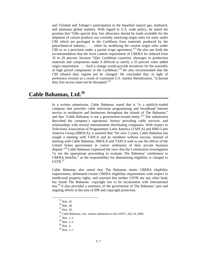and Trinidad and Tobago's participation in the liquefied natural gas, methanol, and ammonia global markets. With regard to U.S. trade policy, he stated the position that "[t]he special duty free allowance should be made available for the shipment of certain products not currently satisfying origin rules for entry under CBI which are packaged in the Caribbean from materials produced by the petrochemical industry, . . . either by modifying the current origin rules under CBI or as a provision under a partial scope agreement."<sup>23</sup> He also put forth the recommendation that the local content requirement of CBERA be reduced from 35 to 20 percent, because "[f]or Caribbean countries, shortages in production materials and components make it difficult to satisfy a 35 percent value added origin requirement. . . . Such a change would provide incentives for the assembly of high priced components in the Caribbean."<sup>24</sup> He also recommended that the CBI ethanol duty regime not be changed. He concluded that, in light of preference erosion as a result of continued U.S. market liberalization, "[c]urrent duty free access must not be disrupted."<sup>25</sup>

## **Cable Bahamas, Ltd.<sup>26</sup>**

In a written submission, Cable Bahamas stated that it "is a publicly-traded company that provides cable television programming and broadband internet service to residences and businesses throughout the islands of The Bahamas," and that "Cable Bahamas is not a government-owned entity."<sup>27</sup> The submission described the company's operations, history providing cable services, and relationships with several entertainment distributing companies. With respect to Television Association of Programmers Latin America (TAPLA) and HBO Latin America Group (HBOLA), it asserted that "for over 5 years, Cable Bahamas has sought a meeting with TAPLA and its members without success. Instead of meeting with Cable Bahamas, HBOLA and TAPLA seek to use the offices of the United States government to coerce settlement of their private business dispute."28 Cable Bahamas expressed the view that the Commission investigation "is not the appropriate proceeding to evaluate The Bahamas' entitlement to CBERA benefits," as the responsibility for determining eligibility is charged to USTR.<sup>29</sup>

Cable Bahamas also stated that The Bahamas meets CBERA eligibility requirements, delineated certain CBERA eligibility requirements with respect to intellectual property rights, and asserted that neither USTR nor any other body has found The Bahamas' copyright law to be inconsistent with international law.<sup>30</sup> It also provided a summary of the government of The Bahamas' past and ongoing efforts in the area of IPR and copyright protection.

 <sup>23</sup> Ibid., 45.

<sup>24</sup> Ibid., 48.

 $25$  Ibid., 50.

 $^{26}$  Cable Bahamas, Ltd., written submission to the USITC, July 14, 2009.

 $^{27}$  Ibid., 1, 6.

 $^{28}$  Ibid., 2–3.

 $^{29}$  Ibid., 4.

<sup>30</sup> Ibid., 5–7.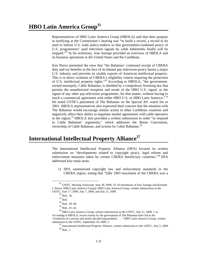Representatives of HBO Latin America Group (HBOLA) said that their purpose in testifying at the Commission's hearing was "to build a record, a record to be used to inform U.S. trade policy-makers so that government-condoned piracy of U.S. programmers' paid television signals by cable behemoths finally will be stopped."<sup>32</sup> In his testimony, Jose Sariego provided an overview of HBOLA and its business operations in the United States and the Caribbean.

Ken Pierce presented the view that "the Bahamas' continued receipt of CBERA duty and tax benefits in the face of its blatant pay-television piracy harms a major U.S. industry and prevents its sizable exports of American intellectual property. This is in direct violation of CBERA's eligibility criteria requiring the protection of U.S. intellectual property rights."33 According to HBOLA, "the governmentowned monopoly, Cable Bahamas, is shielded by a compulsory licensing law that permits the unauthorized reception and resale of the HBO U.S. signal, or the signal of any other pay-television programmer, for that matter, without having to reach a commercial agreement with either HBO U.S. or HBO Latin America."<sup>34</sup> He noted USTR's placement of The Bahamas on the Special 301 watch list in 2001. HBOLA representatives also expressed their concern that the situation with The Bahamas would encourage similar action in other Caribbean countries and negatively affect their ability to negotiate market agreements with cable operators in the region.35 HBOLA also provided a written submission in order "to respond to Cable Bahamas' arguments," which addresses the Berne Convention, ownership of Cable Bahamas, and actions by Cable Bahamas.<sup>36</sup>

## **International Intellectual Property Alliance37**

The International Intellectual Property Alliance (IIPA) focused its written submission on "developments related to copyright piracy, legal reform and enforcement measures taken by certain CBERA beneficiary countries."<sup>38</sup> IIPA addressed four main areas.

1) IIPA summarized copyright law and enforcement standards in the CBERA region, noting that "[t]he 1983 enactment of the CBERA was a

<sup>&</sup>lt;sup>31</sup> USITC, Hearing Transcript, June 30, 2009, 35–43 (testimony of Jose Sariego and Kenneth J. Pierce, HBO Latin America Group); HBO Latin America Group, written submissions to the USITC, June 17, 2009, July 7, 2009, and July 21, 2009.

<sup>32</sup> Ibid., 36.

 $33$  Ibid.

 $34$  Ibid., 39–40.

 $35$  Ibid., 41–42.

<sup>&</sup>lt;sup>36</sup> HBO Latin America Group, written submissions to the USITC, July 21, 2009, 1-4. According to HBOLA, recent actions by the government of The Bahamas have led to the "resolution of a serious and nearly decade-long problem. . . ." HBO Latin America Group, written submission to the USITC, September 24, 2009, 2.

 $37$  International Intellectual Property Alliance, written submission to the USITC, July 2, 2009.  $38$  Ibid., 1.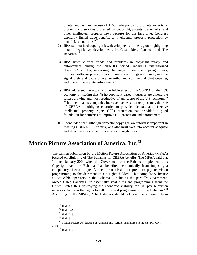pivotal moment in the use of U.S. trade policy to promote exports of products and services protected by copyright, patents, trademarks, and other intellectual property laws because for the first time, Congress explicitly linked trade benefits to intellectual property protection by beneficiary countries."<sup>39</sup>

- 2) IIPA summarized copyright law developments in the region, highlighting notable legislative developments in Costa Rica, Panama, and The Bahamas.<sup>40</sup>
- 3) IIPA listed current trends and problems in copyright piracy and enforcement during the 2007–08 period, including unauthorized "burning" of CDs, increasing challenges to enforce copyright laws, business software piracy, piracy of sound recordings and music, satellite signal theft and cable piracy, unauthorized commercial photocopying, and overall inadequate enforcement.<sup>41</sup>
- 4) IIPA addressed the actual and probable effect of the CBERA on the U.S. economy by stating that "[t]he copyright-based industries are among the fastest growing and most productive of any sector of the U.S. economy."  $42$  It added that as companies increase overseas market presence, the role of CBERA in obliging countries to provide adequate and effective intellectual property rights (IPR) protection has provided a good foundation for countries to improve IPR protection and enforcement.
- IIPA concluded that, although domestic copyright law reform is important in meeting CBERA IPR criteria, one also must take into account adequate and effective enforcement of current copyright laws.

### **Motion Picture Association of America, Inc.43**

The written submission by the Motion Picture Association of America (MPAA) focused on eligibility of The Bahamas for CBERA benefits. The MPAA said that "[s]ince January 2000 when the Government of the Bahamas implemented its Copyright Act, the Bahamas has benefited economically from imposing a compulsory license to justify the retransmission of premium pay television programming to the detriment of US rights holders. This compulsory license allows cable operators in the Bahamas—including the partially governmentowned Cable Bahamas—to essentially steal films and programming from the United States thus destroying the economic viability for US pay television networks that own the rights to sell films and programming to the Bahamas."<sup>44</sup> According to the MPAA, "The Bahamas should not continue to benefit from

 <sup>39</sup> Ibid., 2.

 $40$  Ibid., 4-7.

<sup>41</sup> Ibid., 7–9.

 $42$  Ibid., 9.

<sup>&</sup>lt;sup>43</sup> Motion Picture Association of America, Inc., written submission to the USITC, July 7, 2009.

 $44$  Ibid., 1–2.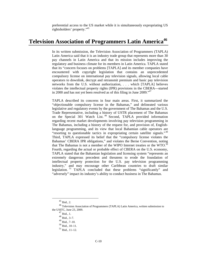preferential access to the US market while it is simultaneously expropriating US rightsholders' property."45

## Television Association of Programmers Latin America<sup>46</sup>

In its written submission, the Television Association of Programmers (TAPLA) Latin America said that it is an industry trade group that represents more than 30 pay channels in Latin America and that its mission includes improving the regulatory and business climate for its members in Latin America. TAPLA stated that its "concern focuses on problems [TAPLA] and its member companies have encountered with copyright legislation that contains an unprecedented compulsory license on international pay television signals, allowing local cable operators to downlink, decrypt and retransmit premium and basic pay television networks from the U.S. without authorization, . . . which [TAPLA] believes violates the intellectual property rights (IPR) provisions in the CBERA—started in 2000 and has not yet been resolved as of this filing in June 2009."47

TAPLA described its concerns in four main areas. First, it summarized the "objectionable compulsory license in the Bahamas," and delineated various legislative and regulatory events by the government of The Bahamas and the U.S. Trade Representative, including a history of USTR placement of The Bahamas on the Special 301 Watch List. 48 Second, TAPLA provided information regarding recent market developments involving pay television programming in The Bahamas, including a history of the request for, and provision of, Englishlanguage programming, and its view that local Bahamian cable operators are "resorting to questionable tactics in expropriating certain satellite signals." <sup>49</sup> Third, TAPLA expressed its belief that the "compulsory license violates the Bahamas' CBERA IPR obligations," and violates the Berne Convention, noting that The Bahamas is not a member of the WIPO Internet treaties or the WTO. $50$ Fourth, regarding the actual or probable effect of CBERA on the U.S. economy, TAPLA stated that the Bahamian legislation and licensing system "represents an extremely dangerous precedent and threatens to erode the foundation of intellectual property protection for the U.S. pay television programming industry," and may encourage other Caribbean countries to draft similar legislation. 51 TAPLA concluded that these problems "significantly" and "adversely" impact its industry's ability to conduct business in The Bahamas.

 $45$  Ibid., 2.

<sup>46</sup> Television Association of Programmers (TAPLA) Latin America, written submission to the USITC, June 23, 2009.

<sup>47</sup> Ibid., 1.

 $48 \overline{\text{Ibid., 3--7.}}$ 

 $49$  Ibid.,  $7-10$ .

<sup>50</sup> Ibid., 10–11.

<sup>51</sup> Ibid., 11–12.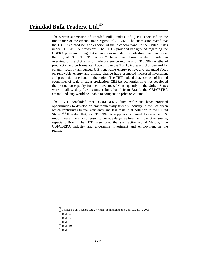The written submission of Trinidad Bulk Traders Ltd. (TBTL) focused on the importance of the ethanol trade regime of CBERA. The submission stated that the TBTL is a producer and exporter of fuel alcohol/ethanol to the United States under CBI/CBERA provisions. The TBTL provided background regarding the CBERA program, noting that ethanol was included for duty-free treatment under the original 1983 CBI/CBERA law.<sup>53</sup> The written submission also provided an overview of the U.S. ethanol trade preference regime and CBI/CBERA ethanol production and performance. According to the TBTL, increased U.S. demand for ethanol, recently announced U.S. renewable energy policy, and expanded focus on renewable energy and climate change have prompted increased investment and production of ethanol in the region. The TBTL added that, because of limited economies of scale in sugar production, CBERA economies have not developed the production capacity for local feedstock.<sup>54</sup> Consequently, if the United States were to allow duty-free treatment for ethanol from Brazil, the CBI/CBERA ethanol industry would be unable to compete on price or volume.<sup>55</sup>

The TBTL concluded that "CBI/CBERA duty exclusions have provided opportunities to develop an environmentally friendly industry in the Caribbean which contributes to fuel efficiency and less fossil fuel pollution in the United States."<sup>56</sup> It added that, as CBI/CBERA suppliers can meet foreseeable U.S. import needs, there is no reason to provide duty-free treatment to another source, especially Brazil. The TBTL also stated that such action would "destroy" the CBI/CBERA industry and undermine investment and employment in the region. $57$ 

 <sup>52</sup> Trinidad Bulk Traders, Ltd., written submission to the USITC, July 7, 2009.

<sup>53</sup> Ibid., 2.

<sup>54</sup> Ibid., 6.

<sup>55</sup> Ibid., 8.

<sup>56</sup> Ibid., 10.

 $^{\rm 57}$  Ibid.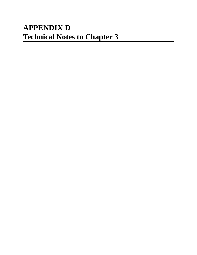# **APPENDIX D Technical Notes to Chapter 3**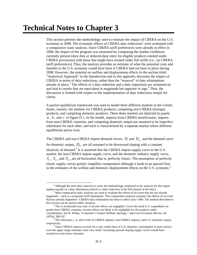## **Technical Notes to Chapter 3**

This section presents the methodology used to estimate the impact of CBERA on the U.S. economy in 2008. The economic effects of CBERA duty reductions<sup>1</sup> were evaluated with a comparative static analysis. Since CBERA tariff preferences were already in effect in 2008, the impact of the program was measured by comparing the market conditions currently present (duty-free or reduced-duty entry for eligible products entered under CBERA provisions) with those that might have existed under full tariffs (i.e., no CBERA tariff preferences). Thus, the analysis provides an estimate of what the potential costs and benefits to the U.S. economy would have been if CBERA had not been in place during 2008. However, the material on welfare and displacement effects in the section titled "Analytical Approach" in the Introduction and in this appendix discusses the impact of CBERA in terms of duty reductions, rather than the "removal" of duty eliminations already in place. $2$  The effects of a duty reduction and a duty imposition are symmetrical and lead to results that are equivalent in magnitude but opposite in sign.<sup>3</sup> Thus, the discussion is framed with respect to the implementation of duty reductions simply for clarity.

A partial equilibrium framework was used to model three different markets in the United States, namely, the markets for CBERA products, competing non-CBERA (foreign) products, and competing domestic products. These three markets are depicted in panels *a* , *b* , and *c* of figure D.1. In the model, imports from CBERA beneficiaries, imports from non-CBERA countries, and competing domestic output are assumed to be imperfect substitutes for each other, and each is characterized by a separate market where different equilibrium prices exist.

The CBERA and non-CBERA import demand curves,  $D_c$  and  $D_n$ , and the demand curve

for domestic output,  $D_d$ , are all assumed to be downward sloping with a constant elasticity of demand.<sup>4</sup> It is assumed that the CBERA import supply curve to the U.S. market, the non-CBERA import supply curve, and the domestic industry supply curve,  $S_c$ ,  $S_n$ , and  $S_d$ , are all horizontal, that is, perfectly elastic. The assumption of perfectly elastic supply curves greatly simplifies computation although it leads to an upward bias in the estimates of the welfare and domestic displacement effects on the U.S. economy.5

 $\frac{1}{1}$  Although the term *duty reduction* is used, the methodology employed in the analysis for this report applies equally to a duty elimination (which is a duty reduction in the full amount of the duty).

 $<sup>2</sup>$  Most comparative static analyses are used to evaluate the effects of an event that has not already</sup> happened— such as a proposed tariff elimination. This comparative analysis evaluates the effects of an event that has already happened—CBERA duty elimination has been in effect since 1984. The method described in this section can be used in either situation.

 $3$  This is technically true only if income effects are negligible. Given the small U.S. expenditure on goods from CBERA countries, income effects are likely to be negligible for the products under consideration. See R. Willig, "Consumer's Surplus Without Apology," *American Economic Review*, 66 (1976), 589-597. 4

<sup>&</sup>lt;sup>4</sup> The subscripts c, n, and d refer to CBERA imports, non-CBERA imports, and U.S. domestic output, respectively.

<sup>&</sup>lt;sup>5</sup> Since CBERA imports account for a very small share of U.S. domestic consumption in most sectors, even the upper range estimates were very small. Assuming upward-sloping supply curves would have resulted in even lower estimates.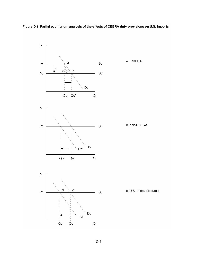

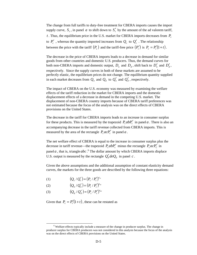The change from full tariffs to duty-free treatment for CBERA imports causes the import supply curve,  $S_c$ , in panel *a* to shift down to  $S_c$  by the amount of the ad valorem tariff, *t*. Thus, the equilibrium price in the U.S. market for CBERA imports decreases from  $P_c$ to  $P'_c$ , whereas the quantity imported increases from  $Q_c$  to  $Q'_c$ . The relationship between the price with the tariff  $(P_c)$  and the tariff-free price  $(P_c')$  is  $P_c = P_c' (1+t)$ .

The decrease in the price of CBERA imports leads to a decrease in demand for similar goods from other countries and domestic U.S. producers. Thus, the demand curves for both non-CBERA imports and domestic output,  $D_n$  and  $D_d$ , shift back to  $D'_n$  and  $D'_d$ , respectively. Since the supply curves in both of these markets are assumed to be perfectly elastic, the equilibrium prices do not change. The equilibrium quantity supplied in each market decreases from  $Q_n$  and  $Q_d$  to  $Q'_n$  and  $Q'_d$ , respectively.

The impact of CBERA on the U.S. economy was measured by examining the welfare effects of the tariff reduction in the market for CBERA imports and the domestic displacement effects of a decrease in demand in the competing U.S. market. The displacement of non-CBERA country imports because of CBERA tariff preferences was not estimated because the focus of the analysis was on the direct effects of CBERA provisions on the United States.

The decrease in the tariff for CBERA imports leads to an increase in consumer surplus for these products. This is measured by the trapezoid  $P_c$  *ab* $P_c$ <sup>*'*</sup> in panel *a*. There is also an accompanying decrease in the tariff revenue collected from CBERA imports. This is measured by the area of the rectangle  $P_c$  *ac* $P_c'$  in panel *a*.

The net welfare effect of CBERA is equal to the increase in consumer surplus plus the decrease in tariff revenue—the trapezoid  $P_cabP_c'$  minus the rectangle  $P_cacP_c'$  in panel  $a$ , that is, triangle  $abc$ .<sup>6</sup> The dollar amount by which CBERA imports displace U.S. output is measured by the rectangle  $Q_d$  *de* $Q_d$  in panel *c*.

Given the above assumptions and the additional assumption of constant elasticity demand curves, the markets for the three goods are described by the following three equations:

$$
(1) \qquad (Q_c/Q_c') = (P_c/P_c')^{\varepsilon_{cc}}
$$

$$
(2) \qquad (Q_n/Q_n') = (P_c/P_c')^{\varepsilon_{nc}}
$$

$$
(3) \qquad \qquad (Q_d/Q_d') = (P_c/P_c')^{\varepsilon_{dc}}
$$

Given that  $P_c = P_c' (1 + t)$ , these can be restated as

 <sup>6</sup> <sup>6</sup> Welfare effects typically include a measure of the change in producer surplus. The change in producer surplus for CBERA producers was not considered in this analysis because the focus of the analysis was on the direct effects of CBERA provisions on the United States.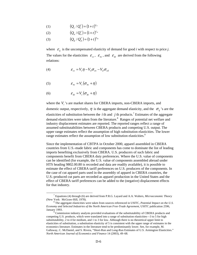$$
(1) \qquad \qquad (Q_c/Q_c') = (1+t)^{\varepsilon_{cc}}
$$

$$
(2) \qquad \qquad (Q_n/Q_n')=(1+t)^{\varepsilon_{nc}}
$$

(3) 
$$
\left(Q_d/Q_d'\right) = \left(1+t\right)^{\varepsilon_{dc}}
$$

where  $\varepsilon_{ij}$  is the uncompensated elasticity of demand for good *i* with respect to price *j*. The values for the elasticities  $\varepsilon_{cc}$ ,  $\varepsilon_{nc}$ , and  $\varepsilon_{dc}$  are derived from the following relations:

$$
(4) \t\t\t\t\mathcal{E}_{cc} = V_c \eta - V_n \sigma_{cn} - V_d \sigma_{cd}
$$

$$
(5) \hspace{1cm} \mathcal{E}_{nc} = V_c \big( \sigma_{nc} + \eta \big)
$$

$$
(6) \hspace{1cm} \mathcal{E}_{dc} = V_c \big( \sigma_{dc} + \eta \big)
$$

where the *V<sub>i</sub>*'s are market shares for CBERA imports, non-CBERA imports, and domestic output, respectively,  $\eta$  is the aggregate demand elasticity, and the  $\sigma_{ij}$ 's are the elasticities of substitution between the  $i$  th and  $j$  th products.<sup>7</sup> Estimates of the aggregate demand elasticities were taken from the literature.<sup>8</sup> Ranges of potential net welfare and industry displacement estimates are reported. The reported ranges reflect a range of assumed substitutabilities between CBERA products and competing U.S. output. The upper range estimates reflect the assumption of high substitution elasticities. The lower range estimates reflect the assumption of low substitution elasticities.<sup>9</sup>

Since the implementation of CBTPA in October 2000, apparel assembled in CBERA countries from U.S.-made fabric and components has come to dominate the list of leading imports benefiting exclusively from CBERA. U.S. producers of such fabric and components benefit from CBERA duty preferences. Where the U.S. value of components can be identified (for example, the U.S. value of components assembled abroad under HTS heading 9802.00.80 is recorded and data are readily available), it is possible to estimate the effect of CBERA tariff preferences on U.S. producers of the components. In the case of cut apparel parts used in the assembly of apparel in CBERA countries, the U.S.-produced cut parts are recorded as apparel production in the United States and the effect of CBERA tariff preferences can be added to the (negative) displacement effects for that industry.

 $\frac{1}{7}$  Equations (4) through (6) are derived from P.R.G. Layard and A.A. Walters, *Microeconomic Theory* (New York: McGraw-Hill, 1978).

The aggregate elasticities were taken from sources referenced in USITC, *Potential Impact on the U.S. Economy and Selected Industries of the North American Free-Trade Agreement*, USITC publication 2596, January 1993.

Commission industry analysts provided evaluations of the substitutability of CBERA products and competing U.S. products, which were translated into a range of substitution elasticities—3 to 5 for high substitutability, 2 to 4 for medium, and 1 to 3 for low. Although there is no theoretical upper limit to elasticities of substitution, a substitution elasticity of 5 is consistent with the upper range of estimates in the economics literature. Estimates in the literature tend to be predominantly lower. See, for example, M. Gallaway, C. McDaniel, and S. Rivera, "Short-Run and Long-Run Estimates of U.S. Armington Elasticities." *North American Journal of Economics and Finance* 14 (2003), 49–68.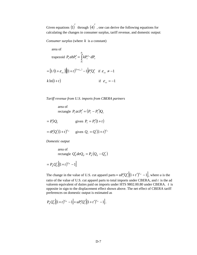Given equations  $(1)$ <sup>'</sup> through  $(4)$ <sup>'</sup>, one can derive the following equations for calculating the changes in consumer surplus, tariff revenue, and domestic output:

*Consumer surplus* (where *k* is a constant)

area of  
\ntrapezoid 
$$
P_c abP_c' = \int_{P_c'}^{P_c} kP_c^{\varepsilon_{cc}} dP_c
$$
  
\n
$$
= [1/(1 + \varepsilon_{cc})][(1+t)^{(1+\varepsilon_{cc})} - 1]P_c'Q_c' \text{ if } \varepsilon_{cc} \neq -1
$$
\n
$$
k \ln(1+t) \text{ if } \varepsilon_{cc} = -1
$$

*Tariff revenue from U.S. imports from CBERA partners*

 area of rectangle  $P_c$   $acP_c' = (P_c - P_c')Q_c$ 

$$
= P_c'tQ_c \qquad \qquad \text{given } P_c = P_c'(1+t)
$$

$$
= t P_c' Q_c' (1+t)^{\varepsilon_{cc}} \qquad \text{given } Q_c = Q_c' (1+t)^{\varepsilon_{cc}}
$$

*Domestic output*

 area of rectangle  $Q'_d$  *de* $Q_d = P_d (Q_d - Q'_d)$ 

$$
= P_d Q'_d \left[ (1+t)^{\varepsilon_{dc}} - 1 \right]
$$

The change in the value of U.S. cut apparel parts =  $uP_c'Q_c'[(1+t')^{\epsilon_{cc}}-1]$ , where *u* is the ratio of the value of U.S. cut apparel parts to total imports under CBERA, and *t* is the ad valorem equivalent of duties paid on imports under HTS 9802.00.80 under CBERA. *t* is opposite in sign to the displacement effect shown above. The net effect of CBERA tariff preferences on domestic output is estimated as

$$
P_dQ'_d\left[(1+t)^{\varepsilon_{dc}}-1\right]+uP'_cQ'_c\left[(1+t')^{\varepsilon_{cc}}-1\right].
$$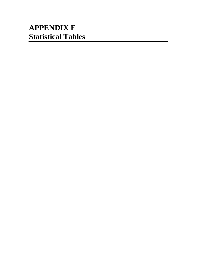# **APPENDIX E Statistical Tables**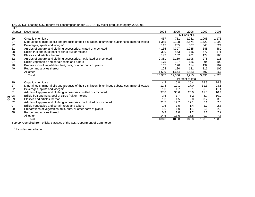| <b>HTS</b> |                                                                                                      |        |        |                  |       |       |
|------------|------------------------------------------------------------------------------------------------------|--------|--------|------------------|-------|-------|
| chapter    | Description                                                                                          | 2004   | 2005   | 2006             | 2007  | 2008  |
|            |                                                                                                      |        |        | Millions of \$   |       |       |
| 29         | Organic chemicals                                                                                    | 467    | 711    | 1,031            | 1,005 | 1,175 |
| 27         | Mineral fuels, mineral oils and products of their distillation; bituminous substances; mineral waxes | 1,355  | 2,108  | 2,674            | 1,720 | 1,090 |
| 22         | Beverages, spirits and vinegar <sup>a</sup>                                                          | 112    | 205    | 307              | 348   | 524   |
| 61         | Articles of apparel and clothing accessories, knitted or crocheted                                   | 4,136  | 4,397  | 1,985            | 648   | 489   |
| 08         | Edible fruit and nuts; peel of citrus fruit or melons                                                | 390    | 453    | 616              | 477   | 471   |
| 39         | Plastics and articles thereof                                                                        | 142    | 182    | 201              | 174   | 168   |
| 62         | Articles of apparel and clothing accessories, not knitted or crocheted                               | 2,351  | 2,180  | 1,198            | 278   | 118   |
| 07         | Edible vegetables and certain roots and tubers                                                       | 175    | 187    | 136              | 94    | 109   |
| 20         | Preparations of vegetables, fruit, nuts, or other parts of plants                                    | 105    | 120    | 114              | 139   | 109   |
| 40         | Rubber and articles thereof                                                                          | 104    | 120    | 121              | 116   | 105   |
|            | All other                                                                                            | 1,599  | 1,674  | 1,533            | 497   | 367   |
|            | Total                                                                                                | 10,937 | 12,336 | 9,915            | 5,496 | 4,726 |
|            |                                                                                                      |        |        | Percent of total |       |       |
| 29         | Organic chemicals                                                                                    | 4.3    | 5.8    | 10.4             | 18.3  | 24.9  |
| 27         | Mineral fuels, mineral oils and products of their distillation; bituminous substances; mineral waxes | 12.4   | 17.1   | 27.0             | 31.3  | 23.1  |
| 22         | Beverages, spirits and vinegar <sup>a</sup>                                                          | 1.0    | 1.7    | 3.1              | 6.3   | 11.1  |
| 61         | Articles of apparel and clothing accessories, knitted or crocheted                                   | 37.8   | 35.6   | 20.0             | 11.8  | 10.4  |
| 08         | Edible fruit and nuts; peel of citrus fruit or melons                                                | 3.6    | 3.7    | 6.2              | 8.7   | 10.0  |
| 39         | Plastics and articles thereof                                                                        | 1.3    | 1.5    | 2.0              | 3.2   | 3.6   |
| 62         | Articles of apparel and clothing accessories, not knitted or crocheted                               | 21.5   | 17.7   | 12.1             | 5.1   | 2.5   |
| 07         | Edible vegetables and certain roots and tubers                                                       | 1.6    | 1.5    | 1.4              | 1.7   | 2.3   |
| 20         | Preparations of vegetables, fruit, nuts, or other parts of plants                                    | 1.0    | 1.0    | 1.1              | 2.5   | 2.3   |
| 40         | Rubber and articles thereof                                                                          | 0.9    | 1.0    | 1.2              | 2.1   | 2.2   |
|            | All other                                                                                            | 14.6   | 13.6   | 15.5             | 9.0   | 7.8   |
|            | Total                                                                                                | 100.0  | 100.0  | 100.0            | 100.0 | 100.0 |

**TABLE E.1** Leading U.S. imports for consumption under CBERA, by major product category, 2004–08

a Includes fuel ethanol.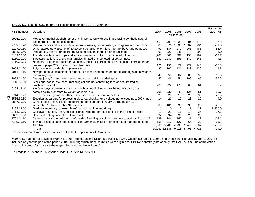|  |  |  |  | <b>TABLE E.2</b> Leading U.S. imports for consumption under CBERA, 2004-08 |  |
|--|--|--|--|----------------------------------------------------------------------------|--|
|--|--|--|--|----------------------------------------------------------------------------|--|

|                         |                                                                                                    |               |       |                |       |       | % change, |
|-------------------------|----------------------------------------------------------------------------------------------------|---------------|-------|----------------|-------|-------|-----------|
| HTS number              | Description                                                                                        | 2004          | 2005  | 2006           | 2007  | 2008  | 2007-08   |
|                         |                                                                                                    |               |       | Millions of \$ |       |       |           |
| 2905.11.20              | Methanol (methyl alcohol), other than imported only for use in producing synthetic natural         |               |       |                |       |       |           |
|                         | gas (sng) or for direct use as fuel                                                                | 460           | 701   | 1.030          | 1.004 | 1.175 | 17.0      |
| 2709.00.20              | Petroleum oils and oils from bituminous minerals, crude, testing 25 degrees a.p.i. or more         | 803           | 1,076 | 1,694          | 1,309 | 904   | $-31.0$   |
| 2207.10.60              | Undenatured ethyl alcohol of 80 percent vol. alcohol or higher, for nonbeverage purposes           | 97            | 184   | 277            | 263   | 483   | 83.4      |
| 0804.30.40              | Pineapples, fresh or dried, not reduced in size, in crates or other packages                       | 99            | 223   | 246            | 378   | 393   | 4.0       |
| 6109.10.00              | T-shirts, singlets, tank tops and similar garments, knitted or crocheted, of cotton                | 1,267         | 1.301 | 607            | 196   | 169   | $-13.7$   |
| 6110.20.20              | Sweaters, pullovers and similar articles, knitted or crocheted, of cotton, nesoi                   | 830           | 1,033 | 393            | 140   | 146   | 4.3       |
| 2710.11.25              | Naphthas (exc. motor fuel/mtr fuel blend. stock) fr petroleum oils & bitumin minerals (o/than      |               |       |                |       |       |           |
|                         | crude) or preps 70%+ by wt. fr petroleum oils                                                      | 126           | 193   | 72             | 227   | 144   | $-36.8$   |
| 3903.11.00              | Polystyrene, expandable, in primary forms                                                          | 87            | 107   | 121            | 133   | 136   | 1.8       |
| 4011.10.10              | New pneumatic radial tires, of rubber, of a kind used on motor cars (including station wagons      |               |       |                |       |       |           |
|                         | and racing cars)                                                                                   | 43            | 59    | 64             | 80    | 92    | 15.3      |
| 2009.11.00              | Orange juice, frozen, unfermented and not containing added spirit                                  | 45            | 46    | 54             | 100   | 65    | $-35.5$   |
| 6115.95.90 <sup>a</sup> | Stockings, socks, etc. nesoi (not surgical and not containing lace or net), knitted or             |               |       |                |       |       |           |
|                         | crocheted, of cotton                                                                               | 233           | 222   | 173            | 69    | 64    | $-6.7$    |
| 6203.42.40              | Men's or boys' trousers and shorts, not bibs, not knitted or crocheted, of cotton, not             |               |       |                |       |       |           |
|                         | containing 15% or more by weight of down, etc.                                                     | 798           | 730   | 449            | 126   | 51    | $-59.7$   |
| 0714.90.20              | Fresh or chilled yams, whether or not sliced or in the form of pellets                             | 20            | 23    | 19             | 23    | 30    | 28.5      |
| 8536.30.80              | Electrical apparatus for protecting electrical circuits, for a voltage not exceeding 1,000 v, nesi | 14            | 23    | 12             | 28    | 29    | 4.0       |
| 0807.19.20              | Cantaloupes, fresh, if entered during the periods from january 1 through july 31 or                |               |       |                |       |       |           |
|                         | september 16 to december 31, inclusive                                                             | 83            | 101   | 95             | 39    | 28    | $-28.9$   |
| 7108.12.50              | Gold, nonmonetary, unwrought (o/than gold bullion and dore)                                        |               | 0     | $\Omega$       |       | 27    | 3,550.0   |
| 0714.10.20              | Cassava (manioc), fresh, chilled or dried, whether or not sliced or in the form of pellets         | 19            | 21    | 16             | 19    | 26    | 37.1      |
| 0602.10.00              | Unrooted cuttings and slips of live plants                                                         | 32            | 34    | 31             | 25    | 23    | $-7.6$    |
| 1701.11.10              | Cane sugar, raw, in solid form, w/o added flavoring or coloring, subject to add. us 5 to ch.17     | 138           | 144   | 140            | 31    | 22    | $-28.1$   |
| 6109.90.10              | T-shirts, singlets, tank tops and similar garments, knitted or crocheted, of man-made fibers       | 155           | 213   | 127            | 65    | 22    | $-65.8$   |
|                         | All other                                                                                          | 5,586         | 5,903 | 4,295          | 1,240 | 699   | $-43.7$   |
|                         | Total                                                                                              | 10,937 12,336 |       | 9,915          | 5,496 | 4,726 | $-14.0$   |

*Note*: U.S. trade for El Salvador (March 1, 2006), Honduras and Nicaragua (April 1, 2006), Guatemala (July 1, 2006), and Dominican Republic (March 1, 2007) is included only for the part of the period 2004-08 during which those countries were eligible for CBERA benefits (date of entry into CAFTA-DR). The abbreviation, "n.e.s.o.i." stands for "not elsewhere specified or otherwise included."

<sup>a</sup> Trade in 2005 and 2006 reported under HTS item 6115.92.90.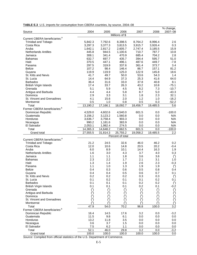| TABLE E.3 U.S. imports for consumption from CBERA countries, by source, 2004-08 |  |  |  |  |  |  |  |  |
|---------------------------------------------------------------------------------|--|--|--|--|--|--|--|--|
|---------------------------------------------------------------------------------|--|--|--|--|--|--|--|--|

|                                           |                 |                |                        |                  |             | % change,          |
|-------------------------------------------|-----------------|----------------|------------------------|------------------|-------------|--------------------|
| Source                                    | 2004            | 2005           | 2006<br>Millions of \$ | 2007             | 2008        | 2007-08            |
| Current CBERA beneficiaries: <sup>a</sup> |                 |                |                        |                  |             |                    |
| <b>Trinidad and Tobago</b>                | 5,842.3         | 7,792.6        | 8,398.5                | 8,764.2          | 8,996.4     | 2.6                |
| Costa Rica                                | 3,297.3         | 3,377.3        | 3,813.5                | 3,915.7          | 3,926.4     | 0.3                |
| Aruba                                     | 1,642.1         | 2,817.2        | 2,605.7                | 2,747.4          | 3,185.5     | 15.9               |
| Netherlands Antilles                      | 445.8           | 944.5          | 1,100.6                | 710.7            | 787.7       | 10.8               |
| Jamaica                                   | 308.1           | 341.4          | 470.9                  | 685.4            | 704.2       | 2.8                |
| <b>Bahamas</b>                            | 632.7           | 697.7          | 435.7                  | 394.4            | 595.7       | 51.0               |
| Haiti                                     | 370.5           | 447.1          | 496.1                  | 487.6            | 449.7       | $-7.8$             |
| Panama                                    | 297.5           | 319.9          | 337.6                  | 361.4            | 373.7       | 3.4                |
| <b>Belize</b>                             | 107.2           | 98.4           | 146.4                  | 86.7             | 157.1       | 81.2               |
| Guyana                                    | 119.9           | 119.9          | 125.0                  | 122.9            | 145.8       | 18.6               |
| St. Kitts and Nevis                       | 41.7            | 49.7           | 50.0                   | 53.6             | 54.3        | 1.4                |
| St. Lucia                                 | 14.4            | 64.9           | 37.3                   | 25.3             | 41.6        | 64.0               |
| <b>Barbados</b>                           | 36.4<br>17.4    | 31.6<br>33.7   | 33.0<br>26.3           | 37.8<br>43.2     | 40.8        | 8.1                |
| <b>British Virgin Islands</b><br>Grenada  | 5.1             | 5.9            | 4.5                    | 8.2              | 10.8<br>7.3 | $-75.1$<br>$-10.7$ |
| Antigua and Barbuda                       | 4.4             | 4.4            | 5.8                    | 8.7              | 5.0         | $-43.3$            |
| Dominica                                  | 2.9             | 3.3            | 3.1                    | 1.8              | 2.3         | 32.1               |
| St. Vincent and Grenadines                | 4.1             | 15.6           | 2.0                    | 1.2              | 1.0         | $-16.2$            |
| Montserrat                                | 0.5             | 1.0            | 0.8                    | 0.5              | 0.3         | $-52.2$            |
| Total                                     | 13,190.2        | 17,166.1       | 18,092.7               | 18,456.7         | 19,485.5    | 5.6                |
| Former CBERA beneficiaries: <sup>b</sup>  |                 |                |                        |                  |             |                    |
| Dominican Republic                        | 4,529.0         | 4,602.6        | 4,540.0                | 601.5            | 0.0         | $-100.0$           |
| Guatemala                                 | 3,156.2         | 3,123.2        | 1,560.8                | 0.0              | 0.0         | N/A                |
| Honduras                                  | 3,636.7         | 3,758.4        | 903.3                  | 0.0              | 0.0         | N/A                |
| Nicaragua                                 | 990.2           | 1,181.6        | 383.9                  | 0.0              | 0.0         | N/A                |
| El Salvador                               | 2,053.1         | 1,982.4        | 274.5                  | 0.0              | 0.0         | N/A                |
| Total                                     | 14,365.3        | 14,648.2       | 7,662.5                | 601.5            | 0.0         | $-100.0$           |
| Grand total                               | 27,555.5        | 31,814.3       | 25,755.2               | 19,058.2         | 19,485.5    | 2.2                |
|                                           |                 |                | Percent of total       |                  |             |                    |
| Current CBERA beneficiaries: <sup>a</sup> |                 |                |                        |                  |             |                    |
| Trinidad and Tobago                       | 21.2            | 24.5           | 32.6                   | 46.0             | 46.2        | 0.2                |
| Costa Rica                                | 12.0            | 10.6           | 14.8                   | 20.5             | 20.2        | $-0.4$             |
| Aruba                                     | 6.0             | 8.9            | 10.1                   | 14.4             | 16.3        | 1.9                |
| <b>Netherlands Antilles</b>               | 1.6             | 3.0            | 4.3                    | 3.7              | 4.0         | 0.3                |
| Jamaica                                   | 1.1             | 1.1            | 1.8                    | 3.6              | 3.6         | $\binom{c}{c}$     |
| <b>Bahamas</b>                            | 2.3             | 2.2            | 1.7                    | 2.1              | 3.1         | 1.0                |
| Haiti                                     | 1.3             | 1.4            | 1.9                    | 2.6              | 2.3         | $-0.3$             |
| Panama                                    | 1.1             | 1.0            | 1.3                    | 1.9              | 1.9         | $\binom{c}{ }$     |
| <b>Belize</b><br>Guyana                   | 0.4<br>0.4      | 0.3<br>0.4     | 0.6<br>0.5             | 0.5<br>0.6       | 0.8<br>0.7  | 0.4<br>0.1         |
| St. Kitts and Nevis                       | 0.2             | 0.2            | 0.2                    | 0.3              | 0.3         | $\binom{c}{ }$     |
| St. Lucia                                 | 0.1             | 0.2            | 0.1                    | 0.1              | 0.2         | 0.1                |
| <b>Barbados</b>                           | 0.1             | 0.1            | 0.1                    | 0.2              | 0.2         | $\binom{c}{ }$     |
| <b>British Virgin Islands</b>             | 0.1             | 0.1            | 0.1                    | 0.2              | 0.1         | $-0.2$             |
| Grenada                                   |                 |                |                        |                  |             |                    |
| Antigua and Barbuda                       | (°)<br>(°)      | $\binom{c}{c}$ |                        | (°)<br>(°)       |             | و)<br>(۹)<br>(۹)   |
| Dominica                                  | $(\mathcal{C})$ | (°)            | (°)                    | (°)              |             |                    |
| St. Vincent and Grenadines                | (°)             | (°)            | ိ)                     | $(\mathcal{C})$  |             |                    |
| Montserrat                                | $(^\circ)$      | $(^\circ)$     | $(\mathcal{C})$        | $(\mathcal{C})$  | (ግ          |                    |
| Total                                     | 47.9            | 54.0           | 70.2                   | 96.8             | 100.0       | $\overline{3.2}$   |
| Former CBERA beneficiaries: <sup>b</sup>  |                 |                |                        |                  |             |                    |
| Dominican Republic                        | 16.4            | 14.5           | 17.6                   | 3.2              | 0.0         | $-3.2$             |
| Guatemala                                 | 11.5            | 9.8            | 6.1                    | 0.0              | 0.0         | 0.0                |
| Honduras                                  | 13.2            | 11.8           | 3.5                    | 0.0              | 0.0         | 0.0                |
| Nicaragua                                 | 3.6             | 3.7            | 1.5                    | 0.0              | 0.0         | 0.0                |
| El Salvador                               | 7.5             | 6.2            | 1.1                    | 0.0              | 0.0         | 0.0                |
| Total                                     | 52.1            | 46.0           | 29.8                   | $\overline{3.2}$ | 0.0         | $-3.2$             |
| Grand total                               | 100.0           | 100.0          | 100.0                  | 100.0            | 100.0       | 0.0                |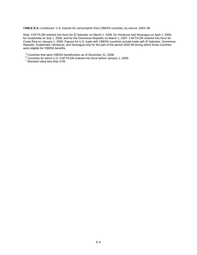**TABLE E.3—***Continued* U.S. imports for consumption from CBERA countries, by source, 2004–08

*Note*: CAFTA-DR entered into force for El Salvador on March 1, 2006; for Honduras and Nicaragua on April 1, 2006; for Guatemala on July 1, 2006; and for the Dominican Republic on March 1, 2007. CAFTA-DR entered into force for Costa Rica on January 1, 2009. Figures for U.S. trade with CBERA countries include trade with El Salvador, Dominican Republic, Guatemala, Honduras, and Nicaragua only for the part of the period 2004-08 during which those countries were eligible for CBERA benefits.

- <sup>a</sup> Countries that were CBERA beneficiaries as of December 31, 2008.
- <sup>b</sup> Countries for which U.S.-CAFTA-DR entered into force before January 1, 2009.
- c Absolute value less than 0.05.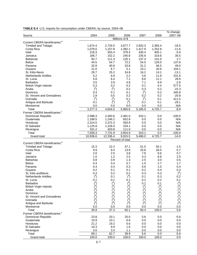| Source                                    | 2004           | 2005           | 2006                        | 2007           | 2008           | % change,<br>2007-08             |
|-------------------------------------------|----------------|----------------|-----------------------------|----------------|----------------|----------------------------------|
|                                           |                |                | Millions of $$$             |                |                |                                  |
| Current CBERA beneficiaries: <sup>a</sup> |                |                |                             |                |                |                                  |
| <b>Trinidad and Tobago</b>                | 1,674.4        | 2,734.5        | 3,677.7                     | 2,832.3        | 2,365.4        | $-16.5$                          |
| Costa Rica                                | 1,079.0        | 1,157.8        | 1,382.1                     | 1,417.9        | 1,252.8        | $-11.6$                          |
| Haiti                                     | 218.3          | 303.4          | 379.3                       | 430.4          | 405.1          | $-5.9$                           |
| Jamaica                                   | 166.7          | 152.2          | 245.8                       | 235.9          | 319.6          | 35.5                             |
| <b>Bahamas</b>                            | 92.7           | 111.3          | 125.1                       | 137.4          | 141.0          | 2.7                              |
| <b>Belize</b>                             | 44.5           | 54.7           | 72.2<br>33.8                | 54.5           | 129.5          | 137.8                            |
| Panama                                    | 32.8<br>21.0   | 40.8<br>6.7    | 5.1                         | 31.2<br>10.1   | 46.5<br>20.6   | 49.0<br>104.1                    |
| Guyana<br><b>St. Kitts-Nevis</b>          | 29.7           | 25.2           | 24.8                        | 16.2           | 14.1           | $-13.1$                          |
| <b>Netherlands Antilles</b>               | 5.2            | 6.8            | 2.2                         | 3.6            | 11.9           | 231.6                            |
| St. Lucia                                 | 5.8            | 6.4            | 7.1                         | 8.6            | 11.1           | 28.9                             |
| <b>Barbados</b>                           | 3.5            | 3.9            | 4.8                         | 7.1            | 6.9            | $-2.6$                           |
| <b>British Virgin Islands</b>             | 0.3            | 0.2            | 0.2                         | 0.1            | 0.4            | 577.5                            |
| Aruba                                     | $\binom{b}{b}$ | $\binom{b}{b}$ | 0.2                         | 0.3            | 0.2            | $-22.3$                          |
| Dominica                                  | 0.4            | 0.1            | 0.1                         | $\binom{b}{b}$ | 0.2            | 345.8                            |
| St. Vincent and Grenadines                | 2.9            | 0.5            | 0.2                         | 0.2            | 0.2            | $-20.8$                          |
| Grenada                                   | $\binom{b}{b}$ | $\binom{b}{b}$ | 0.1                         | $\binom{b}{b}$ | 0.1            | 411.5                            |
| Antigua and Barbuda                       | 0.1            | $\binom{b}{b}$ | $b$                         | 0.1            | 0.1            | $-29.1$                          |
| Montserrat                                | 0.0            | 0.0            | 0.0                         | 0.0            | 0.0            | N/A                              |
| Total                                     | 3,377.3        | 4,604.5        | 5,960.6                     | 5,185.9        | 4,725.7        | $-8.9$                           |
| Former CBERA beneficiaries: <sup>c</sup>  |                |                |                             |                |                |                                  |
| Dominican Republic                        | 2,598.3        | 2,483.6        | 2,481.0                     | 310.1          | 0.0            | $-100.0$                         |
| Guatemala                                 | 1,189.5        | 1,246.2        | 652.8                       | 0.0            | 0.0            | N/A                              |
| Honduras                                  | 2,314.5        | 2,372.3        | 555.9                       | 0.0            | 0.0            | N/A                              |
| El Salvador                               | 1,125.8        | 1,226.0        | 154.1                       | 0.0            | 0.0            | N/A                              |
| Nicaragua                                 | 331.2          | 403.8          | 111.0                       | 0.0            | 0.0            | N/A                              |
| Total                                     | 7,559.3        | 7,731.9        | 3,954.9                     | 310.1          | 0.0<br>4,725.7 | $-100.0$                         |
| Grand total                               | 10,936.6       | 12,336.4       | 9,915.5<br>Percent of total | 5,496.0        |                | $-14.0$                          |
| Current CBERA beneficiaries: <sup>a</sup> |                |                |                             |                |                |                                  |
| <b>Trinidad and Tobago</b>                | 15.3           | 22.2           | 37.1                        | 51.5           | 50.1           | $-1.5$                           |
| Costa Rica                                | 9.9            | 9.4            | 13.9                        | 25.8           | 26.5           | 0.7                              |
| Haiti                                     | 2.0            | 2.5            | 3.8                         | 7.8            | 8.6            | 0.7                              |
| Jamaica                                   | 1.5            | 1.2            | 2.5                         | 4.3            | 6.8            | 2.5                              |
| <b>Bahamas</b>                            | 0.8            | 0.9            | 1.3                         | 2.5            | 3.0            | 0.5                              |
| <b>Belize</b>                             | 0.4            | 0.4            | 0.7                         | 1.0            | 2.7            | 1.7                              |
| Panama                                    | 0.3            | 0.3            | 0.3                         | 0.6            | 1.0            | 0.4                              |
| Guyana                                    | 0.2            | 0.1            | 0.1                         | 0.2            | 0.4            | 0.3                              |
| St. Kitts andNevis                        | 0.3            | 0.2            | 0.2                         | 0.3            | 0.3            | $\binom{d}{ }$                   |
| <b>Netherlands Antilles</b>               | $\binom{d}{ }$ | 0.1            | $\binom{d}{ }$              | 0.1            | 0.3            | 0.2                              |
| St. Lucia                                 | 0.1            | 0.1            | 0.1                         | 0.2            | 0.2            | 0.1                              |
| <b>Barbados</b>                           |                |                |                             | 0.1            | 0.1            |                                  |
| <b>British Virgin Islands</b>             |                |                |                             |                |                |                                  |
| Aruba<br>Dominica                         |                |                |                             |                |                | $\binom{d}{d}$<br>$\binom{d}{d}$ |
| St. Vincent and Grenadines                |                |                |                             |                |                |                                  |
| Grenada                                   |                |                |                             |                |                |                                  |
| Antigua and Barbuda                       |                |                | $(\mathsf{q})$              |                |                |                                  |
| Montserrat                                | 0.0            | 0.0            | 0.0                         | 0.0            | 0.0            | 0.0                              |
| Total                                     | 30.9           | 37.3           | 60.1                        | 94.4           | 100.0          | $\overline{5.6}$                 |
| Former CBERA beneficiaries: <sup>c</sup>  |                |                |                             |                |                |                                  |
| Dominican Republic                        | 23.8           | 20.1           | 25.0                        | 5.6            | 0.0            | $-5.6$                           |
| Guatemala                                 | 10.9           | 10.1           | 6.6                         | 0.0            | 0.0            | 0.0                              |
| Honduras                                  | 21.2           | 19.2           | 5.6                         | 0.0            | 0.0            | 0.0                              |
| El Salvador                               | 10.3           | 9.9            | 1.6                         | 0.0            | 0.0            | 0.0                              |
| Nicaragua                                 | 3.0            | 3.3            | 1.1                         | 0.0            | 0.0            | 0.0                              |
| Total                                     | 69.1           | 62.7           | 39.9                        | 5.6            | 0.0            | $-5.\overline{6}$                |
| Grand total                               | 100.0          | 100.0          | 100.0                       | 100.0          | 100.0          | 0.0                              |

#### **TABLE E.4** U.S. imports for consumption under CBERA, by source, 2004–08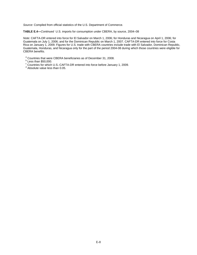**TABLE E.4—***Continued* U.S. imports for consumption under CBERA, by source, 2004–08

*Note*: CAFTA-DR entered into force for El Salvador on March 1, 2006; for Honduras and Nicaragua on April 1, 2006; for Guatemala on July 1, 2006; and for the Dominican Republic on March 1, 2007. CAFTA-DR entered into force for Costa Rica on January 1, 2009. Figures for U.S. trade with CBERA countries include trade with El Salvador, Dominican Republic, Guatemala, Honduras, and Nicaragua only for the part of the period 2004-08 during which those countries were eligible for CBERA benefits.

a Countries that were CBERA beneficiaries as of December 31, 2008.

 $b$  Less than \$50,000.

- <sup>c</sup> Countries for which U.S.-CAFTA-DR entered into force before January 1, 2009.
- <sup>d</sup> Absolute value less than 0.05.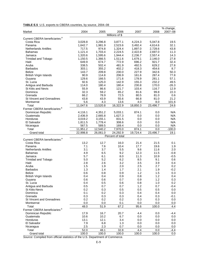|  |  | TABLE E.5 U.S. exports to CBERA countries, by source, 2004-08 |  |  |
|--|--|---------------------------------------------------------------|--|--|
|--|--|---------------------------------------------------------------|--|--|

|                                           |          |          |                              |          |                    | % change, |
|-------------------------------------------|----------|----------|------------------------------|----------|--------------------|-----------|
| Market                                    | 2004     | 2005     | 2006                         | 2007     | 2008               | 2007-08   |
|                                           |          |          | Millions of \$               |          |                    |           |
| Current CBERA beneficiaries: <sup>a</sup> |          |          |                              |          |                    |           |
| Costa Rica                                | 3,028.8  | 3,296.8  | 3,877.1                      | 4,224.3  | 5,047.8<br>4,614.6 | 19.5      |
| Panama                                    | 1,642.7  | 1,981.9  | 2,523.6                      | 3,492.4  |                    | 32.1      |
| Netherlands Antilles                      | 717.5    | 974.8    | 1,324.4                      | 1,897.0  | 2,728.6            | 43.8      |
| <b>Bahamas</b>                            | 1,121.4  | 1,703.4  | 2,224.5                      | 2,422.8  | 2,697.0            | 11.3      |
| Jamaica                                   | 1,320.6  | 1,595.6  | 1,944.4                      | 2,236.7  | 2,557.4            | 14.3      |
| <b>Trinidad and Tobago</b>                | 1,150.5  | 1,366.5  | 1,511.6                      | 1,679.1  | 2,146.0            | 27.8      |
| Haiti                                     | 649.9    | 674.7    | 772.9                        | 696.2    | 921.7              | 32.4      |
| Aruba                                     | 338.5    | 502.4    | 481.9                        | 492.5    | 629.2              | 27.8      |
| <b>Barbados</b>                           | 303.1    | 355.2    | 402.2                        | 418.3    | 454.6              | 8.7       |
| <b>Belize</b>                             | 143.7    | 209.8    | 230.0                        | 227.9    | 342.6              | 50.3      |
| <b>British Virgin Islands</b>             | 90.9     | 114.8    | 206.9                        | 161.6    | 287.4              | 77.8      |
| Guyana                                    | 129.6    | 166.5    | 171.6                        | 178.9    | 281.1              | 57.1      |
| St. Lucia                                 | 92.6     | 125.0    | 142.9                        | 155.3    | 232.2              | 49.5      |
| Antigua and Barbuda                       | 114.0    | 180.4    | 180.4                        | 230.8    | 170.0              | $-26.3$   |
| St Kitts and Nevis                        | 55.9     | 86.6     | 121.7                        | 103.4    | 116.7              | 12.9      |
| Dominica                                  | 32.3     | 59.2     | 65.2                         | 81.6     | 99.8               | 22.3      |
| Grenada                                   | 66.2     | 78.9     | 72.5                         | 80.5     | 81.0               | 0.6       |
| St Vincent and Grenadines                 | 43.8     | 43.9     | 55.6                         | 66.8     | 81.0               | 21.2      |
| Montserrat                                | 5.6      | 4.3      | 13.6                         | 4.0      | 8.0                | 101.6     |
| Total                                     | 11,047.6 | 13,520.8 | 16,322.9                     | 18,850.3 | 23,496.7           | 24.6      |
| Former CBERA beneficiaries: <sup>b</sup>  |          |          |                              |          |                    |           |
| Dominican Republic                        | 4,116.1  | 4,351.2  | 5,033.1                      | 874.1    | 0.0                | N/A       |
| Guatemala                                 | 2,436.9  | 2,665.8  | 1,627.3                      | 0.0      | 0.0                | N/A       |
| Honduras                                  | 3,019.2  | 3,155.1  | 831.5                        | 0.0      | 0.0                | N/A       |
| El Salvador                               | 1,811.5  | 1,778.4  | 308.6                        | 0.0      | 0.0                | N/A       |
| Nicaragua                                 | 567.5    | 589.5    | 169.4                        | 0.0      | 0.0                | N/A       |
| Total                                     | 11,951.2 | 12,540.2 | 7,970.0                      | 874.1    | 0.0                | $-100.0$  |
|                                           |          |          |                              | 19,724.4 |                    |           |
| Grand total                               | 22,998.8 | 26,061.0 | 24,292.9<br>Percent of total |          | 23,496.7           | 19.1      |
| Current CBERA beneficiaries: <sup>a</sup> |          |          |                              |          |                    |           |
| Costa Rica                                | 13.2     | 12.7     | 16.0                         | 21.4     | 21.5               | 0.1       |
| Panama                                    | 7.1      | 7.6      | 10.4                         | 17.7     | 19.6               | 1.9       |
| <b>Netherlands Antilles</b>               | 3.1      | 3.7      | 5.5                          | 9.6      | 11.6               | 2.0       |
|                                           |          |          |                              |          |                    |           |
| <b>Bahamas</b>                            | 4.9      | 6.5      | 9.2                          | 12.3     | 11.5               | $-0.8$    |
| Jamaica                                   | 5.7      | 6.1      | 8.0                          | 11.3     | 10.9               | $-0.5$    |
| <b>Trinidad and Tobago</b>                | 5.0      | 5.2      | 6.2                          | 8.5      | 9.1                | 0.6       |
| Haiti                                     | 2.8      | 2.6      | 3.2                          | 3.5      | 3.9                | 0.4       |
| Aruba                                     | 1.5      | 1.9      | 2.0                          | 2.5      | 2.7                | 0.2       |
| <b>Barbados</b>                           | 1.3      | 1.4      | 1.7                          | 2.1      | 1.9                | $-0.2$    |
| Belize                                    | 0.6      | 0.8      | 0.9                          | 1.2      | 1.5                | 0.3       |
| <b>British Virgin Islands</b>             | 0.4      | 0.4      | 0.9                          | 0.8      | 1.2                | 0.4       |
| Guyana                                    | 0.6      | 0.6      | 0.7                          | 0.9      | 1.2                | 0.3       |
| St. Lucia                                 | 0.4      | 0.5      | 0.6                          | 0.8      | 1.0                | 0.2       |
| Antigua and Barbuda                       | 0.5      | 0.7      | 0.7                          | 1.2      | 0.7                | $-0.4$    |
| St Kitts-Nevis                            | 0.2      | 0.3      | 0.5                          | 0.5      | 0.5                | 0.0       |
| Dominica                                  | 0.1      | 0.2      | 0.3                          | 0.4      | 0.4                | 0.0       |
| Grenada                                   | 0.3      | 0.3      | 0.3                          | 0.4      | 0.3                | $-0.1$    |
| St Vincent and Grenadines                 | 0.2      | 0.2      | 0.2                          | 0.3      | 0.3                | 0.0       |
| Montserrat                                | 0.0      | 0.0      | 0.1                          | 0.0      | 0.0                | 0.0       |
| Total                                     | 48.0     | 51.9     | 67.2                         | 95.6     | 100.0              | 4.4       |
| Former CBERA beneficiaries: <sup>b</sup>  |          |          |                              |          |                    |           |
| Dominican Republic                        | 17.9     | 16.7     | 20.7                         | 4.4      | 0.0                | $-4.4$    |
| Guatemala                                 | 10.6     | 10.2     | 6.7                          | 0.0      | 0.0                | 0.0       |
| Honduras                                  | 13.1     | 12.1     | 3.4                          | 0.0      | 0.0                | 0.0       |
| El Salvador                               | 7.9      | 6.8      | 1.3                          | 0.0      | 0.0                | 0.0       |
| Nicaragua                                 | 2.5      | 2.3      | 0.7                          | 0.0      | 0.0                | 0.0       |
| Total                                     | 52.0     | 48.1     | 32.8                         | 4.4      | 0.0                | $-4.4$    |
| Grand total                               | 100.0    | 100.0    | 100.0                        | 100.0    | 100.0              | 0.0       |
|                                           |          |          |                              |          |                    |           |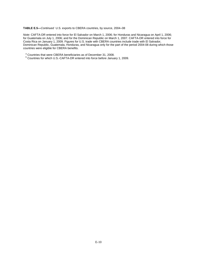**TABLE E.5—***Continued* U.S. exports to CBERA countries, by source, 2004–08

*Note*: CAFTA-DR entered into force for El Salvador on March 1, 2006; for Honduras and Nicaragua on April 1, 2006; for Guatemala on July 1, 2006; and for the Dominican Republic on March 1, 2007. CAFTA-DR entered into force for Costa Rica on January 1, 2009. Figures for U.S. trade with CBERA countries include trade with El Salvador, Dominican Republic, Guatemala, Honduras, and Nicaragua only for the part of the period 2004-08 during which those countries were eligible for CBERA benefits.

<sup>a</sup> Countries that were CBERA beneficiaries as of December 31, 2008.

<sup>b</sup> Countries for which U.S.-CAFTA-DR entered into force before January 1, 2009.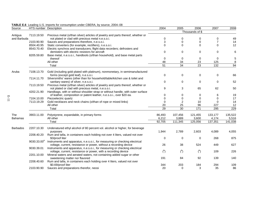| Source          | HTS number Description  |                                                                                  | 2004           | 2005           | 2006            | 2007             | 2008    |
|-----------------|-------------------------|----------------------------------------------------------------------------------|----------------|----------------|-----------------|------------------|---------|
|                 |                         |                                                                                  |                |                | Thousands of \$ |                  |         |
| Antigua         | 7113.19.50              | Precious metal (o/than silver) articles of jewelry and parts thereof, whether or |                |                |                 |                  |         |
| and Barbuda     |                         | not plated or clad with precious metal n.e.s.o.i.                                | 0              | 0              | 0               | 0                | 49      |
|                 | 2103.90.90              | Sauces and preparations therefore, n.e.s.o.i.                                    | 3              | 0              | 0               | $\overline{7}$   | 14      |
|                 | 8504.40.95              | Static converters (for example, rectifiers), n.e.s.o.i.                          | 0              | $\Omega$       | $\Omega$        | 0                | 12      |
|                 | 8543.70.40              | Electric synchros and transducers; flight data recorders; defrosters and         |                |                |                 |                  |         |
|                 |                         | demisters with electric resistors for aircraft                                   | $\Omega$       | $\Omega$       | $\Omega$        | $\mathbf 0$      | 6       |
|                 | 8205.59.80              | Base metal, n.e.s.o.i., handtools (o/than household), and base metal parts       |                |                |                 |                  |         |
|                 |                         | thereof                                                                          | 0              | $\mathbf 0$    | 0               | 0                | 5       |
|                 |                         | All other                                                                        | 48             | 34             | 23              | 125              | 8       |
|                 |                         | Total                                                                            | 51             | 34             | $\overline{23}$ | $\overline{132}$ | 94      |
|                 |                         |                                                                                  |                |                |                 |                  |         |
| Aruba           | 7108.13.70              | Gold (including gold plated with platinum), nonmonetary, in semimanufactured     |                |                |                 |                  |         |
|                 |                         | forms (except gold leaf), n.e.s.o.i.                                             | 0              | $\Omega$       | 0               | 0                | 66      |
|                 | 7114.11.70              | Silversmiths' wares (other than for household/table/kitchen use & toilet and     |                |                |                 |                  |         |
|                 |                         | sanitary wares) of silver, n.e.s.o.i.                                            | 0              | 0              | 0               | $\mathbf 0$      | 52      |
|                 | 7113.19.50              | Precious metal (o/than silver) articles of jewelry and parts thereof, whether or |                |                |                 |                  |         |
|                 |                         | not plated or clad with precious metal, n.e.s.o.i.                               | 9              | 3              | 65              | 62               | 50      |
|                 | 4202.21.90              | Handbags, with or without shoulder strap or without handle, with outer surface   |                |                |                 |                  |         |
|                 |                         | of leather, composition or patent leather, n.e.s.o.i., over \$20 ea.             | 0              | 0              | 0               | 6                | 19      |
|                 | 7104.10.00              | Piezoelectric quartz                                                             | $\Omega$       | $\Omega$       | $\Omega$        | 0                | 17      |
|                 | 7113.19.29              | Gold necklaces and neck chains (o/than of rope or mixed links)                   | $\Omega$       | $\overline{c}$ | 10              | $\Omega$         | 14      |
|                 |                         | All other                                                                        | 20             | 25             | 96              | 227              | 12      |
|                 |                         | Total                                                                            | 29             | 30             | 171             | 295              | 229     |
|                 |                         |                                                                                  |                |                |                 |                  |         |
| The             | 3903.11.00              | Polystyrene, expandable, in primary forms                                        | 86,493         | 107,456        | 121,455         | 133,177          | 135,522 |
| Bahamas         |                         | All other                                                                        | 6,212          | 3,889          | 3,600           | 4,174            | 5,516   |
|                 |                         | Total                                                                            | 92,705         | 111,345        | 125,056         | 137,351          | 141,038 |
| <b>Barbados</b> | 2207.10.30              | Undenatured ethyl alcohol of 80 percent vol. alcohol or higher, for beverage     |                |                |                 |                  |         |
|                 |                         | purposes                                                                         | 1,944          | 2,789          | 2,603           | 4,089            | 4,055   |
|                 | 2208.40.20              | Rum and tafia, in containers each holding not over 4 liters, valued not over     |                |                |                 |                  |         |
|                 |                         | \$3/proof liter                                                                  | 0              | 0              | 0               | 268              | 875     |
|                 | 9030.33.00 <sup>a</sup> | Instruments and apparatus, n.e.s.o.i., for measuring or checking electrical      |                |                |                 |                  |         |
|                 |                         | voltage, current, resistance or power, without a recording device                | 26             | 38             | 524             | 449              | 627     |
|                 | 9030.39.01              | Instruments and apparatus, n.e.s.o.i., for measuring or checking electrical      |                |                |                 |                  |         |
|                 |                         | voltage, current, resistance or power, with a recording device                   | $\binom{b}{b}$ | $b$            | $b$             | 109              | 226     |
|                 | 2201.10.00              | Mineral waters and aerated waters, not containing added sugar or other           |                |                |                 |                  |         |
|                 |                         | sweetening matter nor flavored                                                   | 191            | 84             | 92              | 139              | 140     |
|                 | 2208.40.60              | Rum and tafia, in containers each holding over 4 liters, valued not over         |                |                |                 |                  |         |
|                 |                         | \$0.69/proof liter                                                               | 344            | 203            | 184             | 294              | 109     |
|                 | 2103.90.90              | Sauces and preparations therefor, neosi                                          | 20             | 0              | 3               | 35               | 86      |
|                 |                         |                                                                                  |                |                |                 |                  |         |

#### **TABLE E.6** Leading U.S. imports for consumption under CBERA, by source, 2004–08

E-11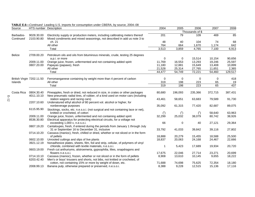| Source                 | HTS number Description    |                                                                                                                                                                | 2004           | 2005            | 2006            | 2007    | 2008    |
|------------------------|---------------------------|----------------------------------------------------------------------------------------------------------------------------------------------------------------|----------------|-----------------|-----------------|---------|---------|
|                        |                           |                                                                                                                                                                |                |                 | Thousands of \$ |         |         |
| Barbados-<br>Continued | 9028.30.00<br>2103.90.80  | Electricity supply or production meters, including calibrating meters thereof<br>Mixed condiments and mixed seasonings, not described in add us note 3 to      | 201            | $\overline{79}$ | 109             | 469     | 85      |
|                        |                           | ch. 21                                                                                                                                                         | 48             | 40              | 104             | 74      | 68      |
|                        |                           | All other                                                                                                                                                      | 764            | 664             | 1,670           | 1,174   | 642     |
|                        |                           | Total                                                                                                                                                          | 3,513          | 3,859           | 4,765           | 7,100   | 6,913   |
|                        |                           |                                                                                                                                                                |                |                 |                 |         |         |
| <b>Belize</b>          | 2709.00.20                | Petroleum oils and oils from bituminous minerals, crude, testing 25 degrees<br>a.p.i. or more                                                                  | 0              | 0               | 15,514          | 10,154  | 90,656  |
|                        | 2009.11.00                | Orange juice, frozen, unfermented and not containing added spirit                                                                                              | 11,769         | 16,553          | 13,293          | 19,246  | 25,597  |
|                        | 0807.20.00                |                                                                                                                                                                | 11,180         | 12,881          | 15,649          | 13,408  | 10,899  |
|                        |                           | Papayas (papaws), fresh<br>All other                                                                                                                           | 21,528         | 25,314          | 27,765          | 11,651  | 2,365   |
|                        |                           |                                                                                                                                                                |                |                 |                 |         |         |
|                        |                           | Total                                                                                                                                                          | 44,477         | 54,749          | 72,221          | 54,460  | 129,517 |
|                        | British Virgin 7202.11.50 | Ferromanganese containing by weight more than 4 percent of carbon                                                                                              | 0              | 0               | 0               | 0       | 418     |
| Islands                |                           | All other                                                                                                                                                      | 319            | 198             | 223             | 65      | 19      |
|                        |                           | Total                                                                                                                                                          | 319            | 198             | 223             | 65      | 437     |
|                        |                           |                                                                                                                                                                |                |                 |                 |         |         |
| Costa Rica             | 0804.30.40<br>4011.10.10  | Pineapples, fresh or dried, not reduced in size, in crates or other packages<br>New pneumatic radial tires, of rubber, of a kind used on motor cars (including | 80,680         | 196,093         | 235,366         | 372,715 | 387,431 |
|                        | 2207.10.60                | station wagons and racing cars)<br>Undenatured ethyl alcohol of 80 percent vol. alcohol or higher, for                                                         | 43,461         | 58,651          | 63,683          | 79,589  | 91,730  |
|                        |                           | nonbeverage purposes                                                                                                                                           | 35,092         | 61,315          | 77,420          | 82,687  | 89,075  |
|                        | 6115.95.90                | Stockings, socks, etc. n.e.s.o.i. (not surgical and not containing lace or net),                                                                               |                |                 |                 |         |         |
|                        |                           | knitted or crocheted, of cotton                                                                                                                                | $\binom{c}{ }$ | $\binom{c}{ }$  | $\binom{c}{ }$  | 58,640  | 63,963  |
|                        | 2009.11.00                | Orange juice, frozen, unfermented and not containing added spirit                                                                                              | 32,299         | 25,032          | 38,079          | 80,742  | 38,926  |
|                        | 8536.30.80                | Electrical apparatus for protecting electrical circuits, for a voltage not                                                                                     |                |                 |                 |         |         |
|                        |                           | exceeding 1,000 v, n.e.s.o.i.                                                                                                                                  | 66             | 0               | 40              | 27,121  | 29,364  |
|                        | 0807.19.20                | Cantaloupes, fresh, if entered during the periods from January 1 through July                                                                                  |                |                 |                 |         |         |
|                        |                           | 31 or September 16 to December 31, inclusive                                                                                                                   | 33,792         | 41,033          | 39,842          | 39,116  | 27,802  |
|                        | 0714.10.20                | Cassava (manioc), fresh, chilled or dried, whether or not sliced or in the form                                                                                |                |                 |                 |         |         |
|                        |                           | of pellets                                                                                                                                                     | 18,888         | 20,279          | 15,455          | 18,588  | 25,500  |
|                        | 0602.10.00                | Unrooted cuttings and slips of live plants                                                                                                                     | 18,837         | 20,063          | 24,168          | 24,467  | 22,666  |
|                        | 3921.12.19                | Nonadhesive plates, sheets, film, foil and strip, cellular, of polymers of vinyl                                                                               |                |                 |                 |         |         |
|                        |                           | chloride, combined with textile materials, n.e.s.o.i.                                                                                                          |                | 5,423           | 17,689          | 19,934  | 20,720  |
|                        | 0603.19.00                | Fresh cut anthuriums, alstroemeria, gypsophilia, lilies, snapdragons and                                                                                       |                |                 |                 |         |         |
|                        |                           | flowers n.e.s.o.i.                                                                                                                                             | 17,675         | 22,046          | 27,714          | 23,271  | 20,699  |
|                        | 0714.10.10                | Cassava (manioc), frozen, whether or not sliced or in the form of pellets                                                                                      | 8,908          | 13,610          | 10,145          | 9,655   | 18,222  |
|                        | 6203.42.40                | Men's or boys' trousers and shorts, not bibs, not knitted or crocheted, of                                                                                     |                |                 |                 |         |         |
|                        |                           | cotton, not containing 15% or more by weight of down, etc.                                                                                                     | 71,688         | 74,698          | 75,625          | 72,354  | 18,180  |
|                        | 2008.99.13                | Banana pulp, otherwise prepared or preserved, n.e.s.o.i.                                                                                                       | 8,388          | 9,228           | 12,515          | 15,136  | 17,116  |

**TABLE E.6—***Continued* Leading U.S. imports for consumption under CBERA, by source, 2004–08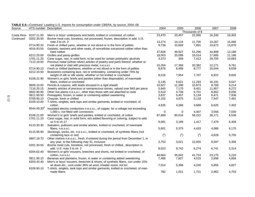| Source      | HTS number Description  |                                                                                   | 2004       | 2005                 | 2006            | 2007   | 2008   |
|-------------|-------------------------|-----------------------------------------------------------------------------------|------------|----------------------|-----------------|--------|--------|
|             |                         |                                                                                   |            |                      | Thousands of \$ |        |        |
| Costa Rica- | 6107.11.00              | Men's or boys' underpants and briefs, knitted or crocheted, of cotton             | 23,470     | 23,457               | 22,090          | 16,240 | 16,402 |
| Continued   | 0202.30.50              | Bovine meat cuts, boneless, not processed, frozen, description in add. U.S.       |            |                      |                 |        |        |
|             |                         | note 3 to ch. 2                                                                   | 13,274     | 14,116               | 11,705          | 10,287 | 15,066 |
|             | 0714.90.20              | Fresh or chilled yams, whether or not sliced or in the form of pellets            | 9,738      | 10,669               | 7,891           | 10,672 | 13,870 |
|             | 4016.93.50              | Gaskets, washers and other seals, of noncellular vulcanized rubber other than     |            |                      |                 |        |        |
|             |                         | hard rubber                                                                       | 47,828     | 49,927               | 51,296          | 34,898 | 12,188 |
|             | 6212.20.00              | Girdles and panty-girdles                                                         | 18,003     | 20,088               | 16,014          | 17,685 | 11,186 |
|             | 1701.11.20              | Cane sugar, raw, in solid form, to be used for certain polyhydric alcohols        | 3,373      | 359                  | 7,413           | 29,705 | 10,683 |
|             | 7113.19.50              | Precious metal (o/than silver) articles of jewelry and parts thereof, whether or  |            |                      |                 |        |        |
|             |                         | not plated or clad with precious metal, n.e.s.o.i.                                | 15,264     | 17,368               | 20,382          | 12,171 | 9,761  |
|             | 0714.90.10              | Fresh or chilled dasheens, whether or not sliced or in the form of pellets        | 8,876      | 8,488                | 8,777           | 10,044 | 9,639  |
|             | 6212.10.50              | Brassieres containing lace, net or embroidery, containing under 70% by            |            |                      |                 |        |        |
|             |                         | weight of silk or silk waste, whether or not knitted or crocheted                 | 8,516      | 7,954                | 7,707           | 6,922  | 9,605  |
|             | 6108.22.90              | Women's or girls' briefs and panties (other than disposable), of manmade          |            |                      |                 |        |        |
|             |                         | fibers, knitted or crocheted                                                      | 6,135      | 6,021                | 11,293          | 16,191 | 9,547  |
|             | 9609.10.00              | Pencils & crayons, with leads encased in a rigid sheath                           | 10,927     | 11,396               | 10,873          | 8,769  | 9,214  |
|             | 7116.20.15              | Jewelry articles of precious or semiprecious stones, valued over \$40 per piece   | 5,845      | 7,170                | 9,451           | 11,857 | 8,272  |
|             | 0602.90.90              | Other live plants n.e.s.o.i., other than those with soil attached to roots        | 5,510      | 4,738                | 6,751           | 8,662  | 8,056  |
|             | 0811.90.50              | Pineapples, frozen, in water or containing added sweetening                       | 3,637      | 5,457                | 5,134           | 6,471  | 7,938  |
|             | 0709.90.10              | Chayote, fresh or chilled                                                         | 5,152      | 4,875                | 5,118           | 7,547  | 7,491  |
|             | 6109.10.00              |                                                                                   |            |                      |                 |        |        |
|             |                         | T-shirts, singlets, tank tops and similar garments, knitted or crocheted, of      | 4,635      |                      |                 |        | 7,402  |
|             |                         | cotton                                                                            |            | 4,366                | 4,688           | 6,625  |        |
|             | 8544.49.30 <sup>d</sup> | Insulated electric conductors n.e.s.o.i., of copper, for a voltage not exceeding  |            |                      |                 |        |        |
|             |                         | 1,000 v, not fitted with connectors                                               | 0          | 0                    | 4,407           | 3,556  | 7,030  |
|             | 6108.21.00              | Women's or girls' briefs and panties, knitted or crocheted, of cotton             | 87,888     | 80,016               | 58,222          | 38,171 | 6,538  |
|             | 1701.11.10              | Cane sugar, raw, in solid form, w/o added flavoring or coloring, subject to add.  |            |                      |                 |        |        |
|             |                         | us 5 to ch.17                                                                     | 9,061      | 3,189                | 1,417           | 7,479  | 6,408  |
|             | 6110.30.30              | Sweaters, pullovers and similar articles, knitted or crocheted, of manmade        |            |                      |                 |        |        |
|             |                         | fibers, n.e.s.o.i.                                                                | 5,601      | 5,375                | 4,433           | 4,989  | 6,170  |
|             | 6115.96.90              | Stockings, socks, etc. n.e.s.o.i., knitted or crocheted, of synthetic fibers (not |            |                      |                 |        |        |
|             |                         | containing lace or net)                                                           | $^{\circ}$ | $($ <sup>e</sup> $)$ | $(^\mathrm{e})$ | 4,628  | 5,705  |
|             | 0807.19.70              | Other melons n.e.s.o.i., fresh, if entered during the period from December 1, in  |            |                      |                 |        |        |
|             |                         | any year, to the following may 31, inclusive                                      | 2,753      | 3,021                | 12,055          | 8,597  | 5,356  |
|             | 0201.30.50              | Bovine meat cuts, boneless, not processed, fresh or chilled., description in      |            |                      |                 |        |        |
|             |                         | add. U.S. note 3 to ch. 2                                                         | 8,023      | 9,742                | 6,274           | 6,741  | 5,314  |
|             | 6204.62.40              | Women's or girls' trousers, breeches and shorts, not knitted or crocheted, of     |            |                      |                 |        |        |
|             |                         | cotton, n.e.s.o.i.                                                                | 40,664     | 35,842               | 41,724          | 23,175 | 5,210  |
|             | 0811.90.10              | Bananas and plantains, frozen, in water or containing added sweetening            | 7,466      | 7,827                | 4,515           | 2,656  | 4,856  |
|             | 6203.43.40              | Men's or boys' trousers, breeches & shorts, of synthetic fibers, con under 15%    |            |                      |                 |        |        |
|             |                         | wt down etc., cont under 36% wt wool, n/water resist, not k/c                     | 7,014      | 5,396                | 4,240           | 5,855  | 4,827  |
|             | 6109.90.10              | T-shirts, singlets, tank tops and similar garments, knitted or crocheted, of man- |            |                      |                 |        |        |
|             |                         | made fibers                                                                       | 782        | 1,021                | 1,721           | 2,962  | 4,703  |
|             |                         |                                                                                   |            |                      |                 |        |        |

#### **TABLE E.6—***Continued* Leading U.S. imports for consumption under CBERA, by source, 2004–08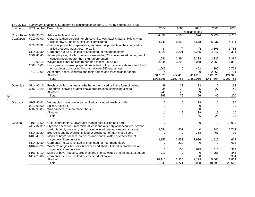| Source      | HTS number Description |                                                                                                     | 2004            | 2005           | 2006            | 2007      | 2008      |
|-------------|------------------------|-----------------------------------------------------------------------------------------------------|-----------------|----------------|-----------------|-----------|-----------|
|             |                        |                                                                                                     |                 |                | Thousands of \$ |           |           |
| Costa Rica- | 9507.90.70             | Artificial baits and flies                                                                          | 4,339           | 4,565          | 3,974           | 5,724     | 4,703     |
| Continued   | 6910.90.00             | Ceramic (o/than porcelain or china) sinks, washbasins, baths, bidets, water                         |                 |                |                 |           |           |
|             |                        | closet bowls, urinals & siml. sanitary fixtures                                                     | 4,748           | 8,680          | 6,578           | 6,937     | 4,484     |
|             | 3824.90.92             | Chemical products, preparations, and residual products of the chemical or                           |                 |                |                 |           |           |
|             |                        | allied products industries, n.e.s.o.i.                                                              | $\binom{f}{k}$  | $\binom{t}{0}$ | $\binom{f}{ }$  | 3,506     | 3,765     |
|             | 6114.30.30             | Garments n.e.s.o.i., knitted or crocheted, of manmade fibers                                        | 4,825           | 3,201          | 4,285           | 4,847     | 3,384     |
|             | 2009.41.40             | Pineapple juice, of a brix value not exceeding 20, concentrated (in degree of                       |                 |                |                 |           |           |
|             |                        | concentration greater than 3.5), unfermented                                                        | 1,641           | 2,394          | 2,238           | 2,337     | 3,335     |
|             | 7019.90.10             | Woven glass fiber articles (other than fabrics), n.e.s.o.i.                                         | 2,844           | 3,208          | 2,068           | 2,053     | 2,852     |
|             | 2007.10.00             | Homogenized cooked preparations of fruit put up for retail sale as infant food                      |                 |                |                 |           |           |
|             |                        | or for dietetic purposes, in cont. not over 250 grams, net                                          | 1,505           | $\Omega$       | 452             | 300       | 2,754     |
|             | 7610.10.00             | Aluminum, doors, windows and their frames and thresholds for doors                                  | 4               | $\Omega$       | $\Omega$        | 2,566     | 2,704     |
|             |                        | All other                                                                                           | 347,526         | 262,415        | 411,261         | 142,026   | 124,943   |
|             |                        | Total                                                                                               | 1,078,966       | 1,157,763      | 1,382,065       | 1,417,864 | 1,252,756 |
|             |                        |                                                                                                     |                 |                |                 |           |           |
| Dominica    | 0714.90.10             | Fresh or chilled dasheens, whether or not sliced or in the form of pellets                          | 89              | 22             | 23              | 0         | 133       |
|             | 3307.10.20             | Pre-shave, shaving or after-shave preparations, containing alcohol                                  | 34              | 28             | 35              | 27        | 49        |
|             |                        | All other                                                                                           | 246             | 28             | 9               | 18        | 18        |
|             |                        | Total                                                                                               | 369             | 79             | 66              | 45        | 200       |
| Grenada     | 0709.90.91             | Vegetables, not elsewhere specified or included, fresh or chilled                                   | 0               | $\Omega$       | 18              | 6         | 96        |
|             | 0910.99.60             | Spices, n.e.s.o.i.                                                                                  | 0               | 0              | 0               | 0         | 13        |
|             | 6307.90.85             | Wall banners, of man-made fibers                                                                    | $\Omega$        | $\mathbf 0$    | $\mathbf 0$     | 0         | 6         |
|             |                        | All other                                                                                           | 11              | 9              | 39              | 19        | 10        |
|             |                        | Total                                                                                               | $\overline{11}$ | 9              | 56              | 25        | 126       |
|             |                        |                                                                                                     |                 |                |                 |           |           |
| Guyana      | 7108.12.50             | Gold, nonmonetary, unwrought (o/than gold bullion and dore)                                         | $\Omega$        | 0              | 0               | 0         | 13,080    |
|             |                        | 4412.32.31 <sup>9</sup> Plywood sheet n/o 6 mm thick, at least one outer ply of nonconiferous wood, |                 |                |                 |           |           |
|             |                        | with face ply n.e.s.o.i., not surface covered beyond clear/transparent                              | 3,554           | 507            | 0               | 1,945     | 2,713     |
|             | 6114.30.20             | Bodysuits and bodyshirts, knitted or crocheted, of man-made fibers                                  | 0               | $\Omega$       | 358             | 461       | 702       |
|             | 6103.43.15             | Men's or boys' trousers, breeches and shorts, knitted or crocheted, of                              |                 |                |                 |           |           |
|             |                        | synthetic fibers, n.e.s.o.i.                                                                        | 3,155           | 3,552          | 1,986           | 1,516     | 662       |
|             | 6114.30.30             | Garments n.e.s.o.i., knitted or crocheted, of man-made fibers                                       | 0               | 219            | 0               | 0         | 602       |
|             | 6104.63.20             | Women's or girls' trousers, breeches and shorts, knitted or crocheted, of                           |                 |                |                 |           |           |
|             |                        | synthetic fibers, n.e.s.o.i.                                                                        | 15              | 108            | 625             | 315       | 372       |
|             | 6103.42.10             | Men's or boys' trousers, breeches and shorts, knitted or crocheted, of cotton                       | 213             | $\Omega$       | 0               | 256       | 344       |
|             | 6114.20.00             | Garments n.e.s.o.i., knitted or crocheted, of cotton                                                | $\Omega$        | $\Omega$       | 0               | 0         | 334       |
|             |                        | All other                                                                                           | 14,110          | 2,335          | 2,129           | 5,606     | 1,804     |
|             |                        | Total                                                                                               | 21,048          | 6,721          | 5,098           | 10.099    | 20,613    |

**TABLE E.6—***Continued* Leading U.S. imports for consumption under CBERA, by source, 2004–08

E-14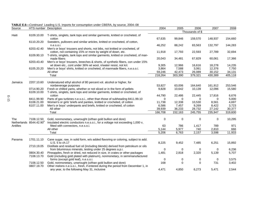| Source   | HTS number Description  |                                                                                                | 2004     | 2005             | 2006            | 2007     | 2008    |
|----------|-------------------------|------------------------------------------------------------------------------------------------|----------|------------------|-----------------|----------|---------|
|          |                         |                                                                                                |          |                  | Thousands of \$ |          |         |
| Haiti    | 6109.10.00              | T-shirts, singlets, tank tops and similar garments, knitted or crocheted, of                   |          |                  |                 |          |         |
|          |                         | cotton                                                                                         | 67,635   | 99,846           | 159,570         | 148,937  | 154,660 |
|          | 6110.20.20              | Sweaters, pullovers and similar articles, knitted or crocheted, of cotton,                     |          |                  |                 |          |         |
|          |                         | n.e.s.o.i.                                                                                     | 46,252   | 88,242           | 83,563          | 132,797  | 144,283 |
|          | 6203.42.40              | Men's or boys' trousers and shorts, not bibs, not knitted or crocheted, of                     |          |                  |                 |          |         |
|          |                         | cotton, not containing 15% or more by weight of down, etc.                                     | 11,918   | 17,793           | 22,593          | 27,789   | 32,694  |
|          | 6109.90.10              | T-shirts, singlets, tank tops and similar garments, knitted or crocheted, of man-              |          |                  |                 |          |         |
|          |                         | made fibers                                                                                    | 20,043   | 34,481           | 67,829          | 60,061   | 17,366  |
|          | 6203.43.40              | Men's or boys' trousers, breeches & shorts, of synthetic fibers, con under 15%                 |          |                  |                 |          |         |
|          |                         | wt down etc., cont under 36% wt wool, n/water resist, not k/c                                  | 9.305    | 12,966           | 16,616          | 18,278   | 14,235  |
|          | 6105.20.20              | Men's or boys' shirts, knitted or crocheted, of manmade fibers, n.e.s.o.i.                     | 3,864    | 7,588            | 3,061           | 12,376   | 7,750   |
|          |                         | All other                                                                                      | 59.246   | 42.473           | 26,089          | 30,152   | 34,131  |
|          |                         | Total                                                                                          | 218,264  | 303,390          | 379,321         | 430,389  | 405,118 |
|          |                         |                                                                                                |          |                  |                 |          |         |
| Jamaica  | 2207.10.60              | Undenatured ethyl alcohol of 80 percent vol. alcohol or higher, for                            |          |                  |                 |          |         |
|          | 0714.90.20              | nonbeverage purposes<br>Fresh or chilled yams, whether or not sliced or in the form of pellets | 53,827   | 63,006<br>10,642 | 164,640         | 161,912  | 253,546 |
|          | 6109.10.00              | T-shirts, singlets, tank tops and similar garments, knitted or crocheted, of                   | 9,828    |                  | 10,139          | 12,096   | 15,580  |
|          |                         | cotton                                                                                         | 44,790   | 22,486           | 22,445          | 17,816   | 6,676   |
|          | 8411.99.90              | Parts of gas turbines n.e.s.o.i., other than those of subheading 8411.99.10                    | 0        | $\Omega$         | 0               | $\Omega$ | 5,000   |
|          | 6108.21.00              | Women's or girls' briefs and panties, knitted or crocheted, of cotton                          | 11,738   | 12,338           | 10,530          | 8,561    | 4,697   |
|          | 6107.11.00              | Men's or boys' underpants and briefs, knitted or crocheted, of cotton                          | 6,586    | 7,457            | 9,269           | 8,422    | 3,723   |
|          |                         | All other                                                                                      | 39,939   | 36,233           | 28,732          | 27,142   | 30,377  |
|          |                         | Total                                                                                          | 166,708  | 152,163          | 245,755         | 235,947  | 319,600 |
|          |                         |                                                                                                |          |                  |                 |          |         |
| The      | 7108.12.50              | Gold, nonmonetary, unwrought (o/than gold bullion and dore)                                    | $\Omega$ | $\mathbf 0$      | 0               | 0        | 10,295  |
|          | Netherlands 8544.42.90h | Insulated electric conductors n.e.s.o.i., for a voltage not exceeding 1,000 v,                 |          |                  |                 |          |         |
| Antilles |                         | fitted with connectors, n.e.s.o.i.                                                             | 63       | 786              | 1,417           | 789      | 971     |
|          |                         | All other                                                                                      | 5,144    | 5,977            | 740             | 2,810    | 666     |
|          |                         | Total                                                                                          | 5,206    | 6,763            | 2,157           | 3,598    | 11,933  |
|          |                         |                                                                                                |          |                  |                 |          |         |
| Panama   | 1701.11.10              | Cane sugar, raw, in solid form, w/o added flavoring or coloring, subject to add.               |          |                  |                 |          |         |
|          |                         | U.S. 5 to ch.17                                                                                | 8,225    | 9,452            | 7,485           | 6,251    | 15,892  |
|          | 2710.19.05              | Distillate and residual fuel oil (including blends) derived from petroleum or oils             |          |                  |                 |          |         |
|          |                         | from bituminous minerals, testing under 25 degrees a.p.i.                                      | $\Omega$ | 0                | 0               | 0        | 6,236   |
|          | 0804.30.40              | Pineapples, fresh or dried, not reduced in size, in crates or other packages                   | 1,481    | 2,818            | 2,320           | 5,139    | 5,707   |
|          | 7108.13.70              | Gold (including gold plated with platinum), nonmonetary, in semimanufactured                   |          |                  |                 |          |         |
|          |                         | forms (except gold leaf), n.e.s.o.i.                                                           | $\Omega$ | $\mathbf 0$      | 0               | 0        | 3,575   |
|          | 7108.12.50              | Gold, nonmonetary, unwrought (o/than gold bullion and dore)                                    | 168      | $\Omega$         | $\Omega$        | 731      | 3,402   |
|          | 0807.19.70              | Other melons n.e.s.o.i., fresh, if entered during the period from December 1, in               |          |                  |                 |          |         |
|          |                         | any year, to the following May 31, inclusive                                                   | 4,471    | 4,850            | 6,273           | 5.471    | 2,544   |

**TABLE E.6—***Continued* Leading U.S. imports for consumption under CBERA, by source, 2004–08

E-15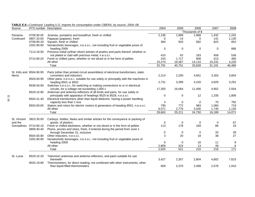| Source      | HTS number Description   |                                                                                      | 2004     | 2005        | 2006             | 2007        | 2008             |
|-------------|--------------------------|--------------------------------------------------------------------------------------|----------|-------------|------------------|-------------|------------------|
|             |                          |                                                                                      |          |             | Thousands of $$$ |             |                  |
| Panama-     | 0709.90.05               | Jicamas, pumpkins and breadfruit, fresh or chilled                                   | 2,136    | 1,969       | 1,968            | 1,432       | 1,242            |
| Continued   | 0807.20.00               | Papayas (papaws), fresh                                                              | 0        | 14          | 0                | 141         | 1,130            |
|             | 0709.90.20               | Squash, fresh or chilled                                                             | 384      | 503         | 582              | 823         | 852              |
|             | 2202.90.90               | Nonalcoholic beverages, n.e.s.o.i., not including fruit or vegetable juices of       |          |             |                  |             |                  |
|             |                          | heading 2009                                                                         | $\Omega$ | $\Omega$    | $\mathbf 0$      | 0           | 666              |
|             | 7113.19.50               | Precious metal (o/than silver) articles of jewelry and parts thereof, whether or     |          |             |                  |             |                  |
|             |                          | not plated or clad with precious metal, n.e.s.o.i.                                   | 410      | 62          | 183              | 459         | 536              |
|             | 0714.90.20               | Fresh or chilled yams, whether or not sliced or in the form of pellets               | 243      | 1,717       | 908              | 513         | 465              |
|             |                          | All other                                                                            | 15,274   | 19,367      | 14,110           | 10,232      | 4,220            |
|             |                          | Total                                                                                | 32,791   | 40,751      | 33,828           | 31,191      | 46,466           |
|             | St. Kitts and 8504.90.95 | Parts (other than printed circuit assemblies) of electrical transformers, static     |          |             |                  |             |                  |
| Nevis       |                          | converters and inductors                                                             | 2,214    | 2,200       | 4,651            | 3,303       | 3,854            |
|             | 8503.00.95               | Other parts, n.e.s.o.i., suitable for use solely or principally with the machines in |          |             |                  |             |                  |
|             |                          | heading 8501 or 8502                                                                 | 2,731    | 3,399       | 4,220            | 3,829       | 3,252            |
|             | 8536.50.90               | Switches n.e.s.o.i., for switching or making connections to or in electrical         |          |             |                  |             |                  |
|             |                          | circuits, for a voltage not exceeding 1,000 v                                        | 17,355   | 16,064      | 11,456           | 4,852       | 2,504            |
|             | 8529.10.90               | Antennas and antenna reflectors of all kinds and parts, for use solely or            |          |             |                  |             |                  |
|             |                          | principally with apparatus of headings 8525 to 8528, n.e.s.o.i.                      | 0        | $\Omega$    | 12               | 1,335       | 1,806            |
|             | 8504.31.40               | Electrical transformers other than liquid dielectric, having a power handling        |          |             |                  |             |                  |
|             |                          | capacity less than 1 kva                                                             | 3        | 0           | 0                | 70          | 792              |
|             | 8503.00.65               | Stators and rotors for electric motors & generators of heading 8501, n.e.s.o.i.      | 790      | 772         | 983              | 1,060       | 719              |
|             |                          | All other                                                                            | 6,571    | 2,776       | 3,430            | 1.740       | 1,145            |
|             |                          | Total                                                                                | 29,663   | 25,211      | 24,750           | 16,189      | 14,071           |
| St. Vincent | 3923.30.00               | Carboys, bottles, flasks and similar articles for the conveyance or packing of       |          |             |                  |             |                  |
| and the     |                          | goods, of plastics                                                                   | $\Omega$ | $\mathbf 0$ | $\mathbf 0$      | $\mathbf 0$ | 67               |
|             | Grenadines 0714.90.10    | Fresh or chilled dasheens, whether or not sliced or in the form of pellets           | 113      | 178         | 169              | 86          | 33               |
|             | 0809.40.40               | Plums, prunes and sloes, fresh, if entered during the period from June 1             |          |             |                  |             |                  |
|             |                          | through December 31, inclusive                                                       | 0        | 0           | 0                | 33          | 28               |
|             | 8504.50.80               | Other inductors, n.e.s.o.i.                                                          | 3        | 20          | 18               | 38          | 27               |
|             | 2202.90.90               | Nonalcoholic beverages, n.e.s.o.i., not including fruit or vegetable juices of       |          |             |                  |             |                  |
|             |                          | heading 2009                                                                         | 0        | 0           | 10               | 11          | 9                |
|             |                          | All other                                                                            | 2,809    | 323         | 13               | 49          | 8                |
|             |                          | Total                                                                                | 2,925    | 521         | 210              | 216         | $\overline{171}$ |
| St. Lucia   | 8529.10.20               |                                                                                      |          |             |                  |             |                  |
|             |                          | Television antennas and antenna reflectors, and parts suitable for use<br>therewith  | 3,427    | 2,357       | 2,804            | 4,802       | 7,623            |
|             | 9025.19.80               | Thermometers, for direct reading, not combined with other instruments, other         |          |             |                  |             |                  |
|             |                          | than liquid-filled thermometers                                                      | 659      | 2,370       | 2,499            | 2,578       | 1,910            |

## **TABLE E.6—***Continued* Leading U.S. imports for consumption under CBERA, by source, 2004–08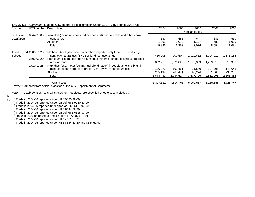| Source                            | HTS number Description |                                                                                                                                   | 2004      | 2005            | 2006      | 2007      | 2008      |
|-----------------------------------|------------------------|-----------------------------------------------------------------------------------------------------------------------------------|-----------|-----------------|-----------|-----------|-----------|
|                                   |                        |                                                                                                                                   |           | Thousands of \$ |           |           |           |
| St. Lucia-                        | 8544.20.00             | Insulated (including enameled or anodized) coaxial cable and other coaxial                                                        |           |                 |           |           |           |
| Continued                         |                        | conductors                                                                                                                        | 387       | 553             | 647       | 531       | 539       |
|                                   |                        | All other                                                                                                                         | 1,363     | 1,073           | 1,127     | 683       | 1,009     |
|                                   |                        | Total                                                                                                                             | 5,836     | 6,353           | 7,076     | 8,594     | 11,081    |
| Trinidad and 2905.11.20<br>Tobago |                        | Methanol (methyl alcohol), other than imported only for use in producing<br>synthetic natural gas (SNG) or for direct use as fuel | 460,208   | 700,604         | 1,029,652 | 1,004,212 | 1,175,155 |
|                                   | 2709.00.20             | Petroleum oils and oils from bituminous minerals, crude, testing 25 degrees<br>a.p.i. or more                                     | 802,713   | 1,076,028       | 1,678,309 | 1,299,319 | 813,330   |
|                                   | 2710.11.25             | Naphthas (exc. motor fuel/mtr fuel blend. stock) fr petroleum oils & bitumin                                                      |           |                 |           |           |           |
|                                   |                        | minerals (o/than crude) or preps 70%+ by wt. fr petroleum oils                                                                    | 126.377   | 193.451         | 71.540    | 227,205   | 143,645   |
|                                   |                        | All other                                                                                                                         | 285,132   | 764,441         | 898,224   | 301,560   | 233,256   |
|                                   |                        | Total                                                                                                                             | 1,674,430 | 2,734,524       | 3,677,726 | 2,832,296 | 2,365,386 |
|                                   |                        | <b>Grand total</b>                                                                                                                | 3.377.311 | 4,604,463       | 5.960.567 | 5,185,856 | 4,725,747 |

**TABLE E.6—***Continued* Leading U.S. imports for consumption under CBERA, by source, 2004–08

*Source*: Compiled from official statistics of the U.S. Department of Commerce.

*Note*: The abbreviation n.e.s.o.i. stands for "not elsewhere specified or otherwise included".

E-17

<sup>a</sup> Trade in 2004-06 reported under HTS 9030.39.00.<br><sup>b</sup> Trade in 2004-06 reported under part of HTS 9030.83.00.

 $^{\circ}$  Trade in 2004-06 reported under part of HTS 6115.92.90.<br><sup>d</sup> Trade in 2004-06 reported under HTS 8544.59.20.

<sup>e</sup> Trade in 2004-06 reported under part of HTS 6115.93.90.<br><sup>f</sup> Trade in 2004-06 reported under part of HTS 3824.90.91.

<sup>g</sup> Trade in 2004-06 reported under HTS 4412.14.31.<br><sup>h</sup> Trade in 2004-06 reported under HTS 8544.41.80 and 8544.51.90.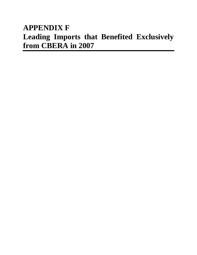## **APPENDIX F Leading Imports that Benefited Exclusively from CBERA in 2007**